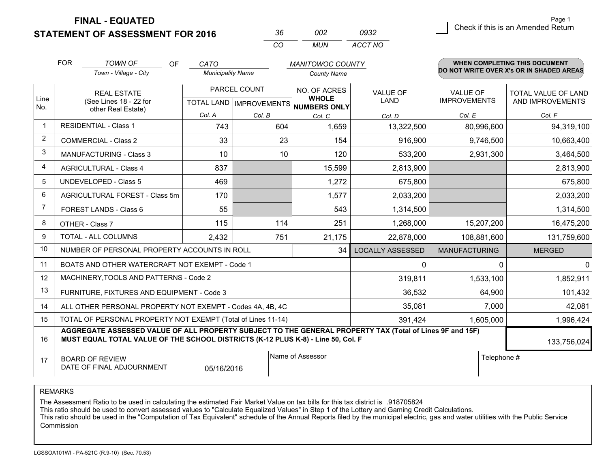**STATEMENT OF ASSESSMENT FOR 2016** 

| $\mathbf{A}$ | פחנד | nasə    |
|--------------|------|---------|
| $\cdots$     | MUN  | ACCT NO |

|                | <b>FOR</b>                                                                                                                                                                                   | <b>TOWN OF</b><br>OF<br>Town - Village - City                | CATO<br><b>Municipality Name</b> |              | <b>MANITOWOC COUNTY</b><br><b>County Name</b>        |                         |                      | <b>WHEN COMPLETING THIS DOCUMENT</b><br>DO NOT WRITE OVER X's OR IN SHADED AREAS |
|----------------|----------------------------------------------------------------------------------------------------------------------------------------------------------------------------------------------|--------------------------------------------------------------|----------------------------------|--------------|------------------------------------------------------|-------------------------|----------------------|----------------------------------------------------------------------------------|
|                |                                                                                                                                                                                              |                                                              |                                  |              |                                                      |                         |                      |                                                                                  |
|                |                                                                                                                                                                                              | <b>REAL ESTATE</b>                                           |                                  | PARCEL COUNT | NO. OF ACRES                                         | VALUE OF                | <b>VALUE OF</b>      | TOTAL VALUE OF LAND                                                              |
| Line<br>No.    |                                                                                                                                                                                              | (See Lines 18 - 22 for                                       |                                  |              | <b>WHOLE</b><br>TOTAL LAND IMPROVEMENTS NUMBERS ONLY | <b>LAND</b>             | <b>IMPROVEMENTS</b>  | AND IMPROVEMENTS                                                                 |
|                |                                                                                                                                                                                              | other Real Estate)                                           | Col. A                           | Col. B       | Col. C                                               | Col. D                  | Col. E               | Col. F                                                                           |
| $\mathbf 1$    | <b>RESIDENTIAL - Class 1</b>                                                                                                                                                                 |                                                              | 743                              | 604          | 1,659                                                | 13,322,500              | 80,996,600           | 94,319,100                                                                       |
| 2              |                                                                                                                                                                                              | <b>COMMERCIAL - Class 2</b>                                  | 33                               | 23           | 154                                                  | 916,900                 | 9,746,500            | 10,663,400                                                                       |
| 3              |                                                                                                                                                                                              | <b>MANUFACTURING - Class 3</b>                               | 10                               | 10           | 120                                                  | 533,200                 | 2,931,300            | 3,464,500                                                                        |
| 4              |                                                                                                                                                                                              | <b>AGRICULTURAL - Class 4</b>                                | 837                              |              | 15,599                                               | 2,813,900               |                      | 2,813,900                                                                        |
| 5              |                                                                                                                                                                                              | <b>UNDEVELOPED - Class 5</b>                                 | 469                              |              | 1,272                                                | 675,800                 |                      | 675,800                                                                          |
| 6              | AGRICULTURAL FOREST - Class 5m<br>FOREST LANDS - Class 6                                                                                                                                     |                                                              | 170                              |              | 1,577                                                | 2,033,200               |                      | 2,033,200                                                                        |
| $\overline{7}$ |                                                                                                                                                                                              |                                                              | 55                               |              | 543                                                  | 1,314,500               |                      | 1,314,500                                                                        |
| 8              |                                                                                                                                                                                              | OTHER - Class 7                                              | 115                              | 114          | 251                                                  | 1,268,000               | 15,207,200           | 16,475,200                                                                       |
| 9              |                                                                                                                                                                                              | TOTAL - ALL COLUMNS<br>751<br>2,432                          |                                  | 21,175       | 22,878,000                                           | 108,881,600             | 131,759,600          |                                                                                  |
| 10             |                                                                                                                                                                                              | NUMBER OF PERSONAL PROPERTY ACCOUNTS IN ROLL                 |                                  |              | 34                                                   | <b>LOCALLY ASSESSED</b> | <b>MANUFACTURING</b> | <b>MERGED</b>                                                                    |
| 11             |                                                                                                                                                                                              | BOATS AND OTHER WATERCRAFT NOT EXEMPT - Code 1               |                                  |              |                                                      | $\mathbf{0}$            | $\Omega$             | $\mathbf 0$                                                                      |
| 12             |                                                                                                                                                                                              | MACHINERY, TOOLS AND PATTERNS - Code 2                       |                                  |              |                                                      | 319,811                 | 1,533,100            | 1,852,911                                                                        |
| 13             |                                                                                                                                                                                              | FURNITURE, FIXTURES AND EQUIPMENT - Code 3                   |                                  |              |                                                      | 36,532                  | 64,900               | 101,432                                                                          |
| 14             |                                                                                                                                                                                              | ALL OTHER PERSONAL PROPERTY NOT EXEMPT - Codes 4A, 4B, 4C    |                                  |              |                                                      | 35,081                  | 7,000                | 42,081                                                                           |
| 15             |                                                                                                                                                                                              | TOTAL OF PERSONAL PROPERTY NOT EXEMPT (Total of Lines 11-14) |                                  |              |                                                      | 391,424                 | 1,605,000            | 1,996,424                                                                        |
| 16             | AGGREGATE ASSESSED VALUE OF ALL PROPERTY SUBJECT TO THE GENERAL PROPERTY TAX (Total of Lines 9F and 15F)<br>MUST EQUAL TOTAL VALUE OF THE SCHOOL DISTRICTS (K-12 PLUS K-8) - Line 50, Col. F |                                                              |                                  |              |                                                      |                         |                      | 133,756,024                                                                      |
| 17             | Name of Assessor<br>Telephone #<br><b>BOARD OF REVIEW</b><br>DATE OF FINAL ADJOURNMENT<br>05/16/2016                                                                                         |                                                              |                                  |              |                                                      |                         |                      |                                                                                  |

REMARKS

The Assessment Ratio to be used in calculating the estimated Fair Market Value on tax bills for this tax district is .918705824<br>This ratio should be used to convert assessed values to "Calculate Equalized Values" in Step 1 Commission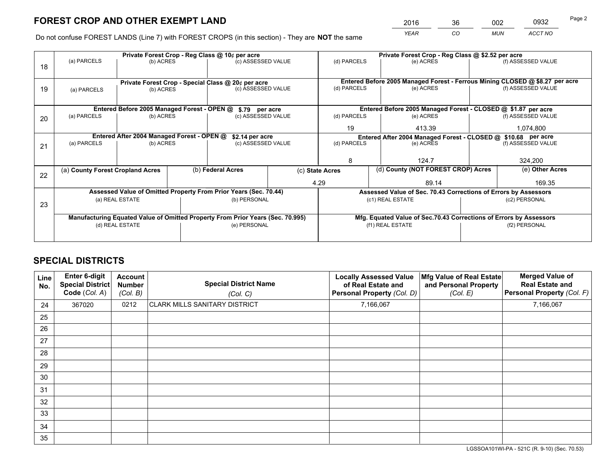*YEAR CO MUN ACCT NO* <sup>2016</sup> <sup>36</sup> <sup>002</sup> <sup>0932</sup>

Do not confuse FOREST LANDS (Line 7) with FOREST CROPS (in this section) - They are **NOT** the same

|    | Private Forest Crop - Reg Class @ 10¢ per acre                |                                             |  |                                                                                |                                                                              | Private Forest Crop - Reg Class @ \$2.52 per acre     |                                                                    |               |                    |  |
|----|---------------------------------------------------------------|---------------------------------------------|--|--------------------------------------------------------------------------------|------------------------------------------------------------------------------|-------------------------------------------------------|--------------------------------------------------------------------|---------------|--------------------|--|
| 18 | (a) PARCELS                                                   | (b) ACRES                                   |  | (c) ASSESSED VALUE                                                             |                                                                              | (d) PARCELS                                           | (e) ACRES                                                          |               | (f) ASSESSED VALUE |  |
|    |                                                               |                                             |  |                                                                                |                                                                              |                                                       |                                                                    |               |                    |  |
|    | Private Forest Crop - Special Class @ 20¢ per acre            |                                             |  |                                                                                | Entered Before 2005 Managed Forest - Ferrous Mining CLOSED @ \$8.27 per acre |                                                       |                                                                    |               |                    |  |
| 19 | (a) PARCELS                                                   | (b) ACRES                                   |  | (c) ASSESSED VALUE                                                             |                                                                              | (d) PARCELS                                           | (e) ACRES                                                          |               | (f) ASSESSED VALUE |  |
|    |                                                               |                                             |  |                                                                                |                                                                              |                                                       |                                                                    |               |                    |  |
|    |                                                               | Entered Before 2005 Managed Forest - OPEN @ |  | \$.79 per acre                                                                 |                                                                              |                                                       | Entered Before 2005 Managed Forest - CLOSED @ \$1.87 per acre      |               |                    |  |
| 20 | (a) PARCELS                                                   | (b) ACRES                                   |  | (c) ASSESSED VALUE                                                             |                                                                              | (d) PARCELS                                           | (e) ACRES                                                          |               | (f) ASSESSED VALUE |  |
|    |                                                               |                                             |  |                                                                                | 19                                                                           | 413.39                                                |                                                                    | 1,074,800     |                    |  |
|    | Entered After 2004 Managed Forest - OPEN @<br>\$2.14 per acre |                                             |  |                                                                                |                                                                              |                                                       | Entered After 2004 Managed Forest - CLOSED @ \$10.68 per acre      |               |                    |  |
| 21 | (a) PARCELS                                                   | (b) ACRES                                   |  |                                                                                | (c) ASSESSED VALUE                                                           |                                                       | (d) PARCELS<br>(e) ACRES                                           |               | (f) ASSESSED VALUE |  |
|    |                                                               |                                             |  |                                                                                |                                                                              |                                                       |                                                                    |               |                    |  |
|    |                                                               |                                             |  |                                                                                |                                                                              | 8                                                     | 124.7                                                              |               | 324,200            |  |
| 22 | (a) County Forest Cropland Acres                              |                                             |  | (b) Federal Acres                                                              |                                                                              | (d) County (NOT FOREST CROP) Acres<br>(c) State Acres |                                                                    |               | (e) Other Acres    |  |
|    |                                                               |                                             |  |                                                                                |                                                                              | 4.29                                                  | 89.14                                                              |               | 169.35             |  |
|    |                                                               |                                             |  | Assessed Value of Omitted Property From Prior Years (Sec. 70.44)               |                                                                              |                                                       | Assessed Value of Sec. 70.43 Corrections of Errors by Assessors    |               |                    |  |
| 23 |                                                               | (a) REAL ESTATE                             |  | (b) PERSONAL                                                                   |                                                                              |                                                       | (c1) REAL ESTATE                                                   | (c2) PERSONAL |                    |  |
|    |                                                               |                                             |  |                                                                                |                                                                              |                                                       |                                                                    |               |                    |  |
|    |                                                               |                                             |  | Manufacturing Equated Value of Omitted Property From Prior Years (Sec. 70.995) |                                                                              |                                                       | Mfg. Equated Value of Sec.70.43 Corrections of Errors by Assessors |               |                    |  |
|    |                                                               | (d) REAL ESTATE                             |  | (e) PERSONAL                                                                   |                                                                              | (f1) REAL ESTATE                                      |                                                                    |               | (f2) PERSONAL      |  |
|    |                                                               |                                             |  |                                                                                |                                                                              |                                                       |                                                                    |               |                    |  |

## **SPECIAL DISTRICTS**

| Line<br>No. | Enter 6-digit<br><b>Special District</b><br>Code (Col. A) | <b>Account</b><br><b>Number</b><br>(Col. B) | <b>Special District Name</b><br>(Col. C) | <b>Locally Assessed Value</b><br>of Real Estate and<br>Personal Property (Col. D) | Mfg Value of Real Estate<br>and Personal Property<br>(Col. E) | <b>Merged Value of</b><br><b>Real Estate and</b><br>Personal Property (Col. F) |
|-------------|-----------------------------------------------------------|---------------------------------------------|------------------------------------------|-----------------------------------------------------------------------------------|---------------------------------------------------------------|--------------------------------------------------------------------------------|
| 24          | 367020                                                    | 0212                                        | <b>CLARK MILLS SANITARY DISTRICT</b>     | 7,166,067                                                                         |                                                               | 7,166,067                                                                      |
| 25          |                                                           |                                             |                                          |                                                                                   |                                                               |                                                                                |
| 26          |                                                           |                                             |                                          |                                                                                   |                                                               |                                                                                |
| 27          |                                                           |                                             |                                          |                                                                                   |                                                               |                                                                                |
| 28          |                                                           |                                             |                                          |                                                                                   |                                                               |                                                                                |
| 29          |                                                           |                                             |                                          |                                                                                   |                                                               |                                                                                |
| 30          |                                                           |                                             |                                          |                                                                                   |                                                               |                                                                                |
| 31          |                                                           |                                             |                                          |                                                                                   |                                                               |                                                                                |
| 32          |                                                           |                                             |                                          |                                                                                   |                                                               |                                                                                |
| 33          |                                                           |                                             |                                          |                                                                                   |                                                               |                                                                                |
| 34          |                                                           |                                             |                                          |                                                                                   |                                                               |                                                                                |
| 35          |                                                           |                                             |                                          |                                                                                   |                                                               |                                                                                |

LGSSOA101WI-PA - 521C (R. 9-10) (Sec. 70.53)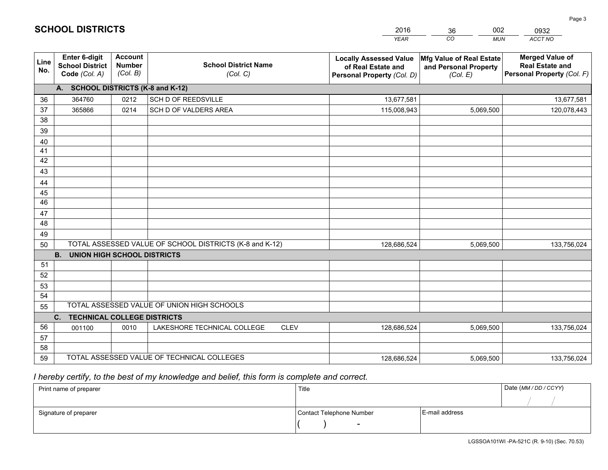|             |                                                                 |                                             |                                                         | <b>YEAR</b>                                                                       | CO<br><b>MUN</b>                                              | ACCT NO                                                                        |
|-------------|-----------------------------------------------------------------|---------------------------------------------|---------------------------------------------------------|-----------------------------------------------------------------------------------|---------------------------------------------------------------|--------------------------------------------------------------------------------|
| Line<br>No. | <b>Enter 6-digit</b><br><b>School District</b><br>Code (Col. A) | <b>Account</b><br><b>Number</b><br>(Col. B) | <b>School District Name</b><br>(Col. C)                 | <b>Locally Assessed Value</b><br>of Real Estate and<br>Personal Property (Col. D) | Mfg Value of Real Estate<br>and Personal Property<br>(Col. E) | <b>Merged Value of</b><br><b>Real Estate and</b><br>Personal Property (Col. F) |
|             | A. SCHOOL DISTRICTS (K-8 and K-12)                              |                                             |                                                         |                                                                                   |                                                               |                                                                                |
| 36          | 364760                                                          | 0212                                        | SCH D OF REEDSVILLE                                     | 13,677,581                                                                        |                                                               | 13,677,581                                                                     |
| 37          | 365866                                                          | 0214                                        | SCH D OF VALDERS AREA                                   | 115,008,943                                                                       | 5,069,500                                                     | 120,078,443                                                                    |
| 38          |                                                                 |                                             |                                                         |                                                                                   |                                                               |                                                                                |
| 39          |                                                                 |                                             |                                                         |                                                                                   |                                                               |                                                                                |
| 40          |                                                                 |                                             |                                                         |                                                                                   |                                                               |                                                                                |
| 41          |                                                                 |                                             |                                                         |                                                                                   |                                                               |                                                                                |
| 42          |                                                                 |                                             |                                                         |                                                                                   |                                                               |                                                                                |
| 43          |                                                                 |                                             |                                                         |                                                                                   |                                                               |                                                                                |
| 44<br>45    |                                                                 |                                             |                                                         |                                                                                   |                                                               |                                                                                |
| 46          |                                                                 |                                             |                                                         |                                                                                   |                                                               |                                                                                |
| 47          |                                                                 |                                             |                                                         |                                                                                   |                                                               |                                                                                |
| 48          |                                                                 |                                             |                                                         |                                                                                   |                                                               |                                                                                |
| 49          |                                                                 |                                             |                                                         |                                                                                   |                                                               |                                                                                |
| 50          |                                                                 |                                             | TOTAL ASSESSED VALUE OF SCHOOL DISTRICTS (K-8 and K-12) | 128,686,524                                                                       | 5,069,500                                                     | 133,756,024                                                                    |
|             | <b>B.</b><br><b>UNION HIGH SCHOOL DISTRICTS</b>                 |                                             |                                                         |                                                                                   |                                                               |                                                                                |
| 51          |                                                                 |                                             |                                                         |                                                                                   |                                                               |                                                                                |
| 52          |                                                                 |                                             |                                                         |                                                                                   |                                                               |                                                                                |
| 53          |                                                                 |                                             |                                                         |                                                                                   |                                                               |                                                                                |
| 54          |                                                                 |                                             |                                                         |                                                                                   |                                                               |                                                                                |
| 55          |                                                                 |                                             | TOTAL ASSESSED VALUE OF UNION HIGH SCHOOLS              |                                                                                   |                                                               |                                                                                |
|             | C.<br><b>TECHNICAL COLLEGE DISTRICTS</b>                        |                                             |                                                         |                                                                                   |                                                               |                                                                                |
| 56          | 001100                                                          | 0010                                        | LAKESHORE TECHNICAL COLLEGE<br><b>CLEV</b>              | 128,686,524                                                                       | 5,069,500                                                     | 133,756,024                                                                    |
| 57          |                                                                 |                                             |                                                         |                                                                                   |                                                               |                                                                                |
| 58          |                                                                 |                                             |                                                         |                                                                                   |                                                               |                                                                                |
| 59          |                                                                 |                                             | TOTAL ASSESSED VALUE OF TECHNICAL COLLEGES              | 128,686,524                                                                       | 5,069,500                                                     | 133,756,024                                                                    |

2016

36

002

 *I hereby certify, to the best of my knowledge and belief, this form is complete and correct.*

**SCHOOL DISTRICTS**

| Print name of preparer | Title                    |                | Date (MM / DD / CCYY) |
|------------------------|--------------------------|----------------|-----------------------|
|                        |                          |                |                       |
| Signature of preparer  | Contact Telephone Number | E-mail address |                       |
|                        | $\overline{\phantom{0}}$ |                |                       |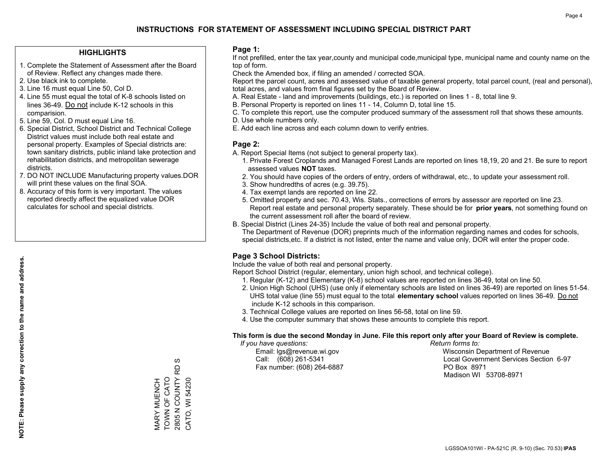### **HIGHLIGHTS**

- 1. Complete the Statement of Assessment after the Board of Review. Reflect any changes made there.
- 2. Use black ink to complete.
- 3. Line 16 must equal Line 50, Col D.
- 4. Line 55 must equal the total of K-8 schools listed on lines 36-49. Do not include K-12 schools in this comparision.
- 5. Line 59, Col. D must equal Line 16.
- 6. Special District, School District and Technical College District values must include both real estate and personal property. Examples of Special districts are: town sanitary districts, public inland lake protection and rehabilitation districts, and metropolitan sewerage districts.
- 7. DO NOT INCLUDE Manufacturing property values.DOR will print these values on the final SOA.

MARY MUENCH TOWN OF CATO 2805 N COUNTY RD S CATO, WI 54230

MARY MUENCH<br>TOWN OF CATO<br>2805 N COUNTY F

 $\omega$ RD

CATO, WI 54230

 8. Accuracy of this form is very important. The values reported directly affect the equalized value DOR calculates for school and special districts.

### **Page 1:**

 If not prefilled, enter the tax year,county and municipal code,municipal type, municipal name and county name on the top of form.

Check the Amended box, if filing an amended / corrected SOA.

 Report the parcel count, acres and assessed value of taxable general property, total parcel count, (real and personal), total acres, and values from final figures set by the Board of Review.

- A. Real Estate land and improvements (buildings, etc.) is reported on lines 1 8, total line 9.
- B. Personal Property is reported on lines 11 14, Column D, total line 15.
- C. To complete this report, use the computer produced summary of the assessment roll that shows these amounts.
- D. Use whole numbers only.
- E. Add each line across and each column down to verify entries.

### **Page 2:**

- A. Report Special Items (not subject to general property tax).
- 1. Private Forest Croplands and Managed Forest Lands are reported on lines 18,19, 20 and 21. Be sure to report assessed values **NOT** taxes.
- 2. You should have copies of the orders of entry, orders of withdrawal, etc., to update your assessment roll.
	- 3. Show hundredths of acres (e.g. 39.75).
- 4. Tax exempt lands are reported on line 22.
- 5. Omitted property and sec. 70.43, Wis. Stats., corrections of errors by assessor are reported on line 23. Report real estate and personal property separately. These should be for **prior years**, not something found on the current assessment roll after the board of review.
- B. Special District (Lines 24-35) Include the value of both real and personal property.
- The Department of Revenue (DOR) preprints much of the information regarding names and codes for schools, special districts,etc. If a district is not listed, enter the name and value only, DOR will enter the proper code.

## **Page 3 School Districts:**

Include the value of both real and personal property.

Report School District (regular, elementary, union high school, and technical college).

- 1. Regular (K-12) and Elementary (K-8) school values are reported on lines 36-49, total on line 50.
- 2. Union High School (UHS) (use only if elementary schools are listed on lines 36-49) are reported on lines 51-54. UHS total value (line 55) must equal to the total **elementary school** values reported on lines 36-49. Do notinclude K-12 schools in this comparison.
- 3. Technical College values are reported on lines 56-58, total on line 59.
- 4. Use the computer summary that shows these amounts to complete this report.

#### **This form is due the second Monday in June. File this report only after your Board of Review is complete.**

 *If you have questions: Return forms to:*

Fax number: (608) 264-6887 PO Box 8971

 Email: lgs@revenue.wi.gov Wisconsin Department of Revenue Call: (608) 261-5341 Local Government Services Section 6-97Madison WI 53708-8971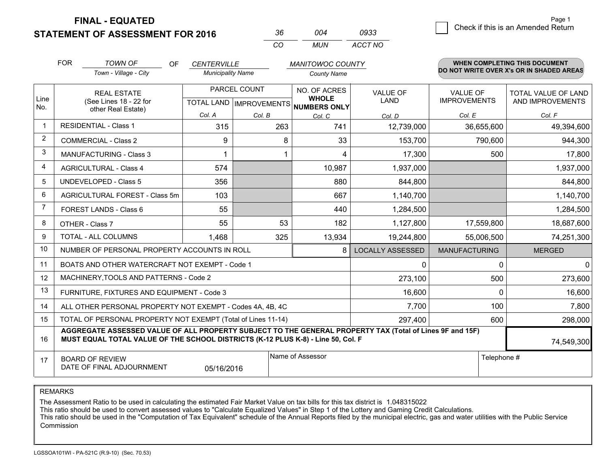**STATEMENT OF ASSESSMENT FOR 2016** 

| 36.      | nn4 | 0933    |
|----------|-----|---------|
| $\cdots$ | MUN | ACCT NO |

|                | <b>FOR</b>                                                                                                                                                                                   | <b>TOWN OF</b><br>OF                                         | <b>CENTERVILLE</b>       |                                           | <b>MANITOWOC COUNTY</b>                             |                         |                                        | <b>WHEN COMPLETING THIS DOCUMENT</b>           |
|----------------|----------------------------------------------------------------------------------------------------------------------------------------------------------------------------------------------|--------------------------------------------------------------|--------------------------|-------------------------------------------|-----------------------------------------------------|-------------------------|----------------------------------------|------------------------------------------------|
|                |                                                                                                                                                                                              | Town - Village - City                                        | <b>Municipality Name</b> |                                           | <b>County Name</b>                                  |                         |                                        | DO NOT WRITE OVER X's OR IN SHADED AREAS       |
| Line<br>No.    | <b>REAL ESTATE</b><br>(See Lines 18 - 22 for                                                                                                                                                 |                                                              |                          | PARCEL COUNT<br>TOTAL LAND   IMPROVEMENTS | NO. OF ACRES<br><b>WHOLE</b><br><b>NUMBERS ONLY</b> | <b>VALUE OF</b><br>LAND | <b>VALUE OF</b><br><b>IMPROVEMENTS</b> | <b>TOTAL VALUE OF LAND</b><br>AND IMPROVEMENTS |
|                |                                                                                                                                                                                              | other Real Estate)                                           | Col. A                   | Col. B                                    | Col. C                                              | Col. D                  | Col. E                                 | Col. F                                         |
| $\mathbf{1}$   | <b>RESIDENTIAL - Class 1</b>                                                                                                                                                                 |                                                              | 315                      | 263                                       | 741                                                 | 12,739,000              | 36,655,600                             | 49,394,600                                     |
| $\overline{2}$ |                                                                                                                                                                                              | <b>COMMERCIAL - Class 2</b>                                  | 9                        | 8                                         | 33                                                  | 153,700                 | 790,600                                | 944,300                                        |
| 3              |                                                                                                                                                                                              | <b>MANUFACTURING - Class 3</b>                               |                          |                                           | 4                                                   | 17,300                  | 500                                    | 17,800                                         |
| 4              |                                                                                                                                                                                              | <b>AGRICULTURAL - Class 4</b>                                | 574                      |                                           | 10,987                                              | 1,937,000               |                                        | 1,937,000                                      |
| 5              |                                                                                                                                                                                              | <b>UNDEVELOPED - Class 5</b>                                 | 356                      |                                           | 880                                                 | 844,800                 |                                        | 844,800                                        |
| 6              |                                                                                                                                                                                              | AGRICULTURAL FOREST - Class 5m                               | 103                      |                                           | 667                                                 | 1,140,700               |                                        | 1,140,700                                      |
| 7              |                                                                                                                                                                                              | FOREST LANDS - Class 6                                       | 55                       |                                           | 440                                                 | 1,284,500               |                                        | 1,284,500                                      |
| 8              |                                                                                                                                                                                              | OTHER - Class 7                                              | 55                       | 53                                        | 182                                                 | 1,127,800               | 17,559,800                             | 18,687,600                                     |
| 9              |                                                                                                                                                                                              | TOTAL - ALL COLUMNS                                          | 1,468                    | 325                                       | 13,934                                              | 19,244,800              | 55,006,500                             | 74,251,300                                     |
| 10             |                                                                                                                                                                                              | NUMBER OF PERSONAL PROPERTY ACCOUNTS IN ROLL                 |                          |                                           | 8                                                   | <b>LOCALLY ASSESSED</b> | <b>MANUFACTURING</b>                   | <b>MERGED</b>                                  |
| 11             |                                                                                                                                                                                              | BOATS AND OTHER WATERCRAFT NOT EXEMPT - Code 1               |                          |                                           |                                                     | 0                       | $\mathbf 0$                            | $\mathbf 0$                                    |
| 12             |                                                                                                                                                                                              | MACHINERY, TOOLS AND PATTERNS - Code 2                       |                          |                                           |                                                     | 273,100                 | 500                                    | 273,600                                        |
| 13             |                                                                                                                                                                                              | FURNITURE, FIXTURES AND EQUIPMENT - Code 3                   |                          |                                           |                                                     | 16,600                  | $\Omega$                               | 16,600                                         |
| 14             |                                                                                                                                                                                              | ALL OTHER PERSONAL PROPERTY NOT EXEMPT - Codes 4A, 4B, 4C    |                          |                                           |                                                     | 7,700                   | 100                                    | 7,800                                          |
| 15             |                                                                                                                                                                                              | TOTAL OF PERSONAL PROPERTY NOT EXEMPT (Total of Lines 11-14) |                          |                                           |                                                     | 297,400                 | 600                                    | 298,000                                        |
| 16             | AGGREGATE ASSESSED VALUE OF ALL PROPERTY SUBJECT TO THE GENERAL PROPERTY TAX (Total of Lines 9F and 15F)<br>MUST EQUAL TOTAL VALUE OF THE SCHOOL DISTRICTS (K-12 PLUS K-8) - Line 50, Col. F |                                                              |                          |                                           |                                                     |                         | 74,549,300                             |                                                |
| 17             | Name of Assessor<br>Telephone #<br><b>BOARD OF REVIEW</b><br>DATE OF FINAL ADJOURNMENT<br>05/16/2016                                                                                         |                                                              |                          |                                           |                                                     |                         |                                        |                                                |

REMARKS

The Assessment Ratio to be used in calculating the estimated Fair Market Value on tax bills for this tax district is 1.048315022

This ratio should be used to convert assessed values to "Calculate Equalized Values" in Step 1 of the Lottery and Gaming Credit Calculations.<br>This ratio should be used in the "Computation of Tax Equivalent" schedule of the Commission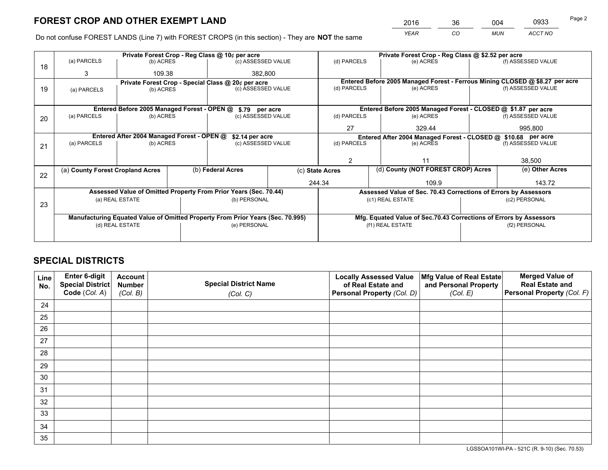*YEAR CO MUN ACCT NO* <sup>2016</sup> <sup>36</sup> <sup>004</sup> <sup>0933</sup>

Do not confuse FOREST LANDS (Line 7) with FOREST CROPS (in this section) - They are **NOT** the same

|    |                                                               |                                 |         | Private Forest Crop - Reg Class @ 10¢ per acre                                 |              | Private Forest Crop - Reg Class @ \$2.52 per acre     |  |                                                                    |                                                                              |                    |
|----|---------------------------------------------------------------|---------------------------------|---------|--------------------------------------------------------------------------------|--------------|-------------------------------------------------------|--|--------------------------------------------------------------------|------------------------------------------------------------------------------|--------------------|
| 18 | (a) PARCELS                                                   | (b) ACRES                       |         | (c) ASSESSED VALUE                                                             |              | (d) PARCELS                                           |  | (e) ACRES                                                          |                                                                              | (f) ASSESSED VALUE |
|    | 3                                                             | 109.38                          | 382,800 |                                                                                |              |                                                       |  |                                                                    |                                                                              |                    |
|    | Private Forest Crop - Special Class @ 20¢ per acre            |                                 |         |                                                                                |              |                                                       |  |                                                                    | Entered Before 2005 Managed Forest - Ferrous Mining CLOSED @ \$8.27 per acre |                    |
| 19 | (a) PARCELS                                                   | (c) ASSESSED VALUE<br>(b) ACRES |         | (d) PARCELS                                                                    |              | (e) ACRES                                             |  | (f) ASSESSED VALUE                                                 |                                                                              |                    |
|    |                                                               |                                 |         |                                                                                |              |                                                       |  |                                                                    |                                                                              |                    |
|    |                                                               |                                 |         | Entered Before 2005 Managed Forest - OPEN @ \$.79 per acre                     |              |                                                       |  | Entered Before 2005 Managed Forest - CLOSED @ \$1.87 per acre      |                                                                              |                    |
| 20 | (a) PARCELS                                                   | (b) ACRES                       |         | (c) ASSESSED VALUE                                                             |              | (d) PARCELS                                           |  | (e) ACRES                                                          |                                                                              | (f) ASSESSED VALUE |
|    |                                                               |                                 |         |                                                                                | 27<br>329.44 |                                                       |  | 995.800                                                            |                                                                              |                    |
|    | Entered After 2004 Managed Forest - OPEN @<br>\$2.14 per acre |                                 |         |                                                                                |              |                                                       |  | Entered After 2004 Managed Forest - CLOSED @ \$10.68 per acre      |                                                                              |                    |
| 21 | (a) PARCELS                                                   | (b) ACRES                       |         | (c) ASSESSED VALUE                                                             |              | (d) PARCELS<br>(e) ACRES                              |  |                                                                    | (f) ASSESSED VALUE                                                           |                    |
|    |                                                               |                                 |         |                                                                                |              |                                                       |  |                                                                    |                                                                              |                    |
|    |                                                               |                                 |         |                                                                                |              | 2                                                     |  | 11                                                                 |                                                                              | 38,500             |
| 22 | (a) County Forest Cropland Acres                              |                                 |         | (b) Federal Acres                                                              |              | (d) County (NOT FOREST CROP) Acres<br>(c) State Acres |  | (e) Other Acres                                                    |                                                                              |                    |
|    |                                                               |                                 |         |                                                                                | 244.34       |                                                       |  | 109.9                                                              |                                                                              | 143.72             |
|    |                                                               |                                 |         | Assessed Value of Omitted Property From Prior Years (Sec. 70.44)               |              |                                                       |  | Assessed Value of Sec. 70.43 Corrections of Errors by Assessors    |                                                                              |                    |
|    |                                                               | (a) REAL ESTATE                 |         | (b) PERSONAL                                                                   |              |                                                       |  | (c1) REAL ESTATE                                                   |                                                                              | (c2) PERSONAL      |
| 23 |                                                               |                                 |         |                                                                                |              |                                                       |  |                                                                    |                                                                              |                    |
|    |                                                               |                                 |         | Manufacturing Equated Value of Omitted Property From Prior Years (Sec. 70.995) |              |                                                       |  | Mfg. Equated Value of Sec.70.43 Corrections of Errors by Assessors |                                                                              |                    |
|    | (e) PERSONAL<br>(d) REAL ESTATE                               |                                 |         | (f1) REAL ESTATE<br>(f2) PERSONAL                                              |              |                                                       |  |                                                                    |                                                                              |                    |
|    |                                                               |                                 |         |                                                                                |              |                                                       |  |                                                                    |                                                                              |                    |

## **SPECIAL DISTRICTS**

| Line<br>No. | Enter 6-digit<br><b>Special District</b> | <b>Account</b><br><b>Number</b> | <b>Special District Name</b> | <b>Locally Assessed Value</b><br>of Real Estate and | Mfg Value of Real Estate<br>and Personal Property | <b>Merged Value of</b><br><b>Real Estate and</b> |
|-------------|------------------------------------------|---------------------------------|------------------------------|-----------------------------------------------------|---------------------------------------------------|--------------------------------------------------|
|             | Code (Col. A)                            | (Col. B)                        | (Col. C)                     | Personal Property (Col. D)                          | (Col. E)                                          | Personal Property (Col. F)                       |
| 24          |                                          |                                 |                              |                                                     |                                                   |                                                  |
| 25          |                                          |                                 |                              |                                                     |                                                   |                                                  |
| 26          |                                          |                                 |                              |                                                     |                                                   |                                                  |
| 27          |                                          |                                 |                              |                                                     |                                                   |                                                  |
| 28          |                                          |                                 |                              |                                                     |                                                   |                                                  |
| 29          |                                          |                                 |                              |                                                     |                                                   |                                                  |
| 30          |                                          |                                 |                              |                                                     |                                                   |                                                  |
| 31          |                                          |                                 |                              |                                                     |                                                   |                                                  |
| 32          |                                          |                                 |                              |                                                     |                                                   |                                                  |
| 33          |                                          |                                 |                              |                                                     |                                                   |                                                  |
| 34          |                                          |                                 |                              |                                                     |                                                   |                                                  |
| 35          |                                          |                                 |                              |                                                     |                                                   |                                                  |

LGSSOA101WI-PA - 521C (R. 9-10) (Sec. 70.53)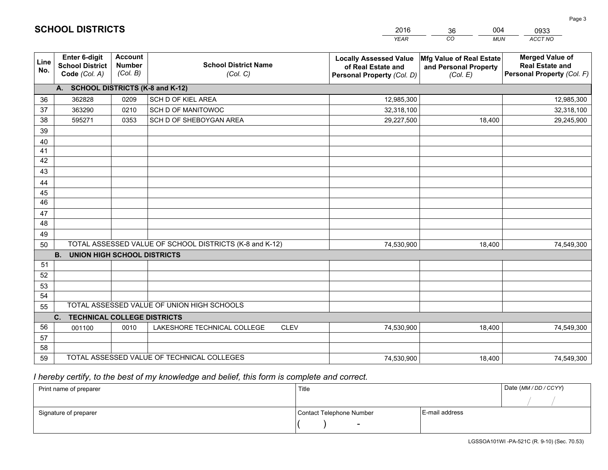|             |                                                          |                                             |                                                         | <b>YEAR</b>                                                                       | CO<br><b>MUN</b>                                              | ACCT NO                                                                        |
|-------------|----------------------------------------------------------|---------------------------------------------|---------------------------------------------------------|-----------------------------------------------------------------------------------|---------------------------------------------------------------|--------------------------------------------------------------------------------|
| Line<br>No. | Enter 6-digit<br><b>School District</b><br>Code (Col. A) | <b>Account</b><br><b>Number</b><br>(Col. B) | <b>School District Name</b><br>(Col. C)                 | <b>Locally Assessed Value</b><br>of Real Estate and<br>Personal Property (Col. D) | Mfg Value of Real Estate<br>and Personal Property<br>(Col. E) | <b>Merged Value of</b><br><b>Real Estate and</b><br>Personal Property (Col. F) |
|             | A. SCHOOL DISTRICTS (K-8 and K-12)                       |                                             |                                                         |                                                                                   |                                                               |                                                                                |
| 36          | 362828                                                   | 0209                                        | SCH D OF KIEL AREA                                      | 12,985,300                                                                        |                                                               | 12,985,300                                                                     |
| 37          | 363290                                                   | 0210                                        | SCH D OF MANITOWOC                                      | 32,318,100                                                                        |                                                               | 32,318,100                                                                     |
| 38          | 595271                                                   | 0353                                        | SCH D OF SHEBOYGAN AREA                                 | 29,227,500                                                                        | 18,400                                                        | 29,245,900                                                                     |
| 39          |                                                          |                                             |                                                         |                                                                                   |                                                               |                                                                                |
| 40          |                                                          |                                             |                                                         |                                                                                   |                                                               |                                                                                |
| 41          |                                                          |                                             |                                                         |                                                                                   |                                                               |                                                                                |
| 42          |                                                          |                                             |                                                         |                                                                                   |                                                               |                                                                                |
| 43          |                                                          |                                             |                                                         |                                                                                   |                                                               |                                                                                |
| 44          |                                                          |                                             |                                                         |                                                                                   |                                                               |                                                                                |
| 45          |                                                          |                                             |                                                         |                                                                                   |                                                               |                                                                                |
| 46          |                                                          |                                             |                                                         |                                                                                   |                                                               |                                                                                |
| 47          |                                                          |                                             |                                                         |                                                                                   |                                                               |                                                                                |
| 48          |                                                          |                                             |                                                         |                                                                                   |                                                               |                                                                                |
| 49          |                                                          |                                             |                                                         |                                                                                   |                                                               |                                                                                |
| 50          | <b>B.</b><br><b>UNION HIGH SCHOOL DISTRICTS</b>          |                                             | TOTAL ASSESSED VALUE OF SCHOOL DISTRICTS (K-8 and K-12) | 74,530,900                                                                        | 18,400                                                        | 74,549,300                                                                     |
| 51          |                                                          |                                             |                                                         |                                                                                   |                                                               |                                                                                |
| 52          |                                                          |                                             |                                                         |                                                                                   |                                                               |                                                                                |
| 53          |                                                          |                                             |                                                         |                                                                                   |                                                               |                                                                                |
| 54          |                                                          |                                             |                                                         |                                                                                   |                                                               |                                                                                |
| 55          |                                                          |                                             | TOTAL ASSESSED VALUE OF UNION HIGH SCHOOLS              |                                                                                   |                                                               |                                                                                |
|             | C.<br><b>TECHNICAL COLLEGE DISTRICTS</b>                 |                                             |                                                         |                                                                                   |                                                               |                                                                                |
| 56          | 001100                                                   | 0010                                        | LAKESHORE TECHNICAL COLLEGE<br><b>CLEV</b>              | 74,530,900                                                                        | 18,400                                                        | 74,549,300                                                                     |
| 57          |                                                          |                                             |                                                         |                                                                                   |                                                               |                                                                                |
| 58          |                                                          |                                             |                                                         |                                                                                   |                                                               |                                                                                |
| 59          |                                                          |                                             | TOTAL ASSESSED VALUE OF TECHNICAL COLLEGES              | 74,530,900                                                                        | 18,400                                                        | 74,549,300                                                                     |

2016

36

004

 *I hereby certify, to the best of my knowledge and belief, this form is complete and correct.*

**SCHOOL DISTRICTS**

| Print name of preparer | Title                    |                | Date (MM / DD / CCYY) |
|------------------------|--------------------------|----------------|-----------------------|
|                        |                          |                |                       |
| Signature of preparer  | Contact Telephone Number | E-mail address |                       |
|                        | $\sim$                   |                |                       |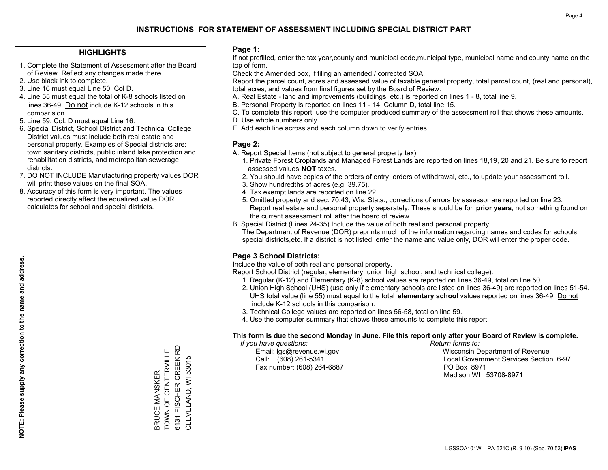### **HIGHLIGHTS**

- 1. Complete the Statement of Assessment after the Board of Review. Reflect any changes made there.
- 2. Use black ink to complete.
- 3. Line 16 must equal Line 50, Col D.
- 4. Line 55 must equal the total of K-8 schools listed on lines 36-49. Do not include K-12 schools in this comparision.
- 5. Line 59, Col. D must equal Line 16.
- 6. Special District, School District and Technical College District values must include both real estate and personal property. Examples of Special districts are: town sanitary districts, public inland lake protection and rehabilitation districts, and metropolitan sewerage districts.
- 7. DO NOT INCLUDE Manufacturing property values.DOR will print these values on the final SOA.
- 8. Accuracy of this form is very important. The values reported directly affect the equalized value DOR calculates for school and special districts.

### **Page 1:**

 If not prefilled, enter the tax year,county and municipal code,municipal type, municipal name and county name on the top of form.

Check the Amended box, if filing an amended / corrected SOA.

 Report the parcel count, acres and assessed value of taxable general property, total parcel count, (real and personal), total acres, and values from final figures set by the Board of Review.

- A. Real Estate land and improvements (buildings, etc.) is reported on lines 1 8, total line 9.
- B. Personal Property is reported on lines 11 14, Column D, total line 15.
- C. To complete this report, use the computer produced summary of the assessment roll that shows these amounts.
- D. Use whole numbers only.
- E. Add each line across and each column down to verify entries.

### **Page 2:**

- A. Report Special Items (not subject to general property tax).
- 1. Private Forest Croplands and Managed Forest Lands are reported on lines 18,19, 20 and 21. Be sure to report assessed values **NOT** taxes.
- 2. You should have copies of the orders of entry, orders of withdrawal, etc., to update your assessment roll.
	- 3. Show hundredths of acres (e.g. 39.75).
- 4. Tax exempt lands are reported on line 22.
- 5. Omitted property and sec. 70.43, Wis. Stats., corrections of errors by assessor are reported on line 23. Report real estate and personal property separately. These should be for **prior years**, not something found on the current assessment roll after the board of review.
- B. Special District (Lines 24-35) Include the value of both real and personal property.
- The Department of Revenue (DOR) preprints much of the information regarding names and codes for schools, special districts,etc. If a district is not listed, enter the name and value only, DOR will enter the proper code.

## **Page 3 School Districts:**

Include the value of both real and personal property.

Report School District (regular, elementary, union high school, and technical college).

- 1. Regular (K-12) and Elementary (K-8) school values are reported on lines 36-49, total on line 50.
- 2. Union High School (UHS) (use only if elementary schools are listed on lines 36-49) are reported on lines 51-54. UHS total value (line 55) must equal to the total **elementary school** values reported on lines 36-49. Do notinclude K-12 schools in this comparison.
- 3. Technical College values are reported on lines 56-58, total on line 59.
- 4. Use the computer summary that shows these amounts to complete this report.

#### **This form is due the second Monday in June. File this report only after your Board of Review is complete.**

 *If you have questions: Return forms to:*

Fax number: (608) 264-6887 PO Box 8971

 Email: lgs@revenue.wi.gov Wisconsin Department of Revenue Call: (608) 261-5341 Local Government Services Section 6-97Madison WI 53708-8971

**NOTE: Please supply any correction to the name and address.**

NOTE: Please supply any correction to the name and address.

6131 FISCHER CREEK RD 6131 FISCHER CREEK RD TOWN OF CENTERVILLE TOWN OF CENTERVILLE CLEVELAND, WI 53015 CLEVELAND, WI 53015 **BRUCE MANSKER** BRUCE MANSKER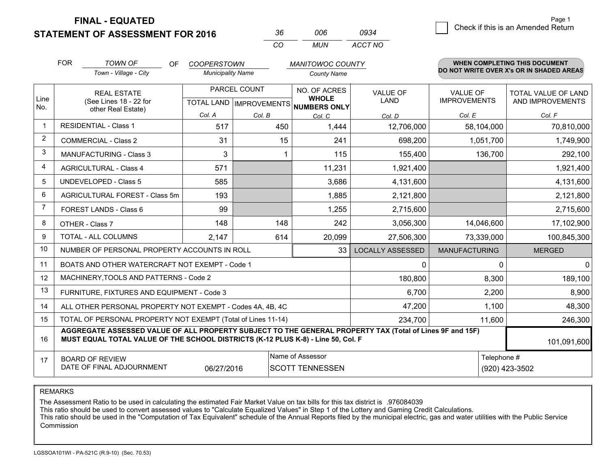**STATEMENT OF ASSESSMENT FOR 2016** 

**FINAL - EQUATED**

| -36 | ററഞ | 0934    |
|-----|-----|---------|
| CO. | MUN | ACCT NO |

|                | <b>FOR</b>                                                                                                                                                                                   | <b>TOWN OF</b><br>OF<br><b>COOPERSTOWN</b><br><b>MANITOWOC COUNTY</b> |                                                      |        | <b>WHEN COMPLETING THIS DOCUMENT</b> |                         |                                        |                                                |
|----------------|----------------------------------------------------------------------------------------------------------------------------------------------------------------------------------------------|-----------------------------------------------------------------------|------------------------------------------------------|--------|--------------------------------------|-------------------------|----------------------------------------|------------------------------------------------|
|                |                                                                                                                                                                                              | Town - Village - City                                                 | <b>Municipality Name</b>                             |        | <b>County Name</b>                   |                         |                                        | DO NOT WRITE OVER X's OR IN SHADED AREAS       |
| Line           | <b>REAL ESTATE</b><br>(See Lines 18 - 22 for                                                                                                                                                 |                                                                       | PARCEL COUNT<br>TOTAL LAND IMPROVEMENTS NUMBERS ONLY |        | NO. OF ACRES<br><b>WHOLE</b>         | <b>VALUE OF</b><br>LAND | <b>VALUE OF</b><br><b>IMPROVEMENTS</b> | <b>TOTAL VALUE OF LAND</b><br>AND IMPROVEMENTS |
| No.            |                                                                                                                                                                                              | other Real Estate)                                                    | Col. A                                               | Col. B | Col. C                               | Col. D                  | Col. E                                 | Col. F                                         |
| -1             |                                                                                                                                                                                              | <b>RESIDENTIAL - Class 1</b>                                          | 517                                                  | 450    | 1,444                                | 12,706,000              | 58,104,000                             | 70,810,000                                     |
| $\overline{2}$ |                                                                                                                                                                                              | <b>COMMERCIAL - Class 2</b>                                           | 31                                                   | 15     | 241                                  | 698,200                 | 1,051,700                              | 1,749,900                                      |
| 3              |                                                                                                                                                                                              | <b>MANUFACTURING - Class 3</b>                                        | 3                                                    |        | 115                                  | 155,400                 | 136,700                                | 292,100                                        |
| 4              |                                                                                                                                                                                              | <b>AGRICULTURAL - Class 4</b>                                         | 571                                                  |        | 11,231                               | 1,921,400               |                                        | 1,921,400                                      |
| 5              |                                                                                                                                                                                              | <b>UNDEVELOPED - Class 5</b>                                          | 585                                                  |        | 3,686                                | 4,131,600               |                                        | 4,131,600                                      |
| 6              | AGRICULTURAL FOREST - Class 5m                                                                                                                                                               |                                                                       | 193                                                  |        | 1,885                                | 2,121,800               |                                        | 2,121,800                                      |
| 7              |                                                                                                                                                                                              | FOREST LANDS - Class 6                                                | 99                                                   |        | 1,255                                | 2,715,600               |                                        | 2,715,600                                      |
| 8              |                                                                                                                                                                                              | OTHER - Class 7                                                       | 148                                                  | 148    | 242                                  | 3,056,300               | 14,046,600                             | 17,102,900                                     |
| 9              |                                                                                                                                                                                              | TOTAL - ALL COLUMNS                                                   | 2,147                                                | 614    | 20,099                               | 27,506,300              | 73,339,000                             | 100,845,300                                    |
| 10             |                                                                                                                                                                                              | NUMBER OF PERSONAL PROPERTY ACCOUNTS IN ROLL                          |                                                      |        | 33                                   | <b>LOCALLY ASSESSED</b> | <b>MANUFACTURING</b>                   | <b>MERGED</b>                                  |
| 11             |                                                                                                                                                                                              | BOATS AND OTHER WATERCRAFT NOT EXEMPT - Code 1                        |                                                      |        |                                      | 0                       | 0                                      | $\overline{0}$                                 |
| 12             |                                                                                                                                                                                              | MACHINERY, TOOLS AND PATTERNS - Code 2                                |                                                      |        |                                      | 180,800                 | 8,300                                  | 189,100                                        |
| 13             |                                                                                                                                                                                              | FURNITURE, FIXTURES AND EQUIPMENT - Code 3                            |                                                      |        |                                      | 6,700                   | 2,200                                  | 8,900                                          |
| 14             |                                                                                                                                                                                              | ALL OTHER PERSONAL PROPERTY NOT EXEMPT - Codes 4A, 4B, 4C             |                                                      |        |                                      | 47,200                  | 1,100                                  | 48,300                                         |
| 15             |                                                                                                                                                                                              | TOTAL OF PERSONAL PROPERTY NOT EXEMPT (Total of Lines 11-14)          |                                                      |        |                                      | 234,700                 | 11,600                                 | 246,300                                        |
| 16             | AGGREGATE ASSESSED VALUE OF ALL PROPERTY SUBJECT TO THE GENERAL PROPERTY TAX (Total of Lines 9F and 15F)<br>MUST EQUAL TOTAL VALUE OF THE SCHOOL DISTRICTS (K-12 PLUS K-8) - Line 50, Col. F |                                                                       |                                                      |        |                                      |                         |                                        | 101,091,600                                    |
| 17             | Name of Assessor<br>Telephone #<br><b>BOARD OF REVIEW</b><br>DATE OF FINAL ADJOURNMENT<br>06/27/2016<br><b>SCOTT TENNESSEN</b>                                                               |                                                                       |                                                      |        |                                      |                         | (920) 423-3502                         |                                                |

REMARKS

The Assessment Ratio to be used in calculating the estimated Fair Market Value on tax bills for this tax district is .976084039

This ratio should be used to convert assessed values to "Calculate Equalized Values" in Step 1 of the Lottery and Gaming Credit Calculations.<br>This ratio should be used in the "Computation of Tax Equivalent" schedule of the Commission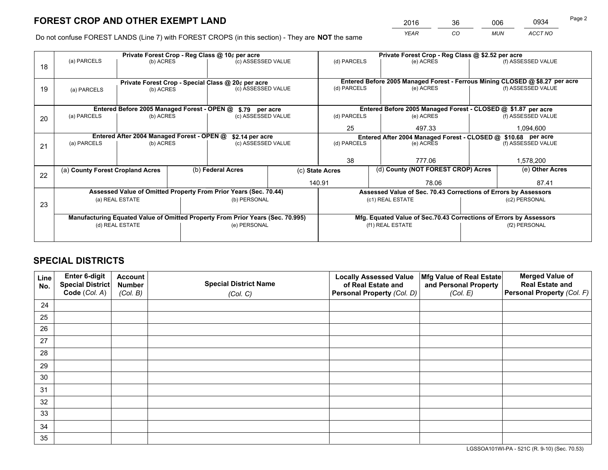*YEAR CO MUN ACCT NO* <sup>2016</sup> <sup>36</sup> <sup>006</sup> <sup>0934</sup>

Do not confuse FOREST LANDS (Line 7) with FOREST CROPS (in this section) - They are **NOT** the same

|    |                                                                                |                                                    |  | Private Forest Crop - Reg Class @ 10¢ per acre                   |                                   | Private Forest Crop - Reg Class @ \$2.52 per acre                  |                                                                              |               |                    |  |
|----|--------------------------------------------------------------------------------|----------------------------------------------------|--|------------------------------------------------------------------|-----------------------------------|--------------------------------------------------------------------|------------------------------------------------------------------------------|---------------|--------------------|--|
| 18 | (a) PARCELS                                                                    | (b) ACRES                                          |  |                                                                  | (c) ASSESSED VALUE<br>(d) PARCELS |                                                                    | (e) ACRES                                                                    |               | (f) ASSESSED VALUE |  |
|    |                                                                                |                                                    |  |                                                                  |                                   |                                                                    |                                                                              |               |                    |  |
|    |                                                                                | Private Forest Crop - Special Class @ 20¢ per acre |  |                                                                  |                                   |                                                                    | Entered Before 2005 Managed Forest - Ferrous Mining CLOSED @ \$8.27 per acre |               |                    |  |
| 19 | (a) PARCELS                                                                    | (b) ACRES                                          |  | (c) ASSESSED VALUE                                               |                                   | (d) PARCELS                                                        | (e) ACRES                                                                    |               | (f) ASSESSED VALUE |  |
|    |                                                                                |                                                    |  |                                                                  |                                   |                                                                    |                                                                              |               |                    |  |
|    |                                                                                | Entered Before 2005 Managed Forest - OPEN @        |  | \$.79 per acre                                                   |                                   |                                                                    | Entered Before 2005 Managed Forest - CLOSED @ \$1.87 per acre                |               |                    |  |
| 20 | (a) PARCELS                                                                    | (b) ACRES                                          |  | (c) ASSESSED VALUE                                               |                                   | (d) PARCELS                                                        | (e) ACRES                                                                    |               | (f) ASSESSED VALUE |  |
|    |                                                                                |                                                    |  |                                                                  | 25                                | 497.33                                                             |                                                                              | 1,094,600     |                    |  |
|    | Entered After 2004 Managed Forest - OPEN @<br>\$2.14 per acre                  |                                                    |  |                                                                  |                                   | Entered After 2004 Managed Forest - CLOSED @ \$10.68 per acre      |                                                                              |               |                    |  |
| 21 | (a) PARCELS                                                                    | (b) ACRES                                          |  | (c) ASSESSED VALUE                                               |                                   | (d) PARCELS<br>(e) ACRES                                           |                                                                              |               | (f) ASSESSED VALUE |  |
|    |                                                                                |                                                    |  |                                                                  |                                   |                                                                    |                                                                              |               |                    |  |
|    |                                                                                |                                                    |  |                                                                  |                                   | 38                                                                 | 777.06                                                                       |               | 1,578,200          |  |
| 22 | (a) County Forest Cropland Acres                                               |                                                    |  | (b) Federal Acres                                                |                                   | (d) County (NOT FOREST CROP) Acres<br>(c) State Acres              |                                                                              |               | (e) Other Acres    |  |
|    |                                                                                |                                                    |  |                                                                  |                                   | 140.91                                                             | 78.06                                                                        |               | 87.41              |  |
|    |                                                                                |                                                    |  | Assessed Value of Omitted Property From Prior Years (Sec. 70.44) |                                   |                                                                    | Assessed Value of Sec. 70.43 Corrections of Errors by Assessors              |               |                    |  |
| 23 |                                                                                | (a) REAL ESTATE                                    |  | (b) PERSONAL                                                     |                                   |                                                                    | (c1) REAL ESTATE                                                             |               | (c2) PERSONAL      |  |
|    |                                                                                |                                                    |  |                                                                  |                                   |                                                                    |                                                                              |               |                    |  |
|    | Manufacturing Equated Value of Omitted Property From Prior Years (Sec. 70.995) |                                                    |  |                                                                  |                                   | Mfg. Equated Value of Sec.70.43 Corrections of Errors by Assessors |                                                                              |               |                    |  |
|    |                                                                                | (d) REAL ESTATE                                    |  | (e) PERSONAL                                                     |                                   | (f1) REAL ESTATE                                                   |                                                                              | (f2) PERSONAL |                    |  |
|    |                                                                                |                                                    |  |                                                                  |                                   |                                                                    |                                                                              |               |                    |  |

## **SPECIAL DISTRICTS**

| Line<br>No. | Enter 6-digit<br>Special District<br>Code (Col. A) | <b>Account</b><br><b>Number</b> | <b>Special District Name</b> | <b>Locally Assessed Value</b><br>of Real Estate and | Mfg Value of Real Estate<br>and Personal Property | <b>Merged Value of</b><br><b>Real Estate and</b><br>Personal Property (Col. F) |
|-------------|----------------------------------------------------|---------------------------------|------------------------------|-----------------------------------------------------|---------------------------------------------------|--------------------------------------------------------------------------------|
|             |                                                    | (Col. B)                        | (Col. C)                     | Personal Property (Col. D)                          | (Col. E)                                          |                                                                                |
| 24          |                                                    |                                 |                              |                                                     |                                                   |                                                                                |
| 25          |                                                    |                                 |                              |                                                     |                                                   |                                                                                |
| 26          |                                                    |                                 |                              |                                                     |                                                   |                                                                                |
| 27          |                                                    |                                 |                              |                                                     |                                                   |                                                                                |
| 28          |                                                    |                                 |                              |                                                     |                                                   |                                                                                |
| 29          |                                                    |                                 |                              |                                                     |                                                   |                                                                                |
| 30          |                                                    |                                 |                              |                                                     |                                                   |                                                                                |
| 31          |                                                    |                                 |                              |                                                     |                                                   |                                                                                |
| 32          |                                                    |                                 |                              |                                                     |                                                   |                                                                                |
| 33          |                                                    |                                 |                              |                                                     |                                                   |                                                                                |
| 34          |                                                    |                                 |                              |                                                     |                                                   |                                                                                |
| 35          |                                                    |                                 |                              |                                                     |                                                   |                                                                                |

LGSSOA101WI-PA - 521C (R. 9-10) (Sec. 70.53)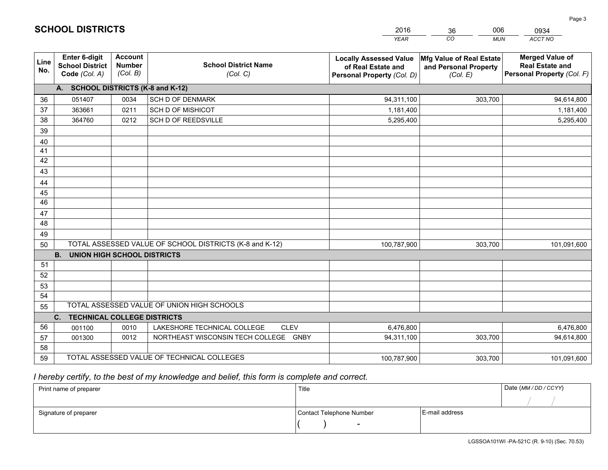|             |                                                                 |                                             |                                                                                     | <b>YEAR</b>                                                                       | CO<br><b>MUN</b>                                              | ACCT NO                                                                        |
|-------------|-----------------------------------------------------------------|---------------------------------------------|-------------------------------------------------------------------------------------|-----------------------------------------------------------------------------------|---------------------------------------------------------------|--------------------------------------------------------------------------------|
| Line<br>No. | <b>Enter 6-digit</b><br><b>School District</b><br>Code (Col. A) | <b>Account</b><br><b>Number</b><br>(Col. B) | <b>School District Name</b><br>(Col. C)                                             | <b>Locally Assessed Value</b><br>of Real Estate and<br>Personal Property (Col. D) | Mfg Value of Real Estate<br>and Personal Property<br>(Col. E) | <b>Merged Value of</b><br><b>Real Estate and</b><br>Personal Property (Col. F) |
|             | A. SCHOOL DISTRICTS (K-8 and K-12)                              |                                             |                                                                                     |                                                                                   |                                                               |                                                                                |
| 36          | 051407                                                          | 0034                                        | <b>SCH D OF DENMARK</b>                                                             | 94,311,100                                                                        | 303,700                                                       | 94,614,800                                                                     |
| 37          | 363661                                                          | 0211                                        | <b>SCH D OF MISHICOT</b>                                                            | 1,181,400                                                                         |                                                               | 1,181,400                                                                      |
| 38          | 364760                                                          | 0212                                        | SCH D OF REEDSVILLE                                                                 | 5,295,400                                                                         |                                                               | 5,295,400                                                                      |
| 39          |                                                                 |                                             |                                                                                     |                                                                                   |                                                               |                                                                                |
| 40          |                                                                 |                                             |                                                                                     |                                                                                   |                                                               |                                                                                |
| 41          |                                                                 |                                             |                                                                                     |                                                                                   |                                                               |                                                                                |
| 42          |                                                                 |                                             |                                                                                     |                                                                                   |                                                               |                                                                                |
| 43          |                                                                 |                                             |                                                                                     |                                                                                   |                                                               |                                                                                |
| 44          |                                                                 |                                             |                                                                                     |                                                                                   |                                                               |                                                                                |
| 45          |                                                                 |                                             |                                                                                     |                                                                                   |                                                               |                                                                                |
| 46          |                                                                 |                                             |                                                                                     |                                                                                   |                                                               |                                                                                |
| 47          |                                                                 |                                             |                                                                                     |                                                                                   |                                                               |                                                                                |
| 48          |                                                                 |                                             |                                                                                     |                                                                                   |                                                               |                                                                                |
| 49          |                                                                 |                                             |                                                                                     |                                                                                   |                                                               |                                                                                |
| 50          |                                                                 |                                             | TOTAL ASSESSED VALUE OF SCHOOL DISTRICTS (K-8 and K-12)                             | 100,787,900                                                                       | 303,700                                                       | 101,091,600                                                                    |
|             | <b>UNION HIGH SCHOOL DISTRICTS</b><br><b>B.</b>                 |                                             |                                                                                     |                                                                                   |                                                               |                                                                                |
| 51          |                                                                 |                                             |                                                                                     |                                                                                   |                                                               |                                                                                |
| 52          |                                                                 |                                             |                                                                                     |                                                                                   |                                                               |                                                                                |
| 53          |                                                                 |                                             |                                                                                     |                                                                                   |                                                               |                                                                                |
| 54          |                                                                 |                                             | TOTAL ASSESSED VALUE OF UNION HIGH SCHOOLS                                          |                                                                                   |                                                               |                                                                                |
| 55          |                                                                 |                                             |                                                                                     |                                                                                   |                                                               |                                                                                |
|             | C.<br><b>TECHNICAL COLLEGE DISTRICTS</b>                        |                                             |                                                                                     |                                                                                   |                                                               |                                                                                |
| 56          | 001100                                                          | 0010<br>0012                                | LAKESHORE TECHNICAL COLLEGE<br><b>CLEV</b><br>NORTHEAST WISCONSIN TECH COLLEGE GNBY | 6,476,800<br>94,311,100                                                           | 303,700                                                       | 6,476,800<br>94,614,800                                                        |
| 57<br>58    | 001300                                                          |                                             |                                                                                     |                                                                                   |                                                               |                                                                                |
| 59          |                                                                 |                                             | TOTAL ASSESSED VALUE OF TECHNICAL COLLEGES                                          | 100,787,900                                                                       | 303,700                                                       | 101,091,600                                                                    |
|             |                                                                 |                                             |                                                                                     |                                                                                   |                                                               |                                                                                |

2016

36

006

 *I hereby certify, to the best of my knowledge and belief, this form is complete and correct.*

**SCHOOL DISTRICTS**

| Print name of preparer | Title                    |                | Date (MM / DD / CCYY) |
|------------------------|--------------------------|----------------|-----------------------|
|                        |                          |                |                       |
| Signature of preparer  | Contact Telephone Number | E-mail address |                       |
|                        | $\overline{\phantom{0}}$ |                |                       |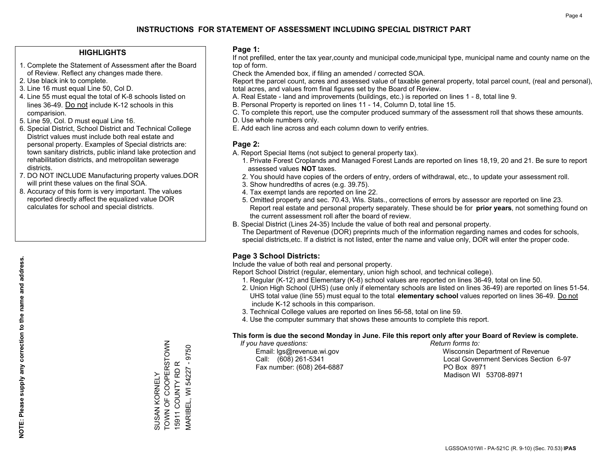### **HIGHLIGHTS**

- 1. Complete the Statement of Assessment after the Board of Review. Reflect any changes made there.
- 2. Use black ink to complete.
- 3. Line 16 must equal Line 50, Col D.
- 4. Line 55 must equal the total of K-8 schools listed on lines 36-49. Do not include K-12 schools in this comparision.
- 5. Line 59, Col. D must equal Line 16.
- 6. Special District, School District and Technical College District values must include both real estate and personal property. Examples of Special districts are: town sanitary districts, public inland lake protection and rehabilitation districts, and metropolitan sewerage districts.
- 7. DO NOT INCLUDE Manufacturing property values.DOR will print these values on the final SOA.
- 8. Accuracy of this form is very important. The values reported directly affect the equalized value DOR calculates for school and special districts.

### **Page 1:**

 If not prefilled, enter the tax year,county and municipal code,municipal type, municipal name and county name on the top of form.

Check the Amended box, if filing an amended / corrected SOA.

 Report the parcel count, acres and assessed value of taxable general property, total parcel count, (real and personal), total acres, and values from final figures set by the Board of Review.

- A. Real Estate land and improvements (buildings, etc.) is reported on lines 1 8, total line 9.
- B. Personal Property is reported on lines 11 14, Column D, total line 15.
- C. To complete this report, use the computer produced summary of the assessment roll that shows these amounts.
- D. Use whole numbers only.
- E. Add each line across and each column down to verify entries.

### **Page 2:**

- A. Report Special Items (not subject to general property tax).
- 1. Private Forest Croplands and Managed Forest Lands are reported on lines 18,19, 20 and 21. Be sure to report assessed values **NOT** taxes.
- 2. You should have copies of the orders of entry, orders of withdrawal, etc., to update your assessment roll.
	- 3. Show hundredths of acres (e.g. 39.75).
- 4. Tax exempt lands are reported on line 22.
- 5. Omitted property and sec. 70.43, Wis. Stats., corrections of errors by assessor are reported on line 23. Report real estate and personal property separately. These should be for **prior years**, not something found on the current assessment roll after the board of review.
- B. Special District (Lines 24-35) Include the value of both real and personal property.
- The Department of Revenue (DOR) preprints much of the information regarding names and codes for schools, special districts,etc. If a district is not listed, enter the name and value only, DOR will enter the proper code.

## **Page 3 School Districts:**

Include the value of both real and personal property.

Report School District (regular, elementary, union high school, and technical college).

- 1. Regular (K-12) and Elementary (K-8) school values are reported on lines 36-49, total on line 50.
- 2. Union High School (UHS) (use only if elementary schools are listed on lines 36-49) are reported on lines 51-54. UHS total value (line 55) must equal to the total **elementary school** values reported on lines 36-49. Do notinclude K-12 schools in this comparison.
- 3. Technical College values are reported on lines 56-58, total on line 59.
- 4. Use the computer summary that shows these amounts to complete this report.

#### **This form is due the second Monday in June. File this report only after your Board of Review is complete.**

 *If you have questions: Return forms to:*

Fax number: (608) 264-6887 PO Box 8971

 Email: lgs@revenue.wi.gov Wisconsin Department of Revenue Call: (608) 261-5341 Local Government Services Section 6-97Madison WI 53708-8971

TOWN OF COOPERSTOWN SUSAN KORNELY<br>TOWN OF COOPERSTOWN  $-9750$ MARIBEL, WI 54227 - 9750 15911 COUNTY RD R 15911 COUNTY RD R VIARIBEL, WI 54227 SUSAN KORNELY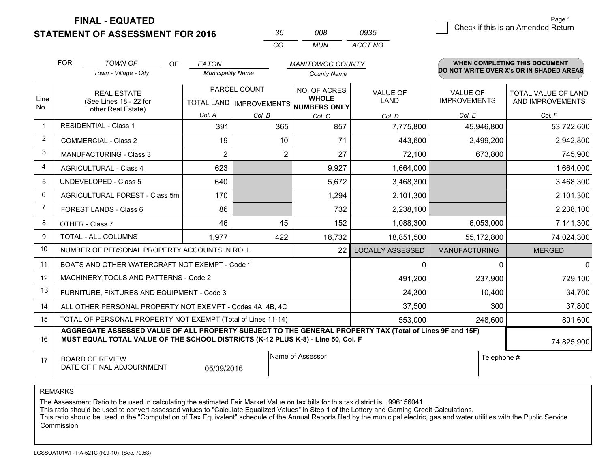**STATEMENT OF ASSESSMENT FOR 2016** 

| Kh | nnr | 0935    |
|----|-----|---------|
| rη | MUN | ACCT NO |

|                | <b>FOR</b>                                                                                                                                                                                   | <b>TOWN OF</b><br>OF                                         | <b>EATON</b>                                         |                | <b>MANITOWOC COUNTY</b>      |                         |                                 | <b>WHEN COMPLETING THIS DOCUMENT</b>     |
|----------------|----------------------------------------------------------------------------------------------------------------------------------------------------------------------------------------------|--------------------------------------------------------------|------------------------------------------------------|----------------|------------------------------|-------------------------|---------------------------------|------------------------------------------|
|                |                                                                                                                                                                                              | Town - Village - City                                        | <b>Municipality Name</b>                             |                | <b>County Name</b>           |                         |                                 | DO NOT WRITE OVER X's OR IN SHADED AREAS |
| Line           |                                                                                                                                                                                              | <b>REAL ESTATE</b><br>(See Lines 18 - 22 for                 | PARCEL COUNT<br>TOTAL LAND IMPROVEMENTS NUMBERS ONLY |                | NO. OF ACRES<br><b>WHOLE</b> | VALUE OF<br><b>LAND</b> | VALUE OF<br><b>IMPROVEMENTS</b> | TOTAL VALUE OF LAND<br>AND IMPROVEMENTS  |
| No.            |                                                                                                                                                                                              | other Real Estate)                                           | Col. A                                               | Col. B         | Col. C                       | Col. D                  | Col. E                          | Col. F                                   |
|                |                                                                                                                                                                                              | <b>RESIDENTIAL - Class 1</b>                                 | 391                                                  | 365            | 857                          | 7,775,800               | 45,946,800                      | 53,722,600                               |
| $\overline{2}$ |                                                                                                                                                                                              | <b>COMMERCIAL - Class 2</b>                                  | 19                                                   | 10             | 71                           | 443,600                 | 2,499,200                       | 2,942,800                                |
| 3              |                                                                                                                                                                                              | <b>MANUFACTURING - Class 3</b>                               | $\overline{2}$                                       | $\overline{2}$ | 27                           | 72,100                  | 673,800                         | 745,900                                  |
| $\overline{4}$ |                                                                                                                                                                                              | <b>AGRICULTURAL - Class 4</b>                                | 623                                                  |                | 9,927                        | 1,664,000               |                                 | 1,664,000                                |
| 5              |                                                                                                                                                                                              | <b>UNDEVELOPED - Class 5</b>                                 | 640                                                  |                | 5,672                        | 3,468,300               |                                 | 3,468,300                                |
| 6              | AGRICULTURAL FOREST - Class 5m                                                                                                                                                               |                                                              | 170                                                  |                | 1,294                        | 2,101,300               |                                 | 2,101,300                                |
| 7              | FOREST LANDS - Class 6                                                                                                                                                                       |                                                              | 86                                                   |                | 732                          | 2,238,100               |                                 | 2,238,100                                |
| 8              |                                                                                                                                                                                              | OTHER - Class 7                                              | 46                                                   | 45             | 152                          | 1,088,300               | 6,053,000                       | 7,141,300                                |
| 9              |                                                                                                                                                                                              | TOTAL - ALL COLUMNS                                          | 1,977                                                | 422            | 18,732                       | 18,851,500              | 55,172,800                      | 74,024,300                               |
| 10             |                                                                                                                                                                                              | NUMBER OF PERSONAL PROPERTY ACCOUNTS IN ROLL                 |                                                      |                | 22                           | <b>LOCALLY ASSESSED</b> | <b>MANUFACTURING</b>            | <b>MERGED</b>                            |
| 11             |                                                                                                                                                                                              | BOATS AND OTHER WATERCRAFT NOT EXEMPT - Code 1               |                                                      |                |                              | 0                       | 0                               | 0                                        |
| 12             |                                                                                                                                                                                              | MACHINERY, TOOLS AND PATTERNS - Code 2                       |                                                      |                |                              | 491,200                 | 237,900                         | 729,100                                  |
| 13             |                                                                                                                                                                                              | FURNITURE, FIXTURES AND EQUIPMENT - Code 3                   |                                                      |                |                              | 24,300                  | 10,400                          | 34,700                                   |
| 14             |                                                                                                                                                                                              | ALL OTHER PERSONAL PROPERTY NOT EXEMPT - Codes 4A, 4B, 4C    |                                                      |                |                              | 37,500                  | 300                             | 37,800                                   |
| 15             |                                                                                                                                                                                              | TOTAL OF PERSONAL PROPERTY NOT EXEMPT (Total of Lines 11-14) |                                                      |                |                              | 553,000                 | 248,600                         | 801,600                                  |
| 16             | AGGREGATE ASSESSED VALUE OF ALL PROPERTY SUBJECT TO THE GENERAL PROPERTY TAX (Total of Lines 9F and 15F)<br>MUST EQUAL TOTAL VALUE OF THE SCHOOL DISTRICTS (K-12 PLUS K-8) - Line 50, Col. F |                                                              |                                                      |                |                              |                         | 74,825,900                      |                                          |
| 17             | Name of Assessor<br><b>BOARD OF REVIEW</b><br>DATE OF FINAL ADJOURNMENT<br>05/09/2016                                                                                                        |                                                              |                                                      |                |                              |                         | Telephone #                     |                                          |

REMARKS

The Assessment Ratio to be used in calculating the estimated Fair Market Value on tax bills for this tax district is .996156041

This ratio should be used to convert assessed values to "Calculate Equalized Values" in Step 1 of the Lottery and Gaming Credit Calculations.<br>This ratio should be used in the "Computation of Tax Equivalent" schedule of the Commission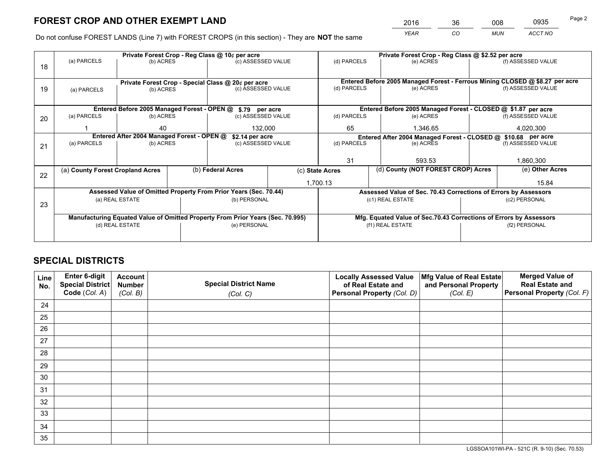*YEAR CO MUN ACCT NO* <sup>2016</sup> <sup>36</sup> <sup>008</sup> <sup>0935</sup>

Do not confuse FOREST LANDS (Line 7) with FOREST CROPS (in this section) - They are **NOT** the same

|    |                                                               |                 |  | Private Forest Crop - Reg Class @ 10¢ per acre                                 |                                                                              | Private Forest Crop - Reg Class @ \$2.52 per acre |                                                                    |  |                    |  |
|----|---------------------------------------------------------------|-----------------|--|--------------------------------------------------------------------------------|------------------------------------------------------------------------------|---------------------------------------------------|--------------------------------------------------------------------|--|--------------------|--|
| 18 | (a) PARCELS                                                   | (b) ACRES       |  | (c) ASSESSED VALUE                                                             |                                                                              | (d) PARCELS                                       | (e) ACRES                                                          |  | (f) ASSESSED VALUE |  |
|    |                                                               |                 |  |                                                                                |                                                                              |                                                   |                                                                    |  |                    |  |
|    | Private Forest Crop - Special Class @ 20¢ per acre            |                 |  |                                                                                | Entered Before 2005 Managed Forest - Ferrous Mining CLOSED @ \$8.27 per acre |                                                   |                                                                    |  |                    |  |
| 19 | (a) PARCELS                                                   | (b) ACRES       |  | (c) ASSESSED VALUE                                                             |                                                                              | (d) PARCELS                                       | (e) ACRES                                                          |  | (f) ASSESSED VALUE |  |
|    |                                                               |                 |  |                                                                                |                                                                              |                                                   |                                                                    |  |                    |  |
|    |                                                               |                 |  | Entered Before 2005 Managed Forest - OPEN @ \$.79 per acre                     |                                                                              |                                                   | Entered Before 2005 Managed Forest - CLOSED @ \$1.87 per acre      |  |                    |  |
| 20 | (a) PARCELS                                                   | (b) ACRES       |  | (c) ASSESSED VALUE                                                             |                                                                              | (d) PARCELS                                       | (e) ACRES                                                          |  | (f) ASSESSED VALUE |  |
|    |                                                               | 40<br>132,000   |  | 65                                                                             | 1.346.65                                                                     |                                                   |                                                                    |  |                    |  |
|    | Entered After 2004 Managed Forest - OPEN @<br>\$2.14 per acre |                 |  |                                                                                |                                                                              |                                                   | Entered After 2004 Managed Forest - CLOSED @ \$10.68 per acre      |  |                    |  |
| 21 | (a) PARCELS                                                   | (b) ACRES       |  | (c) ASSESSED VALUE                                                             |                                                                              | (d) PARCELS<br>(e) ACRES                          |                                                                    |  | (f) ASSESSED VALUE |  |
|    |                                                               |                 |  |                                                                                |                                                                              |                                                   |                                                                    |  |                    |  |
|    |                                                               |                 |  |                                                                                |                                                                              | 31                                                | 593.53                                                             |  | 1,860,300          |  |
| 22 | (a) County Forest Cropland Acres                              |                 |  | (b) Federal Acres                                                              | (c) State Acres                                                              |                                                   | (d) County (NOT FOREST CROP) Acres                                 |  | (e) Other Acres    |  |
|    |                                                               |                 |  |                                                                                |                                                                              | 1,700.13                                          |                                                                    |  | 15.84              |  |
|    |                                                               |                 |  | Assessed Value of Omitted Property From Prior Years (Sec. 70.44)               |                                                                              |                                                   | Assessed Value of Sec. 70.43 Corrections of Errors by Assessors    |  |                    |  |
| 23 |                                                               | (a) REAL ESTATE |  | (b) PERSONAL                                                                   |                                                                              |                                                   | (c1) REAL ESTATE                                                   |  | (c2) PERSONAL      |  |
|    |                                                               |                 |  |                                                                                |                                                                              |                                                   |                                                                    |  |                    |  |
|    |                                                               |                 |  | Manufacturing Equated Value of Omitted Property From Prior Years (Sec. 70.995) |                                                                              |                                                   | Mfg. Equated Value of Sec.70.43 Corrections of Errors by Assessors |  |                    |  |
|    |                                                               | (d) REAL ESTATE |  | (e) PERSONAL                                                                   |                                                                              | (f1) REAL ESTATE                                  |                                                                    |  | (f2) PERSONAL      |  |
|    |                                                               |                 |  |                                                                                |                                                                              |                                                   |                                                                    |  |                    |  |

## **SPECIAL DISTRICTS**

| Line<br>No. | Enter 6-digit<br><b>Special District</b> | <b>Account</b><br><b>Number</b> | <b>Special District Name</b> | <b>Locally Assessed Value</b><br>of Real Estate and | Mfg Value of Real Estate<br>and Personal Property | <b>Merged Value of</b><br><b>Real Estate and</b> |
|-------------|------------------------------------------|---------------------------------|------------------------------|-----------------------------------------------------|---------------------------------------------------|--------------------------------------------------|
|             | Code (Col. A)                            | (Col. B)                        | (Col. C)                     | Personal Property (Col. D)                          | (Col. E)                                          | Personal Property (Col. F)                       |
| 24          |                                          |                                 |                              |                                                     |                                                   |                                                  |
| 25          |                                          |                                 |                              |                                                     |                                                   |                                                  |
| 26          |                                          |                                 |                              |                                                     |                                                   |                                                  |
| 27          |                                          |                                 |                              |                                                     |                                                   |                                                  |
| 28          |                                          |                                 |                              |                                                     |                                                   |                                                  |
| 29          |                                          |                                 |                              |                                                     |                                                   |                                                  |
| 30          |                                          |                                 |                              |                                                     |                                                   |                                                  |
| 31          |                                          |                                 |                              |                                                     |                                                   |                                                  |
| 32          |                                          |                                 |                              |                                                     |                                                   |                                                  |
| 33          |                                          |                                 |                              |                                                     |                                                   |                                                  |
| 34          |                                          |                                 |                              |                                                     |                                                   |                                                  |
| 35          |                                          |                                 |                              |                                                     |                                                   |                                                  |

LGSSOA101WI-PA - 521C (R. 9-10) (Sec. 70.53)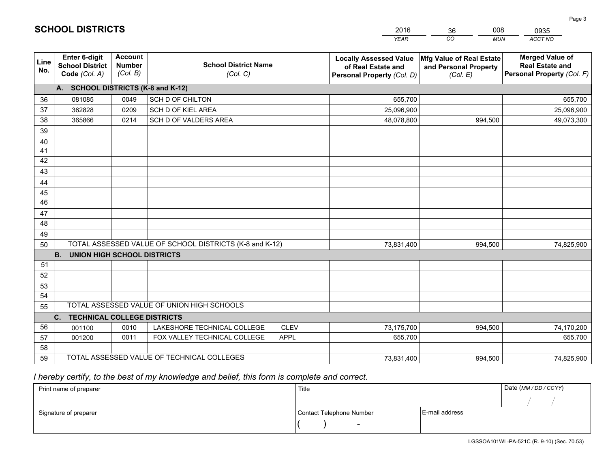|             |                                                          |                                             |                                                             |                            | <b>YEAR</b>                                                                       | CO<br><b>MUN</b>                                              | ACCT NO                                                                        |
|-------------|----------------------------------------------------------|---------------------------------------------|-------------------------------------------------------------|----------------------------|-----------------------------------------------------------------------------------|---------------------------------------------------------------|--------------------------------------------------------------------------------|
| Line<br>No. | Enter 6-digit<br><b>School District</b><br>Code (Col. A) | <b>Account</b><br><b>Number</b><br>(Col. B) | <b>School District Name</b><br>(Col. C)                     |                            | <b>Locally Assessed Value</b><br>of Real Estate and<br>Personal Property (Col. D) | Mfg Value of Real Estate<br>and Personal Property<br>(Col. E) | <b>Merged Value of</b><br><b>Real Estate and</b><br>Personal Property (Col. F) |
|             | A. SCHOOL DISTRICTS (K-8 and K-12)                       |                                             |                                                             |                            |                                                                                   |                                                               |                                                                                |
| 36          | 081085                                                   | 0049                                        | SCH D OF CHILTON                                            |                            | 655,700                                                                           |                                                               | 655,700                                                                        |
| 37          | 362828                                                   | 0209                                        | SCH D OF KIEL AREA                                          |                            | 25,096,900                                                                        |                                                               | 25,096,900                                                                     |
| 38          | 365866                                                   | 0214                                        | SCH D OF VALDERS AREA                                       |                            | 48,078,800                                                                        | 994,500                                                       | 49,073,300                                                                     |
| 39          |                                                          |                                             |                                                             |                            |                                                                                   |                                                               |                                                                                |
| 40          |                                                          |                                             |                                                             |                            |                                                                                   |                                                               |                                                                                |
| 41          |                                                          |                                             |                                                             |                            |                                                                                   |                                                               |                                                                                |
| 42          |                                                          |                                             |                                                             |                            |                                                                                   |                                                               |                                                                                |
| 43          |                                                          |                                             |                                                             |                            |                                                                                   |                                                               |                                                                                |
| 44          |                                                          |                                             |                                                             |                            |                                                                                   |                                                               |                                                                                |
| 45          |                                                          |                                             |                                                             |                            |                                                                                   |                                                               |                                                                                |
| 46          |                                                          |                                             |                                                             |                            |                                                                                   |                                                               |                                                                                |
| 47          |                                                          |                                             |                                                             |                            |                                                                                   |                                                               |                                                                                |
| 48          |                                                          |                                             |                                                             |                            |                                                                                   |                                                               |                                                                                |
| 49          |                                                          |                                             |                                                             |                            |                                                                                   |                                                               |                                                                                |
| 50          |                                                          |                                             | TOTAL ASSESSED VALUE OF SCHOOL DISTRICTS (K-8 and K-12)     |                            | 73,831,400                                                                        | 994,500                                                       | 74,825,900                                                                     |
|             | <b>UNION HIGH SCHOOL DISTRICTS</b><br><b>B.</b>          |                                             |                                                             |                            |                                                                                   |                                                               |                                                                                |
| 51          |                                                          |                                             |                                                             |                            |                                                                                   |                                                               |                                                                                |
| 52          |                                                          |                                             |                                                             |                            |                                                                                   |                                                               |                                                                                |
| 53          |                                                          |                                             |                                                             |                            |                                                                                   |                                                               |                                                                                |
| 54          |                                                          |                                             | TOTAL ASSESSED VALUE OF UNION HIGH SCHOOLS                  |                            |                                                                                   |                                                               |                                                                                |
| 55          |                                                          |                                             |                                                             |                            |                                                                                   |                                                               |                                                                                |
| 56          | C.<br><b>TECHNICAL COLLEGE DISTRICTS</b>                 |                                             |                                                             |                            |                                                                                   |                                                               |                                                                                |
| 57          | 001100<br>001200                                         | 0010<br>0011                                | LAKESHORE TECHNICAL COLLEGE<br>FOX VALLEY TECHNICAL COLLEGE | <b>CLEV</b><br><b>APPL</b> | 73,175,700<br>655,700                                                             | 994,500                                                       | 74,170,200<br>655,700                                                          |
| 58          |                                                          |                                             |                                                             |                            |                                                                                   |                                                               |                                                                                |
| 59          |                                                          |                                             | TOTAL ASSESSED VALUE OF TECHNICAL COLLEGES                  |                            | 73,831,400                                                                        | 994,500                                                       | 74,825,900                                                                     |
|             |                                                          |                                             |                                                             |                            |                                                                                   |                                                               |                                                                                |

2016

36

008

 *I hereby certify, to the best of my knowledge and belief, this form is complete and correct.*

**SCHOOL DISTRICTS**

| Print name of preparer | Title                    |                | Date (MM / DD / CCYY) |
|------------------------|--------------------------|----------------|-----------------------|
|                        |                          |                |                       |
| Signature of preparer  | Contact Telephone Number | E-mail address |                       |
|                        | $\sim$                   |                |                       |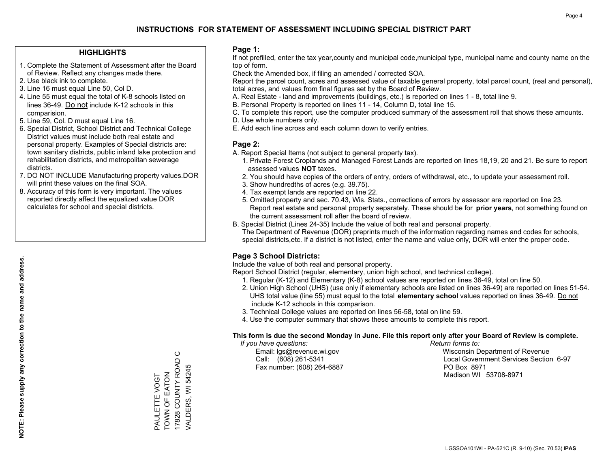### **HIGHLIGHTS**

- 1. Complete the Statement of Assessment after the Board of Review. Reflect any changes made there.
- 2. Use black ink to complete.
- 3. Line 16 must equal Line 50, Col D.
- 4. Line 55 must equal the total of K-8 schools listed on lines 36-49. Do not include K-12 schools in this comparision.
- 5. Line 59, Col. D must equal Line 16.
- 6. Special District, School District and Technical College District values must include both real estate and personal property. Examples of Special districts are: town sanitary districts, public inland lake protection and rehabilitation districts, and metropolitan sewerage districts.
- 7. DO NOT INCLUDE Manufacturing property values.DOR will print these values on the final SOA.

PAULETTE VOGT TOWN OF EATON 17828 COUNTY ROAD C VALDERS, WI 54245

TOWN OF EATON PAULETTE VOGT

 $\circ$ 

17828 COUNTY ROAD VALDERS, WI 54245

 8. Accuracy of this form is very important. The values reported directly affect the equalized value DOR calculates for school and special districts.

### **Page 1:**

 If not prefilled, enter the tax year,county and municipal code,municipal type, municipal name and county name on the top of form.

Check the Amended box, if filing an amended / corrected SOA.

 Report the parcel count, acres and assessed value of taxable general property, total parcel count, (real and personal), total acres, and values from final figures set by the Board of Review.

- A. Real Estate land and improvements (buildings, etc.) is reported on lines 1 8, total line 9.
- B. Personal Property is reported on lines 11 14, Column D, total line 15.
- C. To complete this report, use the computer produced summary of the assessment roll that shows these amounts.
- D. Use whole numbers only.
- E. Add each line across and each column down to verify entries.

### **Page 2:**

- A. Report Special Items (not subject to general property tax).
- 1. Private Forest Croplands and Managed Forest Lands are reported on lines 18,19, 20 and 21. Be sure to report assessed values **NOT** taxes.
- 2. You should have copies of the orders of entry, orders of withdrawal, etc., to update your assessment roll.
	- 3. Show hundredths of acres (e.g. 39.75).
- 4. Tax exempt lands are reported on line 22.
- 5. Omitted property and sec. 70.43, Wis. Stats., corrections of errors by assessor are reported on line 23. Report real estate and personal property separately. These should be for **prior years**, not something found on the current assessment roll after the board of review.
- B. Special District (Lines 24-35) Include the value of both real and personal property.
- The Department of Revenue (DOR) preprints much of the information regarding names and codes for schools, special districts,etc. If a district is not listed, enter the name and value only, DOR will enter the proper code.

## **Page 3 School Districts:**

Include the value of both real and personal property.

Report School District (regular, elementary, union high school, and technical college).

- 1. Regular (K-12) and Elementary (K-8) school values are reported on lines 36-49, total on line 50.
- 2. Union High School (UHS) (use only if elementary schools are listed on lines 36-49) are reported on lines 51-54. UHS total value (line 55) must equal to the total **elementary school** values reported on lines 36-49. Do notinclude K-12 schools in this comparison.
- 3. Technical College values are reported on lines 56-58, total on line 59.
- 4. Use the computer summary that shows these amounts to complete this report.

#### **This form is due the second Monday in June. File this report only after your Board of Review is complete.**

 *If you have questions: Return forms to:*

Fax number: (608) 264-6887 PO Box 8971

 Email: lgs@revenue.wi.gov Wisconsin Department of Revenue Call: (608) 261-5341 Local Government Services Section 6-97Madison WI 53708-8971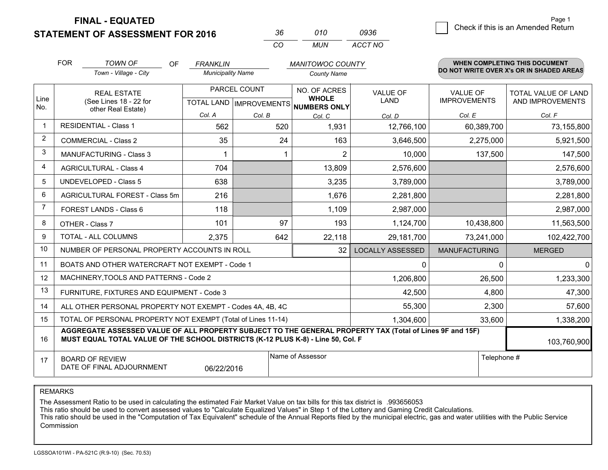**STATEMENT OF ASSESSMENT FOR 2016** 

| 36. | 010  | 0936    |
|-----|------|---------|
| CO. | MUN. | ACCT NO |

|                | <b>FOR</b>                                                                                                                                                                                   | <b>TOWN OF</b><br><b>OF</b>                                  | <b>FRANKLIN</b>          |                                                     | <b>MANITOWOC COUNTY</b> |                         |                                 | WHEN COMPLETING THIS DOCUMENT            |
|----------------|----------------------------------------------------------------------------------------------------------------------------------------------------------------------------------------------|--------------------------------------------------------------|--------------------------|-----------------------------------------------------|-------------------------|-------------------------|---------------------------------|------------------------------------------|
|                |                                                                                                                                                                                              | Town - Village - City                                        | <b>Municipality Name</b> |                                                     | <b>County Name</b>      |                         |                                 | DO NOT WRITE OVER X's OR IN SHADED AREAS |
| Line<br>No.    |                                                                                                                                                                                              | <b>REAL ESTATE</b><br>(See Lines 18 - 22 for                 |                          | PARCEL COUNT<br>TOTAL LAND MPROVEMENTS NUMBERS ONLY |                         | VALUE OF<br>LAND        | VALUE OF<br><b>IMPROVEMENTS</b> | TOTAL VALUE OF LAND<br>AND IMPROVEMENTS  |
|                |                                                                                                                                                                                              | other Real Estate)                                           | Col. A                   | Col. B                                              | Col. C                  | Col. D                  | Col. E                          | Col. F                                   |
| $\overline{1}$ | <b>RESIDENTIAL - Class 1</b>                                                                                                                                                                 |                                                              | 562                      | 520                                                 | 1,931                   | 12,766,100              | 60,389,700                      | 73,155,800                               |
| $\overline{2}$ |                                                                                                                                                                                              | <b>COMMERCIAL - Class 2</b>                                  | 35                       | 24                                                  | 163                     | 3,646,500               | 2,275,000                       | 5,921,500                                |
| 3              |                                                                                                                                                                                              | <b>MANUFACTURING - Class 3</b>                               |                          |                                                     | $\overline{2}$          | 10,000                  | 137,500                         | 147,500                                  |
| 4              |                                                                                                                                                                                              | <b>AGRICULTURAL - Class 4</b>                                | 704                      |                                                     | 13,809                  | 2,576,600               |                                 | 2,576,600                                |
| 5              | <b>UNDEVELOPED - Class 5</b>                                                                                                                                                                 |                                                              | 638                      |                                                     | 3,235                   | 3,789,000               |                                 | 3,789,000                                |
| 6              | AGRICULTURAL FOREST - Class 5m                                                                                                                                                               |                                                              | 216                      |                                                     | 1,676                   | 2,281,800               |                                 | 2,281,800                                |
| $\overline{7}$ | FOREST LANDS - Class 6                                                                                                                                                                       |                                                              | 118                      |                                                     | 1,109                   | 2,987,000               |                                 | 2,987,000                                |
| 8              | OTHER - Class 7                                                                                                                                                                              |                                                              | 101                      | 97                                                  | 193                     | 1,124,700               | 10,438,800                      | 11,563,500                               |
| 9              |                                                                                                                                                                                              | TOTAL - ALL COLUMNS                                          | 2,375                    | 642                                                 | 22,118                  | 29,181,700              | 73,241,000                      | 102,422,700                              |
| 10             |                                                                                                                                                                                              | NUMBER OF PERSONAL PROPERTY ACCOUNTS IN ROLL                 |                          |                                                     | 32                      | <b>LOCALLY ASSESSED</b> | <b>MANUFACTURING</b>            | <b>MERGED</b>                            |
| 11             |                                                                                                                                                                                              | BOATS AND OTHER WATERCRAFT NOT EXEMPT - Code 1               |                          |                                                     |                         | 0                       | 0                               | $\mathbf{0}$                             |
| 12             |                                                                                                                                                                                              | MACHINERY, TOOLS AND PATTERNS - Code 2                       |                          |                                                     |                         | 1,206,800               | 26,500                          | 1,233,300                                |
| 13             |                                                                                                                                                                                              | FURNITURE, FIXTURES AND EQUIPMENT - Code 3                   |                          |                                                     |                         | 42,500                  | 4,800                           | 47,300                                   |
| 14             |                                                                                                                                                                                              | ALL OTHER PERSONAL PROPERTY NOT EXEMPT - Codes 4A, 4B, 4C    |                          |                                                     |                         | 55,300                  | 2,300                           | 57,600                                   |
| 15             |                                                                                                                                                                                              | TOTAL OF PERSONAL PROPERTY NOT EXEMPT (Total of Lines 11-14) | 1,304,600                | 33,600                                              | 1,338,200               |                         |                                 |                                          |
| 16             | AGGREGATE ASSESSED VALUE OF ALL PROPERTY SUBJECT TO THE GENERAL PROPERTY TAX (Total of Lines 9F and 15F)<br>MUST EQUAL TOTAL VALUE OF THE SCHOOL DISTRICTS (K-12 PLUS K-8) - Line 50, Col. F |                                                              |                          |                                                     |                         |                         |                                 | 103,760,900                              |
| 17             |                                                                                                                                                                                              | <b>BOARD OF REVIEW</b><br>DATE OF FINAL ADJOURNMENT          | 06/22/2016               |                                                     | Name of Assessor        |                         | Telephone #                     |                                          |

REMARKS

The Assessment Ratio to be used in calculating the estimated Fair Market Value on tax bills for this tax district is .993656053

This ratio should be used to convert assessed values to "Calculate Equalized Values" in Step 1 of the Lottery and Gaming Credit Calculations.<br>This ratio should be used in the "Computation of Tax Equivalent" schedule of the Commission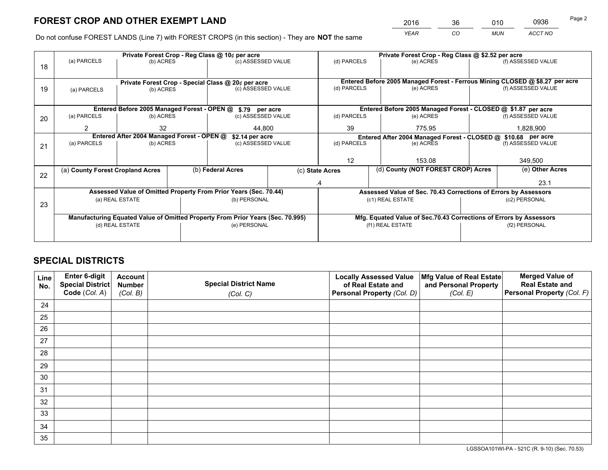*YEAR CO MUN ACCT NO* <sup>2016</sup> <sup>36</sup> <sup>010</sup> <sup>0936</sup>

Do not confuse FOREST LANDS (Line 7) with FOREST CROPS (in this section) - They are **NOT** the same

|    |                                                                                |                                             |  | Private Forest Crop - Reg Class @ 10¢ per acre                   |    | Private Forest Crop - Reg Class @ \$2.52 per acre                  |                                                                              |  |                    |  |
|----|--------------------------------------------------------------------------------|---------------------------------------------|--|------------------------------------------------------------------|----|--------------------------------------------------------------------|------------------------------------------------------------------------------|--|--------------------|--|
| 18 | (a) PARCELS                                                                    | (b) ACRES                                   |  | (c) ASSESSED VALUE                                               |    | (d) PARCELS                                                        | (e) ACRES                                                                    |  | (f) ASSESSED VALUE |  |
|    |                                                                                |                                             |  |                                                                  |    |                                                                    |                                                                              |  |                    |  |
|    |                                                                                |                                             |  | Private Forest Crop - Special Class @ 20¢ per acre               |    |                                                                    | Entered Before 2005 Managed Forest - Ferrous Mining CLOSED @ \$8.27 per acre |  |                    |  |
| 19 | (a) PARCELS                                                                    | (b) ACRES                                   |  | (c) ASSESSED VALUE                                               |    | (d) PARCELS                                                        | (e) ACRES                                                                    |  | (f) ASSESSED VALUE |  |
|    |                                                                                |                                             |  |                                                                  |    |                                                                    |                                                                              |  |                    |  |
|    |                                                                                | Entered Before 2005 Managed Forest - OPEN @ |  | \$.79 per acre                                                   |    |                                                                    | Entered Before 2005 Managed Forest - CLOSED @ \$1.87 per acre                |  |                    |  |
| 20 | (a) PARCELS                                                                    | (b) ACRES                                   |  | (c) ASSESSED VALUE                                               |    | (d) PARCELS                                                        | (e) ACRES                                                                    |  | (f) ASSESSED VALUE |  |
|    | 2                                                                              | 32                                          |  | 44.800                                                           |    | 39<br>775.95                                                       |                                                                              |  | 1,828,900          |  |
|    | Entered After 2004 Managed Forest - OPEN @<br>\$2.14 per acre                  |                                             |  |                                                                  |    | Entered After 2004 Managed Forest - CLOSED @ \$10.68 per acre      |                                                                              |  |                    |  |
| 21 | (a) PARCELS                                                                    | (b) ACRES                                   |  | (c) ASSESSED VALUE                                               |    | (d) PARCELS<br>(e) ACRES                                           |                                                                              |  | (f) ASSESSED VALUE |  |
|    |                                                                                |                                             |  |                                                                  |    |                                                                    |                                                                              |  |                    |  |
|    |                                                                                |                                             |  |                                                                  |    | 12<br>153.08                                                       |                                                                              |  | 349,500            |  |
| 22 | (a) County Forest Cropland Acres                                               |                                             |  | (b) Federal Acres                                                |    | (d) County (NOT FOREST CROP) Acres<br>(c) State Acres              |                                                                              |  | (e) Other Acres    |  |
|    |                                                                                |                                             |  |                                                                  | .4 |                                                                    |                                                                              |  | 23.1               |  |
|    |                                                                                |                                             |  | Assessed Value of Omitted Property From Prior Years (Sec. 70.44) |    |                                                                    | Assessed Value of Sec. 70.43 Corrections of Errors by Assessors              |  |                    |  |
|    | (a) REAL ESTATE                                                                |                                             |  | (b) PERSONAL                                                     |    |                                                                    | (c1) REAL ESTATE                                                             |  | (c2) PERSONAL      |  |
| 23 |                                                                                |                                             |  |                                                                  |    |                                                                    |                                                                              |  |                    |  |
|    | Manufacturing Equated Value of Omitted Property From Prior Years (Sec. 70.995) |                                             |  |                                                                  |    | Mfg. Equated Value of Sec.70.43 Corrections of Errors by Assessors |                                                                              |  |                    |  |
|    |                                                                                | (d) REAL ESTATE                             |  | (e) PERSONAL                                                     |    | (f1) REAL ESTATE                                                   |                                                                              |  | (f2) PERSONAL      |  |
|    |                                                                                |                                             |  |                                                                  |    |                                                                    |                                                                              |  |                    |  |
|    |                                                                                |                                             |  |                                                                  |    |                                                                    |                                                                              |  |                    |  |

## **SPECIAL DISTRICTS**

| Line<br>No. | Enter 6-digit<br><b>Special District</b> | <b>Account</b><br><b>Number</b> | <b>Special District Name</b> | <b>Locally Assessed Value</b><br>of Real Estate and | Mfg Value of Real Estate<br>and Personal Property | <b>Merged Value of</b><br><b>Real Estate and</b> |
|-------------|------------------------------------------|---------------------------------|------------------------------|-----------------------------------------------------|---------------------------------------------------|--------------------------------------------------|
|             | Code (Col. A)                            | (Col. B)                        | (Col. C)                     | Personal Property (Col. D)                          | (Col. E)                                          | Personal Property (Col. F)                       |
| 24          |                                          |                                 |                              |                                                     |                                                   |                                                  |
| 25          |                                          |                                 |                              |                                                     |                                                   |                                                  |
| 26          |                                          |                                 |                              |                                                     |                                                   |                                                  |
| 27          |                                          |                                 |                              |                                                     |                                                   |                                                  |
| 28          |                                          |                                 |                              |                                                     |                                                   |                                                  |
| 29          |                                          |                                 |                              |                                                     |                                                   |                                                  |
| 30          |                                          |                                 |                              |                                                     |                                                   |                                                  |
| 31          |                                          |                                 |                              |                                                     |                                                   |                                                  |
| 32          |                                          |                                 |                              |                                                     |                                                   |                                                  |
| 33          |                                          |                                 |                              |                                                     |                                                   |                                                  |
| 34          |                                          |                                 |                              |                                                     |                                                   |                                                  |
| 35          |                                          |                                 |                              |                                                     |                                                   |                                                  |

LGSSOA101WI-PA - 521C (R. 9-10) (Sec. 70.53)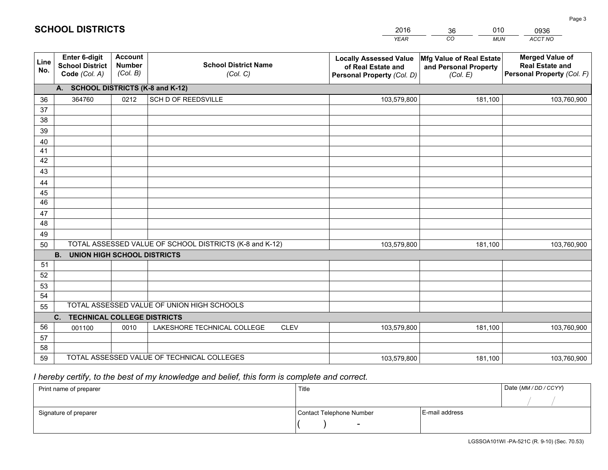|             |                                                                 |                                             |                                                         | <b>YEAR</b>                                                                       | CO<br><b>MUN</b>                                              | ACCT NO                                                                        |
|-------------|-----------------------------------------------------------------|---------------------------------------------|---------------------------------------------------------|-----------------------------------------------------------------------------------|---------------------------------------------------------------|--------------------------------------------------------------------------------|
| Line<br>No. | <b>Enter 6-digit</b><br><b>School District</b><br>Code (Col. A) | <b>Account</b><br><b>Number</b><br>(Col. B) | <b>School District Name</b><br>(Col. C)                 | <b>Locally Assessed Value</b><br>of Real Estate and<br>Personal Property (Col. D) | Mfg Value of Real Estate<br>and Personal Property<br>(Col. E) | <b>Merged Value of</b><br><b>Real Estate and</b><br>Personal Property (Col. F) |
|             | A. SCHOOL DISTRICTS (K-8 and K-12)                              |                                             |                                                         |                                                                                   |                                                               |                                                                                |
| 36          | 364760                                                          | 0212                                        | SCH D OF REEDSVILLE                                     | 103,579,800                                                                       | 181,100                                                       | 103,760,900                                                                    |
| 37          |                                                                 |                                             |                                                         |                                                                                   |                                                               |                                                                                |
| 38          |                                                                 |                                             |                                                         |                                                                                   |                                                               |                                                                                |
| 39          |                                                                 |                                             |                                                         |                                                                                   |                                                               |                                                                                |
| 40          |                                                                 |                                             |                                                         |                                                                                   |                                                               |                                                                                |
| 41<br>42    |                                                                 |                                             |                                                         |                                                                                   |                                                               |                                                                                |
| 43          |                                                                 |                                             |                                                         |                                                                                   |                                                               |                                                                                |
|             |                                                                 |                                             |                                                         |                                                                                   |                                                               |                                                                                |
| 44<br>45    |                                                                 |                                             |                                                         |                                                                                   |                                                               |                                                                                |
| 46          |                                                                 |                                             |                                                         |                                                                                   |                                                               |                                                                                |
| 47          |                                                                 |                                             |                                                         |                                                                                   |                                                               |                                                                                |
| 48          |                                                                 |                                             |                                                         |                                                                                   |                                                               |                                                                                |
| 49          |                                                                 |                                             |                                                         |                                                                                   |                                                               |                                                                                |
| 50          |                                                                 |                                             | TOTAL ASSESSED VALUE OF SCHOOL DISTRICTS (K-8 and K-12) | 103,579,800                                                                       | 181,100                                                       | 103,760,900                                                                    |
|             | <b>B.</b><br><b>UNION HIGH SCHOOL DISTRICTS</b>                 |                                             |                                                         |                                                                                   |                                                               |                                                                                |
| 51          |                                                                 |                                             |                                                         |                                                                                   |                                                               |                                                                                |
| 52          |                                                                 |                                             |                                                         |                                                                                   |                                                               |                                                                                |
| 53          |                                                                 |                                             |                                                         |                                                                                   |                                                               |                                                                                |
| 54          |                                                                 |                                             |                                                         |                                                                                   |                                                               |                                                                                |
| 55          |                                                                 |                                             | TOTAL ASSESSED VALUE OF UNION HIGH SCHOOLS              |                                                                                   |                                                               |                                                                                |
|             | C.<br><b>TECHNICAL COLLEGE DISTRICTS</b>                        |                                             |                                                         |                                                                                   |                                                               |                                                                                |
| 56          | 001100                                                          | 0010                                        | LAKESHORE TECHNICAL COLLEGE<br><b>CLEV</b>              | 103,579,800                                                                       | 181,100                                                       | 103,760,900                                                                    |
| 57<br>58    |                                                                 |                                             |                                                         |                                                                                   |                                                               |                                                                                |
| 59          |                                                                 |                                             | TOTAL ASSESSED VALUE OF TECHNICAL COLLEGES              | 103,579,800                                                                       | 181,100                                                       | 103,760,900                                                                    |
|             |                                                                 |                                             |                                                         |                                                                                   |                                                               |                                                                                |

2016

36

010

 *I hereby certify, to the best of my knowledge and belief, this form is complete and correct.*

**SCHOOL DISTRICTS**

| Print name of preparer | Title                    |                | Date (MM / DD / CCYY) |
|------------------------|--------------------------|----------------|-----------------------|
|                        |                          |                |                       |
| Signature of preparer  | Contact Telephone Number | E-mail address |                       |
|                        |                          |                |                       |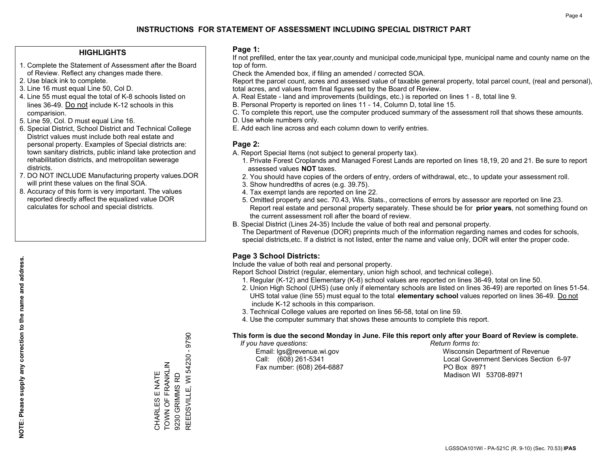### **HIGHLIGHTS**

- 1. Complete the Statement of Assessment after the Board of Review. Reflect any changes made there.
- 2. Use black ink to complete.
- 3. Line 16 must equal Line 50, Col D.
- 4. Line 55 must equal the total of K-8 schools listed on lines 36-49. Do not include K-12 schools in this comparision.
- 5. Line 59, Col. D must equal Line 16.
- 6. Special District, School District and Technical College District values must include both real estate and personal property. Examples of Special districts are: town sanitary districts, public inland lake protection and rehabilitation districts, and metropolitan sewerage districts.
- 7. DO NOT INCLUDE Manufacturing property values.DOR will print these values on the final SOA.
- 8. Accuracy of this form is very important. The values reported directly affect the equalized value DOR calculates for school and special districts.

### **Page 1:**

 If not prefilled, enter the tax year,county and municipal code,municipal type, municipal name and county name on the top of form.

Check the Amended box, if filing an amended / corrected SOA.

 Report the parcel count, acres and assessed value of taxable general property, total parcel count, (real and personal), total acres, and values from final figures set by the Board of Review.

- A. Real Estate land and improvements (buildings, etc.) is reported on lines 1 8, total line 9.
- B. Personal Property is reported on lines 11 14, Column D, total line 15.
- C. To complete this report, use the computer produced summary of the assessment roll that shows these amounts.
- D. Use whole numbers only.
- E. Add each line across and each column down to verify entries.

### **Page 2:**

- A. Report Special Items (not subject to general property tax).
- 1. Private Forest Croplands and Managed Forest Lands are reported on lines 18,19, 20 and 21. Be sure to report assessed values **NOT** taxes.
- 2. You should have copies of the orders of entry, orders of withdrawal, etc., to update your assessment roll.
	- 3. Show hundredths of acres (e.g. 39.75).
- 4. Tax exempt lands are reported on line 22.
- 5. Omitted property and sec. 70.43, Wis. Stats., corrections of errors by assessor are reported on line 23. Report real estate and personal property separately. These should be for **prior years**, not something found on the current assessment roll after the board of review.
- B. Special District (Lines 24-35) Include the value of both real and personal property.

 The Department of Revenue (DOR) preprints much of the information regarding names and codes for schools, special districts,etc. If a district is not listed, enter the name and value only, DOR will enter the proper code.

## **Page 3 School Districts:**

Include the value of both real and personal property.

Report School District (regular, elementary, union high school, and technical college).

- 1. Regular (K-12) and Elementary (K-8) school values are reported on lines 36-49, total on line 50.
- 2. Union High School (UHS) (use only if elementary schools are listed on lines 36-49) are reported on lines 51-54. UHS total value (line 55) must equal to the total **elementary school** values reported on lines 36-49. Do notinclude K-12 schools in this comparison.
- 3. Technical College values are reported on lines 56-58, total on line 59.
- 4. Use the computer summary that shows these amounts to complete this report.

#### **This form is due the second Monday in June. File this report only after your Board of Review is complete.**

 *If you have questions: Return forms to:*

Fax number: (608) 264-6887 PO Box 8971

 Email: lgs@revenue.wi.gov Wisconsin Department of Revenue Call: (608) 261-5341 Local Government Services Section 6-97Madison WI 53708-8971

REEDSVILLE, WI 54230 - 9790 REEDSVILLE, WI 54230 - 9790 TOWN OF FRANKLIN CHARLES E NATE<br>TOWN OF FRANKLIN CHARLES E NATE 9230 GRIMMS RD 9230 GRIMMS RD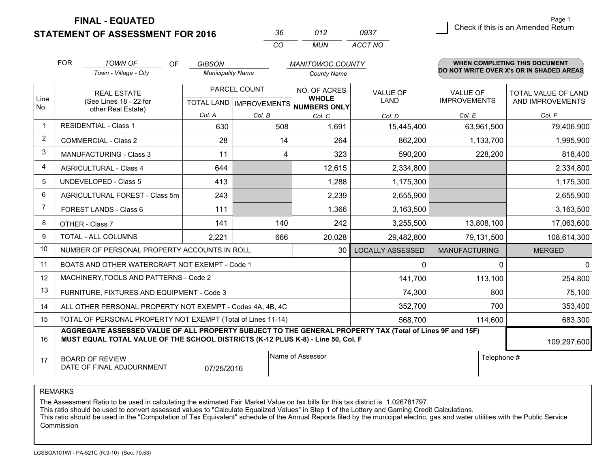**STATEMENT OF ASSESSMENT FOR 2016** 

| 36.      | 012 | 0937    |
|----------|-----|---------|
| $\alpha$ | MUN | ACCT NO |

|                | <b>FOR</b>                                                                                                                                                                                   | <b>TOWN OF</b><br><b>OF</b>                                  | <b>GIBSON</b>            |                                           | <b>MANITOWOC COUNTY</b>       |                                |                                        | <b>WHEN COMPLETING THIS DOCUMENT</b>           |  |  |
|----------------|----------------------------------------------------------------------------------------------------------------------------------------------------------------------------------------------|--------------------------------------------------------------|--------------------------|-------------------------------------------|-------------------------------|--------------------------------|----------------------------------------|------------------------------------------------|--|--|
|                |                                                                                                                                                                                              | Town - Village - City                                        | <b>Municipality Name</b> |                                           | <b>County Name</b>            |                                |                                        | DO NOT WRITE OVER X's OR IN SHADED AREAS       |  |  |
| Line           |                                                                                                                                                                                              | <b>REAL ESTATE</b><br>(See Lines 18 - 22 for                 |                          | PARCEL COUNT<br>TOTAL LAND   IMPROVEMENTS | NO. OF ACRES<br><b>WHOLE</b>  | <b>VALUE OF</b><br><b>LAND</b> | <b>VALUE OF</b><br><b>IMPROVEMENTS</b> | <b>TOTAL VALUE OF LAND</b><br>AND IMPROVEMENTS |  |  |
| No.            |                                                                                                                                                                                              | other Real Estate)                                           | Col. A                   | Col. B                                    | <b>NUMBERS ONLY</b><br>Col. C | Col. D                         | Col. E                                 | Col. F                                         |  |  |
| -1             |                                                                                                                                                                                              | RESIDENTIAL - Class 1                                        | 630                      | 508                                       | 1,691                         | 15,445,400                     | 63,961,500                             | 79,406,900                                     |  |  |
| 2              |                                                                                                                                                                                              | <b>COMMERCIAL - Class 2</b>                                  | 28                       | 14                                        | 264                           | 862,200                        | 1,133,700                              | 1,995,900                                      |  |  |
| 3              |                                                                                                                                                                                              | <b>MANUFACTURING - Class 3</b>                               | 11                       | 4                                         | 323                           | 590,200                        | 228,200                                | 818,400                                        |  |  |
| 4              |                                                                                                                                                                                              | <b>AGRICULTURAL - Class 4</b>                                | 644                      |                                           | 12,615                        | 2,334,800                      |                                        | 2,334,800                                      |  |  |
| 5              |                                                                                                                                                                                              | <b>UNDEVELOPED - Class 5</b>                                 | 413                      |                                           | 1,288                         | 1,175,300                      |                                        | 1,175,300                                      |  |  |
| 6              | AGRICULTURAL FOREST - Class 5m                                                                                                                                                               |                                                              | 243                      |                                           | 2,239                         | 2,655,900                      |                                        | 2,655,900                                      |  |  |
| $\overline{7}$ |                                                                                                                                                                                              | FOREST LANDS - Class 6                                       | 111                      |                                           | 1,366                         | 3,163,500                      |                                        | 3,163,500                                      |  |  |
| 8              | OTHER - Class 7                                                                                                                                                                              |                                                              | 141                      | 140                                       | 242                           | 3,255,500                      | 13,808,100                             | 17,063,600                                     |  |  |
| 9              | TOTAL - ALL COLUMNS<br>2,221                                                                                                                                                                 |                                                              |                          |                                           | 666<br>20,028                 | 29,482,800                     | 79,131,500                             | 108,614,300                                    |  |  |
| 10             |                                                                                                                                                                                              | NUMBER OF PERSONAL PROPERTY ACCOUNTS IN ROLL                 |                          |                                           | 30                            | <b>LOCALLY ASSESSED</b>        | <b>MANUFACTURING</b>                   | <b>MERGED</b>                                  |  |  |
| 11             |                                                                                                                                                                                              | BOATS AND OTHER WATERCRAFT NOT EXEMPT - Code 1               |                          |                                           |                               | 0                              | $\Omega$                               | $\mathbf{0}$                                   |  |  |
| 12             |                                                                                                                                                                                              | MACHINERY, TOOLS AND PATTERNS - Code 2                       |                          |                                           |                               | 141,700                        | 113,100                                | 254,800                                        |  |  |
| 13             |                                                                                                                                                                                              | FURNITURE, FIXTURES AND EQUIPMENT - Code 3                   |                          |                                           |                               | 74,300                         | 800                                    | 75,100                                         |  |  |
| 14             |                                                                                                                                                                                              | ALL OTHER PERSONAL PROPERTY NOT EXEMPT - Codes 4A, 4B, 4C    |                          |                                           |                               | 352,700                        | 700                                    | 353,400                                        |  |  |
| 15             |                                                                                                                                                                                              | TOTAL OF PERSONAL PROPERTY NOT EXEMPT (Total of Lines 11-14) |                          | 568,700                                   | 114,600                       | 683,300                        |                                        |                                                |  |  |
| 16             | AGGREGATE ASSESSED VALUE OF ALL PROPERTY SUBJECT TO THE GENERAL PROPERTY TAX (Total of Lines 9F and 15F)<br>MUST EQUAL TOTAL VALUE OF THE SCHOOL DISTRICTS (K-12 PLUS K-8) - Line 50, Col. F |                                                              |                          |                                           |                               |                                | 109,297,600                            |                                                |  |  |
| 17             |                                                                                                                                                                                              | <b>BOARD OF REVIEW</b><br>DATE OF FINAL ADJOURNMENT          | 07/25/2016               |                                           | Name of Assessor              |                                | Telephone #                            |                                                |  |  |

REMARKS

The Assessment Ratio to be used in calculating the estimated Fair Market Value on tax bills for this tax district is 1.026781797<br>This ratio should be used to convert assessed values to "Calculate Equalized Values" in Step Commission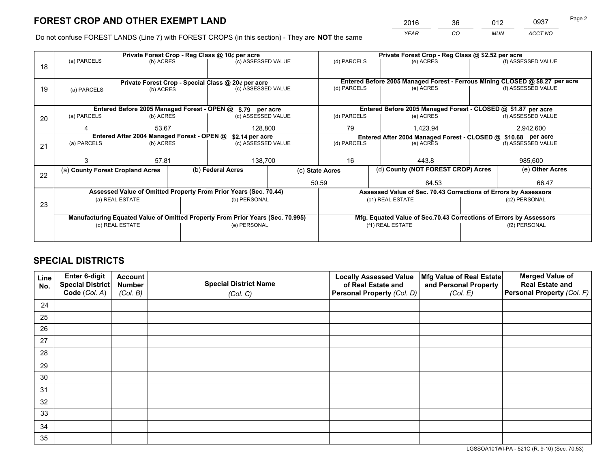*YEAR CO MUN ACCT NO* <sup>2016</sup> <sup>36</sup> <sup>012</sup> <sup>0937</sup>

Do not confuse FOREST LANDS (Line 7) with FOREST CROPS (in this section) - They are **NOT** the same

|                          |                  |                                  |                        |                                                                                                                                                                         | Private Forest Crop - Reg Class @ \$2.52 per acre                                                                                                                                                                                                                                                                           |                                                                       |                    |                                                                                  |                                                                                                                                                                                                                                                                                                                              |
|--------------------------|------------------|----------------------------------|------------------------|-------------------------------------------------------------------------------------------------------------------------------------------------------------------------|-----------------------------------------------------------------------------------------------------------------------------------------------------------------------------------------------------------------------------------------------------------------------------------------------------------------------------|-----------------------------------------------------------------------|--------------------|----------------------------------------------------------------------------------|------------------------------------------------------------------------------------------------------------------------------------------------------------------------------------------------------------------------------------------------------------------------------------------------------------------------------|
|                          |                  |                                  |                        |                                                                                                                                                                         |                                                                                                                                                                                                                                                                                                                             |                                                                       |                    |                                                                                  | (f) ASSESSED VALUE                                                                                                                                                                                                                                                                                                           |
|                          |                  |                                  |                        |                                                                                                                                                                         |                                                                                                                                                                                                                                                                                                                             |                                                                       |                    |                                                                                  |                                                                                                                                                                                                                                                                                                                              |
|                          |                  |                                  |                        |                                                                                                                                                                         |                                                                                                                                                                                                                                                                                                                             |                                                                       |                    |                                                                                  |                                                                                                                                                                                                                                                                                                                              |
| (b) ACRES<br>(a) PARCELS |                  |                                  |                        |                                                                                                                                                                         |                                                                                                                                                                                                                                                                                                                             |                                                                       |                    |                                                                                  | (f) ASSESSED VALUE                                                                                                                                                                                                                                                                                                           |
|                          |                  |                                  |                        |                                                                                                                                                                         |                                                                                                                                                                                                                                                                                                                             |                                                                       |                    |                                                                                  |                                                                                                                                                                                                                                                                                                                              |
|                          |                  |                                  |                        |                                                                                                                                                                         |                                                                                                                                                                                                                                                                                                                             |                                                                       |                    |                                                                                  |                                                                                                                                                                                                                                                                                                                              |
| (a) PARCELS              |                  |                                  |                        |                                                                                                                                                                         | (d) PARCELS                                                                                                                                                                                                                                                                                                                 |                                                                       |                    |                                                                                  | (f) ASSESSED VALUE                                                                                                                                                                                                                                                                                                           |
| 4                        | 53.67<br>128,800 |                                  |                        | 79                                                                                                                                                                      |                                                                                                                                                                                                                                                                                                                             |                                                                       |                    | 2,942,600                                                                        |                                                                                                                                                                                                                                                                                                                              |
|                          |                  |                                  |                        | Entered After 2004 Managed Forest - CLOSED @ \$10.68 per acre                                                                                                           |                                                                                                                                                                                                                                                                                                                             |                                                                       |                    |                                                                                  |                                                                                                                                                                                                                                                                                                                              |
| (a) PARCELS<br>(b) ACRES |                  |                                  |                        |                                                                                                                                                                         |                                                                                                                                                                                                                                                                                                                             |                                                                       | (f) ASSESSED VALUE |                                                                                  |                                                                                                                                                                                                                                                                                                                              |
|                          |                  |                                  |                        |                                                                                                                                                                         |                                                                                                                                                                                                                                                                                                                             |                                                                       |                    |                                                                                  |                                                                                                                                                                                                                                                                                                                              |
| 3                        | 57.81            |                                  | 138,700                |                                                                                                                                                                         | 16<br>443.8                                                                                                                                                                                                                                                                                                                 |                                                                       |                    | 985,600                                                                          |                                                                                                                                                                                                                                                                                                                              |
|                          |                  |                                  |                        |                                                                                                                                                                         |                                                                                                                                                                                                                                                                                                                             |                                                                       |                    |                                                                                  | (e) Other Acres                                                                                                                                                                                                                                                                                                              |
|                          |                  |                                  |                        |                                                                                                                                                                         |                                                                                                                                                                                                                                                                                                                             |                                                                       | 84.53              |                                                                                  | 66.47                                                                                                                                                                                                                                                                                                                        |
|                          |                  |                                  |                        |                                                                                                                                                                         |                                                                                                                                                                                                                                                                                                                             |                                                                       |                    |                                                                                  |                                                                                                                                                                                                                                                                                                                              |
| (a) REAL ESTATE          |                  |                                  | (b) PERSONAL           |                                                                                                                                                                         |                                                                                                                                                                                                                                                                                                                             |                                                                       |                    | (c2) PERSONAL                                                                    |                                                                                                                                                                                                                                                                                                                              |
| 23                       |                  |                                  |                        |                                                                                                                                                                         |                                                                                                                                                                                                                                                                                                                             |                                                                       |                    |                                                                                  |                                                                                                                                                                                                                                                                                                                              |
|                          |                  |                                  |                        |                                                                                                                                                                         |                                                                                                                                                                                                                                                                                                                             |                                                                       |                    |                                                                                  |                                                                                                                                                                                                                                                                                                                              |
| (d) REAL ESTATE          |                  |                                  | (e) PERSONAL           |                                                                                                                                                                         |                                                                                                                                                                                                                                                                                                                             | (f1) REAL ESTATE                                                      |                    | (f2) PERSONAL                                                                    |                                                                                                                                                                                                                                                                                                                              |
|                          |                  |                                  |                        |                                                                                                                                                                         |                                                                                                                                                                                                                                                                                                                             |                                                                       |                    |                                                                                  |                                                                                                                                                                                                                                                                                                                              |
|                          | (a) PARCELS      | (a) County Forest Cropland Acres | (b) ACRES<br>(b) ACRES | Private Forest Crop - Reg Class @ 10¢ per acre<br>Private Forest Crop - Special Class @ 20¢ per acre<br>Entered After 2004 Managed Forest - OPEN @<br>(b) Federal Acres | (c) ASSESSED VALUE<br>(c) ASSESSED VALUE<br>Entered Before 2005 Managed Forest - OPEN @ \$.79 per acre<br>(c) ASSESSED VALUE<br>\$2.14 per acre<br>(c) ASSESSED VALUE<br>Assessed Value of Omitted Property From Prior Years (Sec. 70.44)<br>Manufacturing Equated Value of Omitted Property From Prior Years (Sec. 70.995) | (d) PARCELS<br>(d) PARCELS<br>(d) PARCELS<br>(c) State Acres<br>50.59 |                    | (e) ACRES<br>(e) ACRES<br>(e) ACRES<br>1,423.94<br>(e) ACRES<br>(c1) REAL ESTATE | Entered Before 2005 Managed Forest - Ferrous Mining CLOSED @ \$8.27 per acre<br>Entered Before 2005 Managed Forest - CLOSED @ \$1.87 per acre<br>(d) County (NOT FOREST CROP) Acres<br>Assessed Value of Sec. 70.43 Corrections of Errors by Assessors<br>Mfg. Equated Value of Sec.70.43 Corrections of Errors by Assessors |

## **SPECIAL DISTRICTS**

| Line<br>No. | Enter 6-digit<br>Special District<br>Code (Col. A) | <b>Account</b><br><b>Number</b> | <b>Special District Name</b> | <b>Locally Assessed Value</b><br>of Real Estate and | Mfg Value of Real Estate<br>and Personal Property | <b>Merged Value of</b><br><b>Real Estate and</b><br>Personal Property (Col. F) |
|-------------|----------------------------------------------------|---------------------------------|------------------------------|-----------------------------------------------------|---------------------------------------------------|--------------------------------------------------------------------------------|
|             |                                                    | (Col. B)                        | (Col. C)                     | Personal Property (Col. D)                          | (Col. E)                                          |                                                                                |
| 24          |                                                    |                                 |                              |                                                     |                                                   |                                                                                |
| 25          |                                                    |                                 |                              |                                                     |                                                   |                                                                                |
| 26          |                                                    |                                 |                              |                                                     |                                                   |                                                                                |
| 27          |                                                    |                                 |                              |                                                     |                                                   |                                                                                |
| 28          |                                                    |                                 |                              |                                                     |                                                   |                                                                                |
| 29          |                                                    |                                 |                              |                                                     |                                                   |                                                                                |
| 30          |                                                    |                                 |                              |                                                     |                                                   |                                                                                |
| 31          |                                                    |                                 |                              |                                                     |                                                   |                                                                                |
| 32          |                                                    |                                 |                              |                                                     |                                                   |                                                                                |
| 33          |                                                    |                                 |                              |                                                     |                                                   |                                                                                |
| 34          |                                                    |                                 |                              |                                                     |                                                   |                                                                                |
| 35          |                                                    |                                 |                              |                                                     |                                                   |                                                                                |

LGSSOA101WI-PA - 521C (R. 9-10) (Sec. 70.53)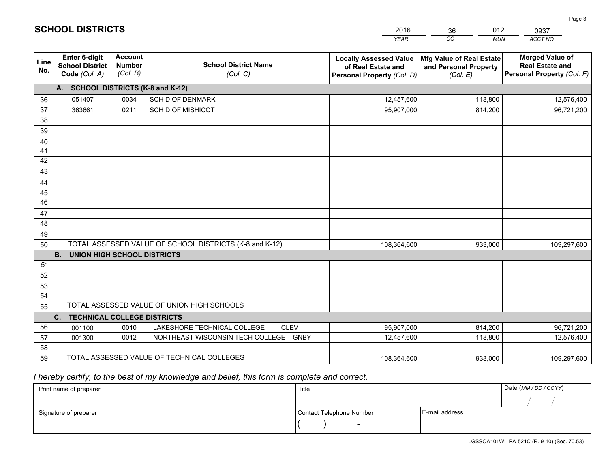| <b>Account</b><br>Enter 6-digit<br><b>Merged Value of</b><br><b>Locally Assessed Value</b><br>Mfg Value of Real Estate<br>Line<br><b>School District Name</b><br><b>Number</b><br><b>School District</b><br><b>Real Estate and</b><br>of Real Estate and<br>and Personal Property<br>No.<br>(Col. B)<br>Code (Col. A)<br>Personal Property (Col. F)<br>(Col. C)<br>(Col. E)<br>Personal Property (Col. D)<br>A. SCHOOL DISTRICTS (K-8 and K-12)<br>0034<br><b>SCH D OF DENMARK</b><br>118,800<br>051407<br>12,457,600<br>12,576,400<br>36<br>37<br><b>SCH D OF MISHICOT</b><br>363661<br>0211<br>95,907,000<br>814,200<br>96,721,200<br>38<br>39<br>40<br>41<br>42<br>43<br>44<br>45<br>46<br>47<br>48<br>49<br>TOTAL ASSESSED VALUE OF SCHOOL DISTRICTS (K-8 and K-12)<br>50<br>933,000<br>108,364,600<br>109,297,600<br><b>B.</b><br><b>UNION HIGH SCHOOL DISTRICTS</b><br>51<br>52<br>53<br>54<br>TOTAL ASSESSED VALUE OF UNION HIGH SCHOOLS<br>55 |  |  | <b>YEAR</b> | CO<br><b>MUN</b> | ACCT NO |
|-------------------------------------------------------------------------------------------------------------------------------------------------------------------------------------------------------------------------------------------------------------------------------------------------------------------------------------------------------------------------------------------------------------------------------------------------------------------------------------------------------------------------------------------------------------------------------------------------------------------------------------------------------------------------------------------------------------------------------------------------------------------------------------------------------------------------------------------------------------------------------------------------------------------------------------------------------|--|--|-------------|------------------|---------|
|                                                                                                                                                                                                                                                                                                                                                                                                                                                                                                                                                                                                                                                                                                                                                                                                                                                                                                                                                       |  |  |             |                  |         |
|                                                                                                                                                                                                                                                                                                                                                                                                                                                                                                                                                                                                                                                                                                                                                                                                                                                                                                                                                       |  |  |             |                  |         |
|                                                                                                                                                                                                                                                                                                                                                                                                                                                                                                                                                                                                                                                                                                                                                                                                                                                                                                                                                       |  |  |             |                  |         |
|                                                                                                                                                                                                                                                                                                                                                                                                                                                                                                                                                                                                                                                                                                                                                                                                                                                                                                                                                       |  |  |             |                  |         |
|                                                                                                                                                                                                                                                                                                                                                                                                                                                                                                                                                                                                                                                                                                                                                                                                                                                                                                                                                       |  |  |             |                  |         |
|                                                                                                                                                                                                                                                                                                                                                                                                                                                                                                                                                                                                                                                                                                                                                                                                                                                                                                                                                       |  |  |             |                  |         |
|                                                                                                                                                                                                                                                                                                                                                                                                                                                                                                                                                                                                                                                                                                                                                                                                                                                                                                                                                       |  |  |             |                  |         |
|                                                                                                                                                                                                                                                                                                                                                                                                                                                                                                                                                                                                                                                                                                                                                                                                                                                                                                                                                       |  |  |             |                  |         |
|                                                                                                                                                                                                                                                                                                                                                                                                                                                                                                                                                                                                                                                                                                                                                                                                                                                                                                                                                       |  |  |             |                  |         |
|                                                                                                                                                                                                                                                                                                                                                                                                                                                                                                                                                                                                                                                                                                                                                                                                                                                                                                                                                       |  |  |             |                  |         |
|                                                                                                                                                                                                                                                                                                                                                                                                                                                                                                                                                                                                                                                                                                                                                                                                                                                                                                                                                       |  |  |             |                  |         |
|                                                                                                                                                                                                                                                                                                                                                                                                                                                                                                                                                                                                                                                                                                                                                                                                                                                                                                                                                       |  |  |             |                  |         |
|                                                                                                                                                                                                                                                                                                                                                                                                                                                                                                                                                                                                                                                                                                                                                                                                                                                                                                                                                       |  |  |             |                  |         |
|                                                                                                                                                                                                                                                                                                                                                                                                                                                                                                                                                                                                                                                                                                                                                                                                                                                                                                                                                       |  |  |             |                  |         |
|                                                                                                                                                                                                                                                                                                                                                                                                                                                                                                                                                                                                                                                                                                                                                                                                                                                                                                                                                       |  |  |             |                  |         |
|                                                                                                                                                                                                                                                                                                                                                                                                                                                                                                                                                                                                                                                                                                                                                                                                                                                                                                                                                       |  |  |             |                  |         |
|                                                                                                                                                                                                                                                                                                                                                                                                                                                                                                                                                                                                                                                                                                                                                                                                                                                                                                                                                       |  |  |             |                  |         |
|                                                                                                                                                                                                                                                                                                                                                                                                                                                                                                                                                                                                                                                                                                                                                                                                                                                                                                                                                       |  |  |             |                  |         |
|                                                                                                                                                                                                                                                                                                                                                                                                                                                                                                                                                                                                                                                                                                                                                                                                                                                                                                                                                       |  |  |             |                  |         |
|                                                                                                                                                                                                                                                                                                                                                                                                                                                                                                                                                                                                                                                                                                                                                                                                                                                                                                                                                       |  |  |             |                  |         |
|                                                                                                                                                                                                                                                                                                                                                                                                                                                                                                                                                                                                                                                                                                                                                                                                                                                                                                                                                       |  |  |             |                  |         |
|                                                                                                                                                                                                                                                                                                                                                                                                                                                                                                                                                                                                                                                                                                                                                                                                                                                                                                                                                       |  |  |             |                  |         |
|                                                                                                                                                                                                                                                                                                                                                                                                                                                                                                                                                                                                                                                                                                                                                                                                                                                                                                                                                       |  |  |             |                  |         |
| C.<br><b>TECHNICAL COLLEGE DISTRICTS</b><br>56<br>0010<br>LAKESHORE TECHNICAL COLLEGE<br><b>CLEV</b><br>814,200<br>96,721,200<br>001100<br>95,907,000                                                                                                                                                                                                                                                                                                                                                                                                                                                                                                                                                                                                                                                                                                                                                                                                 |  |  |             |                  |         |
| 0012<br>NORTHEAST WISCONSIN TECH COLLEGE GNBY<br>118,800<br>12,457,600<br>12,576,400<br>57<br>001300                                                                                                                                                                                                                                                                                                                                                                                                                                                                                                                                                                                                                                                                                                                                                                                                                                                  |  |  |             |                  |         |
| 58                                                                                                                                                                                                                                                                                                                                                                                                                                                                                                                                                                                                                                                                                                                                                                                                                                                                                                                                                    |  |  |             |                  |         |
| TOTAL ASSESSED VALUE OF TECHNICAL COLLEGES<br>59<br>933,000<br>108,364,600<br>109,297,600                                                                                                                                                                                                                                                                                                                                                                                                                                                                                                                                                                                                                                                                                                                                                                                                                                                             |  |  |             |                  |         |

2016

36

012

0937

Page 3

 *I hereby certify, to the best of my knowledge and belief, this form is complete and correct.*

**SCHOOL DISTRICTS**

| Print name of preparer | Title                    |                | Date (MM / DD / CCYY) |
|------------------------|--------------------------|----------------|-----------------------|
|                        |                          |                |                       |
| Signature of preparer  | Contact Telephone Number | E-mail address |                       |
|                        | $\sim$                   |                |                       |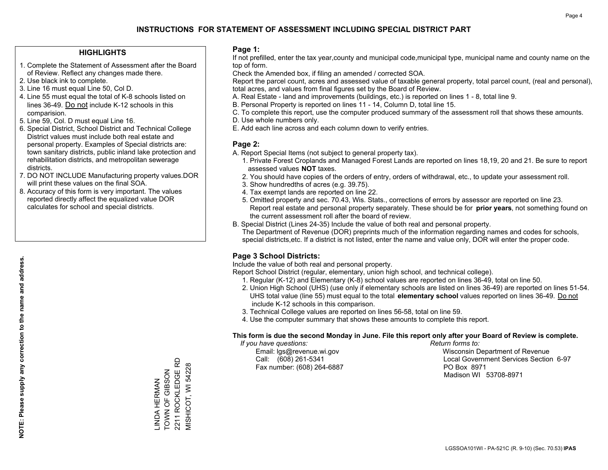### **HIGHLIGHTS**

- 1. Complete the Statement of Assessment after the Board of Review. Reflect any changes made there.
- 2. Use black ink to complete.
- 3. Line 16 must equal Line 50, Col D.
- 4. Line 55 must equal the total of K-8 schools listed on lines 36-49. Do not include K-12 schools in this comparision.
- 5. Line 59, Col. D must equal Line 16.
- 6. Special District, School District and Technical College District values must include both real estate and personal property. Examples of Special districts are: town sanitary districts, public inland lake protection and rehabilitation districts, and metropolitan sewerage districts.
- 7. DO NOT INCLUDE Manufacturing property values.DOR will print these values on the final SOA.

LINDA HERMAN TOWN OF GIBSON 2211 ROCKLEDGE RD MISHICOT, WI 54228

LINDA HERMAN<br>TOWN OF GIBSON

2211 ROCKLEDGE RD **MISHICOT, WI 54228** 

 8. Accuracy of this form is very important. The values reported directly affect the equalized value DOR calculates for school and special districts.

### **Page 1:**

 If not prefilled, enter the tax year,county and municipal code,municipal type, municipal name and county name on the top of form.

Check the Amended box, if filing an amended / corrected SOA.

 Report the parcel count, acres and assessed value of taxable general property, total parcel count, (real and personal), total acres, and values from final figures set by the Board of Review.

- A. Real Estate land and improvements (buildings, etc.) is reported on lines 1 8, total line 9.
- B. Personal Property is reported on lines 11 14, Column D, total line 15.
- C. To complete this report, use the computer produced summary of the assessment roll that shows these amounts.
- D. Use whole numbers only.
- E. Add each line across and each column down to verify entries.

### **Page 2:**

- A. Report Special Items (not subject to general property tax).
- 1. Private Forest Croplands and Managed Forest Lands are reported on lines 18,19, 20 and 21. Be sure to report assessed values **NOT** taxes.
- 2. You should have copies of the orders of entry, orders of withdrawal, etc., to update your assessment roll.
	- 3. Show hundredths of acres (e.g. 39.75).
- 4. Tax exempt lands are reported on line 22.
- 5. Omitted property and sec. 70.43, Wis. Stats., corrections of errors by assessor are reported on line 23. Report real estate and personal property separately. These should be for **prior years**, not something found on the current assessment roll after the board of review.
- B. Special District (Lines 24-35) Include the value of both real and personal property.

 The Department of Revenue (DOR) preprints much of the information regarding names and codes for schools, special districts,etc. If a district is not listed, enter the name and value only, DOR will enter the proper code.

## **Page 3 School Districts:**

Include the value of both real and personal property.

Report School District (regular, elementary, union high school, and technical college).

- 1. Regular (K-12) and Elementary (K-8) school values are reported on lines 36-49, total on line 50.
- 2. Union High School (UHS) (use only if elementary schools are listed on lines 36-49) are reported on lines 51-54. UHS total value (line 55) must equal to the total **elementary school** values reported on lines 36-49. Do notinclude K-12 schools in this comparison.
- 3. Technical College values are reported on lines 56-58, total on line 59.
- 4. Use the computer summary that shows these amounts to complete this report.

#### **This form is due the second Monday in June. File this report only after your Board of Review is complete.**

 *If you have questions: Return forms to:*

Fax number: (608) 264-6887 PO Box 8971

 Email: lgs@revenue.wi.gov Wisconsin Department of Revenue Call: (608) 261-5341 Local Government Services Section 6-97Madison WI 53708-8971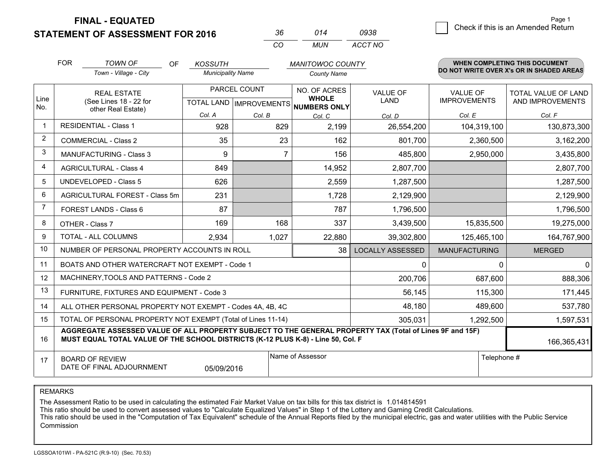**STATEMENT OF ASSESSMENT FOR 2016** 

| 36.      | 014  | 0938    |
|----------|------|---------|
| $\cdots$ | MUN. | ACCT NO |

|                | <b>FOR</b>                                                                            | <b>TOWN OF</b><br>OF                                                                                                                                                                         | <b>KOSSUTH</b>           |              | <b>MANITOWOC COUNTY</b>              |                         |                                        | <b>WHEN COMPLETING THIS DOCUMENT</b>     |
|----------------|---------------------------------------------------------------------------------------|----------------------------------------------------------------------------------------------------------------------------------------------------------------------------------------------|--------------------------|--------------|--------------------------------------|-------------------------|----------------------------------------|------------------------------------------|
|                |                                                                                       | Town - Village - City                                                                                                                                                                        | <b>Municipality Name</b> |              | <b>County Name</b>                   |                         |                                        | DO NOT WRITE OVER X's OR IN SHADED AREAS |
| Line           |                                                                                       | <b>REAL ESTATE</b>                                                                                                                                                                           |                          | PARCEL COUNT | NO. OF ACRES<br><b>WHOLE</b>         | <b>VALUE OF</b><br>LAND | <b>VALUE OF</b><br><b>IMPROVEMENTS</b> | <b>TOTAL VALUE OF LAND</b>               |
| No.            |                                                                                       | (See Lines 18 - 22 for<br>other Real Estate)                                                                                                                                                 |                          |              | TOTAL LAND IMPROVEMENTS NUMBERS ONLY |                         |                                        | AND IMPROVEMENTS                         |
|                |                                                                                       |                                                                                                                                                                                              | Col. A                   | Col. B       | Col. C                               | Col. D                  | Col. E                                 | Col. F                                   |
| $\mathbf 1$    | <b>RESIDENTIAL - Class 1</b>                                                          |                                                                                                                                                                                              | 928                      | 829          | 2,199                                | 26,554,200              | 104,319,100                            | 130,873,300                              |
| 2              |                                                                                       | <b>COMMERCIAL - Class 2</b>                                                                                                                                                                  | 35                       | 23           | 162                                  | 801,700                 | 2,360,500                              | 3,162,200                                |
| 3              |                                                                                       | <b>MANUFACTURING - Class 3</b>                                                                                                                                                               | 9                        | 7            | 156                                  | 485,800                 | 2,950,000                              | 3,435,800                                |
| 4              |                                                                                       | <b>AGRICULTURAL - Class 4</b>                                                                                                                                                                | 849                      |              | 14,952                               | 2,807,700               |                                        | 2,807,700                                |
| 5              |                                                                                       | <b>UNDEVELOPED - Class 5</b>                                                                                                                                                                 | 626                      |              | 2,559                                | 1,287,500               |                                        | 1,287,500                                |
| 6              | AGRICULTURAL FOREST - Class 5m                                                        |                                                                                                                                                                                              | 231                      |              | 1,728                                | 2,129,900               |                                        | 2,129,900                                |
| $\overline{7}$ | FOREST LANDS - Class 6                                                                |                                                                                                                                                                                              | 87                       |              | 787                                  | 1,796,500               |                                        | 1,796,500                                |
| 8              |                                                                                       | OTHER - Class 7                                                                                                                                                                              | 169                      | 168          | 337                                  | 3,439,500               | 15,835,500                             | 19,275,000                               |
| 9              |                                                                                       | TOTAL - ALL COLUMNS                                                                                                                                                                          | 2,934                    | 1,027        | 22,880                               | 39,302,800              | 125,465,100                            | 164,767,900                              |
| 10             |                                                                                       | NUMBER OF PERSONAL PROPERTY ACCOUNTS IN ROLL                                                                                                                                                 |                          |              | 38                                   | <b>LOCALLY ASSESSED</b> | <b>MANUFACTURING</b>                   | <b>MERGED</b>                            |
| 11             |                                                                                       | BOATS AND OTHER WATERCRAFT NOT EXEMPT - Code 1                                                                                                                                               |                          |              |                                      | 0                       | 0                                      | $\mathbf 0$                              |
| 12             |                                                                                       | MACHINERY, TOOLS AND PATTERNS - Code 2                                                                                                                                                       |                          |              |                                      | 200,706                 | 687,600                                | 888,306                                  |
| 13             |                                                                                       | FURNITURE, FIXTURES AND EQUIPMENT - Code 3                                                                                                                                                   |                          |              |                                      | 56,145                  | 115,300                                | 171,445                                  |
| 14             |                                                                                       | ALL OTHER PERSONAL PROPERTY NOT EXEMPT - Codes 4A, 4B, 4C                                                                                                                                    |                          |              |                                      | 48,180                  | 489,600                                | 537,780                                  |
| 15             |                                                                                       | TOTAL OF PERSONAL PROPERTY NOT EXEMPT (Total of Lines 11-14)                                                                                                                                 |                          |              |                                      | 305,031                 | 1,292,500                              | 1,597,531                                |
| 16             |                                                                                       | AGGREGATE ASSESSED VALUE OF ALL PROPERTY SUBJECT TO THE GENERAL PROPERTY TAX (Total of Lines 9F and 15F)<br>MUST EQUAL TOTAL VALUE OF THE SCHOOL DISTRICTS (K-12 PLUS K-8) - Line 50, Col. F |                          |              |                                      |                         |                                        | 166,365,431                              |
| 17             | Name of Assessor<br><b>BOARD OF REVIEW</b><br>DATE OF FINAL ADJOURNMENT<br>05/09/2016 |                                                                                                                                                                                              |                          |              |                                      |                         | Telephone #                            |                                          |

REMARKS

The Assessment Ratio to be used in calculating the estimated Fair Market Value on tax bills for this tax district is 1.014814591

This ratio should be used to convert assessed values to "Calculate Equalized Values" in Step 1 of the Lottery and Gaming Credit Calculations.<br>This ratio should be used in the "Computation of Tax Equivalent" schedule of the Commission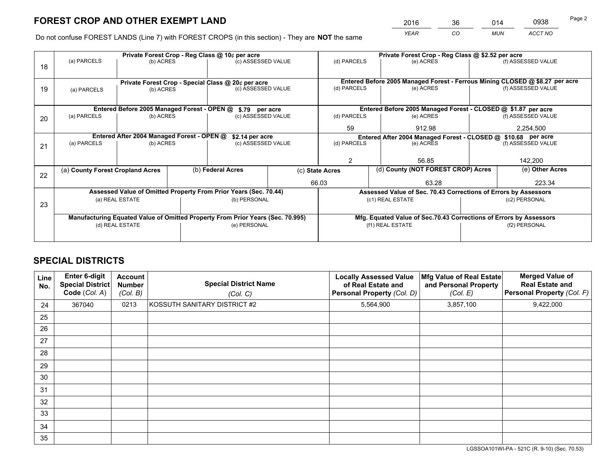*YEAR CO MUN ACCT NO* <sup>2016</sup> <sup>36</sup> <sup>014</sup> <sup>0938</sup>

Do not confuse FOREST LANDS (Line 7) with FOREST CROPS (in this section) - They are **NOT** the same

|    |                                  |                                             |  | Private Forest Crop - Reg Class @ 10¢ per acre                                 |       | Private Forest Crop - Reg Class @ \$2.52 per acre |                                                                              |               |                    |  |
|----|----------------------------------|---------------------------------------------|--|--------------------------------------------------------------------------------|-------|---------------------------------------------------|------------------------------------------------------------------------------|---------------|--------------------|--|
| 18 | (a) PARCELS                      | (b) ACRES                                   |  | (c) ASSESSED VALUE                                                             |       | (d) PARCELS                                       | (e) ACRES                                                                    |               | (f) ASSESSED VALUE |  |
|    |                                  |                                             |  |                                                                                |       |                                                   | Entered Before 2005 Managed Forest - Ferrous Mining CLOSED @ \$8.27 per acre |               |                    |  |
| 19 | (a) PARCELS                      | (b) ACRES                                   |  | Private Forest Crop - Special Class @ 20¢ per acre<br>(c) ASSESSED VALUE       |       | (d) PARCELS                                       | (e) ACRES                                                                    |               | (f) ASSESSED VALUE |  |
|    |                                  |                                             |  |                                                                                |       |                                                   |                                                                              |               |                    |  |
|    |                                  | Entered Before 2005 Managed Forest - OPEN @ |  | \$.79 per acre                                                                 |       |                                                   | Entered Before 2005 Managed Forest - CLOSED @ \$1.87 per acre                |               |                    |  |
| 20 | (a) PARCELS                      | (b) ACRES                                   |  | (c) ASSESSED VALUE                                                             |       | (d) PARCELS                                       | (e) ACRES                                                                    |               | (f) ASSESSED VALUE |  |
|    |                                  |                                             |  |                                                                                |       | 59                                                | 912.98                                                                       |               | 2,254,500          |  |
|    |                                  | Entered After 2004 Managed Forest - OPEN @  |  | \$2.14 per acre                                                                |       |                                                   | Entered After 2004 Managed Forest - CLOSED @ \$10.68 per acre                |               |                    |  |
| 21 | (a) PARCELS                      | (b) ACRES                                   |  | (c) ASSESSED VALUE                                                             |       | (d) PARCELS<br>(e) ACRES                          |                                                                              |               | (f) ASSESSED VALUE |  |
|    |                                  |                                             |  |                                                                                |       |                                                   |                                                                              |               |                    |  |
|    |                                  |                                             |  |                                                                                |       | 2<br>56.85                                        |                                                                              | 142,200       |                    |  |
| 22 | (a) County Forest Cropland Acres |                                             |  | (b) Federal Acres                                                              |       | (c) State Acres                                   | (d) County (NOT FOREST CROP) Acres                                           |               | (e) Other Acres    |  |
|    |                                  |                                             |  |                                                                                | 66.03 |                                                   | 63.28                                                                        |               | 223.34             |  |
|    |                                  |                                             |  | Assessed Value of Omitted Property From Prior Years (Sec. 70.44)               |       |                                                   | Assessed Value of Sec. 70.43 Corrections of Errors by Assessors              |               |                    |  |
|    |                                  | (a) REAL ESTATE                             |  | (b) PERSONAL                                                                   |       |                                                   | (c1) REAL ESTATE                                                             |               | (c2) PERSONAL      |  |
| 23 |                                  |                                             |  |                                                                                |       |                                                   |                                                                              |               |                    |  |
|    |                                  |                                             |  |                                                                                |       |                                                   |                                                                              |               |                    |  |
|    |                                  |                                             |  | Manufacturing Equated Value of Omitted Property From Prior Years (Sec. 70.995) |       |                                                   | Mfg. Equated Value of Sec.70.43 Corrections of Errors by Assessors           |               |                    |  |
|    |                                  | (d) REAL ESTATE                             |  | (e) PERSONAL                                                                   |       | (f1) REAL ESTATE                                  |                                                                              | (f2) PERSONAL |                    |  |
|    |                                  |                                             |  |                                                                                |       |                                                   |                                                                              |               |                    |  |

## **SPECIAL DISTRICTS**

| Line<br>No. | Enter 6-digit<br><b>Special District</b><br>Code (Col. A) | <b>Account</b><br><b>Number</b><br>(Col. B) | <b>Special District Name</b><br>(Col. C) | <b>Locally Assessed Value</b><br>of Real Estate and<br><b>Personal Property (Col. D)</b> | Mfg Value of Real Estate<br>and Personal Property<br>(Col. E) | <b>Merged Value of</b><br><b>Real Estate and</b><br>Personal Property (Col. F) |
|-------------|-----------------------------------------------------------|---------------------------------------------|------------------------------------------|------------------------------------------------------------------------------------------|---------------------------------------------------------------|--------------------------------------------------------------------------------|
| 24          | 367040                                                    | 0213                                        | KOSSUTH SANITARY DISTRICT #2             | 5,564,900                                                                                | 3,857,100                                                     | 9,422,000                                                                      |
| 25          |                                                           |                                             |                                          |                                                                                          |                                                               |                                                                                |
| 26          |                                                           |                                             |                                          |                                                                                          |                                                               |                                                                                |
| 27          |                                                           |                                             |                                          |                                                                                          |                                                               |                                                                                |
| 28          |                                                           |                                             |                                          |                                                                                          |                                                               |                                                                                |
| 29          |                                                           |                                             |                                          |                                                                                          |                                                               |                                                                                |
| 30          |                                                           |                                             |                                          |                                                                                          |                                                               |                                                                                |
| 31          |                                                           |                                             |                                          |                                                                                          |                                                               |                                                                                |
| 32          |                                                           |                                             |                                          |                                                                                          |                                                               |                                                                                |
| 33          |                                                           |                                             |                                          |                                                                                          |                                                               |                                                                                |
| 34          |                                                           |                                             |                                          |                                                                                          |                                                               |                                                                                |
| 35          |                                                           |                                             |                                          |                                                                                          |                                                               |                                                                                |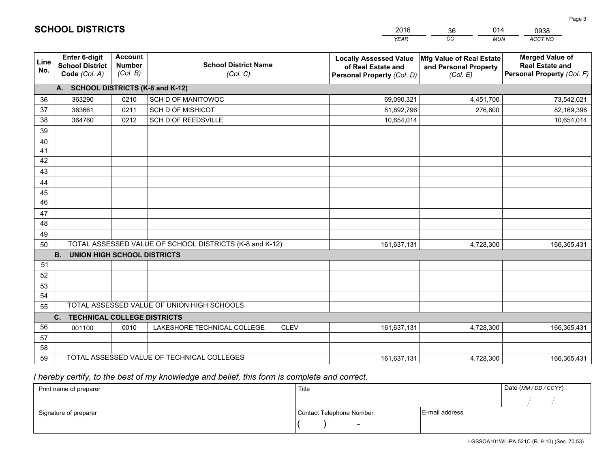|             |                                                                 |                                             |                                                         | <b>YEAR</b>                                                                       | CO<br><b>MUN</b>                                              | ACCT NO                                                                        |
|-------------|-----------------------------------------------------------------|---------------------------------------------|---------------------------------------------------------|-----------------------------------------------------------------------------------|---------------------------------------------------------------|--------------------------------------------------------------------------------|
| Line<br>No. | <b>Enter 6-digit</b><br><b>School District</b><br>Code (Col. A) | <b>Account</b><br><b>Number</b><br>(Col. B) | <b>School District Name</b><br>(Col. C)                 | <b>Locally Assessed Value</b><br>of Real Estate and<br>Personal Property (Col. D) | Mfg Value of Real Estate<br>and Personal Property<br>(Col. E) | <b>Merged Value of</b><br><b>Real Estate and</b><br>Personal Property (Col. F) |
|             | A. SCHOOL DISTRICTS (K-8 and K-12)                              |                                             |                                                         |                                                                                   |                                                               |                                                                                |
| 36          | 363290                                                          | 0210                                        | SCH D OF MANITOWOC                                      | 69,090,321                                                                        | 4,451,700                                                     | 73,542,021                                                                     |
| 37          | 363661                                                          | 0211                                        | <b>SCH D OF MISHICOT</b>                                | 81,892,796                                                                        | 276,600                                                       | 82,169,396                                                                     |
| 38          | 364760                                                          | 0212                                        | SCH D OF REEDSVILLE                                     | 10,654,014                                                                        |                                                               | 10,654,014                                                                     |
| 39          |                                                                 |                                             |                                                         |                                                                                   |                                                               |                                                                                |
| 40          |                                                                 |                                             |                                                         |                                                                                   |                                                               |                                                                                |
| 41          |                                                                 |                                             |                                                         |                                                                                   |                                                               |                                                                                |
| 42          |                                                                 |                                             |                                                         |                                                                                   |                                                               |                                                                                |
| 43          |                                                                 |                                             |                                                         |                                                                                   |                                                               |                                                                                |
| 44          |                                                                 |                                             |                                                         |                                                                                   |                                                               |                                                                                |
| 45          |                                                                 |                                             |                                                         |                                                                                   |                                                               |                                                                                |
| 46          |                                                                 |                                             |                                                         |                                                                                   |                                                               |                                                                                |
| 47<br>48    |                                                                 |                                             |                                                         |                                                                                   |                                                               |                                                                                |
|             |                                                                 |                                             |                                                         |                                                                                   |                                                               |                                                                                |
| 49<br>50    |                                                                 |                                             | TOTAL ASSESSED VALUE OF SCHOOL DISTRICTS (K-8 and K-12) | 161,637,131                                                                       | 4,728,300                                                     | 166,365,431                                                                    |
|             | <b>B.</b><br><b>UNION HIGH SCHOOL DISTRICTS</b>                 |                                             |                                                         |                                                                                   |                                                               |                                                                                |
| 51          |                                                                 |                                             |                                                         |                                                                                   |                                                               |                                                                                |
| 52          |                                                                 |                                             |                                                         |                                                                                   |                                                               |                                                                                |
| 53          |                                                                 |                                             |                                                         |                                                                                   |                                                               |                                                                                |
| 54          |                                                                 |                                             |                                                         |                                                                                   |                                                               |                                                                                |
| 55          |                                                                 |                                             | TOTAL ASSESSED VALUE OF UNION HIGH SCHOOLS              |                                                                                   |                                                               |                                                                                |
|             | C.<br><b>TECHNICAL COLLEGE DISTRICTS</b>                        |                                             |                                                         |                                                                                   |                                                               |                                                                                |
| 56          | 001100                                                          | 0010                                        | LAKESHORE TECHNICAL COLLEGE<br><b>CLEV</b>              | 161,637,131                                                                       | 4,728,300                                                     | 166,365,431                                                                    |
| 57          |                                                                 |                                             |                                                         |                                                                                   |                                                               |                                                                                |
| 58          |                                                                 |                                             |                                                         |                                                                                   |                                                               |                                                                                |
| 59          |                                                                 |                                             | TOTAL ASSESSED VALUE OF TECHNICAL COLLEGES              | 161,637,131                                                                       | 4,728,300                                                     | 166,365,431                                                                    |

2016

36

014

 *I hereby certify, to the best of my knowledge and belief, this form is complete and correct.*

**SCHOOL DISTRICTS**

| Print name of preparer | Title                    |                | Date (MM / DD / CCYY) |
|------------------------|--------------------------|----------------|-----------------------|
|                        |                          |                |                       |
| Signature of preparer  | Contact Telephone Number | E-mail address |                       |
|                        | $\sim$                   |                |                       |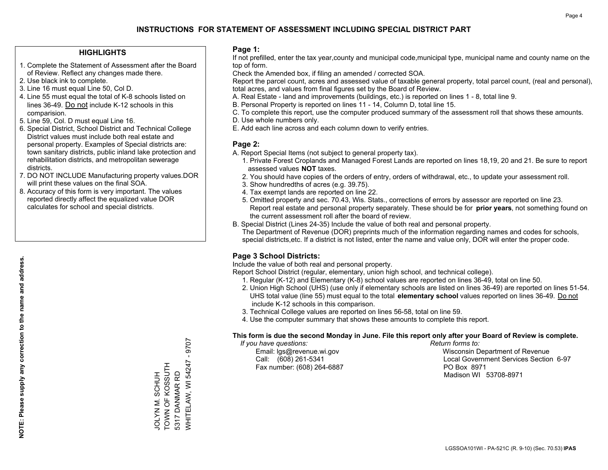### **HIGHLIGHTS**

- 1. Complete the Statement of Assessment after the Board of Review. Reflect any changes made there.
- 2. Use black ink to complete.
- 3. Line 16 must equal Line 50, Col D.
- 4. Line 55 must equal the total of K-8 schools listed on lines 36-49. Do not include K-12 schools in this comparision.
- 5. Line 59, Col. D must equal Line 16.
- 6. Special District, School District and Technical College District values must include both real estate and personal property. Examples of Special districts are: town sanitary districts, public inland lake protection and rehabilitation districts, and metropolitan sewerage districts.
- 7. DO NOT INCLUDE Manufacturing property values.DOR will print these values on the final SOA.
- 8. Accuracy of this form is very important. The values reported directly affect the equalized value DOR calculates for school and special districts.

### **Page 1:**

 If not prefilled, enter the tax year,county and municipal code,municipal type, municipal name and county name on the top of form.

Check the Amended box, if filing an amended / corrected SOA.

 Report the parcel count, acres and assessed value of taxable general property, total parcel count, (real and personal), total acres, and values from final figures set by the Board of Review.

- A. Real Estate land and improvements (buildings, etc.) is reported on lines 1 8, total line 9.
- B. Personal Property is reported on lines 11 14, Column D, total line 15.
- C. To complete this report, use the computer produced summary of the assessment roll that shows these amounts.
- D. Use whole numbers only.
- E. Add each line across and each column down to verify entries.

### **Page 2:**

- A. Report Special Items (not subject to general property tax).
- 1. Private Forest Croplands and Managed Forest Lands are reported on lines 18,19, 20 and 21. Be sure to report assessed values **NOT** taxes.
- 2. You should have copies of the orders of entry, orders of withdrawal, etc., to update your assessment roll.
	- 3. Show hundredths of acres (e.g. 39.75).
- 4. Tax exempt lands are reported on line 22.
- 5. Omitted property and sec. 70.43, Wis. Stats., corrections of errors by assessor are reported on line 23. Report real estate and personal property separately. These should be for **prior years**, not something found on the current assessment roll after the board of review.
- B. Special District (Lines 24-35) Include the value of both real and personal property.

 The Department of Revenue (DOR) preprints much of the information regarding names and codes for schools, special districts,etc. If a district is not listed, enter the name and value only, DOR will enter the proper code.

## **Page 3 School Districts:**

Include the value of both real and personal property.

Report School District (regular, elementary, union high school, and technical college).

- 1. Regular (K-12) and Elementary (K-8) school values are reported on lines 36-49, total on line 50.
- 2. Union High School (UHS) (use only if elementary schools are listed on lines 36-49) are reported on lines 51-54. UHS total value (line 55) must equal to the total **elementary school** values reported on lines 36-49. Do notinclude K-12 schools in this comparison.
- 3. Technical College values are reported on lines 56-58, total on line 59.
- 4. Use the computer summary that shows these amounts to complete this report.

#### **This form is due the second Monday in June. File this report only after your Board of Review is complete.**

 *If you have questions: Return forms to:*

Fax number: (608) 264-6887 PO Box 8971

 Email: lgs@revenue.wi.gov Wisconsin Department of Revenue Call: (608) 261-5341 Local Government Services Section 6-97Madison WI 53708-8971

LGSSOA101WI - PA-521C (R. 9-10) (Sec. 70.53) **IPAS**

 $-9707$ WHITELAW, WI 54247 - 9707 WHITELAW, WI 54247 TOWN OF KOSSUTH JOLYN M. SCHUH<br>TOWN OF KOSSUTH 5317 DANMAR RD 5317 DANMAR RD JOLYN M. SCHUH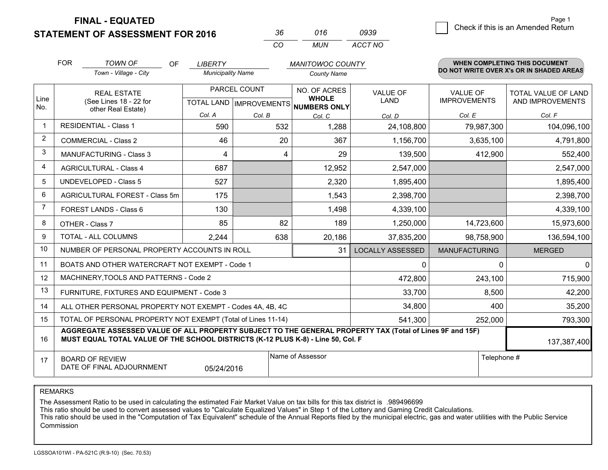**STATEMENT OF ASSESSMENT FOR 2016** 

| 3h | 016   | 0939    |
|----|-------|---------|
| rη | MI IN | ACCT NO |

|                | <b>FOR</b>                                                                                                                                                                                   | <b>TOWN OF</b><br>OF                                         | <b>LIBERTY</b>           |                                                          | <b>MANITOWOC COUNTY</b>      |                                |                                        | <b>WHEN COMPLETING THIS DOCUMENT</b>     |
|----------------|----------------------------------------------------------------------------------------------------------------------------------------------------------------------------------------------|--------------------------------------------------------------|--------------------------|----------------------------------------------------------|------------------------------|--------------------------------|----------------------------------------|------------------------------------------|
|                |                                                                                                                                                                                              | Town - Village - City                                        | <b>Municipality Name</b> |                                                          | <b>County Name</b>           |                                |                                        | DO NOT WRITE OVER X's OR IN SHADED AREAS |
| Line<br>No.    | <b>REAL ESTATE</b><br>(See Lines 18 - 22 for<br>other Real Estate)                                                                                                                           |                                                              |                          | PARCEL COUNT<br>TOTAL LAND   IMPROVEMENTS   NUMBERS ONLY | NO. OF ACRES<br><b>WHOLE</b> | <b>VALUE OF</b><br><b>LAND</b> | <b>VALUE OF</b><br><b>IMPROVEMENTS</b> | TOTAL VALUE OF LAND<br>AND IMPROVEMENTS  |
|                |                                                                                                                                                                                              |                                                              | Col. A                   | Col. B                                                   | Col. C                       | Col. D                         | Col. E                                 | Col. F                                   |
| $\mathbf 1$    |                                                                                                                                                                                              | <b>RESIDENTIAL - Class 1</b>                                 | 590                      | 532                                                      | 1,288                        | 24,108,800                     | 79,987,300                             | 104,096,100                              |
| 2              |                                                                                                                                                                                              | <b>COMMERCIAL - Class 2</b>                                  | 46                       | 20                                                       | 367                          | 1,156,700                      | 3,635,100                              | 4,791,800                                |
| 3              |                                                                                                                                                                                              | <b>MANUFACTURING - Class 3</b>                               | 4                        | 4                                                        | 29                           | 139,500                        | 412,900                                | 552,400                                  |
| $\overline{4}$ |                                                                                                                                                                                              | <b>AGRICULTURAL - Class 4</b>                                | 687                      |                                                          | 12,952                       | 2,547,000                      |                                        | 2,547,000                                |
| 5              |                                                                                                                                                                                              | <b>UNDEVELOPED - Class 5</b>                                 | 527                      |                                                          | 2,320                        | 1,895,400                      |                                        | 1,895,400                                |
| 6              | AGRICULTURAL FOREST - Class 5m                                                                                                                                                               |                                                              | 175                      |                                                          | 1,543                        | 2,398,700                      |                                        | 2,398,700                                |
| $\overline{7}$ |                                                                                                                                                                                              | FOREST LANDS - Class 6                                       | 130                      |                                                          | 1,498                        | 4,339,100                      |                                        | 4,339,100                                |
| 8              |                                                                                                                                                                                              | OTHER - Class 7                                              | 85                       | 82                                                       | 189                          | 1,250,000                      | 14,723,600                             | 15,973,600                               |
| 9              |                                                                                                                                                                                              | TOTAL - ALL COLUMNS                                          | 2,244                    | 638                                                      | 20,186                       | 37,835,200                     | 98,758,900                             | 136,594,100                              |
| 10             |                                                                                                                                                                                              | NUMBER OF PERSONAL PROPERTY ACCOUNTS IN ROLL                 |                          |                                                          | 31                           | <b>LOCALLY ASSESSED</b>        | <b>MANUFACTURING</b>                   | <b>MERGED</b>                            |
| 11             |                                                                                                                                                                                              | BOATS AND OTHER WATERCRAFT NOT EXEMPT - Code 1               |                          |                                                          |                              | 0                              | $\Omega$                               | $\overline{0}$                           |
| 12             |                                                                                                                                                                                              | MACHINERY, TOOLS AND PATTERNS - Code 2                       |                          |                                                          |                              | 472,800                        | 243,100                                | 715,900                                  |
| 13             |                                                                                                                                                                                              | FURNITURE, FIXTURES AND EQUIPMENT - Code 3                   |                          |                                                          |                              | 33,700                         | 8,500                                  | 42,200                                   |
| 14             |                                                                                                                                                                                              | ALL OTHER PERSONAL PROPERTY NOT EXEMPT - Codes 4A, 4B, 4C    |                          |                                                          |                              | 34,800                         | 400                                    | 35,200                                   |
| 15             |                                                                                                                                                                                              | TOTAL OF PERSONAL PROPERTY NOT EXEMPT (Total of Lines 11-14) |                          |                                                          |                              | 541,300                        | 252,000                                | 793,300                                  |
| 16             | AGGREGATE ASSESSED VALUE OF ALL PROPERTY SUBJECT TO THE GENERAL PROPERTY TAX (Total of Lines 9F and 15F)<br>MUST EQUAL TOTAL VALUE OF THE SCHOOL DISTRICTS (K-12 PLUS K-8) - Line 50, Col. F |                                                              |                          |                                                          |                              |                                |                                        | 137,387,400                              |
| 17             | Name of Assessor<br><b>BOARD OF REVIEW</b><br>DATE OF FINAL ADJOURNMENT<br>05/24/2016                                                                                                        |                                                              |                          |                                                          |                              |                                | Telephone #                            |                                          |

REMARKS

The Assessment Ratio to be used in calculating the estimated Fair Market Value on tax bills for this tax district is .989496699

This ratio should be used to convert assessed values to "Calculate Equalized Values" in Step 1 of the Lottery and Gaming Credit Calculations.<br>This ratio should be used in the "Computation of Tax Equivalent" schedule of the Commission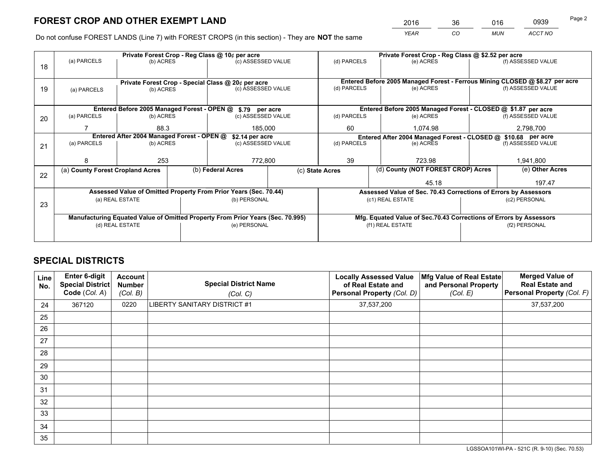*YEAR CO MUN ACCT NO* <sup>2016</sup> <sup>36</sup> <sup>016</sup> <sup>0939</sup>

Do not confuse FOREST LANDS (Line 7) with FOREST CROPS (in this section) - They are **NOT** the same

|    |                                                                                | Private Forest Crop - Reg Class @ 10¢ per acre |  | Private Forest Crop - Reg Class @ \$2.52 per acre                |                 |                                                                 |                  |                                                               |                    |                                                                              |
|----|--------------------------------------------------------------------------------|------------------------------------------------|--|------------------------------------------------------------------|-----------------|-----------------------------------------------------------------|------------------|---------------------------------------------------------------|--------------------|------------------------------------------------------------------------------|
| 18 | (a) PARCELS                                                                    | (b) ACRES                                      |  | (c) ASSESSED VALUE                                               |                 | (d) PARCELS                                                     |                  | (e) ACRES                                                     |                    | (f) ASSESSED VALUE                                                           |
|    | Private Forest Crop - Special Class @ 20¢ per acre                             |                                                |  |                                                                  |                 |                                                                 |                  |                                                               |                    | Entered Before 2005 Managed Forest - Ferrous Mining CLOSED @ \$8.27 per acre |
| 19 | (a) PARCELS                                                                    | (b) ACRES                                      |  | (c) ASSESSED VALUE                                               |                 | (d) PARCELS                                                     |                  | (e) ACRES                                                     |                    | (f) ASSESSED VALUE                                                           |
|    |                                                                                |                                                |  | Entered Before 2005 Managed Forest - OPEN @ \$.79 per acre       |                 |                                                                 |                  |                                                               |                    | Entered Before 2005 Managed Forest - CLOSED @ \$1.87 per acre                |
| 20 | (a) PARCELS                                                                    | (b) ACRES                                      |  | (c) ASSESSED VALUE                                               |                 | (d) PARCELS                                                     |                  | (e) ACRES                                                     |                    | (f) ASSESSED VALUE                                                           |
|    |                                                                                | 88.3<br>185,000                                |  |                                                                  | 60              |                                                                 | 1.074.98         |                                                               | 2,798,700          |                                                                              |
|    | Entered After 2004 Managed Forest - OPEN @                                     |                                                |  |                                                                  | \$2.14 per acre |                                                                 |                  | Entered After 2004 Managed Forest - CLOSED @ \$10.68 per acre |                    |                                                                              |
| 21 | (a) PARCELS                                                                    | (b) ACRES                                      |  | (c) ASSESSED VALUE                                               |                 | (d) PARCELS<br>(e) ACRES                                        |                  |                                                               | (f) ASSESSED VALUE |                                                                              |
|    |                                                                                |                                                |  |                                                                  |                 |                                                                 |                  |                                                               |                    |                                                                              |
|    | 8                                                                              | 253                                            |  | 772,800                                                          | 39              |                                                                 |                  | 723.98                                                        |                    | 1,941,800                                                                    |
|    | (a) County Forest Cropland Acres                                               |                                                |  | (b) Federal Acres                                                |                 | (c) State Acres                                                 |                  | (d) County (NOT FOREST CROP) Acres                            |                    | (e) Other Acres                                                              |
| 22 |                                                                                |                                                |  |                                                                  |                 |                                                                 |                  | 45.18                                                         |                    | 197.47                                                                       |
|    |                                                                                |                                                |  | Assessed Value of Omitted Property From Prior Years (Sec. 70.44) |                 | Assessed Value of Sec. 70.43 Corrections of Errors by Assessors |                  |                                                               |                    |                                                                              |
| 23 |                                                                                | (a) REAL ESTATE                                |  | (b) PERSONAL                                                     |                 |                                                                 | (c1) REAL ESTATE |                                                               |                    | (c2) PERSONAL                                                                |
|    |                                                                                |                                                |  |                                                                  |                 |                                                                 |                  |                                                               |                    |                                                                              |
|    | Manufacturing Equated Value of Omitted Property From Prior Years (Sec. 70.995) |                                                |  |                                                                  |                 |                                                                 |                  |                                                               |                    | Mfg. Equated Value of Sec.70.43 Corrections of Errors by Assessors           |
|    |                                                                                | (d) REAL ESTATE                                |  | (e) PERSONAL                                                     |                 | (f1) REAL ESTATE                                                |                  |                                                               | (f2) PERSONAL      |                                                                              |
|    |                                                                                |                                                |  |                                                                  |                 |                                                                 |                  |                                                               |                    |                                                                              |

## **SPECIAL DISTRICTS**

| Line<br>No. | <b>Enter 6-digit</b><br><b>Special District</b><br>Code (Col. A) | <b>Account</b><br><b>Number</b><br>(Col. B) | <b>Special District Name</b><br>(Col. C) | <b>Locally Assessed Value</b><br>of Real Estate and<br>Personal Property (Col. D) | Mfg Value of Real Estate<br>and Personal Property<br>(Col. E) | <b>Merged Value of</b><br><b>Real Estate and</b><br>Personal Property (Col. F) |
|-------------|------------------------------------------------------------------|---------------------------------------------|------------------------------------------|-----------------------------------------------------------------------------------|---------------------------------------------------------------|--------------------------------------------------------------------------------|
| 24          | 367120                                                           | 0220                                        | LIBERTY SANITARY DISTRICT #1             | 37,537,200                                                                        |                                                               | 37,537,200                                                                     |
| 25          |                                                                  |                                             |                                          |                                                                                   |                                                               |                                                                                |
| 26          |                                                                  |                                             |                                          |                                                                                   |                                                               |                                                                                |
| 27          |                                                                  |                                             |                                          |                                                                                   |                                                               |                                                                                |
| 28          |                                                                  |                                             |                                          |                                                                                   |                                                               |                                                                                |
| 29          |                                                                  |                                             |                                          |                                                                                   |                                                               |                                                                                |
| 30          |                                                                  |                                             |                                          |                                                                                   |                                                               |                                                                                |
| 31          |                                                                  |                                             |                                          |                                                                                   |                                                               |                                                                                |
| 32          |                                                                  |                                             |                                          |                                                                                   |                                                               |                                                                                |
| 33          |                                                                  |                                             |                                          |                                                                                   |                                                               |                                                                                |
| 34          |                                                                  |                                             |                                          |                                                                                   |                                                               |                                                                                |
| 35          |                                                                  |                                             |                                          |                                                                                   |                                                               |                                                                                |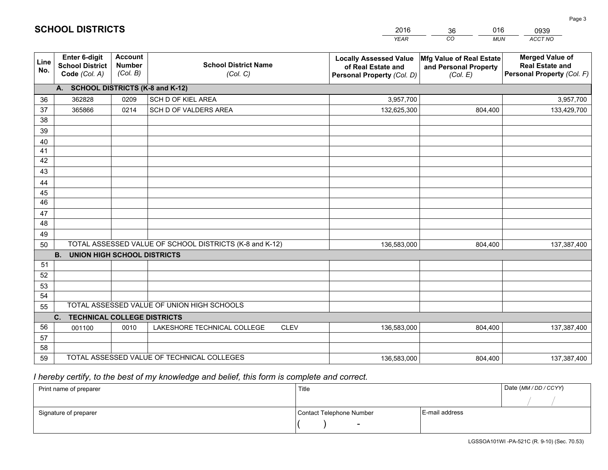|             |                                                                 |                                             |                                                         | <b>YEAR</b>                                                                       | CO<br><b>MUN</b>                                              | ACCT NO                                                                        |
|-------------|-----------------------------------------------------------------|---------------------------------------------|---------------------------------------------------------|-----------------------------------------------------------------------------------|---------------------------------------------------------------|--------------------------------------------------------------------------------|
| Line<br>No. | <b>Enter 6-digit</b><br><b>School District</b><br>Code (Col. A) | <b>Account</b><br><b>Number</b><br>(Col. B) | <b>School District Name</b><br>(Col. C)                 | <b>Locally Assessed Value</b><br>of Real Estate and<br>Personal Property (Col. D) | Mfg Value of Real Estate<br>and Personal Property<br>(Col. E) | <b>Merged Value of</b><br><b>Real Estate and</b><br>Personal Property (Col. F) |
|             | A. SCHOOL DISTRICTS (K-8 and K-12)                              |                                             |                                                         |                                                                                   |                                                               |                                                                                |
| 36          | 362828                                                          | 0209                                        | SCH D OF KIEL AREA                                      | 3,957,700                                                                         |                                                               | 3,957,700                                                                      |
| 37          | 365866                                                          | 0214                                        | SCH D OF VALDERS AREA                                   | 132,625,300                                                                       | 804,400                                                       | 133,429,700                                                                    |
| 38          |                                                                 |                                             |                                                         |                                                                                   |                                                               |                                                                                |
| 39          |                                                                 |                                             |                                                         |                                                                                   |                                                               |                                                                                |
| 40          |                                                                 |                                             |                                                         |                                                                                   |                                                               |                                                                                |
| 41          |                                                                 |                                             |                                                         |                                                                                   |                                                               |                                                                                |
| 42          |                                                                 |                                             |                                                         |                                                                                   |                                                               |                                                                                |
| 43          |                                                                 |                                             |                                                         |                                                                                   |                                                               |                                                                                |
| 44          |                                                                 |                                             |                                                         |                                                                                   |                                                               |                                                                                |
| 45<br>46    |                                                                 |                                             |                                                         |                                                                                   |                                                               |                                                                                |
|             |                                                                 |                                             |                                                         |                                                                                   |                                                               |                                                                                |
| 47<br>48    |                                                                 |                                             |                                                         |                                                                                   |                                                               |                                                                                |
| 49          |                                                                 |                                             |                                                         |                                                                                   |                                                               |                                                                                |
| 50          |                                                                 |                                             | TOTAL ASSESSED VALUE OF SCHOOL DISTRICTS (K-8 and K-12) | 136,583,000                                                                       | 804,400                                                       | 137,387,400                                                                    |
|             | <b>B.</b><br><b>UNION HIGH SCHOOL DISTRICTS</b>                 |                                             |                                                         |                                                                                   |                                                               |                                                                                |
| 51          |                                                                 |                                             |                                                         |                                                                                   |                                                               |                                                                                |
| 52          |                                                                 |                                             |                                                         |                                                                                   |                                                               |                                                                                |
| 53          |                                                                 |                                             |                                                         |                                                                                   |                                                               |                                                                                |
| 54          |                                                                 |                                             |                                                         |                                                                                   |                                                               |                                                                                |
| 55          |                                                                 |                                             | TOTAL ASSESSED VALUE OF UNION HIGH SCHOOLS              |                                                                                   |                                                               |                                                                                |
|             | C.<br><b>TECHNICAL COLLEGE DISTRICTS</b>                        |                                             |                                                         |                                                                                   |                                                               |                                                                                |
| 56          | 001100                                                          | 0010                                        | LAKESHORE TECHNICAL COLLEGE<br><b>CLEV</b>              | 136,583,000                                                                       | 804,400                                                       | 137,387,400                                                                    |
| 57          |                                                                 |                                             |                                                         |                                                                                   |                                                               |                                                                                |
| 58          |                                                                 |                                             |                                                         |                                                                                   |                                                               |                                                                                |
| 59          |                                                                 |                                             | TOTAL ASSESSED VALUE OF TECHNICAL COLLEGES              | 136,583,000                                                                       | 804,400                                                       | 137,387,400                                                                    |

 *I hereby certify, to the best of my knowledge and belief, this form is complete and correct.*

| Print name of preparer | Title                    |                | Date (MM/DD/CCYY) |
|------------------------|--------------------------|----------------|-------------------|
|                        |                          |                |                   |
| Signature of preparer  | Contact Telephone Number | E-mail address |                   |
|                        | $\overline{\phantom{0}}$ |                |                   |

201636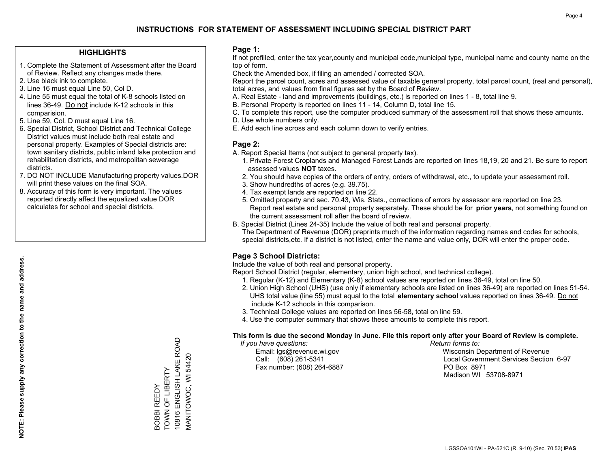### **HIGHLIGHTS**

- 1. Complete the Statement of Assessment after the Board of Review. Reflect any changes made there.
- 2. Use black ink to complete.
- 3. Line 16 must equal Line 50, Col D.
- 4. Line 55 must equal the total of K-8 schools listed on lines 36-49. Do not include K-12 schools in this comparision.
- 5. Line 59, Col. D must equal Line 16.
- 6. Special District, School District and Technical College District values must include both real estate and personal property. Examples of Special districts are: town sanitary districts, public inland lake protection and rehabilitation districts, and metropolitan sewerage districts.
- 7. DO NOT INCLUDE Manufacturing property values.DOR will print these values on the final SOA.

BOBBI REEDY TOWN OF LIBERTY

BOBBI REEDY<br>TOWN OF LIBERTY

10816 ENGLISH LAKE ROAD MANITOWOC, WI 54420

10816 ENGLISH LAKE ROAD MANITOWOC, WI 54420

 8. Accuracy of this form is very important. The values reported directly affect the equalized value DOR calculates for school and special districts.

### **Page 1:**

 If not prefilled, enter the tax year,county and municipal code,municipal type, municipal name and county name on the top of form.

Check the Amended box, if filing an amended / corrected SOA.

 Report the parcel count, acres and assessed value of taxable general property, total parcel count, (real and personal), total acres, and values from final figures set by the Board of Review.

- A. Real Estate land and improvements (buildings, etc.) is reported on lines 1 8, total line 9.
- B. Personal Property is reported on lines 11 14, Column D, total line 15.
- C. To complete this report, use the computer produced summary of the assessment roll that shows these amounts.
- D. Use whole numbers only.
- E. Add each line across and each column down to verify entries.

### **Page 2:**

- A. Report Special Items (not subject to general property tax).
- 1. Private Forest Croplands and Managed Forest Lands are reported on lines 18,19, 20 and 21. Be sure to report assessed values **NOT** taxes.
- 2. You should have copies of the orders of entry, orders of withdrawal, etc., to update your assessment roll.
	- 3. Show hundredths of acres (e.g. 39.75).
- 4. Tax exempt lands are reported on line 22.
- 5. Omitted property and sec. 70.43, Wis. Stats., corrections of errors by assessor are reported on line 23. Report real estate and personal property separately. These should be for **prior years**, not something found on the current assessment roll after the board of review.
- B. Special District (Lines 24-35) Include the value of both real and personal property.
- The Department of Revenue (DOR) preprints much of the information regarding names and codes for schools, special districts,etc. If a district is not listed, enter the name and value only, DOR will enter the proper code.

## **Page 3 School Districts:**

Include the value of both real and personal property.

Report School District (regular, elementary, union high school, and technical college).

- 1. Regular (K-12) and Elementary (K-8) school values are reported on lines 36-49, total on line 50.
- 2. Union High School (UHS) (use only if elementary schools are listed on lines 36-49) are reported on lines 51-54. UHS total value (line 55) must equal to the total **elementary school** values reported on lines 36-49. Do notinclude K-12 schools in this comparison.
- 3. Technical College values are reported on lines 56-58, total on line 59.
- 4. Use the computer summary that shows these amounts to complete this report.

#### **This form is due the second Monday in June. File this report only after your Board of Review is complete.**

 *If you have questions: Return forms to:*

Fax number: (608) 264-6887 PO Box 8971

 Email: lgs@revenue.wi.gov Wisconsin Department of Revenue Call: (608) 261-5341 Local Government Services Section 6-97Madison WI 53708-8971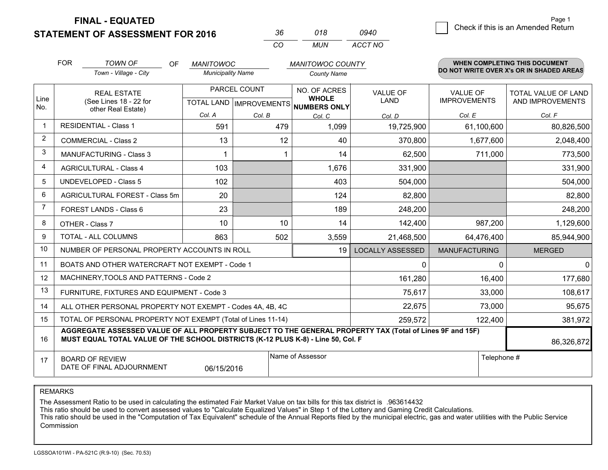**STATEMENT OF ASSESSMENT FOR 2016** 

| 36. | 018 | 0940    |
|-----|-----|---------|
| ΩO  | MUN | ACCT NO |

|                | <b>FOR</b>                                                              | <b>TOWN OF</b><br><b>OF</b>                                                                                                                                                                                | <b>MANITOWOC</b>                               |        | <b>MANITOWOC COUNTY</b>                             |                                |                                        | <b>WHEN COMPLETING THIS DOCUMENT</b>     |
|----------------|-------------------------------------------------------------------------|------------------------------------------------------------------------------------------------------------------------------------------------------------------------------------------------------------|------------------------------------------------|--------|-----------------------------------------------------|--------------------------------|----------------------------------------|------------------------------------------|
|                |                                                                         | Town - Village - City                                                                                                                                                                                      | <b>Municipality Name</b>                       |        | <b>County Name</b>                                  |                                |                                        | DO NOT WRITE OVER X's OR IN SHADED AREAS |
| Line<br>No.    |                                                                         | <b>REAL ESTATE</b><br>(See Lines 18 - 22 for                                                                                                                                                               | PARCEL COUNT<br><b>TOTAL LAND IMPROVEMENTS</b> |        | NO. OF ACRES<br><b>WHOLE</b><br><b>NUMBERS ONLY</b> | <b>VALUE OF</b><br><b>LAND</b> | <b>VALUE OF</b><br><b>IMPROVEMENTS</b> | TOTAL VALUE OF LAND<br>AND IMPROVEMENTS  |
|                |                                                                         | other Real Estate)                                                                                                                                                                                         | Col. A                                         | Col. B | Col. C                                              | Col. D                         | Col. E                                 | Col. F                                   |
| -1             |                                                                         | <b>RESIDENTIAL - Class 1</b>                                                                                                                                                                               | 591                                            | 479    | 1,099                                               | 19,725,900                     | 61,100,600                             | 80,826,500                               |
| $\overline{2}$ |                                                                         | <b>COMMERCIAL - Class 2</b>                                                                                                                                                                                | 13                                             | 12     | 40                                                  | 370,800                        | 1,677,600                              | 2,048,400                                |
| 3              |                                                                         | <b>MANUFACTURING - Class 3</b>                                                                                                                                                                             |                                                |        | 14                                                  | 62,500                         | 711,000                                | 773,500                                  |
| 4              |                                                                         | <b>AGRICULTURAL - Class 4</b>                                                                                                                                                                              | 103                                            |        | 1,676                                               | 331,900                        |                                        | 331,900                                  |
| 5              |                                                                         | <b>UNDEVELOPED - Class 5</b>                                                                                                                                                                               | 102                                            |        | 403                                                 | 504,000                        |                                        | 504,000                                  |
| 6              |                                                                         | AGRICULTURAL FOREST - Class 5m                                                                                                                                                                             | 20                                             |        | 124                                                 | 82,800                         |                                        | 82,800                                   |
| 7              |                                                                         | FOREST LANDS - Class 6                                                                                                                                                                                     | 23                                             |        | 189                                                 | 248,200                        |                                        | 248,200                                  |
| 8              |                                                                         | OTHER - Class 7                                                                                                                                                                                            | 10                                             | 10     | 14                                                  | 142,400                        | 987,200                                | 1,129,600                                |
| 9              | TOTAL - ALL COLUMNS                                                     |                                                                                                                                                                                                            | 863                                            | 502    | 3,559                                               | 21,468,500                     | 64,476,400                             | 85,944,900                               |
| 10             | NUMBER OF PERSONAL PROPERTY ACCOUNTS IN ROLL                            |                                                                                                                                                                                                            |                                                |        | 19                                                  | <b>LOCALLY ASSESSED</b>        | <b>MANUFACTURING</b>                   | <b>MERGED</b>                            |
| 11             | BOATS AND OTHER WATERCRAFT NOT EXEMPT - Code 1                          |                                                                                                                                                                                                            |                                                |        |                                                     |                                | $\Omega$                               | $\mathbf{0}$                             |
| 12             |                                                                         | MACHINERY, TOOLS AND PATTERNS - Code 2                                                                                                                                                                     |                                                |        |                                                     | 161,280                        | 16,400                                 | 177,680                                  |
| 13             | FURNITURE, FIXTURES AND EQUIPMENT - Code 3                              |                                                                                                                                                                                                            |                                                |        |                                                     |                                | 33,000                                 | 108,617                                  |
| 14             | 22,675<br>ALL OTHER PERSONAL PROPERTY NOT EXEMPT - Codes 4A, 4B, 4C     |                                                                                                                                                                                                            |                                                |        |                                                     |                                | 73,000                                 | 95,675                                   |
| 15             | TOTAL OF PERSONAL PROPERTY NOT EXEMPT (Total of Lines 11-14)<br>259,572 |                                                                                                                                                                                                            |                                                |        |                                                     |                                | 122,400                                | 381,972                                  |
| 16             |                                                                         | AGGREGATE ASSESSED VALUE OF ALL PROPERTY SUBJECT TO THE GENERAL PROPERTY TAX (Total of Lines 9F and 15F)<br>MUST EQUAL TOTAL VALUE OF THE SCHOOL DISTRICTS (K-12 PLUS K-8) - Line 50, Col. F<br>86,326,872 |                                                |        |                                                     |                                |                                        |                                          |
| 17             |                                                                         | <b>BOARD OF REVIEW</b><br>DATE OF FINAL ADJOURNMENT                                                                                                                                                        | 06/15/2016                                     |        | Name of Assessor                                    |                                | Telephone #                            |                                          |

REMARKS

The Assessment Ratio to be used in calculating the estimated Fair Market Value on tax bills for this tax district is .963614432

This ratio should be used to convert assessed values to "Calculate Equalized Values" in Step 1 of the Lottery and Gaming Credit Calculations.<br>This ratio should be used in the "Computation of Tax Equivalent" schedule of the Commission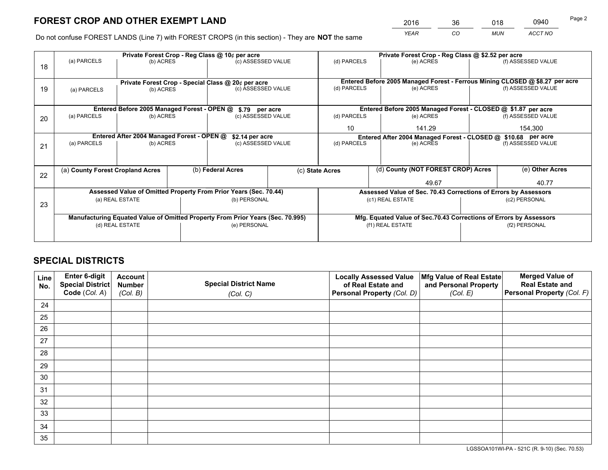*YEAR CO MUN ACCT NO* <sup>2016</sup> <sup>36</sup> <sup>018</sup> <sup>0940</sup>

Do not confuse FOREST LANDS (Line 7) with FOREST CROPS (in this section) - They are **NOT** the same

|    | Private Forest Crop - Reg Class @ 10¢ per acre                                 |                                                                  |                  |                                                                          |                                                                 | Private Forest Crop - Reg Class @ \$2.52 per acre                                         |                                                                              |                    |                    |
|----|--------------------------------------------------------------------------------|------------------------------------------------------------------|------------------|--------------------------------------------------------------------------|-----------------------------------------------------------------|-------------------------------------------------------------------------------------------|------------------------------------------------------------------------------|--------------------|--------------------|
| 18 | (a) PARCELS                                                                    | (b) ACRES                                                        |                  | (c) ASSESSED VALUE                                                       |                                                                 | (d) PARCELS                                                                               | (e) ACRES                                                                    |                    | (f) ASSESSED VALUE |
|    |                                                                                |                                                                  |                  |                                                                          |                                                                 |                                                                                           | Entered Before 2005 Managed Forest - Ferrous Mining CLOSED @ \$8.27 per acre |                    |                    |
| 19 | (a) PARCELS                                                                    | (b) ACRES                                                        |                  | Private Forest Crop - Special Class @ 20¢ per acre<br>(c) ASSESSED VALUE |                                                                 | (d) PARCELS                                                                               | (e) ACRES                                                                    |                    | (f) ASSESSED VALUE |
|    |                                                                                |                                                                  |                  |                                                                          |                                                                 |                                                                                           |                                                                              |                    |                    |
|    |                                                                                |                                                                  |                  |                                                                          |                                                                 |                                                                                           |                                                                              |                    |                    |
|    |                                                                                | Entered Before 2005 Managed Forest - OPEN @                      |                  | \$.79 per acre                                                           |                                                                 |                                                                                           | Entered Before 2005 Managed Forest - CLOSED @ \$1.87 per acre                |                    |                    |
| 20 | (a) PARCELS                                                                    | (b) ACRES                                                        |                  | (c) ASSESSED VALUE                                                       |                                                                 | (d) PARCELS                                                                               | (e) ACRES                                                                    |                    |                    |
|    |                                                                                |                                                                  |                  |                                                                          |                                                                 | 10                                                                                        | 141.29                                                                       |                    |                    |
|    |                                                                                | Entered After 2004 Managed Forest - OPEN @                       |                  |                                                                          |                                                                 |                                                                                           |                                                                              |                    | 154,300            |
|    | (a) PARCELS<br>(b) ACRES                                                       |                                                                  |                  | \$2.14 per acre<br>(c) ASSESSED VALUE                                    |                                                                 | Entered After 2004 Managed Forest - CLOSED @ \$10.68 per acre<br>(d) PARCELS<br>(e) ACRES |                                                                              | (f) ASSESSED VALUE |                    |
| 21 |                                                                                |                                                                  |                  |                                                                          |                                                                 |                                                                                           |                                                                              |                    |                    |
|    |                                                                                |                                                                  |                  |                                                                          |                                                                 |                                                                                           |                                                                              |                    |                    |
|    | (a) County Forest Cropland Acres                                               |                                                                  |                  | (b) Federal Acres                                                        |                                                                 | (c) State Acres                                                                           | (d) County (NOT FOREST CROP) Acres                                           |                    | (e) Other Acres    |
| 22 |                                                                                |                                                                  |                  |                                                                          |                                                                 | 49.67                                                                                     |                                                                              |                    | 40.77              |
|    |                                                                                |                                                                  |                  |                                                                          |                                                                 |                                                                                           |                                                                              |                    |                    |
|    |                                                                                | Assessed Value of Omitted Property From Prior Years (Sec. 70.44) |                  |                                                                          | Assessed Value of Sec. 70.43 Corrections of Errors by Assessors |                                                                                           |                                                                              |                    |                    |
| 23 | (a) REAL ESTATE                                                                |                                                                  |                  | (b) PERSONAL                                                             |                                                                 | (c1) REAL ESTATE                                                                          |                                                                              | (c2) PERSONAL      |                    |
|    |                                                                                |                                                                  |                  |                                                                          |                                                                 |                                                                                           |                                                                              |                    |                    |
|    | Manufacturing Equated Value of Omitted Property From Prior Years (Sec. 70.995) |                                                                  |                  |                                                                          |                                                                 | Mfg. Equated Value of Sec.70.43 Corrections of Errors by Assessors                        |                                                                              |                    |                    |
|    | (d) REAL ESTATE<br>(e) PERSONAL                                                |                                                                  | (f1) REAL ESTATE |                                                                          |                                                                 | (f2) PERSONAL                                                                             |                                                                              |                    |                    |
|    |                                                                                |                                                                  |                  |                                                                          |                                                                 |                                                                                           |                                                                              |                    |                    |
|    |                                                                                |                                                                  |                  |                                                                          |                                                                 |                                                                                           |                                                                              |                    |                    |

## **SPECIAL DISTRICTS**

| Line<br>No. | Enter 6-digit<br>Special District<br>Code (Col. A) | <b>Account</b><br><b>Number</b> | <b>Special District Name</b> | <b>Locally Assessed Value</b><br>of Real Estate and | Mfg Value of Real Estate<br>and Personal Property | <b>Merged Value of</b><br><b>Real Estate and</b><br>Personal Property (Col. F) |
|-------------|----------------------------------------------------|---------------------------------|------------------------------|-----------------------------------------------------|---------------------------------------------------|--------------------------------------------------------------------------------|
|             |                                                    | (Col. B)                        | (Col. C)                     | Personal Property (Col. D)                          | (Col. E)                                          |                                                                                |
| 24          |                                                    |                                 |                              |                                                     |                                                   |                                                                                |
| 25          |                                                    |                                 |                              |                                                     |                                                   |                                                                                |
| 26          |                                                    |                                 |                              |                                                     |                                                   |                                                                                |
| 27          |                                                    |                                 |                              |                                                     |                                                   |                                                                                |
| 28          |                                                    |                                 |                              |                                                     |                                                   |                                                                                |
| 29          |                                                    |                                 |                              |                                                     |                                                   |                                                                                |
| 30          |                                                    |                                 |                              |                                                     |                                                   |                                                                                |
| 31          |                                                    |                                 |                              |                                                     |                                                   |                                                                                |
| 32          |                                                    |                                 |                              |                                                     |                                                   |                                                                                |
| 33          |                                                    |                                 |                              |                                                     |                                                   |                                                                                |
| 34          |                                                    |                                 |                              |                                                     |                                                   |                                                                                |
| 35          |                                                    |                                 |                              |                                                     |                                                   |                                                                                |

LGSSOA101WI-PA - 521C (R. 9-10) (Sec. 70.53)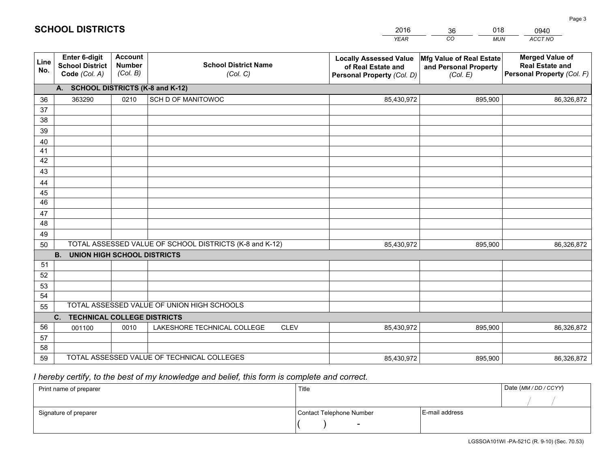|             |                                                                 |                                             |                                                         | <b>YEAR</b>                                                                       | CO<br><b>MUN</b>                                              | ACCT NO                                                                        |
|-------------|-----------------------------------------------------------------|---------------------------------------------|---------------------------------------------------------|-----------------------------------------------------------------------------------|---------------------------------------------------------------|--------------------------------------------------------------------------------|
| Line<br>No. | <b>Enter 6-digit</b><br><b>School District</b><br>Code (Col. A) | <b>Account</b><br><b>Number</b><br>(Col. B) | <b>School District Name</b><br>(Col. C)                 | <b>Locally Assessed Value</b><br>of Real Estate and<br>Personal Property (Col. D) | Mfg Value of Real Estate<br>and Personal Property<br>(Col. E) | <b>Merged Value of</b><br><b>Real Estate and</b><br>Personal Property (Col. F) |
|             | A. SCHOOL DISTRICTS (K-8 and K-12)                              |                                             |                                                         |                                                                                   |                                                               |                                                                                |
| 36          | 363290                                                          | 0210                                        | SCH D OF MANITOWOC                                      | 85,430,972                                                                        | 895,900                                                       | 86,326,872                                                                     |
| 37          |                                                                 |                                             |                                                         |                                                                                   |                                                               |                                                                                |
| 38          |                                                                 |                                             |                                                         |                                                                                   |                                                               |                                                                                |
| 39          |                                                                 |                                             |                                                         |                                                                                   |                                                               |                                                                                |
| 40          |                                                                 |                                             |                                                         |                                                                                   |                                                               |                                                                                |
| 41          |                                                                 |                                             |                                                         |                                                                                   |                                                               |                                                                                |
| 42<br>43    |                                                                 |                                             |                                                         |                                                                                   |                                                               |                                                                                |
| 44          |                                                                 |                                             |                                                         |                                                                                   |                                                               |                                                                                |
| 45          |                                                                 |                                             |                                                         |                                                                                   |                                                               |                                                                                |
| 46          |                                                                 |                                             |                                                         |                                                                                   |                                                               |                                                                                |
| 47          |                                                                 |                                             |                                                         |                                                                                   |                                                               |                                                                                |
| 48          |                                                                 |                                             |                                                         |                                                                                   |                                                               |                                                                                |
| 49          |                                                                 |                                             |                                                         |                                                                                   |                                                               |                                                                                |
| 50          |                                                                 |                                             | TOTAL ASSESSED VALUE OF SCHOOL DISTRICTS (K-8 and K-12) | 85,430,972                                                                        | 895,900                                                       | 86,326,872                                                                     |
|             | <b>B.</b><br><b>UNION HIGH SCHOOL DISTRICTS</b>                 |                                             |                                                         |                                                                                   |                                                               |                                                                                |
| 51          |                                                                 |                                             |                                                         |                                                                                   |                                                               |                                                                                |
| 52          |                                                                 |                                             |                                                         |                                                                                   |                                                               |                                                                                |
| 53          |                                                                 |                                             |                                                         |                                                                                   |                                                               |                                                                                |
| 54          |                                                                 |                                             |                                                         |                                                                                   |                                                               |                                                                                |
| 55          |                                                                 |                                             | TOTAL ASSESSED VALUE OF UNION HIGH SCHOOLS              |                                                                                   |                                                               |                                                                                |
|             | C.<br><b>TECHNICAL COLLEGE DISTRICTS</b>                        |                                             |                                                         |                                                                                   |                                                               |                                                                                |
| 56          | 001100                                                          | 0010                                        | LAKESHORE TECHNICAL COLLEGE<br><b>CLEV</b>              | 85,430,972                                                                        | 895,900                                                       | 86,326,872                                                                     |
| 57          |                                                                 |                                             |                                                         |                                                                                   |                                                               |                                                                                |
| 58          |                                                                 |                                             | TOTAL ASSESSED VALUE OF TECHNICAL COLLEGES              |                                                                                   |                                                               |                                                                                |
| 59          |                                                                 |                                             |                                                         | 85,430,972                                                                        | 895,900                                                       | 86,326,872                                                                     |

# *I hereby certify, to the best of my knowledge and belief, this form is complete and correct.*

| Print name of preparer | Title                    |                | Date (MM / DD / CCYY) |
|------------------------|--------------------------|----------------|-----------------------|
|                        |                          |                |                       |
| Signature of preparer  | Contact Telephone Number | E-mail address |                       |
|                        | $\overline{\phantom{0}}$ |                |                       |

201636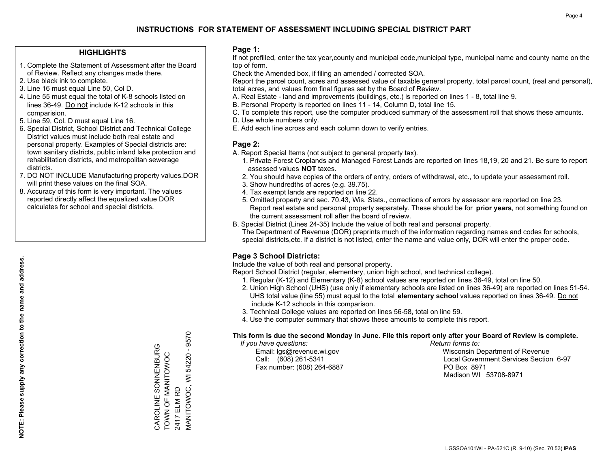### **HIGHLIGHTS**

- 1. Complete the Statement of Assessment after the Board of Review. Reflect any changes made there.
- 2. Use black ink to complete.
- 3. Line 16 must equal Line 50, Col D.
- 4. Line 55 must equal the total of K-8 schools listed on lines 36-49. Do not include K-12 schools in this comparision.
- 5. Line 59, Col. D must equal Line 16.
- 6. Special District, School District and Technical College District values must include both real estate and personal property. Examples of Special districts are: town sanitary districts, public inland lake protection and rehabilitation districts, and metropolitan sewerage districts.
- 7. DO NOT INCLUDE Manufacturing property values.DOR will print these values on the final SOA.
- 8. Accuracy of this form is very important. The values reported directly affect the equalized value DOR calculates for school and special districts.

### **Page 1:**

 If not prefilled, enter the tax year,county and municipal code,municipal type, municipal name and county name on the top of form.

Check the Amended box, if filing an amended / corrected SOA.

 Report the parcel count, acres and assessed value of taxable general property, total parcel count, (real and personal), total acres, and values from final figures set by the Board of Review.

- A. Real Estate land and improvements (buildings, etc.) is reported on lines 1 8, total line 9.
- B. Personal Property is reported on lines 11 14, Column D, total line 15.
- C. To complete this report, use the computer produced summary of the assessment roll that shows these amounts.
- D. Use whole numbers only.
- E. Add each line across and each column down to verify entries.

### **Page 2:**

- A. Report Special Items (not subject to general property tax).
- 1. Private Forest Croplands and Managed Forest Lands are reported on lines 18,19, 20 and 21. Be sure to report assessed values **NOT** taxes.
- 2. You should have copies of the orders of entry, orders of withdrawal, etc., to update your assessment roll.
	- 3. Show hundredths of acres (e.g. 39.75).
- 4. Tax exempt lands are reported on line 22.
- 5. Omitted property and sec. 70.43, Wis. Stats., corrections of errors by assessor are reported on line 23. Report real estate and personal property separately. These should be for **prior years**, not something found on the current assessment roll after the board of review.
- B. Special District (Lines 24-35) Include the value of both real and personal property.
- The Department of Revenue (DOR) preprints much of the information regarding names and codes for schools, special districts,etc. If a district is not listed, enter the name and value only, DOR will enter the proper code.

## **Page 3 School Districts:**

Include the value of both real and personal property.

Report School District (regular, elementary, union high school, and technical college).

- 1. Regular (K-12) and Elementary (K-8) school values are reported on lines 36-49, total on line 50.
- 2. Union High School (UHS) (use only if elementary schools are listed on lines 36-49) are reported on lines 51-54. UHS total value (line 55) must equal to the total **elementary school** values reported on lines 36-49. Do notinclude K-12 schools in this comparison.
- 3. Technical College values are reported on lines 56-58, total on line 59.
- 4. Use the computer summary that shows these amounts to complete this report.

#### **This form is due the second Monday in June. File this report only after your Board of Review is complete.**

 *If you have questions: Return forms to:*

Fax number: (608) 264-6887 PO Box 8971

 Email: lgs@revenue.wi.gov Wisconsin Department of Revenue Call: (608) 261-5341 Local Government Services Section 6-97Madison WI 53708-8971

54220 - 9570 MANITOWOC, WI 54220 - 9570 CAROLINE SONNENBURG CAROLINE SONNENBURG TOWN OF MANITOWOC TOWN OF MANITOWOC<br>2417 ELM RD VIANITOWOC, WI 2417 ELM RD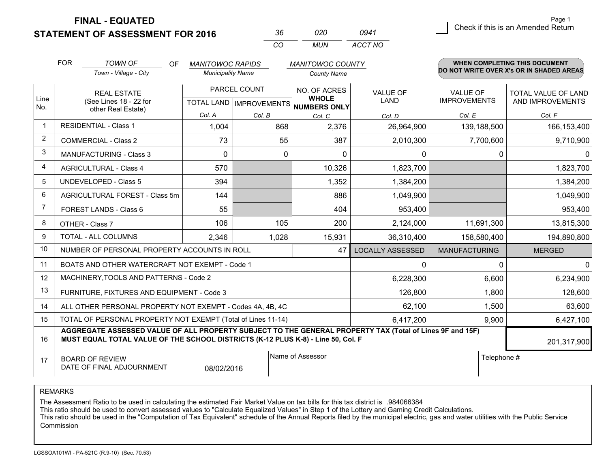| 36  | 020 | 0941    |
|-----|-----|---------|
| CO. | MUN | ACCT NO |

|                | <b>FOR</b>                                                                                                                                                                                   | <b>TOWN OF</b><br>OF                                         | <b>MANITOWOC RAPIDS</b>                   |        | <b>MANITOWOC COUNTY</b>                             |                                |                                          | <b>WHEN COMPLETING THIS DOCUMENT</b>           |  |
|----------------|----------------------------------------------------------------------------------------------------------------------------------------------------------------------------------------------|--------------------------------------------------------------|-------------------------------------------|--------|-----------------------------------------------------|--------------------------------|------------------------------------------|------------------------------------------------|--|
|                |                                                                                                                                                                                              | Town - Village - City                                        | <b>Municipality Name</b>                  |        | <b>County Name</b>                                  |                                | DO NOT WRITE OVER X's OR IN SHADED AREAS |                                                |  |
| Line<br>No.    | <b>REAL ESTATE</b><br>(See Lines 18 - 22 for<br>other Real Estate)                                                                                                                           |                                                              | PARCEL COUNT<br>TOTAL LAND   IMPROVEMENTS |        | NO. OF ACRES<br><b>WHOLE</b><br><b>NUMBERS ONLY</b> | <b>VALUE OF</b><br><b>LAND</b> | <b>VALUE OF</b><br><b>IMPROVEMENTS</b>   | <b>TOTAL VALUE OF LAND</b><br>AND IMPROVEMENTS |  |
|                |                                                                                                                                                                                              |                                                              | Col. A                                    | Col. B | Col. C                                              | Col. D                         | Col. E                                   | Col. F                                         |  |
| $\mathbf 1$    |                                                                                                                                                                                              | <b>RESIDENTIAL - Class 1</b>                                 | 1,004                                     | 868    | 2,376                                               | 26,964,900                     | 139,188,500                              | 166,153,400                                    |  |
| $\overline{2}$ |                                                                                                                                                                                              | <b>COMMERCIAL - Class 2</b>                                  | 73                                        | 55     | 387                                                 | 2,010,300                      | 7,700,600                                | 9,710,900                                      |  |
| 3              |                                                                                                                                                                                              | <b>MANUFACTURING - Class 3</b>                               | $\Omega$                                  | 0      | $\Omega$                                            | 0                              | 0                                        | $\mathbf{0}$                                   |  |
| 4              |                                                                                                                                                                                              | <b>AGRICULTURAL - Class 4</b>                                | 570                                       |        | 10,326                                              | 1,823,700                      |                                          | 1,823,700                                      |  |
| 5              |                                                                                                                                                                                              | UNDEVELOPED - Class 5                                        | 394                                       |        | 1,352                                               | 1,384,200                      |                                          | 1,384,200                                      |  |
| 6              |                                                                                                                                                                                              | AGRICULTURAL FOREST - Class 5m                               | 144                                       |        | 886                                                 | 1,049,900                      |                                          | 1,049,900                                      |  |
| $\overline{7}$ |                                                                                                                                                                                              | FOREST LANDS - Class 6                                       | 55                                        |        | 404                                                 | 953,400                        |                                          | 953,400                                        |  |
| 8              |                                                                                                                                                                                              | OTHER - Class 7                                              | 106                                       | 105    | 200                                                 | 2,124,000                      | 11,691,300                               | 13,815,300                                     |  |
| 9              |                                                                                                                                                                                              | TOTAL - ALL COLUMNS                                          | 2,346                                     | 1,028  | 15,931                                              | 36,310,400                     | 158,580,400                              | 194,890,800                                    |  |
| 10             |                                                                                                                                                                                              | NUMBER OF PERSONAL PROPERTY ACCOUNTS IN ROLL                 |                                           |        | 47                                                  | <b>LOCALLY ASSESSED</b>        | <b>MANUFACTURING</b>                     | <b>MERGED</b>                                  |  |
| 11             |                                                                                                                                                                                              | BOATS AND OTHER WATERCRAFT NOT EXEMPT - Code 1               |                                           |        |                                                     | 0                              | $\Omega$                                 | $\Omega$                                       |  |
| 12             |                                                                                                                                                                                              | MACHINERY, TOOLS AND PATTERNS - Code 2                       |                                           |        |                                                     | 6,228,300                      | 6,600                                    | 6,234,900                                      |  |
| 13             |                                                                                                                                                                                              | FURNITURE, FIXTURES AND EQUIPMENT - Code 3                   |                                           |        |                                                     | 126,800                        | 1,800                                    | 128,600                                        |  |
| 14             |                                                                                                                                                                                              | ALL OTHER PERSONAL PROPERTY NOT EXEMPT - Codes 4A, 4B, 4C    |                                           |        |                                                     | 62,100                         | 1,500                                    | 63,600                                         |  |
| 15             |                                                                                                                                                                                              | TOTAL OF PERSONAL PROPERTY NOT EXEMPT (Total of Lines 11-14) |                                           |        | 6,417,200                                           | 9,900                          | 6,427,100                                |                                                |  |
| 16             | AGGREGATE ASSESSED VALUE OF ALL PROPERTY SUBJECT TO THE GENERAL PROPERTY TAX (Total of Lines 9F and 15F)<br>MUST EQUAL TOTAL VALUE OF THE SCHOOL DISTRICTS (K-12 PLUS K-8) - Line 50, Col. F |                                                              |                                           |        |                                                     |                                | 201,317,900                              |                                                |  |
| 17             |                                                                                                                                                                                              | <b>BOARD OF REVIEW</b><br>DATE OF FINAL ADJOURNMENT          | 08/02/2016                                |        | Name of Assessor                                    | Telephone #                    |                                          |                                                |  |

REMARKS

The Assessment Ratio to be used in calculating the estimated Fair Market Value on tax bills for this tax district is .984066384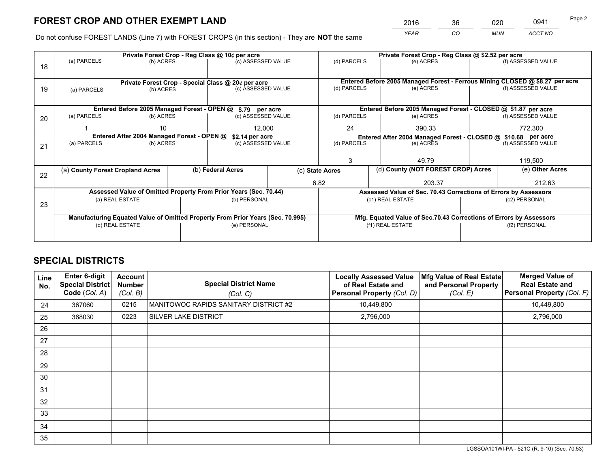*YEAR CO MUN ACCT NO* <sup>2016</sup> <sup>36</sup> <sup>020</sup> <sup>0941</sup>

Do not confuse FOREST LANDS (Line 7) with FOREST CROPS (in this section) - They are **NOT** the same

|    | Private Forest Crop - Reg Class @ 10¢ per acre                                 |                                 |  |                                                                  |                    |                                                               | Private Forest Crop - Reg Class @ \$2.52 per acre                            |                                                                    |                    |                    |  |
|----|--------------------------------------------------------------------------------|---------------------------------|--|------------------------------------------------------------------|--------------------|---------------------------------------------------------------|------------------------------------------------------------------------------|--------------------------------------------------------------------|--------------------|--------------------|--|
| 18 | (a) PARCELS                                                                    | (b) ACRES                       |  | (c) ASSESSED VALUE                                               |                    | (d) PARCELS                                                   |                                                                              | (e) ACRES                                                          |                    | (f) ASSESSED VALUE |  |
|    |                                                                                |                                 |  |                                                                  |                    |                                                               |                                                                              |                                                                    |                    |                    |  |
|    |                                                                                |                                 |  | Private Forest Crop - Special Class @ 20¢ per acre               |                    |                                                               | Entered Before 2005 Managed Forest - Ferrous Mining CLOSED @ \$8.27 per acre |                                                                    |                    |                    |  |
| 19 | (a) PARCELS                                                                    | (c) ASSESSED VALUE<br>(b) ACRES |  |                                                                  | (d) PARCELS        |                                                               | (e) ACRES                                                                    |                                                                    | (f) ASSESSED VALUE |                    |  |
|    |                                                                                |                                 |  |                                                                  |                    |                                                               |                                                                              |                                                                    |                    |                    |  |
|    |                                                                                |                                 |  | Entered Before 2005 Managed Forest - OPEN @ \$.79 per acre       |                    |                                                               |                                                                              | Entered Before 2005 Managed Forest - CLOSED @ \$1.87 per acre      |                    |                    |  |
| 20 | (a) PARCELS                                                                    | (b) ACRES                       |  | (c) ASSESSED VALUE                                               |                    | (d) PARCELS                                                   |                                                                              | (e) ACRES                                                          |                    | (f) ASSESSED VALUE |  |
|    |                                                                                | 10                              |  | 12.000                                                           |                    | 24                                                            |                                                                              | 390.33                                                             |                    | 772,300            |  |
|    | Entered After 2004 Managed Forest - OPEN @                                     |                                 |  | \$2.14 per acre                                                  |                    | Entered After 2004 Managed Forest - CLOSED @ \$10.68 per acre |                                                                              |                                                                    |                    |                    |  |
| 21 | (a) PARCELS                                                                    | (b) ACRES                       |  |                                                                  | (c) ASSESSED VALUE |                                                               | (d) PARCELS<br>(e) ACRES                                                     |                                                                    | (f) ASSESSED VALUE |                    |  |
|    |                                                                                |                                 |  |                                                                  |                    |                                                               |                                                                              |                                                                    |                    |                    |  |
|    |                                                                                |                                 |  |                                                                  |                    | 3                                                             |                                                                              | 49.79                                                              |                    | 119,500            |  |
| 22 | (a) County Forest Cropland Acres                                               |                                 |  | (b) Federal Acres                                                |                    | (c) State Acres                                               |                                                                              | (d) County (NOT FOREST CROP) Acres                                 |                    | (e) Other Acres    |  |
|    |                                                                                |                                 |  |                                                                  |                    | 6.82                                                          |                                                                              | 203.37                                                             |                    | 212.63             |  |
|    |                                                                                |                                 |  | Assessed Value of Omitted Property From Prior Years (Sec. 70.44) |                    |                                                               |                                                                              | Assessed Value of Sec. 70.43 Corrections of Errors by Assessors    |                    |                    |  |
| 23 |                                                                                | (a) REAL ESTATE                 |  | (b) PERSONAL                                                     |                    |                                                               |                                                                              | (c1) REAL ESTATE                                                   |                    | (c2) PERSONAL      |  |
|    |                                                                                |                                 |  |                                                                  |                    |                                                               |                                                                              |                                                                    |                    |                    |  |
|    | Manufacturing Equated Value of Omitted Property From Prior Years (Sec. 70.995) |                                 |  |                                                                  |                    |                                                               |                                                                              | Mfg. Equated Value of Sec.70.43 Corrections of Errors by Assessors |                    |                    |  |
|    | (d) REAL ESTATE                                                                |                                 |  | (e) PERSONAL                                                     |                    | (f1) REAL ESTATE                                              |                                                                              |                                                                    | (f2) PERSONAL      |                    |  |
|    |                                                                                |                                 |  |                                                                  |                    |                                                               |                                                                              |                                                                    |                    |                    |  |

## **SPECIAL DISTRICTS**

| Line<br>No. | Enter 6-digit<br><b>Special District</b><br>Code (Col. A) | <b>Account</b><br><b>Number</b><br>(Col. B) | <b>Special District Name</b><br>(Col. C) | <b>Locally Assessed Value</b><br>of Real Estate and<br>Personal Property (Col. D) | Mfg Value of Real Estate<br>and Personal Property<br>(Col. E) | <b>Merged Value of</b><br><b>Real Estate and</b><br>Personal Property (Col. F) |
|-------------|-----------------------------------------------------------|---------------------------------------------|------------------------------------------|-----------------------------------------------------------------------------------|---------------------------------------------------------------|--------------------------------------------------------------------------------|
| 24          | 367060                                                    | 0215                                        | MANITOWOC RAPIDS SANITARY DISTRICT #2    | 10,449,800                                                                        |                                                               | 10,449,800                                                                     |
| 25          | 368030                                                    | 0223                                        | SILVER LAKE DISTRICT                     | 2,796,000                                                                         |                                                               | 2,796,000                                                                      |
| 26          |                                                           |                                             |                                          |                                                                                   |                                                               |                                                                                |
| 27          |                                                           |                                             |                                          |                                                                                   |                                                               |                                                                                |
| 28          |                                                           |                                             |                                          |                                                                                   |                                                               |                                                                                |
| 29          |                                                           |                                             |                                          |                                                                                   |                                                               |                                                                                |
| 30          |                                                           |                                             |                                          |                                                                                   |                                                               |                                                                                |
| 31          |                                                           |                                             |                                          |                                                                                   |                                                               |                                                                                |
| 32          |                                                           |                                             |                                          |                                                                                   |                                                               |                                                                                |
| 33          |                                                           |                                             |                                          |                                                                                   |                                                               |                                                                                |
| 34          |                                                           |                                             |                                          |                                                                                   |                                                               |                                                                                |
| 35          |                                                           |                                             |                                          |                                                                                   |                                                               |                                                                                |

LGSSOA101WI-PA - 521C (R. 9-10) (Sec. 70.53)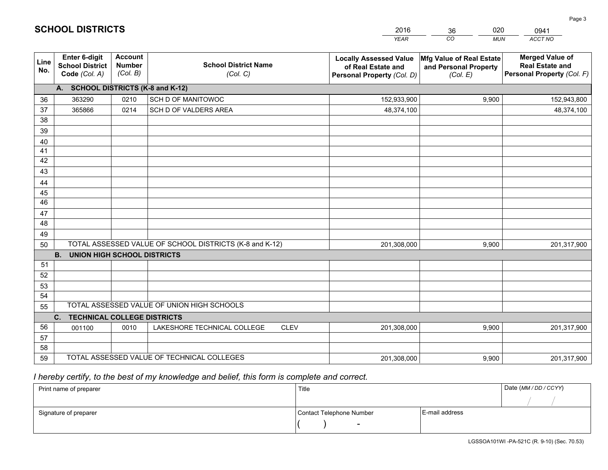|                       |                                                                 |                                             |                                                         | <b>YEAR</b>                                                                       | CO<br><b>MUN</b>                                              | ACCT NO                                                                        |
|-----------------------|-----------------------------------------------------------------|---------------------------------------------|---------------------------------------------------------|-----------------------------------------------------------------------------------|---------------------------------------------------------------|--------------------------------------------------------------------------------|
| Line<br>No.           | <b>Enter 6-digit</b><br><b>School District</b><br>Code (Col. A) | <b>Account</b><br><b>Number</b><br>(Col. B) | <b>School District Name</b><br>(Col. C)                 | <b>Locally Assessed Value</b><br>of Real Estate and<br>Personal Property (Col. D) | Mfg Value of Real Estate<br>and Personal Property<br>(Col. E) | <b>Merged Value of</b><br><b>Real Estate and</b><br>Personal Property (Col. F) |
|                       | A. SCHOOL DISTRICTS (K-8 and K-12)                              |                                             |                                                         |                                                                                   |                                                               |                                                                                |
| 36                    | 363290                                                          | 0210                                        | SCH D OF MANITOWOC                                      | 152,933,900                                                                       | 9,900                                                         | 152,943,800                                                                    |
| 37                    | 365866                                                          | 0214                                        | SCH D OF VALDERS AREA                                   | 48,374,100                                                                        |                                                               | 48,374,100                                                                     |
| 38                    |                                                                 |                                             |                                                         |                                                                                   |                                                               |                                                                                |
| 39                    |                                                                 |                                             |                                                         |                                                                                   |                                                               |                                                                                |
| 40                    |                                                                 |                                             |                                                         |                                                                                   |                                                               |                                                                                |
| 41                    |                                                                 |                                             |                                                         |                                                                                   |                                                               |                                                                                |
| 42                    |                                                                 |                                             |                                                         |                                                                                   |                                                               |                                                                                |
| 43                    |                                                                 |                                             |                                                         |                                                                                   |                                                               |                                                                                |
| 44                    |                                                                 |                                             |                                                         |                                                                                   |                                                               |                                                                                |
| 45<br>$\overline{46}$ |                                                                 |                                             |                                                         |                                                                                   |                                                               |                                                                                |
|                       |                                                                 |                                             |                                                         |                                                                                   |                                                               |                                                                                |
| 47<br>48              |                                                                 |                                             |                                                         |                                                                                   |                                                               |                                                                                |
| 49                    |                                                                 |                                             |                                                         |                                                                                   |                                                               |                                                                                |
| 50                    |                                                                 |                                             | TOTAL ASSESSED VALUE OF SCHOOL DISTRICTS (K-8 and K-12) | 201,308,000                                                                       | 9,900                                                         | 201,317,900                                                                    |
|                       | <b>B.</b><br><b>UNION HIGH SCHOOL DISTRICTS</b>                 |                                             |                                                         |                                                                                   |                                                               |                                                                                |
| 51                    |                                                                 |                                             |                                                         |                                                                                   |                                                               |                                                                                |
| 52                    |                                                                 |                                             |                                                         |                                                                                   |                                                               |                                                                                |
| 53                    |                                                                 |                                             |                                                         |                                                                                   |                                                               |                                                                                |
| 54                    |                                                                 |                                             |                                                         |                                                                                   |                                                               |                                                                                |
| 55                    |                                                                 |                                             | TOTAL ASSESSED VALUE OF UNION HIGH SCHOOLS              |                                                                                   |                                                               |                                                                                |
|                       | C.<br><b>TECHNICAL COLLEGE DISTRICTS</b>                        |                                             |                                                         |                                                                                   |                                                               |                                                                                |
| 56                    | 001100                                                          | 0010                                        | LAKESHORE TECHNICAL COLLEGE<br><b>CLEV</b>              | 201,308,000                                                                       | 9,900                                                         | 201,317,900                                                                    |
| 57                    |                                                                 |                                             |                                                         |                                                                                   |                                                               |                                                                                |
| 58                    |                                                                 |                                             |                                                         |                                                                                   |                                                               |                                                                                |
| 59                    |                                                                 |                                             | TOTAL ASSESSED VALUE OF TECHNICAL COLLEGES              | 201,308,000                                                                       | 9,900                                                         | 201,317,900                                                                    |

36

020

 *I hereby certify, to the best of my knowledge and belief, this form is complete and correct.*

**SCHOOL DISTRICTS**

| Print name of preparer | Title                    |                | Date (MM/DD/CCYY) |
|------------------------|--------------------------|----------------|-------------------|
|                        |                          |                |                   |
| Signature of preparer  | Contact Telephone Number | E-mail address |                   |
|                        | $\overline{\phantom{a}}$ |                |                   |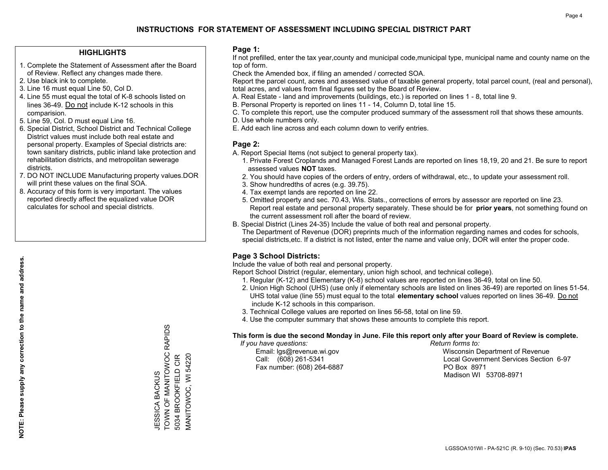#### **HIGHLIGHTS**

- 1. Complete the Statement of Assessment after the Board of Review. Reflect any changes made there.
- 2. Use black ink to complete.
- 3. Line 16 must equal Line 50, Col D.
- 4. Line 55 must equal the total of K-8 schools listed on lines 36-49. Do not include K-12 schools in this comparision.
- 5. Line 59, Col. D must equal Line 16.
- 6. Special District, School District and Technical College District values must include both real estate and personal property. Examples of Special districts are: town sanitary districts, public inland lake protection and rehabilitation districts, and metropolitan sewerage districts.
- 7. DO NOT INCLUDE Manufacturing property values.DOR will print these values on the final SOA.

JESSICA BACKUS

JESSICA BACKUS

TOWN OF MANITOWOC RAPIDS

**TOWN OF MANITOWOC RAPIDS** 

5034 BROOKFIELD CIR MANITOWOC, WI 54220

MANITOWOC, WI 54220 5034 BROOKFIELD CIR

 8. Accuracy of this form is very important. The values reported directly affect the equalized value DOR calculates for school and special districts.

#### **Page 1:**

 If not prefilled, enter the tax year,county and municipal code,municipal type, municipal name and county name on the top of form.

Check the Amended box, if filing an amended / corrected SOA.

 Report the parcel count, acres and assessed value of taxable general property, total parcel count, (real and personal), total acres, and values from final figures set by the Board of Review.

- A. Real Estate land and improvements (buildings, etc.) is reported on lines 1 8, total line 9.
- B. Personal Property is reported on lines 11 14, Column D, total line 15.
- C. To complete this report, use the computer produced summary of the assessment roll that shows these amounts.
- D. Use whole numbers only.
- E. Add each line across and each column down to verify entries.

### **Page 2:**

- A. Report Special Items (not subject to general property tax).
- 1. Private Forest Croplands and Managed Forest Lands are reported on lines 18,19, 20 and 21. Be sure to report assessed values **NOT** taxes.
- 2. You should have copies of the orders of entry, orders of withdrawal, etc., to update your assessment roll.
	- 3. Show hundredths of acres (e.g. 39.75).
- 4. Tax exempt lands are reported on line 22.
- 5. Omitted property and sec. 70.43, Wis. Stats., corrections of errors by assessor are reported on line 23. Report real estate and personal property separately. These should be for **prior years**, not something found on the current assessment roll after the board of review.
- B. Special District (Lines 24-35) Include the value of both real and personal property.
- The Department of Revenue (DOR) preprints much of the information regarding names and codes for schools, special districts,etc. If a district is not listed, enter the name and value only, DOR will enter the proper code.

## **Page 3 School Districts:**

Include the value of both real and personal property.

Report School District (regular, elementary, union high school, and technical college).

- 1. Regular (K-12) and Elementary (K-8) school values are reported on lines 36-49, total on line 50.
- 2. Union High School (UHS) (use only if elementary schools are listed on lines 36-49) are reported on lines 51-54. UHS total value (line 55) must equal to the total **elementary school** values reported on lines 36-49. Do notinclude K-12 schools in this comparison.
- 3. Technical College values are reported on lines 56-58, total on line 59.
- 4. Use the computer summary that shows these amounts to complete this report.

#### **This form is due the second Monday in June. File this report only after your Board of Review is complete.**

 *If you have questions: Return forms to:*

Fax number: (608) 264-6887 PO Box 8971

 Email: lgs@revenue.wi.gov Wisconsin Department of Revenue Call: (608) 261-5341 Local Government Services Section 6-97Madison WI 53708-8971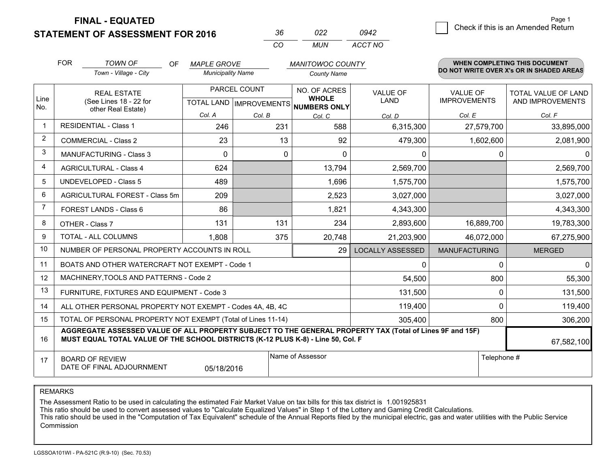**STATEMENT OF ASSESSMENT FOR 2016** 

|          | פפח   | 0942    |
|----------|-------|---------|
| $\cdots$ | MI IN | ACCT NO |

|                | <b>FOR</b>                                                                                                                                                                                   | <b>TOWN OF</b><br>OF<br><b>MAPLE GROVE</b><br><b>MANITOWOC COUNTY</b>                                |                                                      | <b>WHEN COMPLETING THIS DOCUMENT</b> |                              |                         |                                        |                                                |
|----------------|----------------------------------------------------------------------------------------------------------------------------------------------------------------------------------------------|------------------------------------------------------------------------------------------------------|------------------------------------------------------|--------------------------------------|------------------------------|-------------------------|----------------------------------------|------------------------------------------------|
|                |                                                                                                                                                                                              | Town - Village - City                                                                                | <b>Municipality Name</b>                             |                                      | <b>County Name</b>           |                         |                                        | DO NOT WRITE OVER X's OR IN SHADED AREAS       |
| Line           | <b>REAL ESTATE</b><br>(See Lines 18 - 22 for<br>other Real Estate)                                                                                                                           |                                                                                                      | PARCEL COUNT<br>TOTAL LAND IMPROVEMENTS NUMBERS ONLY |                                      | NO. OF ACRES<br><b>WHOLE</b> | <b>VALUE OF</b><br>LAND | <b>VALUE OF</b><br><b>IMPROVEMENTS</b> | <b>TOTAL VALUE OF LAND</b><br>AND IMPROVEMENTS |
| No.            |                                                                                                                                                                                              |                                                                                                      | Col. A                                               | Col. B                               | Col. C                       | Col. D                  | Col. E                                 | Col. F                                         |
| -1             |                                                                                                                                                                                              | <b>RESIDENTIAL - Class 1</b>                                                                         | 246                                                  | 231                                  | 588                          | 6,315,300               | 27,579,700                             | 33,895,000                                     |
| $\overline{2}$ |                                                                                                                                                                                              | <b>COMMERCIAL - Class 2</b>                                                                          | 23                                                   | 13                                   | 92                           | 479,300                 | 1,602,600                              | 2,081,900                                      |
| 3              |                                                                                                                                                                                              | <b>MANUFACTURING - Class 3</b>                                                                       | $\Omega$                                             | $\Omega$                             | $\Omega$                     | 0                       | $\mathbf{0}$                           | $\overline{0}$                                 |
| 4              |                                                                                                                                                                                              | <b>AGRICULTURAL - Class 4</b>                                                                        | 624                                                  |                                      | 13,794                       | 2,569,700               |                                        | 2,569,700                                      |
| 5              |                                                                                                                                                                                              | <b>UNDEVELOPED - Class 5</b>                                                                         | 489                                                  |                                      | 1,696                        | 1,575,700               |                                        | 1,575,700                                      |
| 6              |                                                                                                                                                                                              | AGRICULTURAL FOREST - Class 5m                                                                       | 209                                                  |                                      | 2,523                        | 3,027,000               |                                        | 3,027,000                                      |
| 7              |                                                                                                                                                                                              | FOREST LANDS - Class 6                                                                               | 86                                                   |                                      | 1,821                        | 4,343,300               |                                        | 4,343,300                                      |
| 8              |                                                                                                                                                                                              | OTHER - Class 7                                                                                      | 131                                                  | 131                                  | 234                          | 2,893,600               | 16,889,700                             | 19,783,300                                     |
| 9              |                                                                                                                                                                                              | TOTAL - ALL COLUMNS                                                                                  | 1,808                                                | 375                                  | 20,748                       | 21,203,900              | 46,072,000                             | 67,275,900                                     |
| 10             |                                                                                                                                                                                              | NUMBER OF PERSONAL PROPERTY ACCOUNTS IN ROLL                                                         |                                                      |                                      | 29                           | <b>LOCALLY ASSESSED</b> | <b>MANUFACTURING</b>                   | <b>MERGED</b>                                  |
| 11             |                                                                                                                                                                                              | BOATS AND OTHER WATERCRAFT NOT EXEMPT - Code 1                                                       |                                                      |                                      |                              | 0                       | 0                                      | $\overline{0}$                                 |
| 12             |                                                                                                                                                                                              | MACHINERY, TOOLS AND PATTERNS - Code 2                                                               |                                                      |                                      |                              | 54,500                  | 800                                    | 55,300                                         |
| 13             |                                                                                                                                                                                              | FURNITURE, FIXTURES AND EQUIPMENT - Code 3                                                           |                                                      |                                      |                              | 131,500                 | 0                                      | 131,500                                        |
| 14             |                                                                                                                                                                                              | ALL OTHER PERSONAL PROPERTY NOT EXEMPT - Codes 4A, 4B, 4C                                            |                                                      |                                      |                              | 119,400                 | $\Omega$                               | 119,400                                        |
| 15             | TOTAL OF PERSONAL PROPERTY NOT EXEMPT (Total of Lines 11-14)<br>305,400<br>800                                                                                                               |                                                                                                      |                                                      |                                      |                              |                         |                                        | 306,200                                        |
| 16             | AGGREGATE ASSESSED VALUE OF ALL PROPERTY SUBJECT TO THE GENERAL PROPERTY TAX (Total of Lines 9F and 15F)<br>MUST EQUAL TOTAL VALUE OF THE SCHOOL DISTRICTS (K-12 PLUS K-8) - Line 50, Col. F |                                                                                                      |                                                      |                                      |                              |                         | 67,582,100                             |                                                |
| 17             |                                                                                                                                                                                              | Name of Assessor<br>Telephone #<br><b>BOARD OF REVIEW</b><br>DATE OF FINAL ADJOURNMENT<br>05/18/2016 |                                                      |                                      |                              |                         |                                        |                                                |

REMARKS

The Assessment Ratio to be used in calculating the estimated Fair Market Value on tax bills for this tax district is 1.001925831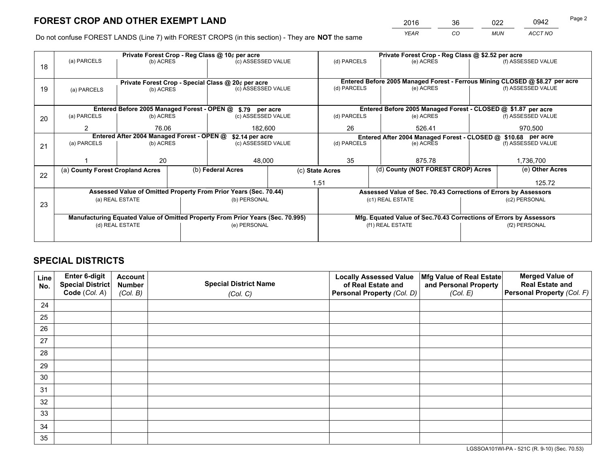*YEAR CO MUN ACCT NO* <sup>2016</sup> <sup>36</sup> <sup>022</sup> <sup>0942</sup> Page 2

Do not confuse FOREST LANDS (Line 7) with FOREST CROPS (in this section) - They are **NOT** the same

|    |                                                                                |                                            |  | Private Forest Crop - Reg Class @ 10¢ per acre                   |  | Private Forest Crop - Reg Class @ \$2.52 per acre                                         |  |                                                                 |                                                                    |                                                                              |
|----|--------------------------------------------------------------------------------|--------------------------------------------|--|------------------------------------------------------------------|--|-------------------------------------------------------------------------------------------|--|-----------------------------------------------------------------|--------------------------------------------------------------------|------------------------------------------------------------------------------|
| 18 | (a) PARCELS                                                                    | (b) ACRES                                  |  | (c) ASSESSED VALUE                                               |  | (d) PARCELS                                                                               |  | (e) ACRES                                                       |                                                                    | (f) ASSESSED VALUE                                                           |
|    |                                                                                |                                            |  |                                                                  |  |                                                                                           |  |                                                                 |                                                                    |                                                                              |
|    |                                                                                |                                            |  | Private Forest Crop - Special Class @ 20¢ per acre               |  |                                                                                           |  |                                                                 |                                                                    | Entered Before 2005 Managed Forest - Ferrous Mining CLOSED @ \$8.27 per acre |
| 19 | (a) PARCELS                                                                    | (b) ACRES                                  |  | (c) ASSESSED VALUE                                               |  | (d) PARCELS                                                                               |  | (e) ACRES                                                       |                                                                    | (f) ASSESSED VALUE                                                           |
|    |                                                                                |                                            |  |                                                                  |  |                                                                                           |  |                                                                 |                                                                    |                                                                              |
|    |                                                                                |                                            |  | Entered Before 2005 Managed Forest - OPEN @ \$.79 per acre       |  |                                                                                           |  | Entered Before 2005 Managed Forest - CLOSED @ \$1.87 per acre   |                                                                    |                                                                              |
| 20 | (a) PARCELS                                                                    | (b) ACRES                                  |  | (c) ASSESSED VALUE                                               |  | (d) PARCELS                                                                               |  | (e) ACRES                                                       |                                                                    | (f) ASSESSED VALUE                                                           |
|    | $\mathcal{P}$                                                                  | 76.06                                      |  | 182,600                                                          |  | 26                                                                                        |  | 526.41                                                          |                                                                    | 970,500                                                                      |
|    |                                                                                | Entered After 2004 Managed Forest - OPEN @ |  |                                                                  |  |                                                                                           |  |                                                                 |                                                                    |                                                                              |
|    | (a) PARCELS                                                                    | (b) ACRES                                  |  | \$2.14 per acre<br>(c) ASSESSED VALUE                            |  | Entered After 2004 Managed Forest - CLOSED @ \$10.68 per acre<br>(d) PARCELS<br>(e) ACRES |  | (f) ASSESSED VALUE                                              |                                                                    |                                                                              |
| 21 |                                                                                |                                            |  |                                                                  |  |                                                                                           |  |                                                                 |                                                                    |                                                                              |
|    |                                                                                |                                            |  |                                                                  |  |                                                                                           |  |                                                                 |                                                                    |                                                                              |
|    |                                                                                | 20                                         |  | 48,000                                                           |  | 35                                                                                        |  | 875.78                                                          |                                                                    | 1,736,700                                                                    |
|    | (a) County Forest Cropland Acres                                               |                                            |  | (b) Federal Acres                                                |  | (c) State Acres                                                                           |  | (d) County (NOT FOREST CROP) Acres                              |                                                                    | (e) Other Acres                                                              |
| 22 |                                                                                |                                            |  |                                                                  |  | 1.51                                                                                      |  |                                                                 |                                                                    | 125.72                                                                       |
|    |                                                                                |                                            |  | Assessed Value of Omitted Property From Prior Years (Sec. 70.44) |  |                                                                                           |  | Assessed Value of Sec. 70.43 Corrections of Errors by Assessors |                                                                    |                                                                              |
|    |                                                                                | (a) REAL ESTATE                            |  | (b) PERSONAL                                                     |  |                                                                                           |  | (c1) REAL ESTATE                                                |                                                                    | (c2) PERSONAL                                                                |
| 23 |                                                                                |                                            |  |                                                                  |  |                                                                                           |  |                                                                 |                                                                    |                                                                              |
|    | Manufacturing Equated Value of Omitted Property From Prior Years (Sec. 70.995) |                                            |  |                                                                  |  |                                                                                           |  |                                                                 |                                                                    |                                                                              |
|    |                                                                                |                                            |  |                                                                  |  |                                                                                           |  |                                                                 | Mfg. Equated Value of Sec.70.43 Corrections of Errors by Assessors |                                                                              |
|    |                                                                                | (d) REAL ESTATE                            |  | (e) PERSONAL                                                     |  |                                                                                           |  | (f1) REAL ESTATE                                                |                                                                    | (f2) PERSONAL                                                                |
|    |                                                                                |                                            |  |                                                                  |  |                                                                                           |  |                                                                 |                                                                    |                                                                              |

## **SPECIAL DISTRICTS**

| Line<br>No. | Enter 6-digit<br><b>Special District</b> | <b>Account</b><br><b>Number</b> | <b>Special District Name</b> | <b>Locally Assessed Value</b><br>of Real Estate and | Mfg Value of Real Estate<br>and Personal Property | <b>Merged Value of</b><br><b>Real Estate and</b> |
|-------------|------------------------------------------|---------------------------------|------------------------------|-----------------------------------------------------|---------------------------------------------------|--------------------------------------------------|
|             | Code (Col. A)                            | (Col. B)                        | (Col. C)                     | Personal Property (Col. D)                          | (Col. E)                                          | Personal Property (Col. F)                       |
| 24          |                                          |                                 |                              |                                                     |                                                   |                                                  |
| 25          |                                          |                                 |                              |                                                     |                                                   |                                                  |
| 26          |                                          |                                 |                              |                                                     |                                                   |                                                  |
| 27          |                                          |                                 |                              |                                                     |                                                   |                                                  |
| 28          |                                          |                                 |                              |                                                     |                                                   |                                                  |
| 29          |                                          |                                 |                              |                                                     |                                                   |                                                  |
| 30          |                                          |                                 |                              |                                                     |                                                   |                                                  |
| 31          |                                          |                                 |                              |                                                     |                                                   |                                                  |
| 32          |                                          |                                 |                              |                                                     |                                                   |                                                  |
| 33          |                                          |                                 |                              |                                                     |                                                   |                                                  |
| 34          |                                          |                                 |                              |                                                     |                                                   |                                                  |
| 35          |                                          |                                 |                              |                                                     |                                                   |                                                  |

LGSSOA101WI-PA - 521C (R. 9-10) (Sec. 70.53)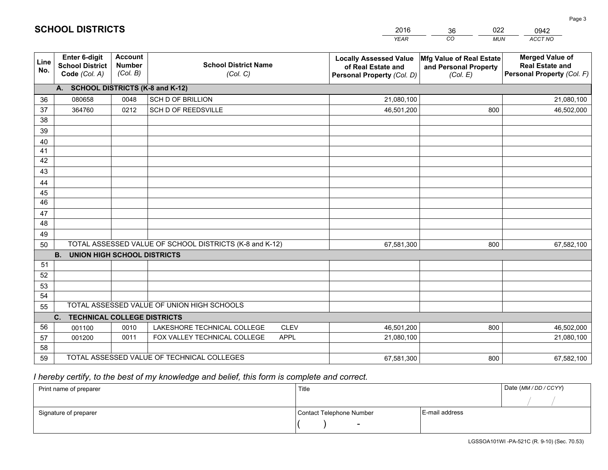|             |                                                                 |                                             |                                                         | <b>YEAR</b>                                                                       | CO<br><b>MUN</b>                                              | ACCT NO                                                                        |
|-------------|-----------------------------------------------------------------|---------------------------------------------|---------------------------------------------------------|-----------------------------------------------------------------------------------|---------------------------------------------------------------|--------------------------------------------------------------------------------|
| Line<br>No. | <b>Enter 6-digit</b><br><b>School District</b><br>Code (Col. A) | <b>Account</b><br><b>Number</b><br>(Col. B) | <b>School District Name</b><br>(Col. C)                 | <b>Locally Assessed Value</b><br>of Real Estate and<br>Personal Property (Col. D) | Mfg Value of Real Estate<br>and Personal Property<br>(Col. E) | <b>Merged Value of</b><br><b>Real Estate and</b><br>Personal Property (Col. F) |
|             | A. SCHOOL DISTRICTS (K-8 and K-12)                              |                                             |                                                         |                                                                                   |                                                               |                                                                                |
| 36          | 080658                                                          | 0048                                        | <b>SCH D OF BRILLION</b>                                | 21,080,100                                                                        |                                                               | 21,080,100                                                                     |
| 37          | 364760                                                          | 0212                                        | SCH D OF REEDSVILLE                                     | 46,501,200                                                                        | 800                                                           | 46,502,000                                                                     |
| 38          |                                                                 |                                             |                                                         |                                                                                   |                                                               |                                                                                |
| 39          |                                                                 |                                             |                                                         |                                                                                   |                                                               |                                                                                |
| 40          |                                                                 |                                             |                                                         |                                                                                   |                                                               |                                                                                |
| 41          |                                                                 |                                             |                                                         |                                                                                   |                                                               |                                                                                |
| 42          |                                                                 |                                             |                                                         |                                                                                   |                                                               |                                                                                |
| 43          |                                                                 |                                             |                                                         |                                                                                   |                                                               |                                                                                |
| 44          |                                                                 |                                             |                                                         |                                                                                   |                                                               |                                                                                |
| 45          |                                                                 |                                             |                                                         |                                                                                   |                                                               |                                                                                |
| 46          |                                                                 |                                             |                                                         |                                                                                   |                                                               |                                                                                |
| 47          |                                                                 |                                             |                                                         |                                                                                   |                                                               |                                                                                |
| 48          |                                                                 |                                             |                                                         |                                                                                   |                                                               |                                                                                |
| 49          |                                                                 |                                             |                                                         |                                                                                   |                                                               |                                                                                |
| 50          |                                                                 |                                             | TOTAL ASSESSED VALUE OF SCHOOL DISTRICTS (K-8 and K-12) | 67,581,300                                                                        | 800                                                           | 67,582,100                                                                     |
|             | <b>B.</b><br><b>UNION HIGH SCHOOL DISTRICTS</b>                 |                                             |                                                         |                                                                                   |                                                               |                                                                                |
| 51          |                                                                 |                                             |                                                         |                                                                                   |                                                               |                                                                                |
| 52          |                                                                 |                                             |                                                         |                                                                                   |                                                               |                                                                                |
| 53          |                                                                 |                                             |                                                         |                                                                                   |                                                               |                                                                                |
| 54          |                                                                 |                                             | TOTAL ASSESSED VALUE OF UNION HIGH SCHOOLS              |                                                                                   |                                                               |                                                                                |
| 55          |                                                                 |                                             |                                                         |                                                                                   |                                                               |                                                                                |
| 56          | C.<br><b>TECHNICAL COLLEGE DISTRICTS</b>                        |                                             | LAKESHORE TECHNICAL COLLEGE<br><b>CLEV</b>              |                                                                                   |                                                               |                                                                                |
| 57          | 001100<br>001200                                                | 0010<br>0011                                | FOX VALLEY TECHNICAL COLLEGE<br><b>APPL</b>             | 46,501,200<br>21,080,100                                                          | 800                                                           | 46,502,000<br>21,080,100                                                       |
| 58          |                                                                 |                                             |                                                         |                                                                                   |                                                               |                                                                                |
| 59          |                                                                 |                                             | TOTAL ASSESSED VALUE OF TECHNICAL COLLEGES              | 67,581,300                                                                        | 800                                                           | 67,582,100                                                                     |
|             |                                                                 |                                             |                                                         |                                                                                   |                                                               |                                                                                |

36

022

 *I hereby certify, to the best of my knowledge and belief, this form is complete and correct.*

**SCHOOL DISTRICTS**

| Print name of preparer | Title                    |                | Date (MM/DD/CCYY) |
|------------------------|--------------------------|----------------|-------------------|
|                        |                          |                |                   |
| Signature of preparer  | Contact Telephone Number | E-mail address |                   |
|                        | $\overline{\phantom{a}}$ |                |                   |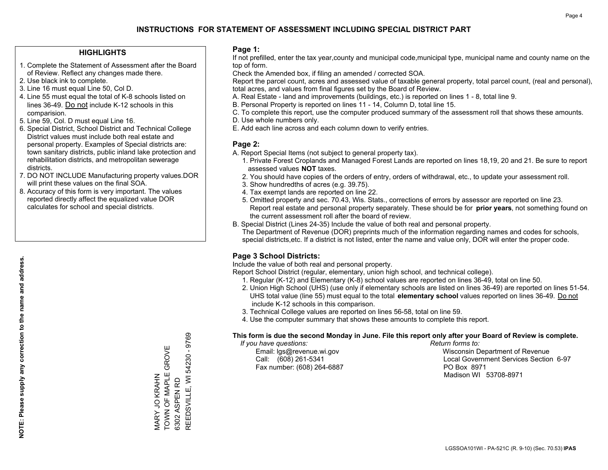#### **HIGHLIGHTS**

- 1. Complete the Statement of Assessment after the Board of Review. Reflect any changes made there.
- 2. Use black ink to complete.
- 3. Line 16 must equal Line 50, Col D.
- 4. Line 55 must equal the total of K-8 schools listed on lines 36-49. Do not include K-12 schools in this comparision.
- 5. Line 59, Col. D must equal Line 16.
- 6. Special District, School District and Technical College District values must include both real estate and personal property. Examples of Special districts are: town sanitary districts, public inland lake protection and rehabilitation districts, and metropolitan sewerage districts.
- 7. DO NOT INCLUDE Manufacturing property values.DOR will print these values on the final SOA.

MARY JO KRAHN

TOWN OF MAPLE GROVE

MARY JO KRAHN<br>TOWN OF MAPLE GROVE

6302 ASPEN RD

REEDSVILLE, WI 54230 - 9769

REEDSVILLE, WI 6302 ASPEN RD

54230 - 9769

 8. Accuracy of this form is very important. The values reported directly affect the equalized value DOR calculates for school and special districts.

#### **Page 1:**

 If not prefilled, enter the tax year,county and municipal code,municipal type, municipal name and county name on the top of form.

Check the Amended box, if filing an amended / corrected SOA.

 Report the parcel count, acres and assessed value of taxable general property, total parcel count, (real and personal), total acres, and values from final figures set by the Board of Review.

- A. Real Estate land and improvements (buildings, etc.) is reported on lines 1 8, total line 9.
- B. Personal Property is reported on lines 11 14, Column D, total line 15.
- C. To complete this report, use the computer produced summary of the assessment roll that shows these amounts.
- D. Use whole numbers only.
- E. Add each line across and each column down to verify entries.

#### **Page 2:**

- A. Report Special Items (not subject to general property tax).
- 1. Private Forest Croplands and Managed Forest Lands are reported on lines 18,19, 20 and 21. Be sure to report assessed values **NOT** taxes.
- 2. You should have copies of the orders of entry, orders of withdrawal, etc., to update your assessment roll.
	- 3. Show hundredths of acres (e.g. 39.75).
- 4. Tax exempt lands are reported on line 22.
- 5. Omitted property and sec. 70.43, Wis. Stats., corrections of errors by assessor are reported on line 23. Report real estate and personal property separately. These should be for **prior years**, not something found on the current assessment roll after the board of review.
- B. Special District (Lines 24-35) Include the value of both real and personal property.
- The Department of Revenue (DOR) preprints much of the information regarding names and codes for schools, special districts,etc. If a district is not listed, enter the name and value only, DOR will enter the proper code.

## **Page 3 School Districts:**

Include the value of both real and personal property.

Report School District (regular, elementary, union high school, and technical college).

- 1. Regular (K-12) and Elementary (K-8) school values are reported on lines 36-49, total on line 50.
- 2. Union High School (UHS) (use only if elementary schools are listed on lines 36-49) are reported on lines 51-54. UHS total value (line 55) must equal to the total **elementary school** values reported on lines 36-49. Do notinclude K-12 schools in this comparison.
- 3. Technical College values are reported on lines 56-58, total on line 59.
- 4. Use the computer summary that shows these amounts to complete this report.

#### **This form is due the second Monday in June. File this report only after your Board of Review is complete.**

 *If you have questions: Return forms to:*

Fax number: (608) 264-6887 PO Box 8971

 Email: lgs@revenue.wi.gov Wisconsin Department of Revenue Call: (608) 261-5341 Local Government Services Section 6-97Madison WI 53708-8971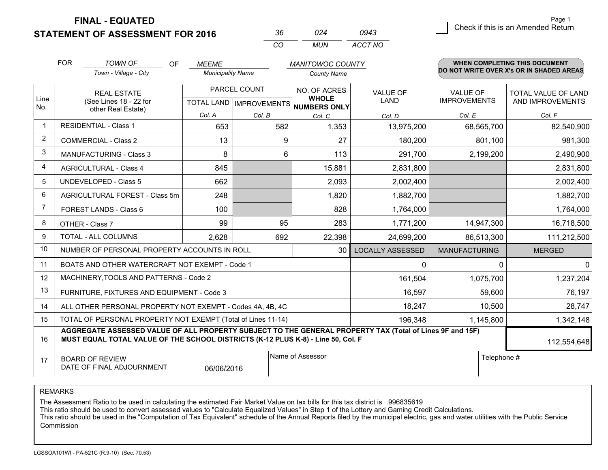**STATEMENT OF ASSESSMENT FOR 2016** 

| -36 | በ24  | 0943    |
|-----|------|---------|
| CO. | MUN. | ACCT NO |

|      | <b>FOR</b>                                                                                                                                                                                   | <b>TOWN OF</b><br><b>OF</b>                                  | <b>MEEME</b>             |                                           | <b>MANITOWOC COUNTY</b>      |                                |                                        | WHEN COMPLETING THIS DOCUMENT                  |
|------|----------------------------------------------------------------------------------------------------------------------------------------------------------------------------------------------|--------------------------------------------------------------|--------------------------|-------------------------------------------|------------------------------|--------------------------------|----------------------------------------|------------------------------------------------|
|      |                                                                                                                                                                                              | Town - Village - City                                        | <b>Municipality Name</b> |                                           | <b>County Name</b>           |                                |                                        | DO NOT WRITE OVER X's OR IN SHADED AREAS       |
| Line |                                                                                                                                                                                              | <b>REAL ESTATE</b><br>(See Lines 18 - 22 for                 |                          | PARCEL COUNT<br>TOTAL LAND   IMPROVEMENTS | NO. OF ACRES<br><b>WHOLE</b> | <b>VALUE OF</b><br><b>LAND</b> | <b>VALUE OF</b><br><b>IMPROVEMENTS</b> | <b>TOTAL VALUE OF LAND</b><br>AND IMPROVEMENTS |
| No.  |                                                                                                                                                                                              | other Real Estate)                                           | Col. A                   | Col. B                                    | NUMBERS ONLY<br>Col. C       | Col. D                         | Col. E                                 | Col. F                                         |
|      |                                                                                                                                                                                              | <b>RESIDENTIAL - Class 1</b>                                 | 653                      | 582                                       | 1,353                        | 13,975,200                     | 68,565,700                             | 82,540,900                                     |
| 2    |                                                                                                                                                                                              | <b>COMMERCIAL - Class 2</b>                                  | 13                       | 9                                         | 27                           | 180,200                        | 801,100                                | 981,300                                        |
| 3    |                                                                                                                                                                                              | <b>MANUFACTURING - Class 3</b>                               | 8                        | 6                                         | 113                          | 291,700                        | 2,199,200                              | 2,490,900                                      |
| 4    |                                                                                                                                                                                              | <b>AGRICULTURAL - Class 4</b>                                | 845                      |                                           | 15,881                       | 2,831,800                      |                                        | 2,831,800                                      |
| 5    |                                                                                                                                                                                              | <b>UNDEVELOPED - Class 5</b>                                 | 662                      |                                           | 2,093                        | 2,002,400                      |                                        | 2,002,400                                      |
| 6    |                                                                                                                                                                                              | AGRICULTURAL FOREST - Class 5m                               | 248                      |                                           | 1,820                        | 1,882,700                      |                                        | 1,882,700                                      |
| 7    |                                                                                                                                                                                              | FOREST LANDS - Class 6                                       | 100                      |                                           | 828                          | 1,764,000                      |                                        | 1,764,000                                      |
| 8    |                                                                                                                                                                                              | OTHER - Class 7                                              | 99                       | 95                                        | 283                          | 1,771,200                      | 14,947,300                             | 16,718,500                                     |
| 9    |                                                                                                                                                                                              | TOTAL - ALL COLUMNS                                          | 2,628                    | 692                                       | 22,398                       | 24,699,200                     | 86,513,300                             | 111,212,500                                    |
| 10   |                                                                                                                                                                                              | NUMBER OF PERSONAL PROPERTY ACCOUNTS IN ROLL                 |                          |                                           | 30                           | <b>LOCALLY ASSESSED</b>        | <b>MANUFACTURING</b>                   | <b>MERGED</b>                                  |
| 11   |                                                                                                                                                                                              | BOATS AND OTHER WATERCRAFT NOT EXEMPT - Code 1               |                          |                                           |                              | 0                              | 0                                      | $\mathbf{0}$                                   |
| 12   |                                                                                                                                                                                              | MACHINERY, TOOLS AND PATTERNS - Code 2                       |                          |                                           |                              | 161,504                        | 1,075,700                              | 1,237,204                                      |
| 13   |                                                                                                                                                                                              | FURNITURE, FIXTURES AND EQUIPMENT - Code 3                   |                          |                                           |                              | 16,597                         | 59,600                                 | 76,197                                         |
| 14   |                                                                                                                                                                                              | ALL OTHER PERSONAL PROPERTY NOT EXEMPT - Codes 4A, 4B, 4C    |                          |                                           |                              | 18,247                         | 10,500                                 | 28,747                                         |
| 15   |                                                                                                                                                                                              | TOTAL OF PERSONAL PROPERTY NOT EXEMPT (Total of Lines 11-14) |                          | 196,348                                   | 1,145,800                    | 1,342,148                      |                                        |                                                |
| 16   | AGGREGATE ASSESSED VALUE OF ALL PROPERTY SUBJECT TO THE GENERAL PROPERTY TAX (Total of Lines 9F and 15F)<br>MUST EQUAL TOTAL VALUE OF THE SCHOOL DISTRICTS (K-12 PLUS K-8) - Line 50, Col. F |                                                              |                          |                                           |                              |                                |                                        | 112,554,648                                    |
| 17   | Name of Assessor<br>Telephone #<br><b>BOARD OF REVIEW</b><br>DATE OF FINAL ADJOURNMENT<br>06/06/2016                                                                                         |                                                              |                          |                                           |                              |                                |                                        |                                                |

REMARKS

The Assessment Ratio to be used in calculating the estimated Fair Market Value on tax bills for this tax district is .996835619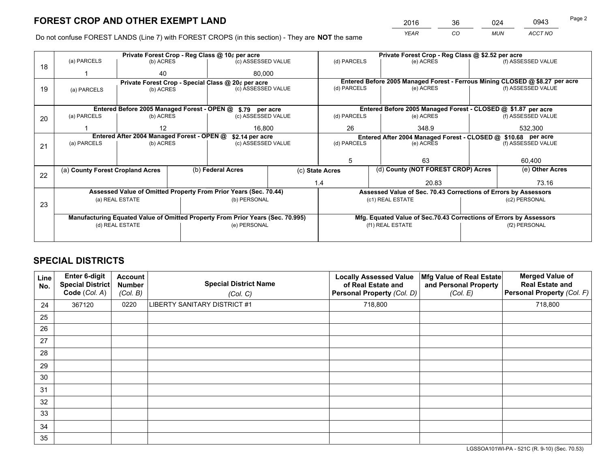*YEAR CO MUN ACCT NO* <sup>2016</sup> <sup>36</sup> <sup>024</sup> <sup>0943</sup>

Do not confuse FOREST LANDS (Line 7) with FOREST CROPS (in this section) - They are **NOT** the same

|    |                                                                                |                                            |                    | Private Forest Crop - Reg Class @ 10¢ per acre                   |  | Private Forest Crop - Reg Class @ \$2.52 per acre |                                                                              |               |                    |  |
|----|--------------------------------------------------------------------------------|--------------------------------------------|--------------------|------------------------------------------------------------------|--|---------------------------------------------------|------------------------------------------------------------------------------|---------------|--------------------|--|
| 18 | (a) PARCELS                                                                    | (b) ACRES                                  |                    | (c) ASSESSED VALUE                                               |  | (d) PARCELS                                       | (e) ACRES                                                                    |               | (f) ASSESSED VALUE |  |
|    |                                                                                | 40                                         |                    | 80.000                                                           |  |                                                   |                                                                              |               |                    |  |
|    |                                                                                |                                            |                    | Private Forest Crop - Special Class @ 20¢ per acre               |  |                                                   | Entered Before 2005 Managed Forest - Ferrous Mining CLOSED @ \$8.27 per acre |               |                    |  |
| 19 | (a) PARCELS                                                                    | (b) ACRES                                  | (c) ASSESSED VALUE |                                                                  |  | (d) PARCELS                                       | (e) ACRES                                                                    |               | (f) ASSESSED VALUE |  |
|    |                                                                                |                                            |                    |                                                                  |  |                                                   |                                                                              |               |                    |  |
|    |                                                                                |                                            |                    | Entered Before 2005 Managed Forest - OPEN @ \$.79 per acre       |  |                                                   | Entered Before 2005 Managed Forest - CLOSED @ \$1.87 per acre                |               |                    |  |
| 20 | (a) PARCELS                                                                    | (b) ACRES                                  |                    | (c) ASSESSED VALUE                                               |  | (d) PARCELS                                       | (e) ACRES                                                                    |               | (f) ASSESSED VALUE |  |
|    |                                                                                | 12                                         |                    | 16.800                                                           |  | 26                                                | 348.9                                                                        |               | 532,300            |  |
|    |                                                                                | Entered After 2004 Managed Forest - OPEN @ | \$2.14 per acre    | Entered After 2004 Managed Forest - CLOSED @ \$10.68 per acre    |  |                                                   |                                                                              |               |                    |  |
| 21 | (a) PARCELS                                                                    | (b) ACRES                                  |                    | (c) ASSESSED VALUE                                               |  | (d) PARCELS                                       | (e) ACRES                                                                    |               | (f) ASSESSED VALUE |  |
|    |                                                                                |                                            |                    |                                                                  |  |                                                   |                                                                              |               |                    |  |
|    |                                                                                |                                            |                    |                                                                  |  |                                                   | 63                                                                           |               | 60,400             |  |
| 22 | (a) County Forest Cropland Acres                                               |                                            |                    | (b) Federal Acres                                                |  | (c) State Acres                                   | (d) County (NOT FOREST CROP) Acres                                           |               | (e) Other Acres    |  |
|    |                                                                                |                                            |                    |                                                                  |  | 1.4                                               | 20.83                                                                        |               | 73.16              |  |
|    |                                                                                |                                            |                    | Assessed Value of Omitted Property From Prior Years (Sec. 70.44) |  |                                                   | Assessed Value of Sec. 70.43 Corrections of Errors by Assessors              |               |                    |  |
| 23 |                                                                                | (a) REAL ESTATE                            |                    | (b) PERSONAL                                                     |  |                                                   | (c1) REAL ESTATE                                                             |               | (c2) PERSONAL      |  |
|    |                                                                                |                                            |                    |                                                                  |  |                                                   |                                                                              |               |                    |  |
|    | Manufacturing Equated Value of Omitted Property From Prior Years (Sec. 70.995) |                                            |                    |                                                                  |  |                                                   | Mfg. Equated Value of Sec.70.43 Corrections of Errors by Assessors           |               |                    |  |
|    | (e) PERSONAL<br>(d) REAL ESTATE                                                |                                            |                    |                                                                  |  | (f1) REAL ESTATE                                  |                                                                              | (f2) PERSONAL |                    |  |
|    |                                                                                |                                            |                    |                                                                  |  |                                                   |                                                                              |               |                    |  |

## **SPECIAL DISTRICTS**

| Line<br>No. | <b>Enter 6-digit</b><br><b>Special District</b><br>Code (Col. A) | <b>Account</b><br>Number<br>(Col. B) | <b>Special District Name</b><br>(Col. C) | <b>Locally Assessed Value</b><br>of Real Estate and<br>Personal Property (Col. D) | Mfg Value of Real Estate<br>and Personal Property<br>(Col. E) | <b>Merged Value of</b><br><b>Real Estate and</b><br>Personal Property (Col. F) |
|-------------|------------------------------------------------------------------|--------------------------------------|------------------------------------------|-----------------------------------------------------------------------------------|---------------------------------------------------------------|--------------------------------------------------------------------------------|
| 24          | 367120                                                           | 0220                                 | LIBERTY SANITARY DISTRICT #1             | 718,800                                                                           |                                                               | 718,800                                                                        |
| 25          |                                                                  |                                      |                                          |                                                                                   |                                                               |                                                                                |
| 26          |                                                                  |                                      |                                          |                                                                                   |                                                               |                                                                                |
| 27          |                                                                  |                                      |                                          |                                                                                   |                                                               |                                                                                |
| 28          |                                                                  |                                      |                                          |                                                                                   |                                                               |                                                                                |
| 29          |                                                                  |                                      |                                          |                                                                                   |                                                               |                                                                                |
| 30          |                                                                  |                                      |                                          |                                                                                   |                                                               |                                                                                |
| 31          |                                                                  |                                      |                                          |                                                                                   |                                                               |                                                                                |
| 32          |                                                                  |                                      |                                          |                                                                                   |                                                               |                                                                                |
| 33          |                                                                  |                                      |                                          |                                                                                   |                                                               |                                                                                |
| 34          |                                                                  |                                      |                                          |                                                                                   |                                                               |                                                                                |
| 35          |                                                                  |                                      |                                          |                                                                                   |                                                               |                                                                                |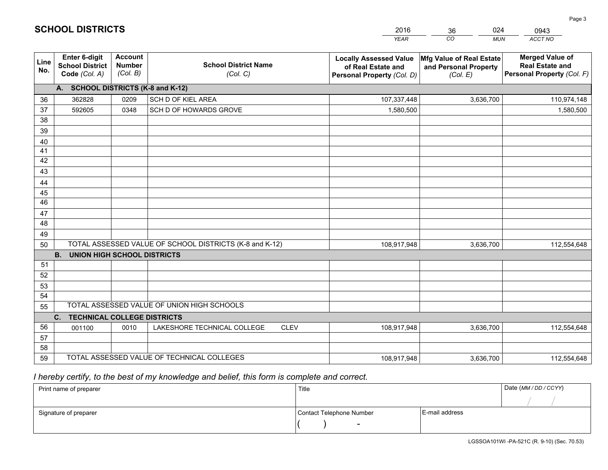|                       |                                                                 |                                             |                                                         | <b>YEAR</b>                                                                       | CO<br><b>MUN</b>                                              | ACCT NO                                                                        |
|-----------------------|-----------------------------------------------------------------|---------------------------------------------|---------------------------------------------------------|-----------------------------------------------------------------------------------|---------------------------------------------------------------|--------------------------------------------------------------------------------|
| Line<br>No.           | <b>Enter 6-digit</b><br><b>School District</b><br>Code (Col. A) | <b>Account</b><br><b>Number</b><br>(Col. B) | <b>School District Name</b><br>(Col. C)                 | <b>Locally Assessed Value</b><br>of Real Estate and<br>Personal Property (Col. D) | Mfg Value of Real Estate<br>and Personal Property<br>(Col. E) | <b>Merged Value of</b><br><b>Real Estate and</b><br>Personal Property (Col. F) |
|                       | A. SCHOOL DISTRICTS (K-8 and K-12)                              |                                             |                                                         |                                                                                   |                                                               |                                                                                |
| 36                    | 362828                                                          | 0209                                        | SCH D OF KIEL AREA                                      | 107,337,448                                                                       | 3,636,700                                                     | 110,974,148                                                                    |
| 37                    | 592605                                                          | 0348                                        | SCH D OF HOWARDS GROVE                                  | 1,580,500                                                                         |                                                               | 1,580,500                                                                      |
| 38                    |                                                                 |                                             |                                                         |                                                                                   |                                                               |                                                                                |
| 39                    |                                                                 |                                             |                                                         |                                                                                   |                                                               |                                                                                |
| 40                    |                                                                 |                                             |                                                         |                                                                                   |                                                               |                                                                                |
| 41                    |                                                                 |                                             |                                                         |                                                                                   |                                                               |                                                                                |
| 42                    |                                                                 |                                             |                                                         |                                                                                   |                                                               |                                                                                |
| 43                    |                                                                 |                                             |                                                         |                                                                                   |                                                               |                                                                                |
| 44                    |                                                                 |                                             |                                                         |                                                                                   |                                                               |                                                                                |
| 45<br>$\overline{46}$ |                                                                 |                                             |                                                         |                                                                                   |                                                               |                                                                                |
|                       |                                                                 |                                             |                                                         |                                                                                   |                                                               |                                                                                |
| 47<br>48              |                                                                 |                                             |                                                         |                                                                                   |                                                               |                                                                                |
| 49                    |                                                                 |                                             |                                                         |                                                                                   |                                                               |                                                                                |
| 50                    |                                                                 |                                             | TOTAL ASSESSED VALUE OF SCHOOL DISTRICTS (K-8 and K-12) | 108,917,948                                                                       | 3,636,700                                                     | 112,554,648                                                                    |
|                       | <b>B.</b><br><b>UNION HIGH SCHOOL DISTRICTS</b>                 |                                             |                                                         |                                                                                   |                                                               |                                                                                |
| 51                    |                                                                 |                                             |                                                         |                                                                                   |                                                               |                                                                                |
| 52                    |                                                                 |                                             |                                                         |                                                                                   |                                                               |                                                                                |
| 53                    |                                                                 |                                             |                                                         |                                                                                   |                                                               |                                                                                |
| 54                    |                                                                 |                                             |                                                         |                                                                                   |                                                               |                                                                                |
| 55                    |                                                                 |                                             | TOTAL ASSESSED VALUE OF UNION HIGH SCHOOLS              |                                                                                   |                                                               |                                                                                |
|                       | C.<br><b>TECHNICAL COLLEGE DISTRICTS</b>                        |                                             |                                                         |                                                                                   |                                                               |                                                                                |
| 56                    | 001100                                                          | 0010                                        | LAKESHORE TECHNICAL COLLEGE<br><b>CLEV</b>              | 108,917,948                                                                       | 3,636,700                                                     | 112,554,648                                                                    |
| 57                    |                                                                 |                                             |                                                         |                                                                                   |                                                               |                                                                                |
| 58                    |                                                                 |                                             |                                                         |                                                                                   |                                                               |                                                                                |
| 59                    |                                                                 |                                             | TOTAL ASSESSED VALUE OF TECHNICAL COLLEGES              | 108,917,948                                                                       | 3,636,700                                                     | 112,554,648                                                                    |

36

024

 *I hereby certify, to the best of my knowledge and belief, this form is complete and correct.*

**SCHOOL DISTRICTS**

| Print name of preparer | Title                    |                | Date (MM / DD / CCYY) |
|------------------------|--------------------------|----------------|-----------------------|
|                        |                          |                |                       |
| Signature of preparer  | Contact Telephone Number | E-mail address |                       |
|                        | $\overline{\phantom{0}}$ |                |                       |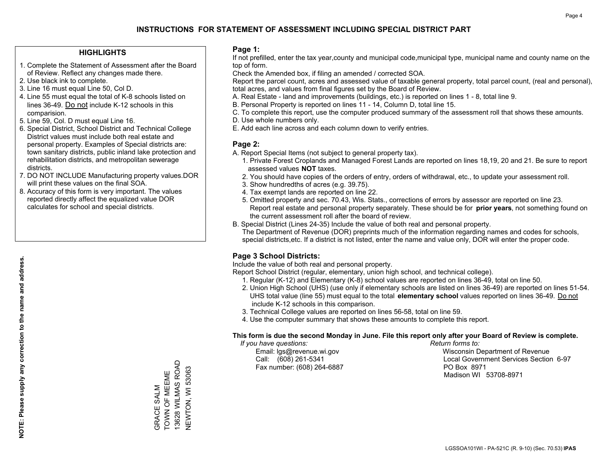#### **HIGHLIGHTS**

- 1. Complete the Statement of Assessment after the Board of Review. Reflect any changes made there.
- 2. Use black ink to complete.
- 3. Line 16 must equal Line 50, Col D.
- 4. Line 55 must equal the total of K-8 schools listed on lines 36-49. Do not include K-12 schools in this comparision.
- 5. Line 59, Col. D must equal Line 16.
- 6. Special District, School District and Technical College District values must include both real estate and personal property. Examples of Special districts are: town sanitary districts, public inland lake protection and rehabilitation districts, and metropolitan sewerage districts.
- 7. DO NOT INCLUDE Manufacturing property values.DOR will print these values on the final SOA.

GRACE SALM TOWN OF MEEME 13628 WILMAS ROAD NEWTON, WI 53063

GRACE SALM<br>TOWN OF MEEME

13628 WILMAS ROAD **NEWTON, WI 53063** 

 8. Accuracy of this form is very important. The values reported directly affect the equalized value DOR calculates for school and special districts.

#### **Page 1:**

 If not prefilled, enter the tax year,county and municipal code,municipal type, municipal name and county name on the top of form.

Check the Amended box, if filing an amended / corrected SOA.

 Report the parcel count, acres and assessed value of taxable general property, total parcel count, (real and personal), total acres, and values from final figures set by the Board of Review.

- A. Real Estate land and improvements (buildings, etc.) is reported on lines 1 8, total line 9.
- B. Personal Property is reported on lines 11 14, Column D, total line 15.
- C. To complete this report, use the computer produced summary of the assessment roll that shows these amounts.
- D. Use whole numbers only.
- E. Add each line across and each column down to verify entries.

#### **Page 2:**

- A. Report Special Items (not subject to general property tax).
- 1. Private Forest Croplands and Managed Forest Lands are reported on lines 18,19, 20 and 21. Be sure to report assessed values **NOT** taxes.
- 2. You should have copies of the orders of entry, orders of withdrawal, etc., to update your assessment roll.
	- 3. Show hundredths of acres (e.g. 39.75).
- 4. Tax exempt lands are reported on line 22.
- 5. Omitted property and sec. 70.43, Wis. Stats., corrections of errors by assessor are reported on line 23. Report real estate and personal property separately. These should be for **prior years**, not something found on the current assessment roll after the board of review.
- B. Special District (Lines 24-35) Include the value of both real and personal property.

 The Department of Revenue (DOR) preprints much of the information regarding names and codes for schools, special districts,etc. If a district is not listed, enter the name and value only, DOR will enter the proper code.

## **Page 3 School Districts:**

Include the value of both real and personal property.

Report School District (regular, elementary, union high school, and technical college).

- 1. Regular (K-12) and Elementary (K-8) school values are reported on lines 36-49, total on line 50.
- 2. Union High School (UHS) (use only if elementary schools are listed on lines 36-49) are reported on lines 51-54. UHS total value (line 55) must equal to the total **elementary school** values reported on lines 36-49. Do notinclude K-12 schools in this comparison.
- 3. Technical College values are reported on lines 56-58, total on line 59.
- 4. Use the computer summary that shows these amounts to complete this report.

#### **This form is due the second Monday in June. File this report only after your Board of Review is complete.**

 *If you have questions: Return forms to:*

Fax number: (608) 264-6887 PO Box 8971

 Email: lgs@revenue.wi.gov Wisconsin Department of Revenue Call: (608) 261-5341 Local Government Services Section 6-97Madison WI 53708-8971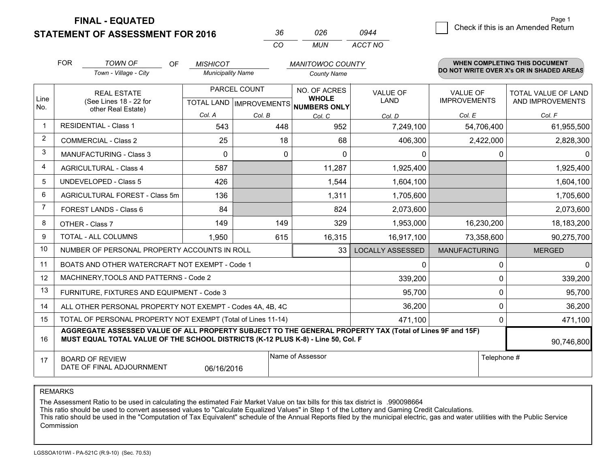**STATEMENT OF ASSESSMENT FOR 2016** 

| Kh | 026 | 0944    |
|----|-----|---------|
| rη | MUN | ACCT NO |

|                | <b>FOR</b>                                                                                                                                                                                   | <b>TOWN OF</b><br><b>OF</b>                               | <b>MISHICOT</b>          |                                                     | <b>MANITOWOC COUNTY</b> |                         |                      | <b>WHEN COMPLETING THIS DOCUMENT</b>     |
|----------------|----------------------------------------------------------------------------------------------------------------------------------------------------------------------------------------------|-----------------------------------------------------------|--------------------------|-----------------------------------------------------|-------------------------|-------------------------|----------------------|------------------------------------------|
|                |                                                                                                                                                                                              | Town - Village - City                                     | <b>Municipality Name</b> |                                                     | <b>County Name</b>      |                         |                      | DO NOT WRITE OVER X's OR IN SHADED AREAS |
|                |                                                                                                                                                                                              | PARCEL COUNT<br><b>REAL ESTATE</b>                        |                          |                                                     | NO. OF ACRES            | <b>VALUE OF</b>         | <b>VALUE OF</b>      | TOTAL VALUE OF LAND                      |
| Line<br>No.    | (See Lines 18 - 22 for<br>other Real Estate)                                                                                                                                                 |                                                           |                          | <b>WHOLE</b><br>TOTAL LAND MPROVEMENTS NUMBERS ONLY | LAND                    | <b>IMPROVEMENTS</b>     | AND IMPROVEMENTS     |                                          |
|                |                                                                                                                                                                                              |                                                           | Col. A                   | Col. B                                              | Col. C                  | Col. D                  | Col. E               | Col. F                                   |
| $\mathbf 1$    |                                                                                                                                                                                              | <b>RESIDENTIAL - Class 1</b>                              | 543                      | 448                                                 | 952                     | 7,249,100               | 54,706,400           | 61,955,500                               |
| $\overline{2}$ |                                                                                                                                                                                              | <b>COMMERCIAL - Class 2</b>                               | 25                       | 18                                                  | 68                      | 406,300                 | 2,422,000            | 2,828,300                                |
| 3              |                                                                                                                                                                                              | <b>MANUFACTURING - Class 3</b>                            | $\Omega$                 | $\mathbf{0}$                                        | $\Omega$                | 0                       | 0                    | $\mathbf{0}$                             |
| 4              |                                                                                                                                                                                              | <b>AGRICULTURAL - Class 4</b>                             | 587                      |                                                     | 11,287                  | 1,925,400               |                      | 1,925,400                                |
| 5              |                                                                                                                                                                                              | <b>UNDEVELOPED - Class 5</b>                              | 426                      |                                                     | 1,544                   | 1,604,100               |                      | 1,604,100                                |
| 6              |                                                                                                                                                                                              | AGRICULTURAL FOREST - Class 5m                            | 136                      |                                                     | 1,311                   | 1,705,600               |                      | 1,705,600                                |
| 7              |                                                                                                                                                                                              | FOREST LANDS - Class 6                                    | 84                       |                                                     | 824                     | 2,073,600               |                      | 2,073,600                                |
| 8              |                                                                                                                                                                                              | OTHER - Class 7                                           | 149                      | 149                                                 | 329                     | 1,953,000               | 16,230,200           | 18,183,200                               |
| 9              |                                                                                                                                                                                              | TOTAL - ALL COLUMNS                                       | 1,950                    | 615                                                 | 16,315                  | 16,917,100              | 73,358,600           | 90,275,700                               |
| 10             |                                                                                                                                                                                              | NUMBER OF PERSONAL PROPERTY ACCOUNTS IN ROLL              |                          |                                                     | 33                      | <b>LOCALLY ASSESSED</b> | <b>MANUFACTURING</b> | <b>MERGED</b>                            |
| 11             |                                                                                                                                                                                              | BOATS AND OTHER WATERCRAFT NOT EXEMPT - Code 1            |                          |                                                     |                         | 0                       | 0                    | $\overline{0}$                           |
| 12             |                                                                                                                                                                                              | MACHINERY, TOOLS AND PATTERNS - Code 2                    |                          |                                                     |                         | 339,200                 | $\Omega$             | 339,200                                  |
| 13             |                                                                                                                                                                                              | FURNITURE, FIXTURES AND EQUIPMENT - Code 3                |                          |                                                     |                         | 95,700                  | 0                    | 95,700                                   |
| 14             |                                                                                                                                                                                              | ALL OTHER PERSONAL PROPERTY NOT EXEMPT - Codes 4A, 4B, 4C |                          |                                                     |                         | 36,200                  | 0                    | 36,200                                   |
| 15             | TOTAL OF PERSONAL PROPERTY NOT EXEMPT (Total of Lines 11-14)<br>471,100                                                                                                                      |                                                           |                          |                                                     |                         |                         | 0                    | 471,100                                  |
| 16             | AGGREGATE ASSESSED VALUE OF ALL PROPERTY SUBJECT TO THE GENERAL PROPERTY TAX (Total of Lines 9F and 15F)<br>MUST EQUAL TOTAL VALUE OF THE SCHOOL DISTRICTS (K-12 PLUS K-8) - Line 50, Col. F |                                                           |                          |                                                     |                         |                         | 90,746,800           |                                          |
| 17             | Name of Assessor<br>Telephone #<br><b>BOARD OF REVIEW</b><br>DATE OF FINAL ADJOURNMENT<br>06/16/2016                                                                                         |                                                           |                          |                                                     |                         |                         |                      |                                          |

REMARKS

The Assessment Ratio to be used in calculating the estimated Fair Market Value on tax bills for this tax district is .990098664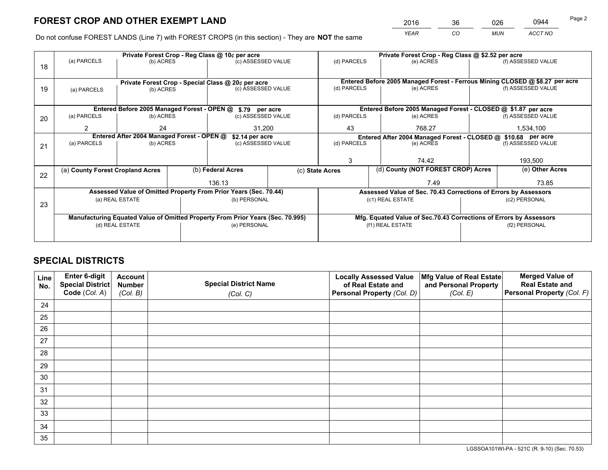*YEAR CO MUN ACCT NO* <sup>2016</sup> <sup>36</sup> <sup>026</sup> <sup>0944</sup>

Do not confuse FOREST LANDS (Line 7) with FOREST CROPS (in this section) - They are **NOT** the same

|    |                                                                                |                                 |  | Private Forest Crop - Reg Class @ 10¢ per acre                   |  | Private Forest Crop - Reg Class @ \$2.52 per acre             |  |                                                                    |                    |                                                                              |  |
|----|--------------------------------------------------------------------------------|---------------------------------|--|------------------------------------------------------------------|--|---------------------------------------------------------------|--|--------------------------------------------------------------------|--------------------|------------------------------------------------------------------------------|--|
| 18 | (a) PARCELS                                                                    | (b) ACRES                       |  | (c) ASSESSED VALUE                                               |  | (d) PARCELS                                                   |  | (e) ACRES                                                          |                    | (f) ASSESSED VALUE                                                           |  |
|    |                                                                                |                                 |  |                                                                  |  |                                                               |  |                                                                    |                    |                                                                              |  |
|    | Private Forest Crop - Special Class @ 20¢ per acre                             |                                 |  |                                                                  |  |                                                               |  |                                                                    |                    | Entered Before 2005 Managed Forest - Ferrous Mining CLOSED @ \$8.27 per acre |  |
| 19 | (a) PARCELS                                                                    | (c) ASSESSED VALUE<br>(b) ACRES |  | (d) PARCELS                                                      |  | (e) ACRES                                                     |  | (f) ASSESSED VALUE                                                 |                    |                                                                              |  |
|    |                                                                                |                                 |  |                                                                  |  |                                                               |  |                                                                    |                    |                                                                              |  |
|    |                                                                                |                                 |  | Entered Before 2005 Managed Forest - OPEN @ \$.79 per acre       |  |                                                               |  | Entered Before 2005 Managed Forest - CLOSED @ \$1.87 per acre      |                    |                                                                              |  |
| 20 | (a) PARCELS                                                                    | (b) ACRES                       |  | (c) ASSESSED VALUE                                               |  | (d) PARCELS                                                   |  | (e) ACRES                                                          |                    | (f) ASSESSED VALUE                                                           |  |
|    | 2                                                                              | 24                              |  | 31.200                                                           |  | 43                                                            |  | 768.27                                                             | 1,534,100          |                                                                              |  |
|    | Entered After 2004 Managed Forest - OPEN @<br>\$2.14 per acre                  |                                 |  |                                                                  |  | Entered After 2004 Managed Forest - CLOSED @ \$10.68 per acre |  |                                                                    |                    |                                                                              |  |
| 21 | (a) PARCELS                                                                    | (b) ACRES                       |  | (c) ASSESSED VALUE                                               |  | (d) PARCELS<br>(e) ACRES                                      |  |                                                                    | (f) ASSESSED VALUE |                                                                              |  |
|    |                                                                                |                                 |  |                                                                  |  |                                                               |  |                                                                    |                    |                                                                              |  |
|    |                                                                                |                                 |  |                                                                  |  | 3                                                             |  | 74.42                                                              |                    | 193,500                                                                      |  |
|    | (a) County Forest Cropland Acres                                               |                                 |  | (b) Federal Acres                                                |  | (c) State Acres                                               |  | (d) County (NOT FOREST CROP) Acres                                 |                    | (e) Other Acres                                                              |  |
| 22 |                                                                                |                                 |  | 136.13                                                           |  |                                                               |  | 7.49                                                               |                    | 73.85                                                                        |  |
|    |                                                                                |                                 |  | Assessed Value of Omitted Property From Prior Years (Sec. 70.44) |  |                                                               |  | Assessed Value of Sec. 70.43 Corrections of Errors by Assessors    |                    |                                                                              |  |
| 23 |                                                                                | (a) REAL ESTATE                 |  | (b) PERSONAL                                                     |  |                                                               |  | (c1) REAL ESTATE                                                   |                    | (c2) PERSONAL                                                                |  |
|    |                                                                                |                                 |  |                                                                  |  |                                                               |  |                                                                    |                    |                                                                              |  |
|    | Manufacturing Equated Value of Omitted Property From Prior Years (Sec. 70.995) |                                 |  |                                                                  |  |                                                               |  | Mfg. Equated Value of Sec.70.43 Corrections of Errors by Assessors |                    |                                                                              |  |
|    |                                                                                | (d) REAL ESTATE                 |  | (e) PERSONAL                                                     |  | (f1) REAL ESTATE                                              |  |                                                                    | (f2) PERSONAL      |                                                                              |  |
|    |                                                                                |                                 |  |                                                                  |  |                                                               |  |                                                                    |                    |                                                                              |  |

## **SPECIAL DISTRICTS**

| Line<br>No. | Enter 6-digit<br>Special District<br>Code (Col. A) | <b>Account</b><br><b>Number</b> | <b>Special District Name</b> | <b>Locally Assessed Value</b><br>of Real Estate and | Mfg Value of Real Estate<br>and Personal Property | <b>Merged Value of</b><br><b>Real Estate and</b><br>Personal Property (Col. F) |
|-------------|----------------------------------------------------|---------------------------------|------------------------------|-----------------------------------------------------|---------------------------------------------------|--------------------------------------------------------------------------------|
|             |                                                    | (Col. B)                        | (Col. C)                     | Personal Property (Col. D)                          | (Col. E)                                          |                                                                                |
| 24          |                                                    |                                 |                              |                                                     |                                                   |                                                                                |
| 25          |                                                    |                                 |                              |                                                     |                                                   |                                                                                |
| 26          |                                                    |                                 |                              |                                                     |                                                   |                                                                                |
| 27          |                                                    |                                 |                              |                                                     |                                                   |                                                                                |
| 28          |                                                    |                                 |                              |                                                     |                                                   |                                                                                |
| 29          |                                                    |                                 |                              |                                                     |                                                   |                                                                                |
| 30          |                                                    |                                 |                              |                                                     |                                                   |                                                                                |
| 31          |                                                    |                                 |                              |                                                     |                                                   |                                                                                |
| 32          |                                                    |                                 |                              |                                                     |                                                   |                                                                                |
| 33          |                                                    |                                 |                              |                                                     |                                                   |                                                                                |
| 34          |                                                    |                                 |                              |                                                     |                                                   |                                                                                |
| 35          |                                                    |                                 |                              |                                                     |                                                   |                                                                                |

LGSSOA101WI-PA - 521C (R. 9-10) (Sec. 70.53)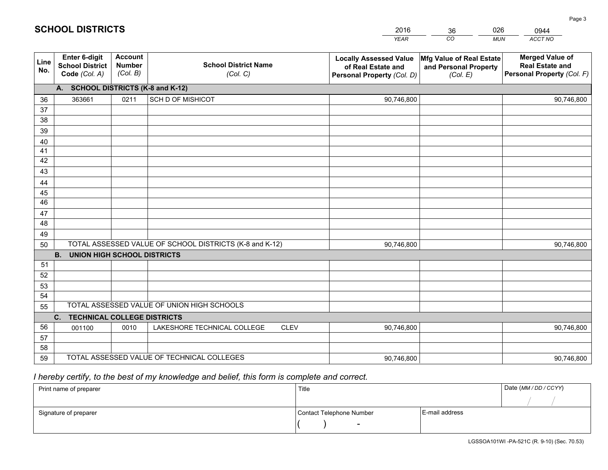|             |                                                          |                                             |                                                         | <b>YEAR</b>                                                                       | CO<br><b>MUN</b>                                              | ACCT NO                                                                        |
|-------------|----------------------------------------------------------|---------------------------------------------|---------------------------------------------------------|-----------------------------------------------------------------------------------|---------------------------------------------------------------|--------------------------------------------------------------------------------|
| Line<br>No. | Enter 6-digit<br><b>School District</b><br>Code (Col. A) | <b>Account</b><br><b>Number</b><br>(Col. B) | <b>School District Name</b><br>(Col. C)                 | <b>Locally Assessed Value</b><br>of Real Estate and<br>Personal Property (Col. D) | Mfg Value of Real Estate<br>and Personal Property<br>(Col. E) | <b>Merged Value of</b><br><b>Real Estate and</b><br>Personal Property (Col. F) |
|             | A. SCHOOL DISTRICTS (K-8 and K-12)                       |                                             |                                                         |                                                                                   |                                                               |                                                                                |
| 36          | 363661                                                   | 0211                                        | SCH D OF MISHICOT                                       | 90,746,800                                                                        |                                                               | 90,746,800                                                                     |
| 37          |                                                          |                                             |                                                         |                                                                                   |                                                               |                                                                                |
| 38          |                                                          |                                             |                                                         |                                                                                   |                                                               |                                                                                |
| 39          |                                                          |                                             |                                                         |                                                                                   |                                                               |                                                                                |
| 40          |                                                          |                                             |                                                         |                                                                                   |                                                               |                                                                                |
| 41          |                                                          |                                             |                                                         |                                                                                   |                                                               |                                                                                |
| 42          |                                                          |                                             |                                                         |                                                                                   |                                                               |                                                                                |
| 43          |                                                          |                                             |                                                         |                                                                                   |                                                               |                                                                                |
| 44          |                                                          |                                             |                                                         |                                                                                   |                                                               |                                                                                |
| 45<br>46    |                                                          |                                             |                                                         |                                                                                   |                                                               |                                                                                |
|             |                                                          |                                             |                                                         |                                                                                   |                                                               |                                                                                |
| 47<br>48    |                                                          |                                             |                                                         |                                                                                   |                                                               |                                                                                |
| 49          |                                                          |                                             |                                                         |                                                                                   |                                                               |                                                                                |
| 50          |                                                          |                                             | TOTAL ASSESSED VALUE OF SCHOOL DISTRICTS (K-8 and K-12) | 90,746,800                                                                        |                                                               | 90,746,800                                                                     |
|             | <b>B.</b><br><b>UNION HIGH SCHOOL DISTRICTS</b>          |                                             |                                                         |                                                                                   |                                                               |                                                                                |
| 51          |                                                          |                                             |                                                         |                                                                                   |                                                               |                                                                                |
| 52          |                                                          |                                             |                                                         |                                                                                   |                                                               |                                                                                |
| 53          |                                                          |                                             |                                                         |                                                                                   |                                                               |                                                                                |
| 54          |                                                          |                                             |                                                         |                                                                                   |                                                               |                                                                                |
| 55          |                                                          |                                             | TOTAL ASSESSED VALUE OF UNION HIGH SCHOOLS              |                                                                                   |                                                               |                                                                                |
|             | C <sub>1</sub><br><b>TECHNICAL COLLEGE DISTRICTS</b>     |                                             |                                                         |                                                                                   |                                                               |                                                                                |
| 56          | 001100                                                   | 0010                                        | LAKESHORE TECHNICAL COLLEGE<br><b>CLEV</b>              | 90,746,800                                                                        |                                                               | 90,746,800                                                                     |
| 57          |                                                          |                                             |                                                         |                                                                                   |                                                               |                                                                                |
| 58          |                                                          |                                             |                                                         |                                                                                   |                                                               |                                                                                |
| 59          |                                                          |                                             | TOTAL ASSESSED VALUE OF TECHNICAL COLLEGES              | 90,746,800                                                                        |                                                               | 90,746,800                                                                     |

36

026

 *I hereby certify, to the best of my knowledge and belief, this form is complete and correct.*

**SCHOOL DISTRICTS**

| Print name of preparer | Title                    |                | Date (MM / DD / CCYY) |
|------------------------|--------------------------|----------------|-----------------------|
|                        |                          |                |                       |
| Signature of preparer  | Contact Telephone Number | E-mail address |                       |
|                        | $\sim$                   |                |                       |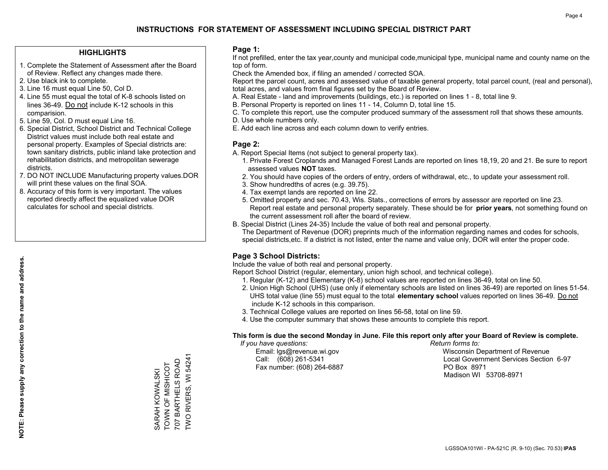#### **HIGHLIGHTS**

- 1. Complete the Statement of Assessment after the Board of Review. Reflect any changes made there.
- 2. Use black ink to complete.
- 3. Line 16 must equal Line 50, Col D.
- 4. Line 55 must equal the total of K-8 schools listed on lines 36-49. Do not include K-12 schools in this comparision.
- 5. Line 59, Col. D must equal Line 16.
- 6. Special District, School District and Technical College District values must include both real estate and personal property. Examples of Special districts are: town sanitary districts, public inland lake protection and rehabilitation districts, and metropolitan sewerage districts.
- 7. DO NOT INCLUDE Manufacturing property values.DOR will print these values on the final SOA.
- 8. Accuracy of this form is very important. The values reported directly affect the equalized value DOR calculates for school and special districts.

#### **Page 1:**

 If not prefilled, enter the tax year,county and municipal code,municipal type, municipal name and county name on the top of form.

Check the Amended box, if filing an amended / corrected SOA.

 Report the parcel count, acres and assessed value of taxable general property, total parcel count, (real and personal), total acres, and values from final figures set by the Board of Review.

- A. Real Estate land and improvements (buildings, etc.) is reported on lines 1 8, total line 9.
- B. Personal Property is reported on lines 11 14, Column D, total line 15.
- C. To complete this report, use the computer produced summary of the assessment roll that shows these amounts.
- D. Use whole numbers only.
- E. Add each line across and each column down to verify entries.

#### **Page 2:**

- A. Report Special Items (not subject to general property tax).
- 1. Private Forest Croplands and Managed Forest Lands are reported on lines 18,19, 20 and 21. Be sure to report assessed values **NOT** taxes.
- 2. You should have copies of the orders of entry, orders of withdrawal, etc., to update your assessment roll.
	- 3. Show hundredths of acres (e.g. 39.75).
- 4. Tax exempt lands are reported on line 22.
- 5. Omitted property and sec. 70.43, Wis. Stats., corrections of errors by assessor are reported on line 23. Report real estate and personal property separately. These should be for **prior years**, not something found on the current assessment roll after the board of review.
- B. Special District (Lines 24-35) Include the value of both real and personal property.
- The Department of Revenue (DOR) preprints much of the information regarding names and codes for schools, special districts,etc. If a district is not listed, enter the name and value only, DOR will enter the proper code.

## **Page 3 School Districts:**

Include the value of both real and personal property.

Report School District (regular, elementary, union high school, and technical college).

- 1. Regular (K-12) and Elementary (K-8) school values are reported on lines 36-49, total on line 50.
- 2. Union High School (UHS) (use only if elementary schools are listed on lines 36-49) are reported on lines 51-54. UHS total value (line 55) must equal to the total **elementary school** values reported on lines 36-49. Do notinclude K-12 schools in this comparison.
- 3. Technical College values are reported on lines 56-58, total on line 59.
- 4. Use the computer summary that shows these amounts to complete this report.

#### **This form is due the second Monday in June. File this report only after your Board of Review is complete.**

 *If you have questions: Return forms to:*

Fax number: (608) 264-6887 PO Box 8971

 Email: lgs@revenue.wi.gov Wisconsin Department of Revenue Call: (608) 261-5341 Local Government Services Section 6-97Madison WI 53708-8971

**NOTE: Please supply any correction to the name and address.**

NOTE: Please supply any correction to the name and address.

TWO RIVERS, WI 54241 TWO RIVERS, WI 54241 707 BARTHELS ROAD 707 BARTHELS ROAD TOWN OF MISHICOT SARAH KOWALSKI<br>TOWN OF MISHICOT SARAH KOWALSKI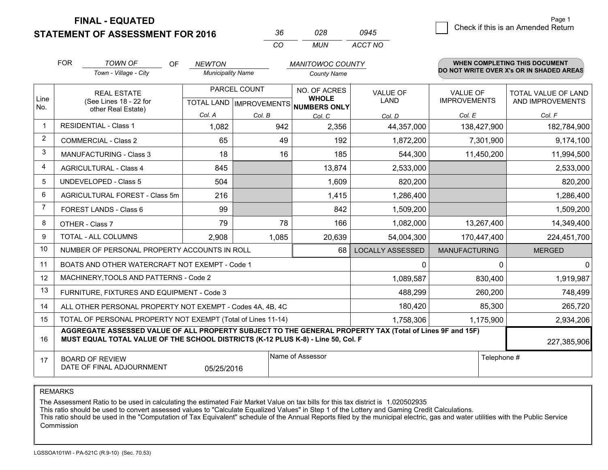**STATEMENT OF ASSESSMENT FOR 2016** 

| Kh       | กวล   | 0945    |
|----------|-------|---------|
| $\alpha$ | MI IN | ACCT NO |

|                | <b>FOR</b>                                   | <b>TOWN OF</b><br><b>OF</b>                                                                                                                                                                  | <b>NEWTON</b>            |        | <b>MANITOWOC COUNTY</b>              |                         |                              | WHEN COMPLETING THIS DOCUMENT            |                                 |                                         |
|----------------|----------------------------------------------|----------------------------------------------------------------------------------------------------------------------------------------------------------------------------------------------|--------------------------|--------|--------------------------------------|-------------------------|------------------------------|------------------------------------------|---------------------------------|-----------------------------------------|
|                |                                              | Town - Village - City                                                                                                                                                                        | <b>Municipality Name</b> |        | <b>County Name</b>                   |                         |                              | DO NOT WRITE OVER X's OR IN SHADED AREAS |                                 |                                         |
| Line           | <b>REAL ESTATE</b><br>(See Lines 18 - 22 for |                                                                                                                                                                                              |                          |        | PARCEL COUNT                         |                         | NO. OF ACRES<br><b>WHOLE</b> | VALUE OF<br><b>LAND</b>                  | VALUE OF<br><b>IMPROVEMENTS</b> | TOTAL VALUE OF LAND<br>AND IMPROVEMENTS |
| No.            |                                              | other Real Estate)                                                                                                                                                                           |                          |        | TOTAL LAND IMPROVEMENTS NUMBERS ONLY |                         |                              |                                          |                                 |                                         |
| $\mathbf 1$    |                                              | <b>RESIDENTIAL - Class 1</b>                                                                                                                                                                 | Col. A                   | Col. B | Col. C                               | Col. D                  | Col. E                       | Col. F                                   |                                 |                                         |
|                |                                              |                                                                                                                                                                                              | 1,082                    | 942    | 2,356                                | 44,357,000              | 138,427,900                  | 182,784,900                              |                                 |                                         |
| $\overline{2}$ |                                              | <b>COMMERCIAL - Class 2</b>                                                                                                                                                                  | 65                       | 49     | 192                                  | 1,872,200               | 7,301,900                    | 9,174,100                                |                                 |                                         |
| 3              |                                              | <b>MANUFACTURING - Class 3</b>                                                                                                                                                               | 18                       | 16     | 185                                  | 544,300                 | 11,450,200                   | 11,994,500                               |                                 |                                         |
| 4              |                                              | <b>AGRICULTURAL - Class 4</b>                                                                                                                                                                | 845                      |        | 13,874                               | 2,533,000               |                              | 2,533,000                                |                                 |                                         |
| 5              |                                              | <b>UNDEVELOPED - Class 5</b>                                                                                                                                                                 | 504                      |        | 1,609                                | 820,200                 |                              | 820,200                                  |                                 |                                         |
| 6              |                                              | AGRICULTURAL FOREST - Class 5m                                                                                                                                                               | 216                      |        | 1,415                                | 1,286,400               |                              | 1,286,400                                |                                 |                                         |
| $\overline{7}$ |                                              | FOREST LANDS - Class 6                                                                                                                                                                       | 99                       |        | 842                                  | 1,509,200               |                              | 1,509,200                                |                                 |                                         |
| 8              |                                              | OTHER - Class 7                                                                                                                                                                              | 79                       | 78     | 166                                  | 1,082,000               | 13,267,400                   | 14,349,400                               |                                 |                                         |
| 9              |                                              | TOTAL - ALL COLUMNS                                                                                                                                                                          | 2,908                    | 1,085  | 20,639                               | 54,004,300              | 170,447,400                  | 224,451,700                              |                                 |                                         |
| 10             |                                              | NUMBER OF PERSONAL PROPERTY ACCOUNTS IN ROLL                                                                                                                                                 |                          |        | 68                                   | <b>LOCALLY ASSESSED</b> | <b>MANUFACTURING</b>         | <b>MERGED</b>                            |                                 |                                         |
| 11             |                                              | BOATS AND OTHER WATERCRAFT NOT EXEMPT - Code 1                                                                                                                                               |                          |        |                                      | 0                       | 0                            | 0                                        |                                 |                                         |
| 12             |                                              | MACHINERY, TOOLS AND PATTERNS - Code 2                                                                                                                                                       |                          |        |                                      | 1,089,587               | 830,400                      | 1,919,987                                |                                 |                                         |
| 13             |                                              | FURNITURE, FIXTURES AND EQUIPMENT - Code 3                                                                                                                                                   |                          |        |                                      | 488,299                 | 260,200                      | 748,499                                  |                                 |                                         |
| 14             |                                              | ALL OTHER PERSONAL PROPERTY NOT EXEMPT - Codes 4A, 4B, 4C                                                                                                                                    |                          |        |                                      | 180,420                 | 85,300                       | 265,720                                  |                                 |                                         |
| 15             |                                              | TOTAL OF PERSONAL PROPERTY NOT EXEMPT (Total of Lines 11-14)                                                                                                                                 |                          |        |                                      | 1,758,306               | 1,175,900                    | 2,934,206                                |                                 |                                         |
| 16             |                                              | AGGREGATE ASSESSED VALUE OF ALL PROPERTY SUBJECT TO THE GENERAL PROPERTY TAX (Total of Lines 9F and 15F)<br>MUST EQUAL TOTAL VALUE OF THE SCHOOL DISTRICTS (K-12 PLUS K-8) - Line 50, Col. F |                          |        |                                      |                         |                              | 227,385,906                              |                                 |                                         |
| 17             |                                              | <b>BOARD OF REVIEW</b><br>DATE OF FINAL ADJOURNMENT                                                                                                                                          | 05/25/2016               |        | Name of Assessor                     | Telephone #             |                              |                                          |                                 |                                         |

REMARKS

The Assessment Ratio to be used in calculating the estimated Fair Market Value on tax bills for this tax district is 1.020502935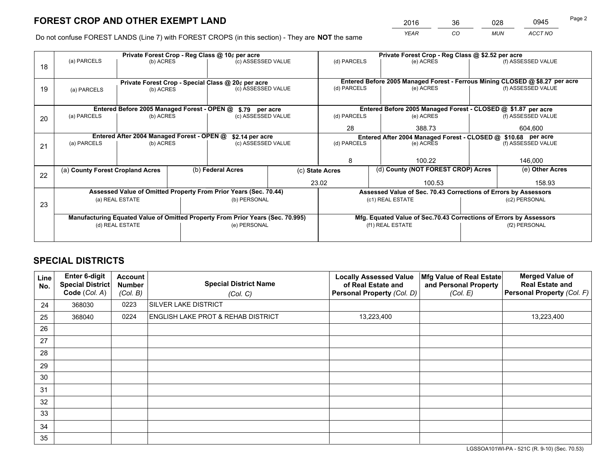*YEAR CO MUN ACCT NO* <sup>2016</sup> <sup>36</sup> <sup>028</sup> <sup>0945</sup>

Do not confuse FOREST LANDS (Line 7) with FOREST CROPS (in this section) - They are **NOT** the same

|    | Private Forest Crop - Reg Class @ 10¢ per acre                |                                             |  |                                                                                |    | Private Forest Crop - Reg Class @ \$2.52 per acre     |                                                                              |                                                                    |                    |  |
|----|---------------------------------------------------------------|---------------------------------------------|--|--------------------------------------------------------------------------------|----|-------------------------------------------------------|------------------------------------------------------------------------------|--------------------------------------------------------------------|--------------------|--|
| 18 | (a) PARCELS                                                   | (b) ACRES                                   |  | (c) ASSESSED VALUE                                                             |    | (d) PARCELS                                           | (e) ACRES                                                                    |                                                                    | (f) ASSESSED VALUE |  |
|    |                                                               |                                             |  |                                                                                |    |                                                       |                                                                              |                                                                    |                    |  |
|    |                                                               |                                             |  | Private Forest Crop - Special Class @ 20¢ per acre                             |    |                                                       | Entered Before 2005 Managed Forest - Ferrous Mining CLOSED @ \$8.27 per acre |                                                                    |                    |  |
| 19 | (a) PARCELS                                                   | (b) ACRES                                   |  | (c) ASSESSED VALUE                                                             |    | (d) PARCELS                                           | (e) ACRES                                                                    |                                                                    | (f) ASSESSED VALUE |  |
|    |                                                               |                                             |  |                                                                                |    |                                                       |                                                                              |                                                                    |                    |  |
|    |                                                               | Entered Before 2005 Managed Forest - OPEN @ |  | \$.79 per acre                                                                 |    |                                                       | Entered Before 2005 Managed Forest - CLOSED @ \$1.87 per acre                |                                                                    |                    |  |
| 20 | (a) PARCELS                                                   | (b) ACRES                                   |  | (c) ASSESSED VALUE                                                             |    | (d) PARCELS                                           | (e) ACRES                                                                    |                                                                    | (f) ASSESSED VALUE |  |
|    |                                                               |                                             |  |                                                                                | 28 | 388.73                                                |                                                                              | 604,600                                                            |                    |  |
|    | Entered After 2004 Managed Forest - OPEN @<br>\$2.14 per acre |                                             |  |                                                                                |    |                                                       | Entered After 2004 Managed Forest - CLOSED @ \$10.68 per acre                |                                                                    |                    |  |
| 21 | (a) PARCELS                                                   | (b) ACRES                                   |  | (c) ASSESSED VALUE                                                             |    | (d) PARCELS<br>(e) ACRES                              |                                                                              |                                                                    | (f) ASSESSED VALUE |  |
|    |                                                               |                                             |  |                                                                                |    |                                                       |                                                                              |                                                                    |                    |  |
|    |                                                               |                                             |  |                                                                                |    | 100.22<br>8                                           |                                                                              |                                                                    | 146,000            |  |
| 22 | (a) County Forest Cropland Acres                              |                                             |  | (b) Federal Acres                                                              |    | (d) County (NOT FOREST CROP) Acres<br>(c) State Acres |                                                                              | (e) Other Acres                                                    |                    |  |
|    |                                                               |                                             |  |                                                                                |    | 23.02                                                 | 100.53                                                                       |                                                                    | 158.93             |  |
|    |                                                               |                                             |  | Assessed Value of Omitted Property From Prior Years (Sec. 70.44)               |    |                                                       | Assessed Value of Sec. 70.43 Corrections of Errors by Assessors              |                                                                    |                    |  |
| 23 |                                                               | (a) REAL ESTATE                             |  | (b) PERSONAL                                                                   |    |                                                       | (c1) REAL ESTATE                                                             |                                                                    | (c2) PERSONAL      |  |
|    |                                                               |                                             |  |                                                                                |    |                                                       |                                                                              |                                                                    |                    |  |
|    |                                                               |                                             |  | Manufacturing Equated Value of Omitted Property From Prior Years (Sec. 70.995) |    |                                                       |                                                                              | Mfg. Equated Value of Sec.70.43 Corrections of Errors by Assessors |                    |  |
|    | (d) REAL ESTATE                                               |                                             |  | (e) PERSONAL                                                                   |    |                                                       | (f1) REAL ESTATE                                                             |                                                                    | (f2) PERSONAL      |  |
|    |                                                               |                                             |  |                                                                                |    |                                                       |                                                                              |                                                                    |                    |  |

## **SPECIAL DISTRICTS**

| Line<br>No. | <b>Enter 6-digit</b><br>Special District<br>Code (Col. A) | Account<br><b>Number</b><br>(Col. B) | <b>Special District Name</b><br>(Col. C) | <b>Locally Assessed Value</b><br>of Real Estate and<br>Personal Property (Col. D) | Mfg Value of Real Estate<br>and Personal Property<br>(Col. E) | <b>Merged Value of</b><br><b>Real Estate and</b><br>Personal Property (Col. F) |
|-------------|-----------------------------------------------------------|--------------------------------------|------------------------------------------|-----------------------------------------------------------------------------------|---------------------------------------------------------------|--------------------------------------------------------------------------------|
| 24          | 368030                                                    | 0223                                 | SILVER LAKE DISTRICT                     |                                                                                   |                                                               |                                                                                |
| 25          | 368040                                                    | 0224                                 | ENGLISH LAKE PROT & REHAB DISTRICT       | 13,223,400                                                                        |                                                               | 13,223,400                                                                     |
| 26          |                                                           |                                      |                                          |                                                                                   |                                                               |                                                                                |
| 27          |                                                           |                                      |                                          |                                                                                   |                                                               |                                                                                |
| 28          |                                                           |                                      |                                          |                                                                                   |                                                               |                                                                                |
| 29          |                                                           |                                      |                                          |                                                                                   |                                                               |                                                                                |
| 30          |                                                           |                                      |                                          |                                                                                   |                                                               |                                                                                |
| 31          |                                                           |                                      |                                          |                                                                                   |                                                               |                                                                                |
| 32          |                                                           |                                      |                                          |                                                                                   |                                                               |                                                                                |
| 33          |                                                           |                                      |                                          |                                                                                   |                                                               |                                                                                |
| 34          |                                                           |                                      |                                          |                                                                                   |                                                               |                                                                                |
| 35          |                                                           |                                      |                                          |                                                                                   |                                                               |                                                                                |

LGSSOA101WI-PA - 521C (R. 9-10) (Sec. 70.53)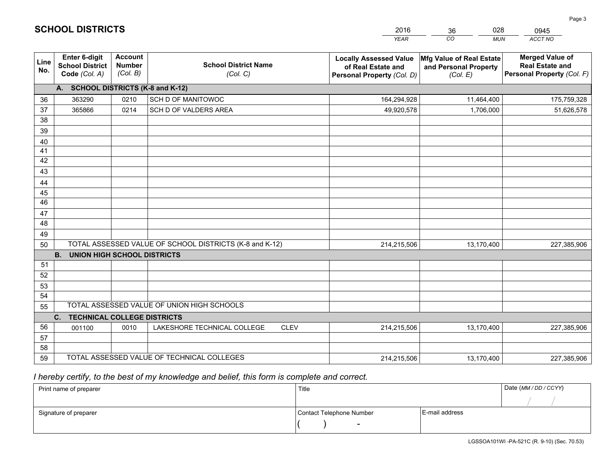|                       |                                                                 |                                             |                                                         | <b>YEAR</b>                                                                       | CO<br><b>MUN</b>                                              | ACCT NO                                                                        |
|-----------------------|-----------------------------------------------------------------|---------------------------------------------|---------------------------------------------------------|-----------------------------------------------------------------------------------|---------------------------------------------------------------|--------------------------------------------------------------------------------|
| Line<br>No.           | <b>Enter 6-digit</b><br><b>School District</b><br>Code (Col. A) | <b>Account</b><br><b>Number</b><br>(Col. B) | <b>School District Name</b><br>(Col. C)                 | <b>Locally Assessed Value</b><br>of Real Estate and<br>Personal Property (Col. D) | Mfg Value of Real Estate<br>and Personal Property<br>(Col. E) | <b>Merged Value of</b><br><b>Real Estate and</b><br>Personal Property (Col. F) |
|                       | A. SCHOOL DISTRICTS (K-8 and K-12)                              |                                             |                                                         |                                                                                   |                                                               |                                                                                |
| 36                    | 363290                                                          | 0210                                        | SCH D OF MANITOWOC                                      | 164,294,928                                                                       | 11,464,400                                                    | 175,759,328                                                                    |
| 37                    | 365866                                                          | 0214                                        | SCH D OF VALDERS AREA                                   | 49,920,578                                                                        | 1,706,000                                                     | 51,626,578                                                                     |
| 38                    |                                                                 |                                             |                                                         |                                                                                   |                                                               |                                                                                |
| 39                    |                                                                 |                                             |                                                         |                                                                                   |                                                               |                                                                                |
| 40                    |                                                                 |                                             |                                                         |                                                                                   |                                                               |                                                                                |
| 41                    |                                                                 |                                             |                                                         |                                                                                   |                                                               |                                                                                |
| 42                    |                                                                 |                                             |                                                         |                                                                                   |                                                               |                                                                                |
| 43                    |                                                                 |                                             |                                                         |                                                                                   |                                                               |                                                                                |
| 44                    |                                                                 |                                             |                                                         |                                                                                   |                                                               |                                                                                |
| 45<br>$\overline{46}$ |                                                                 |                                             |                                                         |                                                                                   |                                                               |                                                                                |
|                       |                                                                 |                                             |                                                         |                                                                                   |                                                               |                                                                                |
| 47<br>48              |                                                                 |                                             |                                                         |                                                                                   |                                                               |                                                                                |
| 49                    |                                                                 |                                             |                                                         |                                                                                   |                                                               |                                                                                |
| 50                    |                                                                 |                                             | TOTAL ASSESSED VALUE OF SCHOOL DISTRICTS (K-8 and K-12) | 214,215,506                                                                       | 13,170,400                                                    | 227,385,906                                                                    |
|                       | <b>B.</b><br><b>UNION HIGH SCHOOL DISTRICTS</b>                 |                                             |                                                         |                                                                                   |                                                               |                                                                                |
| 51                    |                                                                 |                                             |                                                         |                                                                                   |                                                               |                                                                                |
| 52                    |                                                                 |                                             |                                                         |                                                                                   |                                                               |                                                                                |
| 53                    |                                                                 |                                             |                                                         |                                                                                   |                                                               |                                                                                |
| 54                    |                                                                 |                                             |                                                         |                                                                                   |                                                               |                                                                                |
| 55                    |                                                                 |                                             | TOTAL ASSESSED VALUE OF UNION HIGH SCHOOLS              |                                                                                   |                                                               |                                                                                |
|                       | C.<br><b>TECHNICAL COLLEGE DISTRICTS</b>                        |                                             |                                                         |                                                                                   |                                                               |                                                                                |
| 56                    | 001100                                                          | 0010                                        | LAKESHORE TECHNICAL COLLEGE<br><b>CLEV</b>              | 214,215,506                                                                       | 13,170,400                                                    | 227,385,906                                                                    |
| 57                    |                                                                 |                                             |                                                         |                                                                                   |                                                               |                                                                                |
| 58                    |                                                                 |                                             |                                                         |                                                                                   |                                                               |                                                                                |
| 59                    |                                                                 |                                             | TOTAL ASSESSED VALUE OF TECHNICAL COLLEGES              | 214,215,506                                                                       | 13,170,400                                                    | 227,385,906                                                                    |

36

028

 *I hereby certify, to the best of my knowledge and belief, this form is complete and correct.*

**SCHOOL DISTRICTS**

| Print name of preparer | Title                    |                | Date (MM/DD/CCYY) |
|------------------------|--------------------------|----------------|-------------------|
|                        |                          |                |                   |
| Signature of preparer  | Contact Telephone Number | E-mail address |                   |
|                        | $\overline{\phantom{a}}$ |                |                   |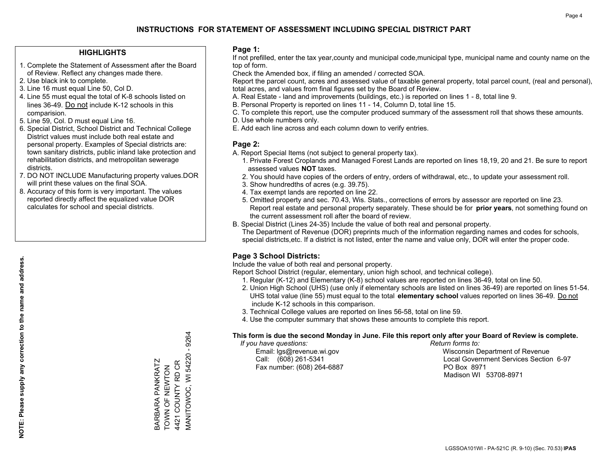#### **HIGHLIGHTS**

- 1. Complete the Statement of Assessment after the Board of Review. Reflect any changes made there.
- 2. Use black ink to complete.
- 3. Line 16 must equal Line 50, Col D.
- 4. Line 55 must equal the total of K-8 schools listed on lines 36-49. Do not include K-12 schools in this comparision.
- 5. Line 59, Col. D must equal Line 16.
- 6. Special District, School District and Technical College District values must include both real estate and personal property. Examples of Special districts are: town sanitary districts, public inland lake protection and rehabilitation districts, and metropolitan sewerage districts.
- 7. DO NOT INCLUDE Manufacturing property values.DOR will print these values on the final SOA.

BARBARA PANKRATZ TOWN OF NEWTON 4421 COUNTY RD CR

BARBARA PANKRATZ<br>TOWN OF NEWTON<br>4421 COUNTY RD CR

MANITOWOC, WI 54220 - 9264

VIANITOWOC, WI 54220 - 9264

 8. Accuracy of this form is very important. The values reported directly affect the equalized value DOR calculates for school and special districts.

#### **Page 1:**

 If not prefilled, enter the tax year,county and municipal code,municipal type, municipal name and county name on the top of form.

Check the Amended box, if filing an amended / corrected SOA.

 Report the parcel count, acres and assessed value of taxable general property, total parcel count, (real and personal), total acres, and values from final figures set by the Board of Review.

- A. Real Estate land and improvements (buildings, etc.) is reported on lines 1 8, total line 9.
- B. Personal Property is reported on lines 11 14, Column D, total line 15.
- C. To complete this report, use the computer produced summary of the assessment roll that shows these amounts.
- D. Use whole numbers only.
- E. Add each line across and each column down to verify entries.

#### **Page 2:**

- A. Report Special Items (not subject to general property tax).
- 1. Private Forest Croplands and Managed Forest Lands are reported on lines 18,19, 20 and 21. Be sure to report assessed values **NOT** taxes.
- 2. You should have copies of the orders of entry, orders of withdrawal, etc., to update your assessment roll.
	- 3. Show hundredths of acres (e.g. 39.75).
- 4. Tax exempt lands are reported on line 22.
- 5. Omitted property and sec. 70.43, Wis. Stats., corrections of errors by assessor are reported on line 23. Report real estate and personal property separately. These should be for **prior years**, not something found on the current assessment roll after the board of review.
- B. Special District (Lines 24-35) Include the value of both real and personal property.
- The Department of Revenue (DOR) preprints much of the information regarding names and codes for schools, special districts,etc. If a district is not listed, enter the name and value only, DOR will enter the proper code.

## **Page 3 School Districts:**

Include the value of both real and personal property.

Report School District (regular, elementary, union high school, and technical college).

- 1. Regular (K-12) and Elementary (K-8) school values are reported on lines 36-49, total on line 50.
- 2. Union High School (UHS) (use only if elementary schools are listed on lines 36-49) are reported on lines 51-54. UHS total value (line 55) must equal to the total **elementary school** values reported on lines 36-49. Do notinclude K-12 schools in this comparison.
- 3. Technical College values are reported on lines 56-58, total on line 59.
- 4. Use the computer summary that shows these amounts to complete this report.

#### **This form is due the second Monday in June. File this report only after your Board of Review is complete.**

 *If you have questions: Return forms to:*

Fax number: (608) 264-6887 PO Box 8971

 Email: lgs@revenue.wi.gov Wisconsin Department of Revenue Call: (608) 261-5341 Local Government Services Section 6-97Madison WI 53708-8971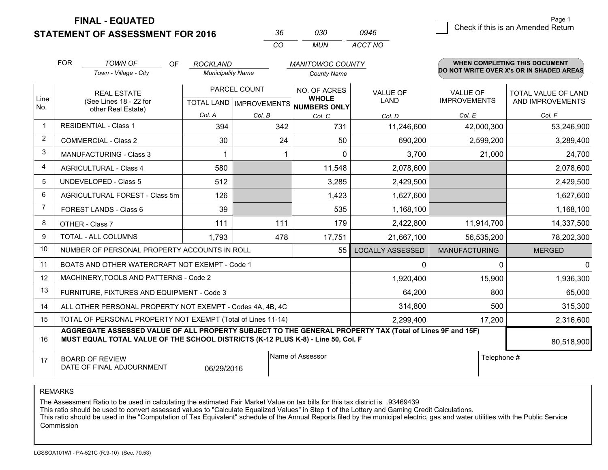**STATEMENT OF ASSESSMENT FOR 2016** 

| -36. | റദറ | 0946    |
|------|-----|---------|
| CO.  | MUN | ACCT NO |

|                | <b>FOR</b>                                                                                           | <b>TOWN OF</b><br>OF                                                                                                                                                                         | <b>ROCKLAND</b>          |        | <b>MANITOWOC COUNTY</b>                      |                         |                                 | <b>WHEN COMPLETING THIS DOCUMENT</b>     |  |
|----------------|------------------------------------------------------------------------------------------------------|----------------------------------------------------------------------------------------------------------------------------------------------------------------------------------------------|--------------------------|--------|----------------------------------------------|-------------------------|---------------------------------|------------------------------------------|--|
|                |                                                                                                      | Town - Village - City                                                                                                                                                                        | <b>Municipality Name</b> |        | <b>County Name</b>                           |                         |                                 | DO NOT WRITE OVER X's OR IN SHADED AREAS |  |
| Line<br>No.    |                                                                                                      | PARCEL COUNT<br><b>REAL ESTATE</b><br>(See Lines 18 - 22 for<br>TOTAL LAND   IMPROVEMENTS                                                                                                    |                          |        | NO. OF ACRES<br><b>WHOLE</b><br>NUMBERS ONLY | VALUE OF<br><b>LAND</b> | VALUE OF<br><b>IMPROVEMENTS</b> | TOTAL VALUE OF LAND<br>AND IMPROVEMENTS  |  |
|                | other Real Estate)                                                                                   |                                                                                                                                                                                              | Col. A                   | Col. B | Col. C                                       | Col. D                  | Col. E                          | Col. F                                   |  |
|                |                                                                                                      | <b>RESIDENTIAL - Class 1</b>                                                                                                                                                                 | 394                      | 342    | 731                                          | 11,246,600              | 42,000,300                      | 53,246,900                               |  |
| $\overline{2}$ | <b>COMMERCIAL - Class 2</b>                                                                          |                                                                                                                                                                                              | 30                       | 24     | 50                                           | 690,200                 | 2,599,200                       | 3,289,400                                |  |
| 3              |                                                                                                      | <b>MANUFACTURING - Class 3</b>                                                                                                                                                               |                          |        | $\Omega$                                     | 3,700                   | 21,000                          | 24,700                                   |  |
| 4              |                                                                                                      | <b>AGRICULTURAL - Class 4</b>                                                                                                                                                                | 580                      |        | 11,548                                       | 2,078,600               |                                 | 2,078,600                                |  |
| 5              |                                                                                                      | <b>UNDEVELOPED - Class 5</b>                                                                                                                                                                 | 512                      |        | 3,285                                        | 2,429,500               |                                 | 2,429,500                                |  |
| 6              |                                                                                                      | AGRICULTURAL FOREST - Class 5m                                                                                                                                                               | 126                      |        | 1,423                                        | 1,627,600               |                                 | 1,627,600                                |  |
| $\overline{7}$ |                                                                                                      | FOREST LANDS - Class 6                                                                                                                                                                       | 39                       |        | 535                                          | 1,168,100               |                                 | 1,168,100                                |  |
| 8              |                                                                                                      | OTHER - Class 7                                                                                                                                                                              | 111                      | 111    | 179                                          | 2,422,800               | 11,914,700                      | 14,337,500                               |  |
| 9              |                                                                                                      | TOTAL - ALL COLUMNS                                                                                                                                                                          | 1,793                    | 478    | 17,751                                       | 21,667,100              | 56,535,200                      | 78,202,300                               |  |
| 10             |                                                                                                      | NUMBER OF PERSONAL PROPERTY ACCOUNTS IN ROLL                                                                                                                                                 |                          |        | 55                                           | <b>LOCALLY ASSESSED</b> | <b>MANUFACTURING</b>            | <b>MERGED</b>                            |  |
| 11             |                                                                                                      | BOATS AND OTHER WATERCRAFT NOT EXEMPT - Code 1                                                                                                                                               |                          |        |                                              | 0                       | 0                               | 0                                        |  |
| 12             |                                                                                                      | MACHINERY, TOOLS AND PATTERNS - Code 2                                                                                                                                                       |                          |        |                                              | 1,920,400               | 15,900                          | 1,936,300                                |  |
| 13             |                                                                                                      | FURNITURE, FIXTURES AND EQUIPMENT - Code 3                                                                                                                                                   |                          |        |                                              | 64,200                  | 800                             | 65,000                                   |  |
| 14             |                                                                                                      | ALL OTHER PERSONAL PROPERTY NOT EXEMPT - Codes 4A, 4B, 4C                                                                                                                                    |                          |        |                                              | 314,800                 | 500                             | 315,300                                  |  |
| 15             |                                                                                                      | TOTAL OF PERSONAL PROPERTY NOT EXEMPT (Total of Lines 11-14)                                                                                                                                 |                          |        |                                              | 2,299,400               | 17,200                          | 2,316,600                                |  |
| 16             |                                                                                                      | AGGREGATE ASSESSED VALUE OF ALL PROPERTY SUBJECT TO THE GENERAL PROPERTY TAX (Total of Lines 9F and 15F)<br>MUST EQUAL TOTAL VALUE OF THE SCHOOL DISTRICTS (K-12 PLUS K-8) - Line 50, Col. F |                          |        |                                              |                         |                                 | 80,518,900                               |  |
| 17             | Name of Assessor<br>Telephone #<br><b>BOARD OF REVIEW</b><br>DATE OF FINAL ADJOURNMENT<br>06/29/2016 |                                                                                                                                                                                              |                          |        |                                              |                         |                                 |                                          |  |

REMARKS

The Assessment Ratio to be used in calculating the estimated Fair Market Value on tax bills for this tax district is .93469439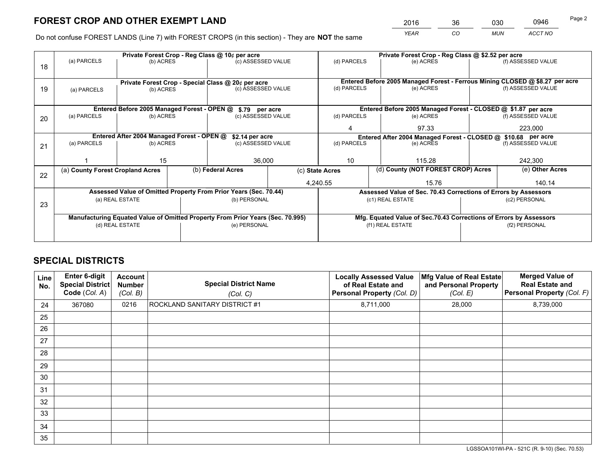*YEAR CO MUN ACCT NO* <sup>2016</sup> <sup>36</sup> <sup>030</sup> <sup>0946</sup>

Do not confuse FOREST LANDS (Line 7) with FOREST CROPS (in this section) - They are **NOT** the same

|    |                                                               |                 |  | Private Forest Crop - Reg Class @ 10¢ per acre                                 |                                                               | Private Forest Crop - Reg Class @ \$2.52 per acre     |                  |           |                                                                              |                                                                    |
|----|---------------------------------------------------------------|-----------------|--|--------------------------------------------------------------------------------|---------------------------------------------------------------|-------------------------------------------------------|------------------|-----------|------------------------------------------------------------------------------|--------------------------------------------------------------------|
| 18 | (a) PARCELS                                                   | (b) ACRES       |  | (c) ASSESSED VALUE                                                             |                                                               | (d) PARCELS                                           |                  | (e) ACRES |                                                                              | (f) ASSESSED VALUE                                                 |
|    |                                                               |                 |  |                                                                                |                                                               |                                                       |                  |           |                                                                              |                                                                    |
|    | Private Forest Crop - Special Class @ 20¢ per acre            |                 |  |                                                                                |                                                               |                                                       |                  |           | Entered Before 2005 Managed Forest - Ferrous Mining CLOSED @ \$8.27 per acre |                                                                    |
| 19 | (a) PARCELS                                                   | (b) ACRES       |  | (c) ASSESSED VALUE                                                             |                                                               | (d) PARCELS                                           |                  | (e) ACRES |                                                                              | (f) ASSESSED VALUE                                                 |
|    |                                                               |                 |  |                                                                                |                                                               |                                                       |                  |           |                                                                              |                                                                    |
|    |                                                               |                 |  | Entered Before 2005 Managed Forest - OPEN @ \$.79 per acre                     |                                                               |                                                       |                  |           |                                                                              | Entered Before 2005 Managed Forest - CLOSED @ \$1.87 per acre      |
| 20 | (a) PARCELS                                                   | (b) ACRES       |  | (c) ASSESSED VALUE                                                             |                                                               | (d) PARCELS                                           |                  | (e) ACRES |                                                                              | (f) ASSESSED VALUE                                                 |
|    |                                                               |                 |  |                                                                                | 4                                                             |                                                       | 97.33            |           | 223,000                                                                      |                                                                    |
|    | Entered After 2004 Managed Forest - OPEN @<br>\$2.14 per acre |                 |  |                                                                                | Entered After 2004 Managed Forest - CLOSED @ \$10.68 per acre |                                                       |                  |           |                                                                              |                                                                    |
| 21 | (a) PARCELS                                                   | (b) ACRES       |  |                                                                                | (d) PARCELS<br>(c) ASSESSED VALUE                             |                                                       | (e) ACRES        |           |                                                                              | (f) ASSESSED VALUE                                                 |
|    |                                                               |                 |  |                                                                                |                                                               |                                                       |                  |           |                                                                              |                                                                    |
|    |                                                               | 15              |  | 36,000                                                                         |                                                               | 10<br>115.28                                          |                  |           | 242,300                                                                      |                                                                    |
| 22 | (a) County Forest Cropland Acres                              |                 |  | (b) Federal Acres                                                              |                                                               | (d) County (NOT FOREST CROP) Acres<br>(c) State Acres |                  |           | (e) Other Acres                                                              |                                                                    |
|    |                                                               |                 |  |                                                                                |                                                               | 4,240.55                                              |                  | 15.76     |                                                                              | 140.14                                                             |
|    |                                                               |                 |  | Assessed Value of Omitted Property From Prior Years (Sec. 70.44)               |                                                               |                                                       |                  |           |                                                                              | Assessed Value of Sec. 70.43 Corrections of Errors by Assessors    |
| 23 |                                                               | (a) REAL ESTATE |  | (b) PERSONAL                                                                   |                                                               |                                                       | (c1) REAL ESTATE |           |                                                                              | (c2) PERSONAL                                                      |
|    |                                                               |                 |  |                                                                                |                                                               |                                                       |                  |           |                                                                              |                                                                    |
|    |                                                               |                 |  | Manufacturing Equated Value of Omitted Property From Prior Years (Sec. 70.995) |                                                               |                                                       |                  |           |                                                                              | Mfg. Equated Value of Sec.70.43 Corrections of Errors by Assessors |
|    |                                                               | (d) REAL ESTATE |  | (e) PERSONAL                                                                   |                                                               | (f1) REAL ESTATE                                      |                  |           | (f2) PERSONAL                                                                |                                                                    |
|    |                                                               |                 |  |                                                                                |                                                               |                                                       |                  |           |                                                                              |                                                                    |

## **SPECIAL DISTRICTS**

| Line<br>No. | <b>Enter 6-digit</b><br>Special District<br>Code (Col. A) | Account<br><b>Number</b><br>(Col. B) | <b>Special District Name</b><br>(Col. C) | <b>Locally Assessed Value</b><br>of Real Estate and<br>Personal Property (Col. D) | Mfg Value of Real Estate<br>and Personal Property<br>(Col. E) | <b>Merged Value of</b><br><b>Real Estate and</b><br>Personal Property (Col. F) |
|-------------|-----------------------------------------------------------|--------------------------------------|------------------------------------------|-----------------------------------------------------------------------------------|---------------------------------------------------------------|--------------------------------------------------------------------------------|
| 24          | 367080                                                    | 0216                                 | ROCKLAND SANITARY DISTRICT #1            | 8,711,000                                                                         | 28,000                                                        | 8,739,000                                                                      |
| 25          |                                                           |                                      |                                          |                                                                                   |                                                               |                                                                                |
| 26          |                                                           |                                      |                                          |                                                                                   |                                                               |                                                                                |
| 27          |                                                           |                                      |                                          |                                                                                   |                                                               |                                                                                |
| 28          |                                                           |                                      |                                          |                                                                                   |                                                               |                                                                                |
| 29          |                                                           |                                      |                                          |                                                                                   |                                                               |                                                                                |
| 30          |                                                           |                                      |                                          |                                                                                   |                                                               |                                                                                |
| 31          |                                                           |                                      |                                          |                                                                                   |                                                               |                                                                                |
| 32          |                                                           |                                      |                                          |                                                                                   |                                                               |                                                                                |
| 33          |                                                           |                                      |                                          |                                                                                   |                                                               |                                                                                |
| 34          |                                                           |                                      |                                          |                                                                                   |                                                               |                                                                                |
| 35          |                                                           |                                      |                                          |                                                                                   |                                                               |                                                                                |

LGSSOA101WI-PA - 521C (R. 9-10) (Sec. 70.53)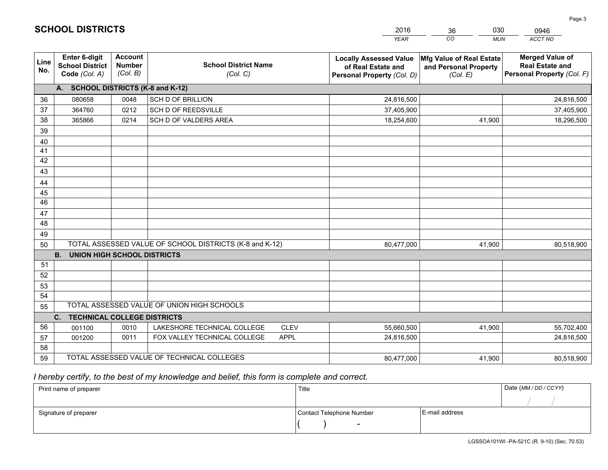|             |                                                                 |                                             |                                                             |                            | <b>YEAR</b>                                                                       | CO<br><b>MUN</b>                                              | ACCT NO                                                                        |
|-------------|-----------------------------------------------------------------|---------------------------------------------|-------------------------------------------------------------|----------------------------|-----------------------------------------------------------------------------------|---------------------------------------------------------------|--------------------------------------------------------------------------------|
| Line<br>No. | <b>Enter 6-digit</b><br><b>School District</b><br>Code (Col. A) | <b>Account</b><br><b>Number</b><br>(Col. B) | <b>School District Name</b><br>(Col. C)                     |                            | <b>Locally Assessed Value</b><br>of Real Estate and<br>Personal Property (Col. D) | Mfg Value of Real Estate<br>and Personal Property<br>(Col. E) | <b>Merged Value of</b><br><b>Real Estate and</b><br>Personal Property (Col. F) |
|             | A. SCHOOL DISTRICTS (K-8 and K-12)                              |                                             |                                                             |                            |                                                                                   |                                                               |                                                                                |
| 36          | 080658                                                          | 0048                                        | <b>SCH D OF BRILLION</b>                                    |                            | 24,816,500                                                                        |                                                               | 24,816,500                                                                     |
| 37          | 364760                                                          | 0212                                        | SCH D OF REEDSVILLE                                         |                            | 37,405,900                                                                        |                                                               | 37,405,900                                                                     |
| 38          | 365866                                                          | 0214                                        | SCH D OF VALDERS AREA                                       |                            | 18,254,600                                                                        | 41,900                                                        | 18,296,500                                                                     |
| 39          |                                                                 |                                             |                                                             |                            |                                                                                   |                                                               |                                                                                |
| 40          |                                                                 |                                             |                                                             |                            |                                                                                   |                                                               |                                                                                |
| 41          |                                                                 |                                             |                                                             |                            |                                                                                   |                                                               |                                                                                |
| 42          |                                                                 |                                             |                                                             |                            |                                                                                   |                                                               |                                                                                |
| 43          |                                                                 |                                             |                                                             |                            |                                                                                   |                                                               |                                                                                |
| 44          |                                                                 |                                             |                                                             |                            |                                                                                   |                                                               |                                                                                |
| 45          |                                                                 |                                             |                                                             |                            |                                                                                   |                                                               |                                                                                |
| 46          |                                                                 |                                             |                                                             |                            |                                                                                   |                                                               |                                                                                |
| 47          |                                                                 |                                             |                                                             |                            |                                                                                   |                                                               |                                                                                |
| 48          |                                                                 |                                             |                                                             |                            |                                                                                   |                                                               |                                                                                |
| 49          |                                                                 |                                             |                                                             |                            |                                                                                   |                                                               |                                                                                |
| 50          |                                                                 |                                             | TOTAL ASSESSED VALUE OF SCHOOL DISTRICTS (K-8 and K-12)     |                            | 80,477,000                                                                        | 41,900                                                        | 80,518,900                                                                     |
|             | <b>UNION HIGH SCHOOL DISTRICTS</b><br><b>B.</b>                 |                                             |                                                             |                            |                                                                                   |                                                               |                                                                                |
| 51          |                                                                 |                                             |                                                             |                            |                                                                                   |                                                               |                                                                                |
| 52          |                                                                 |                                             |                                                             |                            |                                                                                   |                                                               |                                                                                |
| 53          |                                                                 |                                             |                                                             |                            |                                                                                   |                                                               |                                                                                |
| 54          |                                                                 |                                             | TOTAL ASSESSED VALUE OF UNION HIGH SCHOOLS                  |                            |                                                                                   |                                                               |                                                                                |
| 55          |                                                                 |                                             |                                                             |                            |                                                                                   |                                                               |                                                                                |
| 56          | C.<br><b>TECHNICAL COLLEGE DISTRICTS</b>                        |                                             |                                                             |                            |                                                                                   |                                                               |                                                                                |
| 57          | 001100<br>001200                                                | 0010<br>0011                                | LAKESHORE TECHNICAL COLLEGE<br>FOX VALLEY TECHNICAL COLLEGE | <b>CLEV</b><br><b>APPL</b> | 55,660,500<br>24,816,500                                                          | 41,900                                                        | 55,702,400<br>24,816,500                                                       |
| 58          |                                                                 |                                             |                                                             |                            |                                                                                   |                                                               |                                                                                |
| 59          |                                                                 |                                             | TOTAL ASSESSED VALUE OF TECHNICAL COLLEGES                  |                            | 80,477,000                                                                        | 41,900                                                        | 80,518,900                                                                     |
|             |                                                                 |                                             |                                                             |                            |                                                                                   |                                                               |                                                                                |

36

030

 *I hereby certify, to the best of my knowledge and belief, this form is complete and correct.*

**SCHOOL DISTRICTS**

| Print name of preparer | Title                    |                | Date (MM / DD / CCYY) |
|------------------------|--------------------------|----------------|-----------------------|
|                        |                          |                |                       |
| Signature of preparer  | Contact Telephone Number | E-mail address |                       |
|                        | $\overline{\phantom{0}}$ |                |                       |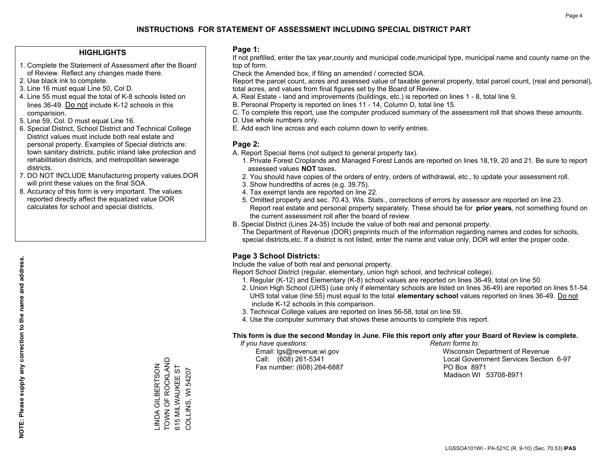#### **HIGHLIGHTS**

- 1. Complete the Statement of Assessment after the Board of Review. Reflect any changes made there.
- 2. Use black ink to complete.
- 3. Line 16 must equal Line 50, Col D.
- 4. Line 55 must equal the total of K-8 schools listed on lines 36-49. Do not include K-12 schools in this comparision.
- 5. Line 59, Col. D must equal Line 16.
- 6. Special District, School District and Technical College District values must include both real estate and personal property. Examples of Special districts are: town sanitary districts, public inland lake protection and rehabilitation districts, and metropolitan sewerage districts.
- 7. DO NOT INCLUDE Manufacturing property values.DOR will print these values on the final SOA.
- 8. Accuracy of this form is very important. The values reported directly affect the equalized value DOR calculates for school and special districts.

#### **Page 1:**

 If not prefilled, enter the tax year,county and municipal code,municipal type, municipal name and county name on the top of form.

Check the Amended box, if filing an amended / corrected SOA.

 Report the parcel count, acres and assessed value of taxable general property, total parcel count, (real and personal), total acres, and values from final figures set by the Board of Review.

- A. Real Estate land and improvements (buildings, etc.) is reported on lines 1 8, total line 9.
- B. Personal Property is reported on lines 11 14, Column D, total line 15.
- C. To complete this report, use the computer produced summary of the assessment roll that shows these amounts.
- D. Use whole numbers only.
- E. Add each line across and each column down to verify entries.

#### **Page 2:**

- A. Report Special Items (not subject to general property tax).
- 1. Private Forest Croplands and Managed Forest Lands are reported on lines 18,19, 20 and 21. Be sure to report assessed values **NOT** taxes.
- 2. You should have copies of the orders of entry, orders of withdrawal, etc., to update your assessment roll.
	- 3. Show hundredths of acres (e.g. 39.75).
- 4. Tax exempt lands are reported on line 22.
- 5. Omitted property and sec. 70.43, Wis. Stats., corrections of errors by assessor are reported on line 23. Report real estate and personal property separately. These should be for **prior years**, not something found on the current assessment roll after the board of review.
- B. Special District (Lines 24-35) Include the value of both real and personal property.
- The Department of Revenue (DOR) preprints much of the information regarding names and codes for schools, special districts,etc. If a district is not listed, enter the name and value only, DOR will enter the proper code.

## **Page 3 School Districts:**

Include the value of both real and personal property.

Report School District (regular, elementary, union high school, and technical college).

- 1. Regular (K-12) and Elementary (K-8) school values are reported on lines 36-49, total on line 50.
- 2. Union High School (UHS) (use only if elementary schools are listed on lines 36-49) are reported on lines 51-54. UHS total value (line 55) must equal to the total **elementary school** values reported on lines 36-49. Do notinclude K-12 schools in this comparison.
- 3. Technical College values are reported on lines 56-58, total on line 59.
- 4. Use the computer summary that shows these amounts to complete this report.

#### **This form is due the second Monday in June. File this report only after your Board of Review is complete.**

 *If you have questions: Return forms to:*

Fax number: (608) 264-6887 PO Box 8971

 Email: lgs@revenue.wi.gov Wisconsin Department of Revenue Call: (608) 261-5341 Local Government Services Section 6-97Madison WI 53708-8971

TOWN OF ROCKLAND \_INDA GILBERTSON<br>TOWN OF ROCKLAND 615 MILWAUKEE ST LINDA GILBERTSON 615 MILWAUKEE ST COLLINS, WI 54207 COLLINS, WI 54207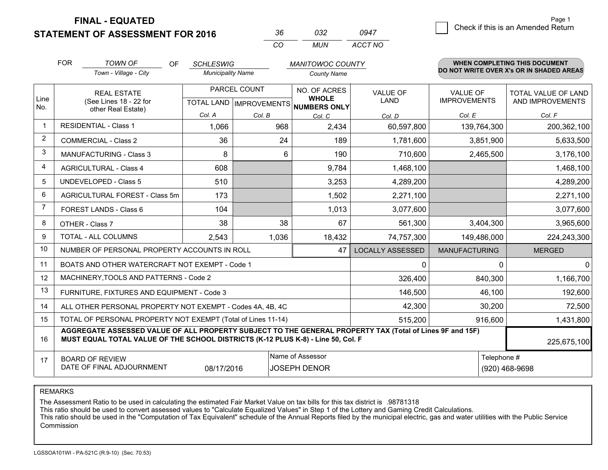**STATEMENT OF ASSESSMENT FOR 2016** 

|          | กจว   |         |
|----------|-------|---------|
| $\cdots$ | MI IN | ACCT NO |

|                | <b>FOR</b>                                                                                                                                                                                   | <b>TOWN OF</b><br>OF                                         | <b>SCHLESWIG</b><br><b>MANITOWOC COUNTY</b> |                                      |                              | <b>WHEN COMPLETING THIS DOCUMENT</b><br>DO NOT WRITE OVER X's OR IN SHADED AREAS |                      |                     |  |
|----------------|----------------------------------------------------------------------------------------------------------------------------------------------------------------------------------------------|--------------------------------------------------------------|---------------------------------------------|--------------------------------------|------------------------------|----------------------------------------------------------------------------------|----------------------|---------------------|--|
|                |                                                                                                                                                                                              | Town - Village - City                                        | <b>Municipality Name</b>                    |                                      | <b>County Name</b>           |                                                                                  |                      |                     |  |
| Line           |                                                                                                                                                                                              | PARCEL COUNT<br><b>REAL ESTATE</b>                           |                                             |                                      | NO. OF ACRES<br><b>WHOLE</b> | VALUE OF                                                                         | VALUE OF             | TOTAL VALUE OF LAND |  |
| No.            | (See Lines 18 - 22 for<br>other Real Estate)                                                                                                                                                 |                                                              |                                             | TOTAL LAND IMPROVEMENTS NUMBERS ONLY | LAND                         | <b>IMPROVEMENTS</b>                                                              | AND IMPROVEMENTS     |                     |  |
|                |                                                                                                                                                                                              |                                                              | Col. A                                      | Col. B                               | Col. C                       | Col. D                                                                           | Col. E               | Col. F              |  |
|                |                                                                                                                                                                                              | <b>RESIDENTIAL - Class 1</b>                                 | 1,066                                       | 968                                  | 2,434                        | 60,597,800                                                                       | 139,764,300          | 200,362,100         |  |
| $\overline{2}$ |                                                                                                                                                                                              | <b>COMMERCIAL - Class 2</b>                                  | 36                                          | 24                                   | 189                          | 1,781,600                                                                        | 3,851,900            | 5,633,500           |  |
| 3              |                                                                                                                                                                                              | <b>MANUFACTURING - Class 3</b>                               | 8                                           | 6                                    | 190                          | 710,600                                                                          | 2,465,500            | 3,176,100           |  |
| $\overline{4}$ |                                                                                                                                                                                              | <b>AGRICULTURAL - Class 4</b>                                | 608                                         |                                      | 9,784                        | 1,468,100                                                                        |                      | 1,468,100           |  |
| 5              |                                                                                                                                                                                              | <b>UNDEVELOPED - Class 5</b>                                 | 510                                         |                                      | 3,253                        | 4,289,200                                                                        |                      | 4,289,200           |  |
| 6              |                                                                                                                                                                                              | AGRICULTURAL FOREST - Class 5m                               | 173                                         |                                      | 1,502                        | 2,271,100                                                                        |                      | 2,271,100           |  |
| 7              |                                                                                                                                                                                              | FOREST LANDS - Class 6                                       | 104                                         |                                      | 1,013                        | 3,077,600                                                                        |                      | 3,077,600           |  |
| 8              |                                                                                                                                                                                              | OTHER - Class 7                                              | 38                                          | 38                                   | 67                           | 561,300                                                                          | 3,404,300            | 3,965,600           |  |
| 9              |                                                                                                                                                                                              | TOTAL - ALL COLUMNS                                          | 2,543                                       | 1,036                                | 18,432                       | 74,757,300                                                                       | 149,486,000          | 224,243,300         |  |
| 10             |                                                                                                                                                                                              | NUMBER OF PERSONAL PROPERTY ACCOUNTS IN ROLL                 |                                             |                                      | 47                           | <b>LOCALLY ASSESSED</b>                                                          | <b>MANUFACTURING</b> | <b>MERGED</b>       |  |
| 11             |                                                                                                                                                                                              | BOATS AND OTHER WATERCRAFT NOT EXEMPT - Code 1               |                                             |                                      |                              | 0                                                                                | 0                    | 0                   |  |
| 12             |                                                                                                                                                                                              | MACHINERY, TOOLS AND PATTERNS - Code 2                       |                                             |                                      |                              | 326,400                                                                          | 840,300              | 1,166,700           |  |
| 13             |                                                                                                                                                                                              | FURNITURE, FIXTURES AND EQUIPMENT - Code 3                   |                                             |                                      |                              | 146,500                                                                          | 46,100               | 192,600             |  |
| 14             |                                                                                                                                                                                              | ALL OTHER PERSONAL PROPERTY NOT EXEMPT - Codes 4A, 4B, 4C    |                                             |                                      |                              | 42,300                                                                           | 30,200               | 72,500              |  |
| 15             |                                                                                                                                                                                              | TOTAL OF PERSONAL PROPERTY NOT EXEMPT (Total of Lines 11-14) |                                             |                                      |                              | 515,200                                                                          | 916,600              | 1,431,800           |  |
| 16             | AGGREGATE ASSESSED VALUE OF ALL PROPERTY SUBJECT TO THE GENERAL PROPERTY TAX (Total of Lines 9F and 15F)<br>MUST EQUAL TOTAL VALUE OF THE SCHOOL DISTRICTS (K-12 PLUS K-8) - Line 50, Col. F |                                                              |                                             |                                      |                              |                                                                                  | 225,675,100          |                     |  |
| 17             |                                                                                                                                                                                              | <b>BOARD OF REVIEW</b>                                       |                                             |                                      | Name of Assessor             |                                                                                  |                      | Telephone #         |  |
|                | DATE OF FINAL ADJOURNMENT<br>08/17/2016<br><b>JOSEPH DENOR</b>                                                                                                                               |                                                              |                                             |                                      |                              |                                                                                  |                      | (920) 468-9698      |  |

REMARKS

The Assessment Ratio to be used in calculating the estimated Fair Market Value on tax bills for this tax district is .98781318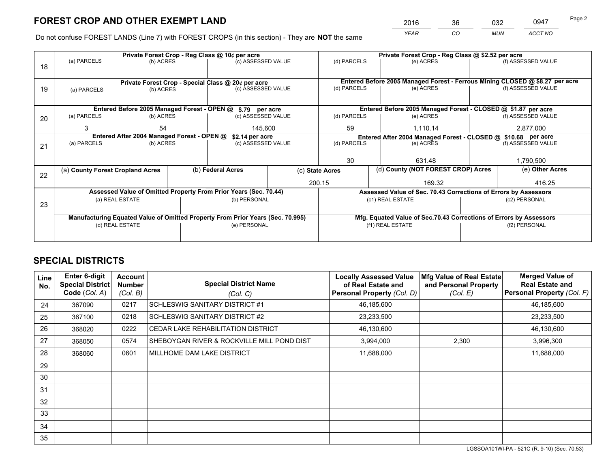*YEAR CO MUN ACCT NO* <sup>2016</sup> <sup>36</sup> <sup>032</sup> <sup>0947</sup> Page 2

Do not confuse FOREST LANDS (Line 7) with FOREST CROPS (in this section) - They are **NOT** the same

|    | Private Forest Crop - Reg Class @ 10¢ per acre                                 |                                 |  |                                                                  |             |                                                               | Private Forest Crop - Reg Class @ \$2.52 per acre                  |                    |                                                                              |  |
|----|--------------------------------------------------------------------------------|---------------------------------|--|------------------------------------------------------------------|-------------|---------------------------------------------------------------|--------------------------------------------------------------------|--------------------|------------------------------------------------------------------------------|--|
| 18 | (a) PARCELS                                                                    | (b) ACRES                       |  | (c) ASSESSED VALUE                                               |             | (d) PARCELS                                                   | (e) ACRES                                                          |                    | (f) ASSESSED VALUE                                                           |  |
|    |                                                                                |                                 |  |                                                                  |             |                                                               |                                                                    |                    |                                                                              |  |
|    |                                                                                |                                 |  | Private Forest Crop - Special Class @ 20¢ per acre               |             |                                                               |                                                                    |                    | Entered Before 2005 Managed Forest - Ferrous Mining CLOSED @ \$8.27 per acre |  |
| 19 | (a) PARCELS                                                                    | (c) ASSESSED VALUE<br>(b) ACRES |  |                                                                  | (d) PARCELS | (e) ACRES                                                     |                                                                    | (f) ASSESSED VALUE |                                                                              |  |
|    |                                                                                |                                 |  |                                                                  |             |                                                               |                                                                    |                    |                                                                              |  |
|    |                                                                                |                                 |  | Entered Before 2005 Managed Forest - OPEN @ \$.79 per acre       |             |                                                               | Entered Before 2005 Managed Forest - CLOSED @ \$1.87 per acre      |                    |                                                                              |  |
| 20 | (a) PARCELS                                                                    | (b) ACRES                       |  | (c) ASSESSED VALUE                                               |             | (d) PARCELS                                                   | (e) ACRES                                                          |                    | (f) ASSESSED VALUE                                                           |  |
|    | 3                                                                              | 54<br>145,600                   |  |                                                                  | 59          | 1,110.14                                                      |                                                                    | 2,877,000          |                                                                              |  |
|    | Entered After 2004 Managed Forest - OPEN @<br>\$2.14 per acre                  |                                 |  |                                                                  |             | Entered After 2004 Managed Forest - CLOSED @ \$10.68 per acre |                                                                    |                    |                                                                              |  |
| 21 | (a) PARCELS                                                                    | (b) ACRES                       |  | (c) ASSESSED VALUE                                               | (d) PARCELS |                                                               | (e) ACRES                                                          |                    | (f) ASSESSED VALUE                                                           |  |
|    |                                                                                |                                 |  |                                                                  |             |                                                               |                                                                    |                    |                                                                              |  |
|    |                                                                                |                                 |  |                                                                  |             | 30                                                            | 631.48                                                             |                    | 1,790,500                                                                    |  |
| 22 | (a) County Forest Cropland Acres                                               |                                 |  | (b) Federal Acres                                                |             | (c) State Acres                                               | (d) County (NOT FOREST CROP) Acres                                 |                    | (e) Other Acres                                                              |  |
|    |                                                                                |                                 |  |                                                                  |             | 200.15                                                        | 169.32                                                             |                    | 416.25                                                                       |  |
|    |                                                                                |                                 |  | Assessed Value of Omitted Property From Prior Years (Sec. 70.44) |             |                                                               | Assessed Value of Sec. 70.43 Corrections of Errors by Assessors    |                    |                                                                              |  |
| 23 |                                                                                | (a) REAL ESTATE                 |  | (b) PERSONAL                                                     |             | (c1) REAL ESTATE                                              |                                                                    |                    | (c2) PERSONAL                                                                |  |
|    |                                                                                |                                 |  |                                                                  |             |                                                               |                                                                    |                    |                                                                              |  |
|    | Manufacturing Equated Value of Omitted Property From Prior Years (Sec. 70.995) |                                 |  |                                                                  |             |                                                               | Mfg. Equated Value of Sec.70.43 Corrections of Errors by Assessors |                    |                                                                              |  |
|    | (d) REAL ESTATE                                                                |                                 |  | (e) PERSONAL                                                     |             | (f1) REAL ESTATE                                              |                                                                    |                    | (f2) PERSONAL                                                                |  |
|    |                                                                                |                                 |  |                                                                  |             |                                                               |                                                                    |                    |                                                                              |  |

## **SPECIAL DISTRICTS**

| <b>Line</b><br>No. | <b>Enter 6-digit</b><br><b>Special District</b><br>Code (Col. A) | <b>Account</b><br><b>Number</b><br>(Col. B) | <b>Special District Name</b><br>(Col. C)   | <b>Locally Assessed Value</b><br>of Real Estate and<br>Personal Property (Col. D) | Mfg Value of Real Estate<br>and Personal Property<br>(Col. E) | <b>Merged Value of</b><br><b>Real Estate and</b><br>Personal Property (Col. F) |
|--------------------|------------------------------------------------------------------|---------------------------------------------|--------------------------------------------|-----------------------------------------------------------------------------------|---------------------------------------------------------------|--------------------------------------------------------------------------------|
| 24                 | 367090                                                           | 0217                                        | SCHLESWIG SANITARY DISTRICT #1             | 46,185,600                                                                        |                                                               | 46,185,600                                                                     |
| 25                 | 367100                                                           | 0218                                        | SCHLESWIG SANITARY DISTRICT #2             | 23,233,500                                                                        |                                                               | 23,233,500                                                                     |
| 26                 | 368020                                                           | 0222                                        | CEDAR LAKE REHABILITATION DISTRICT         | 46,130,600                                                                        |                                                               | 46,130,600                                                                     |
| 27                 | 368050                                                           | 0574                                        | SHEBOYGAN RIVER & ROCKVILLE MILL POND DIST | 3,994,000                                                                         | 2,300                                                         | 3,996,300                                                                      |
| 28                 | 368060                                                           | 0601                                        | MILLHOME DAM LAKE DISTRICT                 | 11,688,000                                                                        |                                                               | 11,688,000                                                                     |
| 29                 |                                                                  |                                             |                                            |                                                                                   |                                                               |                                                                                |
| 30                 |                                                                  |                                             |                                            |                                                                                   |                                                               |                                                                                |
| 31                 |                                                                  |                                             |                                            |                                                                                   |                                                               |                                                                                |
| 32                 |                                                                  |                                             |                                            |                                                                                   |                                                               |                                                                                |
| 33                 |                                                                  |                                             |                                            |                                                                                   |                                                               |                                                                                |
| 34                 |                                                                  |                                             |                                            |                                                                                   |                                                               |                                                                                |
| 35                 |                                                                  |                                             |                                            |                                                                                   |                                                               |                                                                                |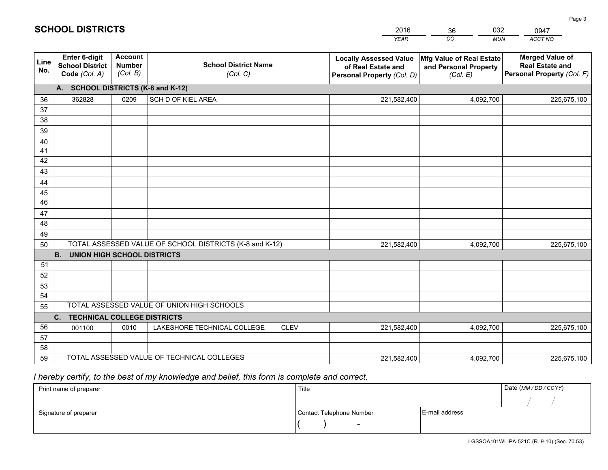|             |                                                                 |                                             |                                                         | <b>YEAR</b>                                                                       | CO<br><b>MUN</b>                                              | ACCT NO                                                                        |
|-------------|-----------------------------------------------------------------|---------------------------------------------|---------------------------------------------------------|-----------------------------------------------------------------------------------|---------------------------------------------------------------|--------------------------------------------------------------------------------|
| Line<br>No. | <b>Enter 6-digit</b><br><b>School District</b><br>Code (Col. A) | <b>Account</b><br><b>Number</b><br>(Col. B) | <b>School District Name</b><br>(Col. C)                 | <b>Locally Assessed Value</b><br>of Real Estate and<br>Personal Property (Col. D) | Mfg Value of Real Estate<br>and Personal Property<br>(Col. E) | <b>Merged Value of</b><br><b>Real Estate and</b><br>Personal Property (Col. F) |
|             | A. SCHOOL DISTRICTS (K-8 and K-12)                              |                                             |                                                         |                                                                                   |                                                               |                                                                                |
| 36          | 362828                                                          | 0209                                        | SCH D OF KIEL AREA                                      | 221,582,400                                                                       | 4,092,700                                                     | 225,675,100                                                                    |
| 37          |                                                                 |                                             |                                                         |                                                                                   |                                                               |                                                                                |
| 38          |                                                                 |                                             |                                                         |                                                                                   |                                                               |                                                                                |
| 39          |                                                                 |                                             |                                                         |                                                                                   |                                                               |                                                                                |
| 40          |                                                                 |                                             |                                                         |                                                                                   |                                                               |                                                                                |
| 41          |                                                                 |                                             |                                                         |                                                                                   |                                                               |                                                                                |
| 42          |                                                                 |                                             |                                                         |                                                                                   |                                                               |                                                                                |
| 43          |                                                                 |                                             |                                                         |                                                                                   |                                                               |                                                                                |
| 44          |                                                                 |                                             |                                                         |                                                                                   |                                                               |                                                                                |
| 45<br>46    |                                                                 |                                             |                                                         |                                                                                   |                                                               |                                                                                |
| 47          |                                                                 |                                             |                                                         |                                                                                   |                                                               |                                                                                |
| 48          |                                                                 |                                             |                                                         |                                                                                   |                                                               |                                                                                |
| 49          |                                                                 |                                             |                                                         |                                                                                   |                                                               |                                                                                |
| 50          |                                                                 |                                             | TOTAL ASSESSED VALUE OF SCHOOL DISTRICTS (K-8 and K-12) | 221,582,400                                                                       | 4,092,700                                                     | 225,675,100                                                                    |
|             | <b>B.</b><br><b>UNION HIGH SCHOOL DISTRICTS</b>                 |                                             |                                                         |                                                                                   |                                                               |                                                                                |
| 51          |                                                                 |                                             |                                                         |                                                                                   |                                                               |                                                                                |
| 52          |                                                                 |                                             |                                                         |                                                                                   |                                                               |                                                                                |
| 53          |                                                                 |                                             |                                                         |                                                                                   |                                                               |                                                                                |
| 54          |                                                                 |                                             |                                                         |                                                                                   |                                                               |                                                                                |
| 55          |                                                                 |                                             | TOTAL ASSESSED VALUE OF UNION HIGH SCHOOLS              |                                                                                   |                                                               |                                                                                |
|             | C.<br><b>TECHNICAL COLLEGE DISTRICTS</b>                        |                                             |                                                         |                                                                                   |                                                               |                                                                                |
| 56          | 001100                                                          | 0010                                        | LAKESHORE TECHNICAL COLLEGE<br><b>CLEV</b>              | 221,582,400                                                                       | 4,092,700                                                     | 225,675,100                                                                    |
| 57          |                                                                 |                                             |                                                         |                                                                                   |                                                               |                                                                                |
| 58          |                                                                 |                                             |                                                         |                                                                                   |                                                               |                                                                                |
| 59          |                                                                 |                                             | TOTAL ASSESSED VALUE OF TECHNICAL COLLEGES              | 221,582,400                                                                       | 4,092,700                                                     | 225,675,100                                                                    |

36

032

 *I hereby certify, to the best of my knowledge and belief, this form is complete and correct.*

**SCHOOL DISTRICTS**

| Print name of preparer | Title                    |                | Date (MM / DD / CCYY) |
|------------------------|--------------------------|----------------|-----------------------|
|                        |                          |                |                       |
| Signature of preparer  | Contact Telephone Number | E-mail address |                       |
|                        |                          |                |                       |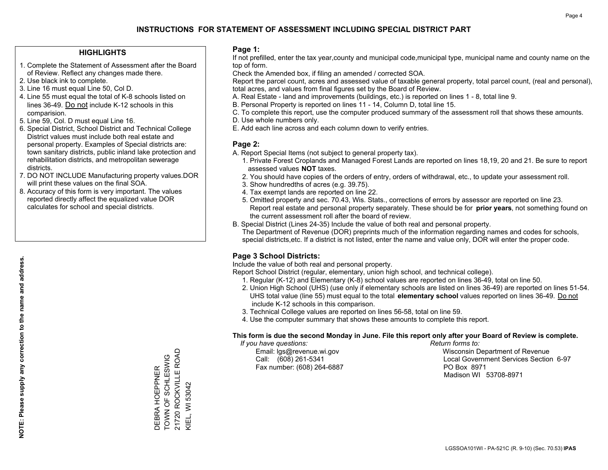#### **HIGHLIGHTS**

- 1. Complete the Statement of Assessment after the Board of Review. Reflect any changes made there.
- 2. Use black ink to complete.
- 3. Line 16 must equal Line 50, Col D.
- 4. Line 55 must equal the total of K-8 schools listed on lines 36-49. Do not include K-12 schools in this comparision.
- 5. Line 59, Col. D must equal Line 16.
- 6. Special District, School District and Technical College District values must include both real estate and personal property. Examples of Special districts are: town sanitary districts, public inland lake protection and rehabilitation districts, and metropolitan sewerage districts.
- 7. DO NOT INCLUDE Manufacturing property values.DOR will print these values on the final SOA.
- 8. Accuracy of this form is very important. The values reported directly affect the equalized value DOR calculates for school and special districts.

#### **Page 1:**

 If not prefilled, enter the tax year,county and municipal code,municipal type, municipal name and county name on the top of form.

Check the Amended box, if filing an amended / corrected SOA.

 Report the parcel count, acres and assessed value of taxable general property, total parcel count, (real and personal), total acres, and values from final figures set by the Board of Review.

- A. Real Estate land and improvements (buildings, etc.) is reported on lines 1 8, total line 9.
- B. Personal Property is reported on lines 11 14, Column D, total line 15.
- C. To complete this report, use the computer produced summary of the assessment roll that shows these amounts.
- D. Use whole numbers only.
- E. Add each line across and each column down to verify entries.

#### **Page 2:**

- A. Report Special Items (not subject to general property tax).
- 1. Private Forest Croplands and Managed Forest Lands are reported on lines 18,19, 20 and 21. Be sure to report assessed values **NOT** taxes.
- 2. You should have copies of the orders of entry, orders of withdrawal, etc., to update your assessment roll.
	- 3. Show hundredths of acres (e.g. 39.75).
- 4. Tax exempt lands are reported on line 22.
- 5. Omitted property and sec. 70.43, Wis. Stats., corrections of errors by assessor are reported on line 23. Report real estate and personal property separately. These should be for **prior years**, not something found on the current assessment roll after the board of review.
- B. Special District (Lines 24-35) Include the value of both real and personal property.
- The Department of Revenue (DOR) preprints much of the information regarding names and codes for schools, special districts,etc. If a district is not listed, enter the name and value only, DOR will enter the proper code.

## **Page 3 School Districts:**

Include the value of both real and personal property.

Report School District (regular, elementary, union high school, and technical college).

- 1. Regular (K-12) and Elementary (K-8) school values are reported on lines 36-49, total on line 50.
- 2. Union High School (UHS) (use only if elementary schools are listed on lines 36-49) are reported on lines 51-54. UHS total value (line 55) must equal to the total **elementary school** values reported on lines 36-49. Do notinclude K-12 schools in this comparison.
- 3. Technical College values are reported on lines 56-58, total on line 59.
- 4. Use the computer summary that shows these amounts to complete this report.

#### **This form is due the second Monday in June. File this report only after your Board of Review is complete.**

 *If you have questions: Return forms to:*

Fax number: (608) 264-6887 PO Box 8971

 Email: lgs@revenue.wi.gov Wisconsin Department of Revenue Call: (608) 261-5341 Local Government Services Section 6-97Madison WI 53708-8971

21720 ROCKVILLE ROAD 21720 ROCKVILLE ROAD DEBRA HOEPPNER<br>TOWN OF SCHLESWIG TOWN OF SCHLESWIG DEBRA HOEPPNER **KIEL, WI 53042** KIEL, WI 53042

**NOTE: Please supply any correction to the name and address.**

NOTE: Please supply any correction to the name and address.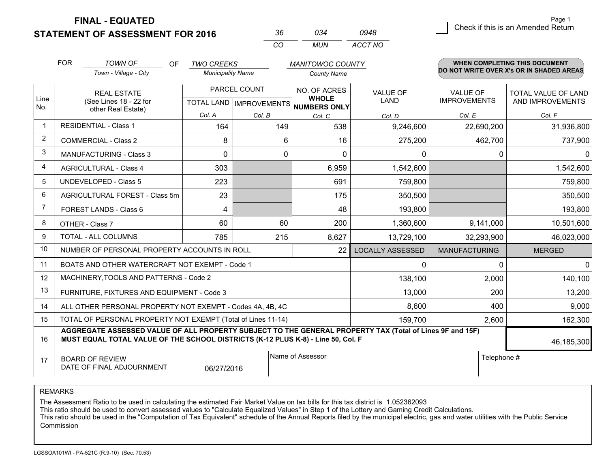**STATEMENT OF ASSESSMENT FOR 2016** 

|          |     | 0948    |
|----------|-----|---------|
| $\cdots$ | MUN | ACCT NO |

|                | <b>FOR</b>                                                                                                                                                                                   | <b>TOWN OF</b><br><b>OF</b>                                  | <b>TWO CREEKS</b>                         |        | <b>MANITOWOC COUNTY</b>                             |                         |                                        | <b>WHEN COMPLETING THIS DOCUMENT</b>           |
|----------------|----------------------------------------------------------------------------------------------------------------------------------------------------------------------------------------------|--------------------------------------------------------------|-------------------------------------------|--------|-----------------------------------------------------|-------------------------|----------------------------------------|------------------------------------------------|
|                |                                                                                                                                                                                              | Town - Village - City                                        | <b>Municipality Name</b>                  |        | <b>County Name</b>                                  |                         |                                        | DO NOT WRITE OVER X's OR IN SHADED AREAS       |
| Line<br>No.    | <b>REAL ESTATE</b><br>(See Lines 18 - 22 for                                                                                                                                                 |                                                              | PARCEL COUNT<br>TOTAL LAND   IMPROVEMENTS |        | NO. OF ACRES<br><b>WHOLE</b><br><b>NUMBERS ONLY</b> | <b>VALUE OF</b><br>LAND | <b>VALUE OF</b><br><b>IMPROVEMENTS</b> | <b>TOTAL VALUE OF LAND</b><br>AND IMPROVEMENTS |
|                |                                                                                                                                                                                              | other Real Estate)                                           | Col. A                                    | Col. B | Col. C                                              | Col. D                  | Col. E                                 | Col. F                                         |
| -1             | <b>RESIDENTIAL - Class 1</b>                                                                                                                                                                 |                                                              | 164                                       | 149    | 538                                                 | 9,246,600               | 22,690,200                             | 31,936,800                                     |
| 2              |                                                                                                                                                                                              | <b>COMMERCIAL - Class 2</b>                                  | 8                                         | 6      | 16                                                  | 275,200                 | 462,700                                | 737,900                                        |
| 3              |                                                                                                                                                                                              | <b>MANUFACTURING - Class 3</b>                               | 0                                         | 0      | 0                                                   | 0                       | 0                                      | $\mathbf{0}$                                   |
| 4              |                                                                                                                                                                                              | <b>AGRICULTURAL - Class 4</b>                                | 303                                       |        | 6,959                                               | 1,542,600               |                                        | 1,542,600                                      |
| 5              |                                                                                                                                                                                              | <b>UNDEVELOPED - Class 5</b>                                 | 223                                       |        | 691                                                 | 759,800                 |                                        | 759,800                                        |
| 6              |                                                                                                                                                                                              | AGRICULTURAL FOREST - Class 5m                               | 23                                        |        | 175                                                 | 350,500                 |                                        | 350,500                                        |
| $\overline{7}$ |                                                                                                                                                                                              | FOREST LANDS - Class 6                                       | 4                                         |        | 48                                                  | 193,800                 |                                        | 193,800                                        |
| 8              |                                                                                                                                                                                              | OTHER - Class 7                                              | 60                                        | 60     | 200                                                 | 1,360,600               | 9,141,000                              | 10,501,600                                     |
| 9              |                                                                                                                                                                                              | TOTAL - ALL COLUMNS                                          | 785                                       | 215    | 8,627                                               | 13,729,100              | 32,293,900                             | 46,023,000                                     |
| 10             |                                                                                                                                                                                              | NUMBER OF PERSONAL PROPERTY ACCOUNTS IN ROLL                 |                                           |        | 22                                                  | <b>LOCALLY ASSESSED</b> | <b>MANUFACTURING</b>                   | <b>MERGED</b>                                  |
| 11             |                                                                                                                                                                                              | BOATS AND OTHER WATERCRAFT NOT EXEMPT - Code 1               |                                           |        |                                                     | 0                       | $\Omega$                               | $\mathbf{0}$                                   |
| 12             |                                                                                                                                                                                              | MACHINERY, TOOLS AND PATTERNS - Code 2                       |                                           |        |                                                     | 138,100                 | 2,000                                  | 140,100                                        |
| 13             |                                                                                                                                                                                              | FURNITURE, FIXTURES AND EQUIPMENT - Code 3                   |                                           |        |                                                     | 13,000                  | 200                                    | 13,200                                         |
| 14             |                                                                                                                                                                                              | ALL OTHER PERSONAL PROPERTY NOT EXEMPT - Codes 4A, 4B, 4C    |                                           |        |                                                     | 8,600                   | 400                                    | 9,000                                          |
| 15             |                                                                                                                                                                                              | TOTAL OF PERSONAL PROPERTY NOT EXEMPT (Total of Lines 11-14) |                                           |        |                                                     | 159,700                 | 2,600                                  | 162,300                                        |
| 16             | AGGREGATE ASSESSED VALUE OF ALL PROPERTY SUBJECT TO THE GENERAL PROPERTY TAX (Total of Lines 9F and 15F)<br>MUST EQUAL TOTAL VALUE OF THE SCHOOL DISTRICTS (K-12 PLUS K-8) - Line 50, Col. F |                                                              |                                           |        |                                                     |                         |                                        | 46,185,300                                     |
| 17             | Name of Assessor<br>Telephone #<br><b>BOARD OF REVIEW</b><br>DATE OF FINAL ADJOURNMENT<br>06/27/2016                                                                                         |                                                              |                                           |        |                                                     |                         |                                        |                                                |

REMARKS

The Assessment Ratio to be used in calculating the estimated Fair Market Value on tax bills for this tax district is 1.052362093<br>This ratio should be used to convert assessed values to "Calculate Equalized Values" in Step Commission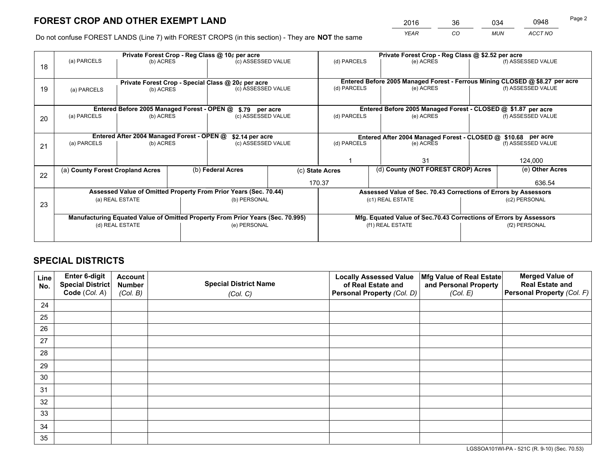*YEAR CO MUN ACCT NO* <sup>2016</sup> <sup>36</sup> <sup>034</sup> <sup>0948</sup> Page 2

Do not confuse FOREST LANDS (Line 7) with FOREST CROPS (in this section) - They are **NOT** the same

|    | Private Forest Crop - Reg Class @ 10¢ per acre                                 |                                                                 |                   |                                                                  |                                                               |                                    | Private Forest Crop - Reg Class @ \$2.52 per acre                            |                 |                    |  |
|----|--------------------------------------------------------------------------------|-----------------------------------------------------------------|-------------------|------------------------------------------------------------------|---------------------------------------------------------------|------------------------------------|------------------------------------------------------------------------------|-----------------|--------------------|--|
| 18 | (a) PARCELS                                                                    | (b) ACRES                                                       |                   | (c) ASSESSED VALUE                                               |                                                               | (d) PARCELS                        | (e) ACRES                                                                    |                 | (f) ASSESSED VALUE |  |
|    |                                                                                |                                                                 |                   |                                                                  |                                                               |                                    | Entered Before 2005 Managed Forest - Ferrous Mining CLOSED @ \$8.27 per acre |                 |                    |  |
| 19 | (a) PARCELS                                                                    | Private Forest Crop - Special Class @ 20¢ per acre<br>(b) ACRES |                   | (c) ASSESSED VALUE                                               |                                                               | (d) PARCELS                        | (e) ACRES                                                                    |                 | (f) ASSESSED VALUE |  |
|    |                                                                                | Entered Before 2005 Managed Forest - OPEN @                     |                   | \$.79 per acre                                                   |                                                               |                                    | Entered Before 2005 Managed Forest - CLOSED @ \$1.87 per acre                |                 |                    |  |
| 20 | (a) PARCELS                                                                    | (b) ACRES                                                       |                   | (c) ASSESSED VALUE                                               |                                                               | (d) PARCELS                        | (e) ACRES                                                                    |                 | (f) ASSESSED VALUE |  |
|    |                                                                                |                                                                 |                   |                                                                  |                                                               |                                    |                                                                              |                 |                    |  |
|    |                                                                                | Entered After 2004 Managed Forest - OPEN @                      |                   | \$2.14 per acre                                                  | Entered After 2004 Managed Forest - CLOSED @ \$10.68 per acre |                                    |                                                                              |                 |                    |  |
| 21 | (a) PARCELS                                                                    | (b) ACRES                                                       |                   | (c) ASSESSED VALUE                                               |                                                               | (d) PARCELS<br>(e) ACRES           |                                                                              |                 | (f) ASSESSED VALUE |  |
|    |                                                                                |                                                                 |                   |                                                                  |                                                               |                                    |                                                                              |                 |                    |  |
|    |                                                                                |                                                                 |                   |                                                                  |                                                               | 31                                 |                                                                              | 124,000         |                    |  |
| 22 | (a) County Forest Cropland Acres                                               |                                                                 | (b) Federal Acres |                                                                  | (c) State Acres                                               | (d) County (NOT FOREST CROP) Acres |                                                                              | (e) Other Acres |                    |  |
|    |                                                                                |                                                                 |                   |                                                                  |                                                               | 170.37                             |                                                                              |                 | 636.54             |  |
|    |                                                                                |                                                                 |                   | Assessed Value of Omitted Property From Prior Years (Sec. 70.44) |                                                               |                                    | Assessed Value of Sec. 70.43 Corrections of Errors by Assessors              |                 |                    |  |
| 23 |                                                                                | (a) REAL ESTATE                                                 |                   | (b) PERSONAL                                                     |                                                               |                                    | (c1) REAL ESTATE                                                             |                 | (c2) PERSONAL      |  |
|    |                                                                                |                                                                 |                   |                                                                  |                                                               |                                    |                                                                              |                 |                    |  |
|    | Manufacturing Equated Value of Omitted Property From Prior Years (Sec. 70.995) |                                                                 |                   |                                                                  |                                                               |                                    | Mfg. Equated Value of Sec.70.43 Corrections of Errors by Assessors           |                 |                    |  |
|    | (d) REAL ESTATE                                                                |                                                                 |                   | (e) PERSONAL                                                     |                                                               | (f1) REAL ESTATE                   |                                                                              | (f2) PERSONAL   |                    |  |
|    |                                                                                |                                                                 |                   |                                                                  |                                                               |                                    |                                                                              |                 |                    |  |

## **SPECIAL DISTRICTS**

| Line<br>No. | Enter 6-digit<br>Special District<br>Code (Col. A) | <b>Account</b><br><b>Number</b> | <b>Special District Name</b> | <b>Locally Assessed Value</b><br>of Real Estate and | Mfg Value of Real Estate<br>and Personal Property | <b>Merged Value of</b><br><b>Real Estate and</b><br>Personal Property (Col. F) |
|-------------|----------------------------------------------------|---------------------------------|------------------------------|-----------------------------------------------------|---------------------------------------------------|--------------------------------------------------------------------------------|
|             |                                                    | (Col. B)                        | (Col. C)                     | Personal Property (Col. D)                          | (Col. E)                                          |                                                                                |
| 24          |                                                    |                                 |                              |                                                     |                                                   |                                                                                |
| 25          |                                                    |                                 |                              |                                                     |                                                   |                                                                                |
| 26          |                                                    |                                 |                              |                                                     |                                                   |                                                                                |
| 27          |                                                    |                                 |                              |                                                     |                                                   |                                                                                |
| 28          |                                                    |                                 |                              |                                                     |                                                   |                                                                                |
| 29          |                                                    |                                 |                              |                                                     |                                                   |                                                                                |
| 30          |                                                    |                                 |                              |                                                     |                                                   |                                                                                |
| 31          |                                                    |                                 |                              |                                                     |                                                   |                                                                                |
| 32          |                                                    |                                 |                              |                                                     |                                                   |                                                                                |
| 33          |                                                    |                                 |                              |                                                     |                                                   |                                                                                |
| 34          |                                                    |                                 |                              |                                                     |                                                   |                                                                                |
| 35          |                                                    |                                 |                              |                                                     |                                                   |                                                                                |

LGSSOA101WI-PA - 521C (R. 9-10) (Sec. 70.53)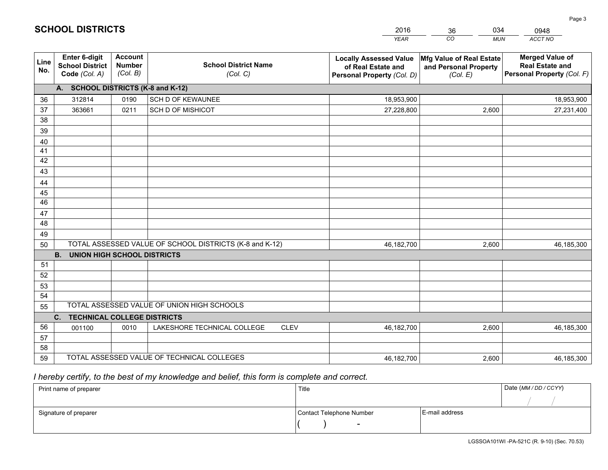|                       |                                                                 |                                             |                                                         | <b>YEAR</b>                                                                       | CO<br><b>MUN</b>                                              | ACCT NO                                                                        |
|-----------------------|-----------------------------------------------------------------|---------------------------------------------|---------------------------------------------------------|-----------------------------------------------------------------------------------|---------------------------------------------------------------|--------------------------------------------------------------------------------|
| Line<br>No.           | <b>Enter 6-digit</b><br><b>School District</b><br>Code (Col. A) | <b>Account</b><br><b>Number</b><br>(Col. B) | <b>School District Name</b><br>(Col. C)                 | <b>Locally Assessed Value</b><br>of Real Estate and<br>Personal Property (Col. D) | Mfg Value of Real Estate<br>and Personal Property<br>(Col. E) | <b>Merged Value of</b><br><b>Real Estate and</b><br>Personal Property (Col. F) |
|                       | A. SCHOOL DISTRICTS (K-8 and K-12)                              |                                             |                                                         |                                                                                   |                                                               |                                                                                |
| 36                    | 312814                                                          | 0190                                        | SCH D OF KEWAUNEE                                       | 18,953,900                                                                        |                                                               | 18,953,900                                                                     |
| 37                    | 363661                                                          | 0211                                        | <b>SCH D OF MISHICOT</b>                                | 27,228,800                                                                        | 2,600                                                         | 27,231,400                                                                     |
| 38                    |                                                                 |                                             |                                                         |                                                                                   |                                                               |                                                                                |
| 39                    |                                                                 |                                             |                                                         |                                                                                   |                                                               |                                                                                |
| 40                    |                                                                 |                                             |                                                         |                                                                                   |                                                               |                                                                                |
| 41                    |                                                                 |                                             |                                                         |                                                                                   |                                                               |                                                                                |
| 42                    |                                                                 |                                             |                                                         |                                                                                   |                                                               |                                                                                |
| 43                    |                                                                 |                                             |                                                         |                                                                                   |                                                               |                                                                                |
| 44                    |                                                                 |                                             |                                                         |                                                                                   |                                                               |                                                                                |
| 45<br>$\overline{46}$ |                                                                 |                                             |                                                         |                                                                                   |                                                               |                                                                                |
| 47                    |                                                                 |                                             |                                                         |                                                                                   |                                                               |                                                                                |
| 48                    |                                                                 |                                             |                                                         |                                                                                   |                                                               |                                                                                |
| 49                    |                                                                 |                                             |                                                         |                                                                                   |                                                               |                                                                                |
| 50                    |                                                                 |                                             | TOTAL ASSESSED VALUE OF SCHOOL DISTRICTS (K-8 and K-12) | 46,182,700                                                                        | 2,600                                                         | 46,185,300                                                                     |
|                       | <b>B.</b><br><b>UNION HIGH SCHOOL DISTRICTS</b>                 |                                             |                                                         |                                                                                   |                                                               |                                                                                |
| 51                    |                                                                 |                                             |                                                         |                                                                                   |                                                               |                                                                                |
| 52                    |                                                                 |                                             |                                                         |                                                                                   |                                                               |                                                                                |
| 53                    |                                                                 |                                             |                                                         |                                                                                   |                                                               |                                                                                |
| 54                    |                                                                 |                                             |                                                         |                                                                                   |                                                               |                                                                                |
| 55                    |                                                                 |                                             | TOTAL ASSESSED VALUE OF UNION HIGH SCHOOLS              |                                                                                   |                                                               |                                                                                |
|                       | C.<br><b>TECHNICAL COLLEGE DISTRICTS</b>                        |                                             |                                                         |                                                                                   |                                                               |                                                                                |
| 56                    | 001100                                                          | 0010                                        | LAKESHORE TECHNICAL COLLEGE<br><b>CLEV</b>              | 46,182,700                                                                        | 2,600                                                         | 46,185,300                                                                     |
| 57                    |                                                                 |                                             |                                                         |                                                                                   |                                                               |                                                                                |
| 58                    |                                                                 |                                             |                                                         |                                                                                   |                                                               |                                                                                |
| 59                    |                                                                 |                                             | TOTAL ASSESSED VALUE OF TECHNICAL COLLEGES              | 46,182,700                                                                        | 2,600                                                         | 46, 185, 300                                                                   |

36

034

 *I hereby certify, to the best of my knowledge and belief, this form is complete and correct.*

**SCHOOL DISTRICTS**

| Print name of preparer | Title                    |                | Date (MM / DD / CCYY) |
|------------------------|--------------------------|----------------|-----------------------|
|                        |                          |                |                       |
| Signature of preparer  | Contact Telephone Number | E-mail address |                       |
|                        | $\sim$                   |                |                       |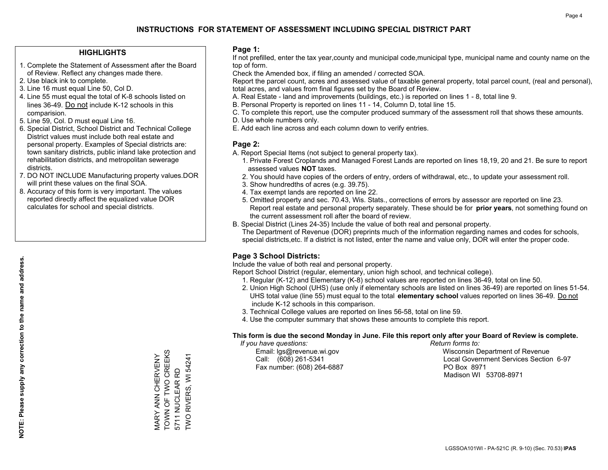#### **HIGHLIGHTS**

- 1. Complete the Statement of Assessment after the Board of Review. Reflect any changes made there.
- 2. Use black ink to complete.
- 3. Line 16 must equal Line 50, Col D.
- 4. Line 55 must equal the total of K-8 schools listed on lines 36-49. Do not include K-12 schools in this comparision.
- 5. Line 59, Col. D must equal Line 16.
- 6. Special District, School District and Technical College District values must include both real estate and personal property. Examples of Special districts are: town sanitary districts, public inland lake protection and rehabilitation districts, and metropolitan sewerage districts.
- 7. DO NOT INCLUDE Manufacturing property values.DOR will print these values on the final SOA.
- 8. Accuracy of this form is very important. The values reported directly affect the equalized value DOR calculates for school and special districts.

#### **Page 1:**

 If not prefilled, enter the tax year,county and municipal code,municipal type, municipal name and county name on the top of form.

Check the Amended box, if filing an amended / corrected SOA.

 Report the parcel count, acres and assessed value of taxable general property, total parcel count, (real and personal), total acres, and values from final figures set by the Board of Review.

- A. Real Estate land and improvements (buildings, etc.) is reported on lines 1 8, total line 9.
- B. Personal Property is reported on lines 11 14, Column D, total line 15.
- C. To complete this report, use the computer produced summary of the assessment roll that shows these amounts.
- D. Use whole numbers only.
- E. Add each line across and each column down to verify entries.

#### **Page 2:**

- A. Report Special Items (not subject to general property tax).
- 1. Private Forest Croplands and Managed Forest Lands are reported on lines 18,19, 20 and 21. Be sure to report assessed values **NOT** taxes.
- 2. You should have copies of the orders of entry, orders of withdrawal, etc., to update your assessment roll.
	- 3. Show hundredths of acres (e.g. 39.75).
- 4. Tax exempt lands are reported on line 22.
- 5. Omitted property and sec. 70.43, Wis. Stats., corrections of errors by assessor are reported on line 23. Report real estate and personal property separately. These should be for **prior years**, not something found on the current assessment roll after the board of review.
- B. Special District (Lines 24-35) Include the value of both real and personal property.
- The Department of Revenue (DOR) preprints much of the information regarding names and codes for schools, special districts,etc. If a district is not listed, enter the name and value only, DOR will enter the proper code.

## **Page 3 School Districts:**

Include the value of both real and personal property.

Report School District (regular, elementary, union high school, and technical college).

- 1. Regular (K-12) and Elementary (K-8) school values are reported on lines 36-49, total on line 50.
- 2. Union High School (UHS) (use only if elementary schools are listed on lines 36-49) are reported on lines 51-54. UHS total value (line 55) must equal to the total **elementary school** values reported on lines 36-49. Do notinclude K-12 schools in this comparison.
- 3. Technical College values are reported on lines 56-58, total on line 59.
- 4. Use the computer summary that shows these amounts to complete this report.

#### **This form is due the second Monday in June. File this report only after your Board of Review is complete.**

 *If you have questions: Return forms to:*

Fax number: (608) 264-6887 PO Box 8971

 Email: lgs@revenue.wi.gov Wisconsin Department of Revenue Call: (608) 261-5341 Local Government Services Section 6-97Madison WI 53708-8971

MARY ANN CHERVENY TOWN OF TWO CREEKS 5711 NUCLEAR RD TWO RIVERS, WI 54241

MARY ANN CHERVENY<br>TOWN OF TWO CREEKS

5711 NUCLEAR RD<br>TWO RIVERS, WI 54241

**NOTE: Please supply any correction to the name and address.**

NOTE: Please supply any correction to the name and address.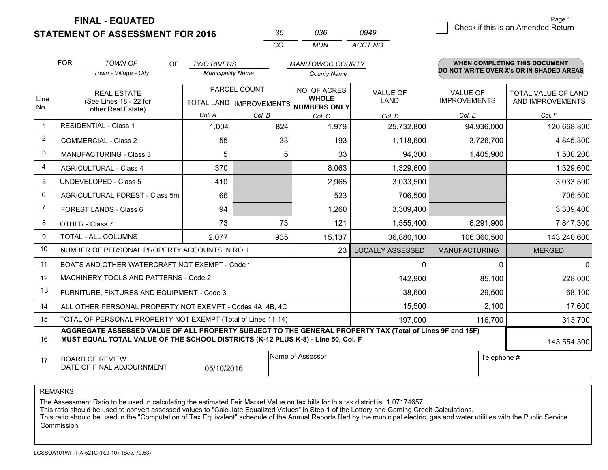**STATEMENT OF ASSESSMENT FOR 2016** 

| 3h.      | กวค   | 0949    |
|----------|-------|---------|
| $\cdots$ | MI IN | ACCT NO |

|                | <b>FOR</b>                                                                                                                                                                                   | <b>TOWN OF</b><br>OF           | <b>TWO RIVERS</b>                                    |        | <b>MANITOWOC COUNTY</b>      |                                |                                        | <b>WHEN COMPLETING THIS DOCUMENT</b>     |
|----------------|----------------------------------------------------------------------------------------------------------------------------------------------------------------------------------------------|--------------------------------|------------------------------------------------------|--------|------------------------------|--------------------------------|----------------------------------------|------------------------------------------|
|                |                                                                                                                                                                                              | Town - Village - City          | <b>Municipality Name</b>                             |        | <b>County Name</b>           |                                |                                        | DO NOT WRITE OVER X's OR IN SHADED AREAS |
| Line<br>No.    | <b>REAL ESTATE</b><br>(See Lines 18 - 22 for                                                                                                                                                 |                                | PARCEL COUNT<br>TOTAL LAND IMPROVEMENTS NUMBERS ONLY |        | NO. OF ACRES<br><b>WHOLE</b> | <b>VALUE OF</b><br><b>LAND</b> | <b>VALUE OF</b><br><b>IMPROVEMENTS</b> | TOTAL VALUE OF LAND<br>AND IMPROVEMENTS  |
|                |                                                                                                                                                                                              | other Real Estate)<br>Col. A   |                                                      | Col. B | Col. C                       | Col. D                         | Col. E                                 | Col. F                                   |
|                |                                                                                                                                                                                              | <b>RESIDENTIAL - Class 1</b>   | 1,004                                                | 824    | 1,979                        | 25,732,800                     | 94,936,000                             | 120,668,800                              |
| $\overline{2}$ |                                                                                                                                                                                              | <b>COMMERCIAL - Class 2</b>    | 55                                                   | 33     | 193                          | 1,118,600                      | 3,726,700                              | 4,845,300                                |
| 3              |                                                                                                                                                                                              | <b>MANUFACTURING - Class 3</b> | 5                                                    | 5      | 33                           | 94,300                         | 1,405,900                              | 1,500,200                                |
| $\overline{4}$ |                                                                                                                                                                                              | <b>AGRICULTURAL - Class 4</b>  | 370                                                  |        | 8,063                        | 1,329,600                      |                                        | 1,329,600                                |
| 5              |                                                                                                                                                                                              | <b>UNDEVELOPED - Class 5</b>   | 410                                                  |        | 2,965                        | 3,033,500                      |                                        | 3,033,500                                |
| 6              |                                                                                                                                                                                              | AGRICULTURAL FOREST - Class 5m | 66                                                   |        | 523                          | 706,500                        |                                        | 706,500                                  |
| $\overline{7}$ | <b>FOREST LANDS - Class 6</b><br>OTHER - Class 7                                                                                                                                             |                                | 94                                                   |        | 1,260                        | 3,309,400                      |                                        | 3,309,400                                |
| 8              |                                                                                                                                                                                              |                                | 73                                                   | 73     | 121                          | 1,555,400                      | 6,291,900                              | 7,847,300                                |
| 9              | TOTAL - ALL COLUMNS                                                                                                                                                                          |                                | 2,077                                                | 935    | 15,137                       | 36,880,100                     | 106,360,500                            | 143,240,600                              |
| 10             | NUMBER OF PERSONAL PROPERTY ACCOUNTS IN ROLL<br>23                                                                                                                                           |                                |                                                      |        |                              | <b>LOCALLY ASSESSED</b>        | <b>MANUFACTURING</b>                   | <b>MERGED</b>                            |
| 11             | BOATS AND OTHER WATERCRAFT NOT EXEMPT - Code 1<br>$\mathbf{0}$                                                                                                                               |                                |                                                      |        |                              |                                | 0                                      | $\mathbf{0}$                             |
| 12             | MACHINERY, TOOLS AND PATTERNS - Code 2<br>142,900                                                                                                                                            |                                |                                                      |        |                              |                                | 85,100                                 | 228,000                                  |
| 13             | FURNITURE, FIXTURES AND EQUIPMENT - Code 3<br>38,600                                                                                                                                         |                                |                                                      |        |                              |                                | 29,500                                 | 68,100                                   |
| 14             | 2,100<br>15,500<br>ALL OTHER PERSONAL PROPERTY NOT EXEMPT - Codes 4A, 4B, 4C                                                                                                                 |                                |                                                      |        |                              |                                |                                        | 17,600                                   |
| 15             | TOTAL OF PERSONAL PROPERTY NOT EXEMPT (Total of Lines 11-14)<br>197,000<br>116,700                                                                                                           |                                |                                                      |        |                              |                                | 313,700                                |                                          |
| 16             | AGGREGATE ASSESSED VALUE OF ALL PROPERTY SUBJECT TO THE GENERAL PROPERTY TAX (Total of Lines 9F and 15F)<br>MUST EQUAL TOTAL VALUE OF THE SCHOOL DISTRICTS (K-12 PLUS K-8) - Line 50, Col. F |                                |                                                      |        |                              |                                | 143,554,300                            |                                          |
| 17             | Name of Assessor<br><b>BOARD OF REVIEW</b><br>DATE OF FINAL ADJOURNMENT<br>05/10/2016                                                                                                        |                                |                                                      |        | Telephone #                  |                                |                                        |                                          |

REMARKS

The Assessment Ratio to be used in calculating the estimated Fair Market Value on tax bills for this tax district is 1.07174657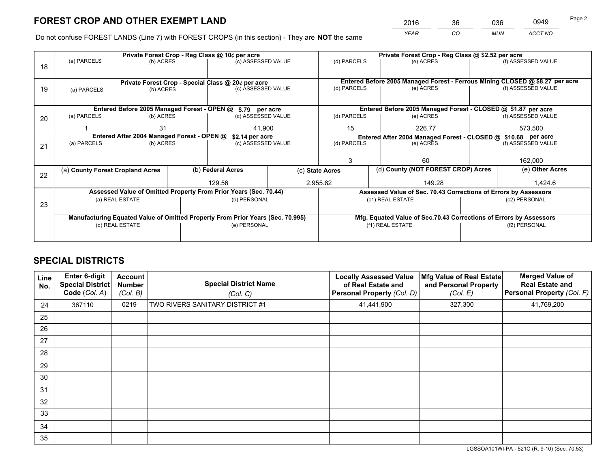*YEAR CO MUN ACCT NO* <sup>2016</sup> <sup>36</sup> <sup>036</sup> <sup>0949</sup>

Do not confuse FOREST LANDS (Line 7) with FOREST CROPS (in this section) - They are **NOT** the same

| Private Forest Crop - Reg Class @ 10¢ per acre |  |                                                           |                                   |                                                                           | Private Forest Crop - Reg Class @ \$2.52 per acre                                                                                                                                                                                                                                                                                                         |                                        |                                                         |                                                                                                                                                                                                                                         |  |
|------------------------------------------------|--|-----------------------------------------------------------|-----------------------------------|---------------------------------------------------------------------------|-----------------------------------------------------------------------------------------------------------------------------------------------------------------------------------------------------------------------------------------------------------------------------------------------------------------------------------------------------------|----------------------------------------|---------------------------------------------------------|-----------------------------------------------------------------------------------------------------------------------------------------------------------------------------------------------------------------------------------------|--|
| (a) PARCELS<br>(b) ACRES                       |  | (c) ASSESSED VALUE                                        |                                   | (d) PARCELS                                                               | (e) ACRES                                                                                                                                                                                                                                                                                                                                                 |                                        | (f) ASSESSED VALUE                                      |                                                                                                                                                                                                                                         |  |
|                                                |  |                                                           |                                   |                                                                           |                                                                                                                                                                                                                                                                                                                                                           |                                        |                                                         |                                                                                                                                                                                                                                         |  |
|                                                |  |                                                           |                                   |                                                                           | Entered Before 2005 Managed Forest - Ferrous Mining CLOSED @ \$8.27 per acre                                                                                                                                                                                                                                                                              |                                        |                                                         |                                                                                                                                                                                                                                         |  |
| (a) PARCELS                                    |  |                                                           | (c) ASSESSED VALUE                |                                                                           | (d) PARCELS                                                                                                                                                                                                                                                                                                                                               | (e) ACRES                              |                                                         | (f) ASSESSED VALUE                                                                                                                                                                                                                      |  |
|                                                |  |                                                           |                                   |                                                                           |                                                                                                                                                                                                                                                                                                                                                           |                                        |                                                         |                                                                                                                                                                                                                                         |  |
|                                                |  |                                                           |                                   |                                                                           |                                                                                                                                                                                                                                                                                                                                                           |                                        |                                                         |                                                                                                                                                                                                                                         |  |
| (a) PARCELS                                    |  |                                                           |                                   |                                                                           | (d) PARCELS                                                                                                                                                                                                                                                                                                                                               | (e) ACRES                              | (f) ASSESSED VALUE                                      |                                                                                                                                                                                                                                         |  |
|                                                |  |                                                           |                                   |                                                                           |                                                                                                                                                                                                                                                                                                                                                           |                                        |                                                         | 573,500                                                                                                                                                                                                                                 |  |
|                                                |  |                                                           |                                   |                                                                           |                                                                                                                                                                                                                                                                                                                                                           |                                        |                                                         |                                                                                                                                                                                                                                         |  |
| (a) PARCELS<br>(b) ACRES                       |  |                                                           | (d) PARCELS<br>(c) ASSESSED VALUE |                                                                           |                                                                                                                                                                                                                                                                                                                                                           |                                        | (f) ASSESSED VALUE                                      |                                                                                                                                                                                                                                         |  |
|                                                |  |                                                           |                                   |                                                                           |                                                                                                                                                                                                                                                                                                                                                           |                                        |                                                         |                                                                                                                                                                                                                                         |  |
|                                                |  |                                                           |                                   |                                                                           |                                                                                                                                                                                                                                                                                                                                                           |                                        |                                                         |                                                                                                                                                                                                                                         |  |
|                                                |  |                                                           |                                   |                                                                           |                                                                                                                                                                                                                                                                                                                                                           |                                        |                                                         | 162,000                                                                                                                                                                                                                                 |  |
|                                                |  |                                                           |                                   |                                                                           |                                                                                                                                                                                                                                                                                                                                                           |                                        |                                                         | (e) Other Acres                                                                                                                                                                                                                         |  |
|                                                |  |                                                           |                                   |                                                                           |                                                                                                                                                                                                                                                                                                                                                           |                                        |                                                         | 1.424.6                                                                                                                                                                                                                                 |  |
|                                                |  |                                                           |                                   |                                                                           |                                                                                                                                                                                                                                                                                                                                                           |                                        |                                                         |                                                                                                                                                                                                                                         |  |
|                                                |  |                                                           |                                   |                                                                           |                                                                                                                                                                                                                                                                                                                                                           |                                        |                                                         |                                                                                                                                                                                                                                         |  |
|                                                |  |                                                           |                                   |                                                                           |                                                                                                                                                                                                                                                                                                                                                           |                                        | (c2) PERSONAL                                           |                                                                                                                                                                                                                                         |  |
|                                                |  |                                                           |                                   |                                                                           |                                                                                                                                                                                                                                                                                                                                                           |                                        |                                                         |                                                                                                                                                                                                                                         |  |
|                                                |  |                                                           |                                   |                                                                           | Mfg. Equated Value of Sec.70.43 Corrections of Errors by Assessors                                                                                                                                                                                                                                                                                        |                                        |                                                         |                                                                                                                                                                                                                                         |  |
| (d) REAL ESTATE                                |  |                                                           |                                   |                                                                           | (f1) REAL ESTATE                                                                                                                                                                                                                                                                                                                                          |                                        | (f2) PERSONAL                                           |                                                                                                                                                                                                                                         |  |
|                                                |  |                                                           |                                   |                                                                           |                                                                                                                                                                                                                                                                                                                                                           |                                        |                                                         |                                                                                                                                                                                                                                         |  |
|                                                |  | 31<br>(a) County Forest Cropland Acres<br>(a) REAL ESTATE | (b) ACRES<br>(b) ACRES            | Entered After 2004 Managed Forest - OPEN @<br>(b) Federal Acres<br>129.56 | Private Forest Crop - Special Class @ 20¢ per acre<br>Entered Before 2005 Managed Forest - OPEN @ \$.79 per acre<br>(c) ASSESSED VALUE<br>41,900<br>\$2.14 per acre<br>Assessed Value of Omitted Property From Prior Years (Sec. 70.44)<br>(b) PERSONAL<br>Manufacturing Equated Value of Omitted Property From Prior Years (Sec. 70.995)<br>(e) PERSONAL | 15<br>3<br>(c) State Acres<br>2,955.82 | 226.77<br>(e) ACRES<br>60<br>149.28<br>(c1) REAL ESTATE | Entered Before 2005 Managed Forest - CLOSED @ \$1.87 per acre<br>Entered After 2004 Managed Forest - CLOSED @ \$10.68 per acre<br>(d) County (NOT FOREST CROP) Acres<br>Assessed Value of Sec. 70.43 Corrections of Errors by Assessors |  |

## **SPECIAL DISTRICTS**

| Line<br>No. | Enter 6-digit<br><b>Special District</b><br>Code (Col. A) | <b>Account</b><br><b>Number</b><br>(Col. B) | <b>Special District Name</b><br>(Col. C) | <b>Locally Assessed Value</b><br>of Real Estate and<br><b>Personal Property (Col. D)</b> | Mfg Value of Real Estate<br>and Personal Property<br>(Col. E) | <b>Merged Value of</b><br><b>Real Estate and</b><br>Personal Property (Col. F) |
|-------------|-----------------------------------------------------------|---------------------------------------------|------------------------------------------|------------------------------------------------------------------------------------------|---------------------------------------------------------------|--------------------------------------------------------------------------------|
| 24          | 367110                                                    | 0219                                        | TWO RIVERS SANITARY DISTRICT #1          | 41,441,900                                                                               | 327,300                                                       | 41,769,200                                                                     |
| 25          |                                                           |                                             |                                          |                                                                                          |                                                               |                                                                                |
| 26          |                                                           |                                             |                                          |                                                                                          |                                                               |                                                                                |
| 27          |                                                           |                                             |                                          |                                                                                          |                                                               |                                                                                |
| 28          |                                                           |                                             |                                          |                                                                                          |                                                               |                                                                                |
| 29          |                                                           |                                             |                                          |                                                                                          |                                                               |                                                                                |
| 30          |                                                           |                                             |                                          |                                                                                          |                                                               |                                                                                |
| 31          |                                                           |                                             |                                          |                                                                                          |                                                               |                                                                                |
| 32          |                                                           |                                             |                                          |                                                                                          |                                                               |                                                                                |
| 33          |                                                           |                                             |                                          |                                                                                          |                                                               |                                                                                |
| 34          |                                                           |                                             |                                          |                                                                                          |                                                               |                                                                                |
| 35          |                                                           |                                             |                                          |                                                                                          |                                                               |                                                                                |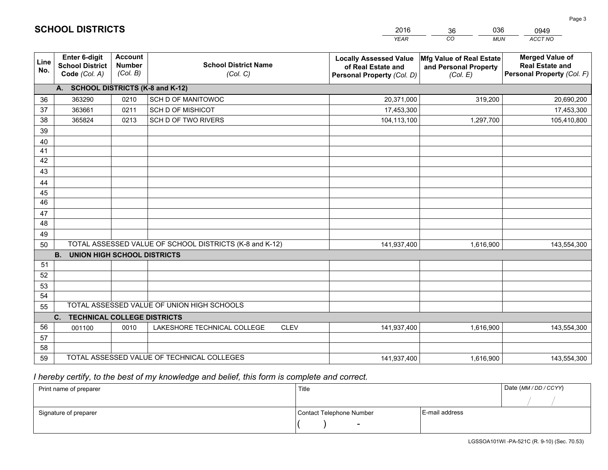|             |                                                          |                                             |                                                         | <b>YEAR</b>                                                                       | CO<br><b>MUN</b>                                              | ACCT NO                                                                        |
|-------------|----------------------------------------------------------|---------------------------------------------|---------------------------------------------------------|-----------------------------------------------------------------------------------|---------------------------------------------------------------|--------------------------------------------------------------------------------|
| Line<br>No. | Enter 6-digit<br><b>School District</b><br>Code (Col. A) | <b>Account</b><br><b>Number</b><br>(Col. B) | <b>School District Name</b><br>(Col. C)                 | <b>Locally Assessed Value</b><br>of Real Estate and<br>Personal Property (Col. D) | Mfg Value of Real Estate<br>and Personal Property<br>(Col. E) | <b>Merged Value of</b><br><b>Real Estate and</b><br>Personal Property (Col. F) |
|             | A. SCHOOL DISTRICTS (K-8 and K-12)                       |                                             |                                                         |                                                                                   |                                                               |                                                                                |
| 36          | 363290                                                   | 0210                                        | SCH D OF MANITOWOC                                      | 20,371,000                                                                        | 319,200                                                       | 20,690,200                                                                     |
| 37          | 363661                                                   | 0211                                        | <b>SCH D OF MISHICOT</b>                                | 17,453,300                                                                        |                                                               | 17,453,300                                                                     |
| 38          | 365824                                                   | 0213                                        | SCH D OF TWO RIVERS                                     | 104,113,100                                                                       | 1,297,700                                                     | 105,410,800                                                                    |
| 39          |                                                          |                                             |                                                         |                                                                                   |                                                               |                                                                                |
| 40          |                                                          |                                             |                                                         |                                                                                   |                                                               |                                                                                |
| 41          |                                                          |                                             |                                                         |                                                                                   |                                                               |                                                                                |
| 42          |                                                          |                                             |                                                         |                                                                                   |                                                               |                                                                                |
| 43          |                                                          |                                             |                                                         |                                                                                   |                                                               |                                                                                |
| 44          |                                                          |                                             |                                                         |                                                                                   |                                                               |                                                                                |
| 45          |                                                          |                                             |                                                         |                                                                                   |                                                               |                                                                                |
| 46          |                                                          |                                             |                                                         |                                                                                   |                                                               |                                                                                |
| 47          |                                                          |                                             |                                                         |                                                                                   |                                                               |                                                                                |
| 48          |                                                          |                                             |                                                         |                                                                                   |                                                               |                                                                                |
| 49          |                                                          |                                             | TOTAL ASSESSED VALUE OF SCHOOL DISTRICTS (K-8 and K-12) |                                                                                   |                                                               |                                                                                |
| 50          | <b>B.</b><br><b>UNION HIGH SCHOOL DISTRICTS</b>          |                                             |                                                         | 141,937,400                                                                       | 1,616,900                                                     | 143,554,300                                                                    |
| 51          |                                                          |                                             |                                                         |                                                                                   |                                                               |                                                                                |
| 52          |                                                          |                                             |                                                         |                                                                                   |                                                               |                                                                                |
| 53          |                                                          |                                             |                                                         |                                                                                   |                                                               |                                                                                |
| 54          |                                                          |                                             |                                                         |                                                                                   |                                                               |                                                                                |
| 55          |                                                          |                                             | TOTAL ASSESSED VALUE OF UNION HIGH SCHOOLS              |                                                                                   |                                                               |                                                                                |
|             | C.<br><b>TECHNICAL COLLEGE DISTRICTS</b>                 |                                             |                                                         |                                                                                   |                                                               |                                                                                |
| 56          | 001100                                                   | 0010                                        | LAKESHORE TECHNICAL COLLEGE<br><b>CLEV</b>              | 141,937,400                                                                       | 1,616,900                                                     | 143,554,300                                                                    |
| 57          |                                                          |                                             |                                                         |                                                                                   |                                                               |                                                                                |
| 58          |                                                          |                                             |                                                         |                                                                                   |                                                               |                                                                                |
| 59          |                                                          |                                             | TOTAL ASSESSED VALUE OF TECHNICAL COLLEGES              | 141,937,400                                                                       | 1,616,900                                                     | 143,554,300                                                                    |

36

036

 *I hereby certify, to the best of my knowledge and belief, this form is complete and correct.*

**SCHOOL DISTRICTS**

| Print name of preparer | Title                    |                | Date (MM / DD / CCYY) |
|------------------------|--------------------------|----------------|-----------------------|
|                        |                          |                |                       |
| Signature of preparer  | Contact Telephone Number | E-mail address |                       |
|                        | $\overline{\phantom{0}}$ |                |                       |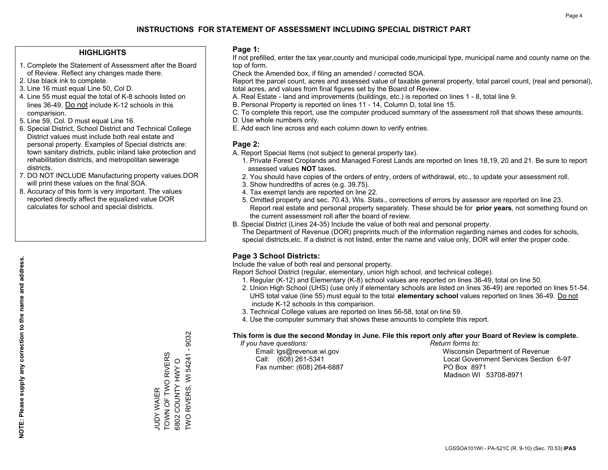#### **HIGHLIGHTS**

- 1. Complete the Statement of Assessment after the Board of Review. Reflect any changes made there.
- 2. Use black ink to complete.
- 3. Line 16 must equal Line 50, Col D.
- 4. Line 55 must equal the total of K-8 schools listed on lines 36-49. Do not include K-12 schools in this comparision.
- 5. Line 59, Col. D must equal Line 16.
- 6. Special District, School District and Technical College District values must include both real estate and personal property. Examples of Special districts are: town sanitary districts, public inland lake protection and rehabilitation districts, and metropolitan sewerage districts.
- 7. DO NOT INCLUDE Manufacturing property values.DOR will print these values on the final SOA.
- 8. Accuracy of this form is very important. The values reported directly affect the equalized value DOR calculates for school and special districts.

#### **Page 1:**

 If not prefilled, enter the tax year,county and municipal code,municipal type, municipal name and county name on the top of form.

Check the Amended box, if filing an amended / corrected SOA.

 Report the parcel count, acres and assessed value of taxable general property, total parcel count, (real and personal), total acres, and values from final figures set by the Board of Review.

- A. Real Estate land and improvements (buildings, etc.) is reported on lines 1 8, total line 9.
- B. Personal Property is reported on lines 11 14, Column D, total line 15.
- C. To complete this report, use the computer produced summary of the assessment roll that shows these amounts.
- D. Use whole numbers only.
- E. Add each line across and each column down to verify entries.

#### **Page 2:**

- A. Report Special Items (not subject to general property tax).
- 1. Private Forest Croplands and Managed Forest Lands are reported on lines 18,19, 20 and 21. Be sure to report assessed values **NOT** taxes.
- 2. You should have copies of the orders of entry, orders of withdrawal, etc., to update your assessment roll.
	- 3. Show hundredths of acres (e.g. 39.75).
- 4. Tax exempt lands are reported on line 22.
- 5. Omitted property and sec. 70.43, Wis. Stats., corrections of errors by assessor are reported on line 23. Report real estate and personal property separately. These should be for **prior years**, not something found on the current assessment roll after the board of review.
- B. Special District (Lines 24-35) Include the value of both real and personal property.

 The Department of Revenue (DOR) preprints much of the information regarding names and codes for schools, special districts,etc. If a district is not listed, enter the name and value only, DOR will enter the proper code.

## **Page 3 School Districts:**

Include the value of both real and personal property.

Report School District (regular, elementary, union high school, and technical college).

- 1. Regular (K-12) and Elementary (K-8) school values are reported on lines 36-49, total on line 50.
- 2. Union High School (UHS) (use only if elementary schools are listed on lines 36-49) are reported on lines 51-54. UHS total value (line 55) must equal to the total **elementary school** values reported on lines 36-49. Do notinclude K-12 schools in this comparison.
- 3. Technical College values are reported on lines 56-58, total on line 59.
- 4. Use the computer summary that shows these amounts to complete this report.

#### **This form is due the second Monday in June. File this report only after your Board of Review is complete.**

 *If you have questions: Return forms to:*

Fax number: (608) 264-6887 PO Box 8971

 Email: lgs@revenue.wi.gov Wisconsin Department of Revenue Call: (608) 261-5341 Local Government Services Section 6-97Madison WI 53708-8971

6802 COUNTY HWY O<br>TWO RIVERS, WI 54241 - 9032 TWO RIVERS, WI 54241 - 9032 TOWN OF TWO RIVERS TOWN OF TWO RIVERS 6802 COUNTY HWY O **JUDY WAIER** JUDY WAIER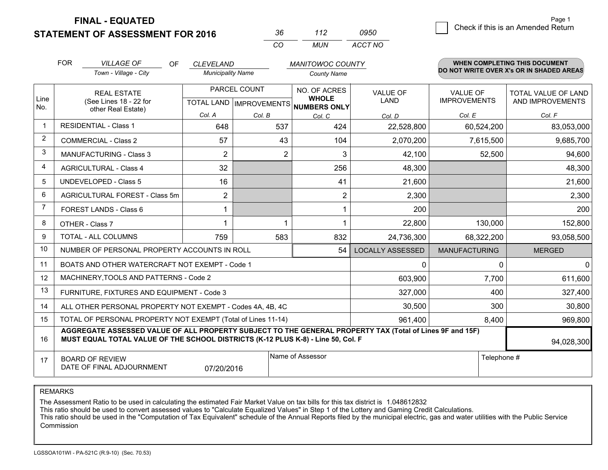**FINAL - EQUATED**

**STATEMENT OF ASSESSMENT FOR 2016** 

| 36.      | 112 | 0950    |
|----------|-----|---------|
| $\alpha$ | MUN | ACCT NO |

|                | <b>FOR</b>                                                                                                                                                                                   | <b>VILLAGE OF</b><br>OF                                      | <b>CLEVELAND</b>                          |                | <b>MANITOWOC COUNTY</b>      |                                |                                        | <b>WHEN COMPLETING THIS DOCUMENT</b>     |
|----------------|----------------------------------------------------------------------------------------------------------------------------------------------------------------------------------------------|--------------------------------------------------------------|-------------------------------------------|----------------|------------------------------|--------------------------------|----------------------------------------|------------------------------------------|
|                |                                                                                                                                                                                              | Town - Village - City                                        | <b>Municipality Name</b>                  |                | <b>County Name</b>           |                                |                                        | DO NOT WRITE OVER X's OR IN SHADED AREAS |
| Line           |                                                                                                                                                                                              | <b>REAL ESTATE</b><br>(See Lines 18 - 22 for                 | PARCEL COUNT<br>TOTAL LAND   IMPROVEMENTS |                | NO. OF ACRES<br><b>WHOLE</b> | <b>VALUE OF</b><br><b>LAND</b> | <b>VALUE OF</b><br><b>IMPROVEMENTS</b> | TOTAL VALUE OF LAND<br>AND IMPROVEMENTS  |
| No.            |                                                                                                                                                                                              | other Real Estate)                                           | Col. A                                    | Col. B         | NUMBERS ONLY<br>Col. C       | Col. D                         | Col. E                                 | Col. F                                   |
| -1             |                                                                                                                                                                                              | <b>RESIDENTIAL - Class 1</b>                                 | 648                                       | 537            | 424                          | 22,528,800                     | 60,524,200                             | 83,053,000                               |
| $\overline{2}$ |                                                                                                                                                                                              | <b>COMMERCIAL - Class 2</b>                                  | 57                                        | 43             | 104                          | 2,070,200                      | 7,615,500                              | 9,685,700                                |
| 3              |                                                                                                                                                                                              | <b>MANUFACTURING - Class 3</b>                               | 2                                         | $\overline{2}$ | 3                            | 42,100                         | 52,500                                 | 94,600                                   |
| 4              |                                                                                                                                                                                              | <b>AGRICULTURAL - Class 4</b>                                | 32                                        |                | 256                          | 48,300                         |                                        | 48,300                                   |
| 5              |                                                                                                                                                                                              | <b>UNDEVELOPED - Class 5</b>                                 | 16                                        |                | 41                           | 21,600                         |                                        | 21,600                                   |
| 6              |                                                                                                                                                                                              | AGRICULTURAL FOREST - Class 5m                               | 2                                         |                | $\overline{2}$               | 2,300                          |                                        | 2,300                                    |
| 7              |                                                                                                                                                                                              | FOREST LANDS - Class 6                                       |                                           |                |                              | 200                            |                                        | 200                                      |
| 8              |                                                                                                                                                                                              | OTHER - Class 7                                              |                                           |                |                              | 22,800                         | 130,000                                | 152,800                                  |
| 9              |                                                                                                                                                                                              | TOTAL - ALL COLUMNS                                          | 759                                       | 583            | 832                          | 24,736,300                     | 68,322,200                             | 93,058,500                               |
| 10             |                                                                                                                                                                                              | NUMBER OF PERSONAL PROPERTY ACCOUNTS IN ROLL                 |                                           |                | 54                           | <b>LOCALLY ASSESSED</b>        | <b>MANUFACTURING</b>                   | <b>MERGED</b>                            |
| 11             |                                                                                                                                                                                              | BOATS AND OTHER WATERCRAFT NOT EXEMPT - Code 1               |                                           |                |                              | 0                              | 0                                      | $\mathbf{0}$                             |
| 12             |                                                                                                                                                                                              | MACHINERY, TOOLS AND PATTERNS - Code 2                       |                                           |                |                              | 603,900                        | 7,700                                  | 611,600                                  |
| 13             |                                                                                                                                                                                              | FURNITURE, FIXTURES AND EQUIPMENT - Code 3                   |                                           |                |                              | 327,000                        | 400                                    | 327,400                                  |
| 14             |                                                                                                                                                                                              | ALL OTHER PERSONAL PROPERTY NOT EXEMPT - Codes 4A, 4B, 4C    |                                           |                |                              | 30,500                         | 300                                    | 30,800                                   |
| 15             |                                                                                                                                                                                              | TOTAL OF PERSONAL PROPERTY NOT EXEMPT (Total of Lines 11-14) |                                           |                |                              | 961,400                        | 8,400                                  | 969,800                                  |
| 16             | AGGREGATE ASSESSED VALUE OF ALL PROPERTY SUBJECT TO THE GENERAL PROPERTY TAX (Total of Lines 9F and 15F)<br>MUST EQUAL TOTAL VALUE OF THE SCHOOL DISTRICTS (K-12 PLUS K-8) - Line 50, Col. F |                                                              |                                           |                |                              |                                | 94,028,300                             |                                          |
| 17             | Name of Assessor<br>Telephone #<br><b>BOARD OF REVIEW</b><br>DATE OF FINAL ADJOURNMENT<br>07/20/2016                                                                                         |                                                              |                                           |                |                              |                                |                                        |                                          |

REMARKS

The Assessment Ratio to be used in calculating the estimated Fair Market Value on tax bills for this tax district is 1.048612832

This ratio should be used to convert assessed values to "Calculate Equalized Values" in Step 1 of the Lottery and Gaming Credit Calculations.<br>This ratio should be used in the "Computation of Tax Equivalent" schedule of the Commission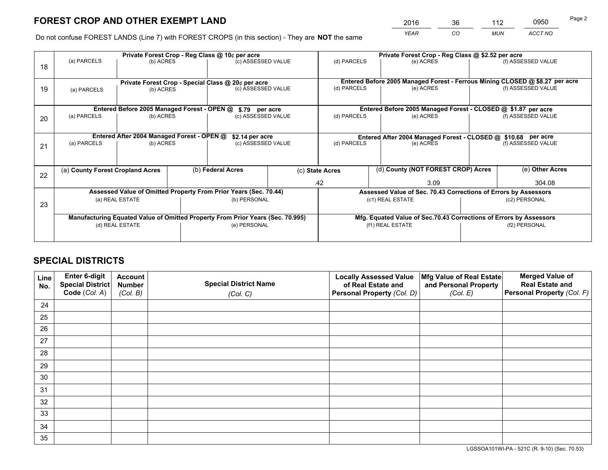*YEAR CO MUN ACCT NO* <sup>2016</sup> <sup>36</sup> <sup>112</sup> <sup>0950</sup>

Do not confuse FOREST LANDS (Line 7) with FOREST CROPS (in this section) - They are **NOT** the same

|    |                                                    |                                             |                 | Private Forest Crop - Reg Class @ 10¢ per acre                                 |                                                               | Private Forest Crop - Reg Class @ \$2.52 per acre               |                                                                              |                                                                    |                    |  |
|----|----------------------------------------------------|---------------------------------------------|-----------------|--------------------------------------------------------------------------------|---------------------------------------------------------------|-----------------------------------------------------------------|------------------------------------------------------------------------------|--------------------------------------------------------------------|--------------------|--|
| 18 | (a) PARCELS                                        | (b) ACRES                                   |                 | (c) ASSESSED VALUE                                                             |                                                               | (d) PARCELS                                                     | (e) ACRES                                                                    |                                                                    | (f) ASSESSED VALUE |  |
|    | Private Forest Crop - Special Class @ 20¢ per acre |                                             |                 |                                                                                |                                                               |                                                                 | Entered Before 2005 Managed Forest - Ferrous Mining CLOSED @ \$8.27 per acre |                                                                    |                    |  |
| 19 | (b) ACRES<br>(a) PARCELS                           |                                             |                 | (c) ASSESSED VALUE                                                             |                                                               | (d) PARCELS                                                     | (e) ACRES                                                                    |                                                                    | (f) ASSESSED VALUE |  |
|    |                                                    | Entered Before 2005 Managed Forest - OPEN @ |                 |                                                                                |                                                               |                                                                 | Entered Before 2005 Managed Forest - CLOSED @ \$1.87 per acre                |                                                                    |                    |  |
| 20 | (a) PARCELS<br>(b) ACRES                           |                                             |                 | \$.79 per acre<br>(c) ASSESSED VALUE                                           |                                                               | (d) PARCELS<br>(e) ACRES                                        |                                                                              |                                                                    | (f) ASSESSED VALUE |  |
|    |                                                    | Entered After 2004 Managed Forest - OPEN @  | \$2.14 per acre |                                                                                | Entered After 2004 Managed Forest - CLOSED @ \$10.68 per acre |                                                                 |                                                                              |                                                                    |                    |  |
| 21 | (a) PARCELS                                        | (b) ACRES                                   |                 | (c) ASSESSED VALUE                                                             |                                                               | (d) PARCELS<br>(e) ACRES                                        |                                                                              | (f) ASSESSED VALUE                                                 |                    |  |
|    |                                                    |                                             |                 |                                                                                |                                                               |                                                                 |                                                                              |                                                                    |                    |  |
| 22 | (a) County Forest Cropland Acres                   |                                             |                 | (b) Federal Acres                                                              |                                                               | (d) County (NOT FOREST CROP) Acres<br>(c) State Acres           |                                                                              |                                                                    | (e) Other Acres    |  |
|    |                                                    |                                             |                 |                                                                                |                                                               | .42                                                             | 3.09                                                                         |                                                                    | 304.08             |  |
|    |                                                    |                                             |                 | Assessed Value of Omitted Property From Prior Years (Sec. 70.44)               |                                                               | Assessed Value of Sec. 70.43 Corrections of Errors by Assessors |                                                                              |                                                                    |                    |  |
| 23 | (a) REAL ESTATE                                    |                                             |                 | (b) PERSONAL                                                                   |                                                               | (c1) REAL ESTATE                                                |                                                                              |                                                                    | (c2) PERSONAL      |  |
|    |                                                    |                                             |                 | Manufacturing Equated Value of Omitted Property From Prior Years (Sec. 70.995) |                                                               |                                                                 |                                                                              | Mfg. Equated Value of Sec.70.43 Corrections of Errors by Assessors |                    |  |
|    |                                                    | (d) REAL ESTATE                             |                 | (e) PERSONAL                                                                   |                                                               | (f1) REAL ESTATE                                                |                                                                              |                                                                    | (f2) PERSONAL      |  |
|    |                                                    |                                             |                 |                                                                                |                                                               |                                                                 |                                                                              |                                                                    |                    |  |
|    |                                                    |                                             |                 |                                                                                |                                                               |                                                                 |                                                                              |                                                                    |                    |  |

## **SPECIAL DISTRICTS**

| Line<br>No. | Enter 6-digit<br><b>Special District</b> | <b>Account</b><br><b>Number</b> | <b>Special District Name</b> | <b>Locally Assessed Value</b><br>of Real Estate and | Mfg Value of Real Estate<br>and Personal Property | <b>Merged Value of</b><br><b>Real Estate and</b> |
|-------------|------------------------------------------|---------------------------------|------------------------------|-----------------------------------------------------|---------------------------------------------------|--------------------------------------------------|
|             | Code (Col. A)                            | (Col. B)                        | (Col. C)                     | Personal Property (Col. D)                          | (Col. E)                                          | Personal Property (Col. F)                       |
| 24          |                                          |                                 |                              |                                                     |                                                   |                                                  |
| 25          |                                          |                                 |                              |                                                     |                                                   |                                                  |
| 26          |                                          |                                 |                              |                                                     |                                                   |                                                  |
| 27          |                                          |                                 |                              |                                                     |                                                   |                                                  |
| 28          |                                          |                                 |                              |                                                     |                                                   |                                                  |
| 29          |                                          |                                 |                              |                                                     |                                                   |                                                  |
| 30          |                                          |                                 |                              |                                                     |                                                   |                                                  |
| 31          |                                          |                                 |                              |                                                     |                                                   |                                                  |
| 32          |                                          |                                 |                              |                                                     |                                                   |                                                  |
| 33          |                                          |                                 |                              |                                                     |                                                   |                                                  |
| 34          |                                          |                                 |                              |                                                     |                                                   |                                                  |
| 35          |                                          |                                 |                              |                                                     |                                                   |                                                  |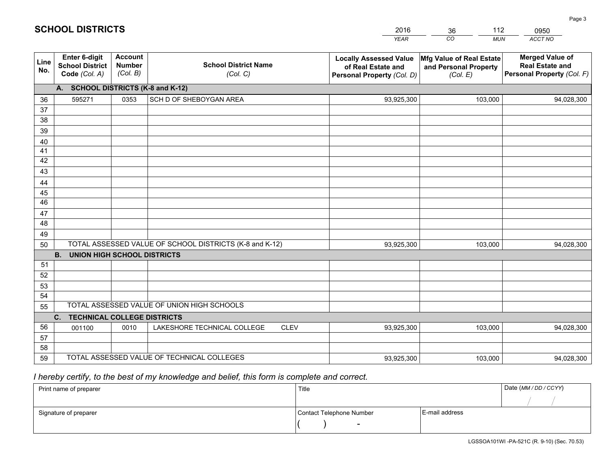|                 |                                                                 |                                             |                                                         | <b>YEAR</b>                                                                       | CO<br><b>MUN</b>                                              | ACCT NO                                                                        |
|-----------------|-----------------------------------------------------------------|---------------------------------------------|---------------------------------------------------------|-----------------------------------------------------------------------------------|---------------------------------------------------------------|--------------------------------------------------------------------------------|
| Line<br>No.     | <b>Enter 6-digit</b><br><b>School District</b><br>Code (Col. A) | <b>Account</b><br><b>Number</b><br>(Col. B) | <b>School District Name</b><br>(Col. C)                 | <b>Locally Assessed Value</b><br>of Real Estate and<br>Personal Property (Col. D) | Mfg Value of Real Estate<br>and Personal Property<br>(Col. E) | <b>Merged Value of</b><br><b>Real Estate and</b><br>Personal Property (Col. F) |
|                 | A. SCHOOL DISTRICTS (K-8 and K-12)                              |                                             |                                                         |                                                                                   |                                                               |                                                                                |
| 36              | 595271                                                          | 0353                                        | SCH D OF SHEBOYGAN AREA                                 | 93,925,300                                                                        | 103,000                                                       | 94,028,300                                                                     |
| 37              |                                                                 |                                             |                                                         |                                                                                   |                                                               |                                                                                |
| 38              |                                                                 |                                             |                                                         |                                                                                   |                                                               |                                                                                |
| 39              |                                                                 |                                             |                                                         |                                                                                   |                                                               |                                                                                |
| 40              |                                                                 |                                             |                                                         |                                                                                   |                                                               |                                                                                |
| 41              |                                                                 |                                             |                                                         |                                                                                   |                                                               |                                                                                |
| 42<br>43        |                                                                 |                                             |                                                         |                                                                                   |                                                               |                                                                                |
| 44              |                                                                 |                                             |                                                         |                                                                                   |                                                               |                                                                                |
| 45              |                                                                 |                                             |                                                         |                                                                                   |                                                               |                                                                                |
| $\overline{46}$ |                                                                 |                                             |                                                         |                                                                                   |                                                               |                                                                                |
| 47              |                                                                 |                                             |                                                         |                                                                                   |                                                               |                                                                                |
| 48              |                                                                 |                                             |                                                         |                                                                                   |                                                               |                                                                                |
| 49              |                                                                 |                                             |                                                         |                                                                                   |                                                               |                                                                                |
| 50              |                                                                 |                                             | TOTAL ASSESSED VALUE OF SCHOOL DISTRICTS (K-8 and K-12) | 93,925,300                                                                        | 103,000                                                       | 94,028,300                                                                     |
|                 | <b>B.</b><br><b>UNION HIGH SCHOOL DISTRICTS</b>                 |                                             |                                                         |                                                                                   |                                                               |                                                                                |
| 51              |                                                                 |                                             |                                                         |                                                                                   |                                                               |                                                                                |
| 52              |                                                                 |                                             |                                                         |                                                                                   |                                                               |                                                                                |
| 53              |                                                                 |                                             |                                                         |                                                                                   |                                                               |                                                                                |
| 54              |                                                                 |                                             |                                                         |                                                                                   |                                                               |                                                                                |
| 55              |                                                                 |                                             | TOTAL ASSESSED VALUE OF UNION HIGH SCHOOLS              |                                                                                   |                                                               |                                                                                |
|                 | C.<br><b>TECHNICAL COLLEGE DISTRICTS</b>                        |                                             |                                                         |                                                                                   |                                                               |                                                                                |
| 56              | 001100                                                          | 0010                                        | LAKESHORE TECHNICAL COLLEGE<br><b>CLEV</b>              | 93,925,300                                                                        | 103,000                                                       | 94,028,300                                                                     |
| 57              |                                                                 |                                             |                                                         |                                                                                   |                                                               |                                                                                |
| 58              |                                                                 |                                             | TOTAL ASSESSED VALUE OF TECHNICAL COLLEGES              |                                                                                   |                                                               |                                                                                |
| 59              |                                                                 |                                             |                                                         | 93,925,300                                                                        | 103,000                                                       | 94,028,300                                                                     |

36

112

0950

Page 3

 *I hereby certify, to the best of my knowledge and belief, this form is complete and correct.*

**SCHOOL DISTRICTS**

| Print name of preparer | Title                    |                | Date (MM / DD / CCYY) |
|------------------------|--------------------------|----------------|-----------------------|
|                        |                          |                |                       |
| Signature of preparer  | Contact Telephone Number | E-mail address |                       |
|                        |                          |                |                       |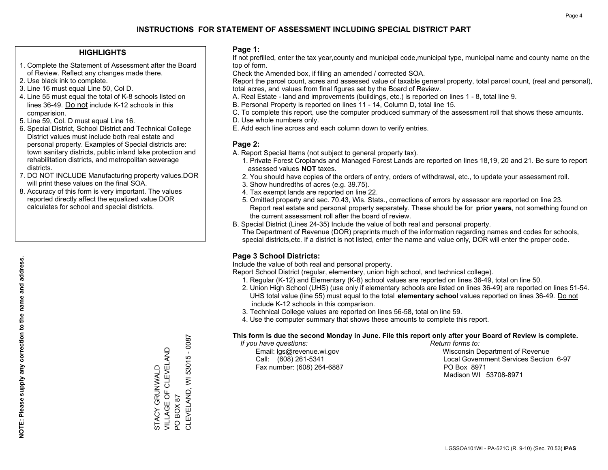### **HIGHLIGHTS**

- 1. Complete the Statement of Assessment after the Board of Review. Reflect any changes made there.
- 2. Use black ink to complete.
- 3. Line 16 must equal Line 50, Col D.
- 4. Line 55 must equal the total of K-8 schools listed on lines 36-49. Do not include K-12 schools in this comparision.
- 5. Line 59, Col. D must equal Line 16.
- 6. Special District, School District and Technical College District values must include both real estate and personal property. Examples of Special districts are: town sanitary districts, public inland lake protection and rehabilitation districts, and metropolitan sewerage districts.
- 7. DO NOT INCLUDE Manufacturing property values.DOR will print these values on the final SOA.

STACY GRUNWALD VILLAGE OF CLEVELAND

STACY GRUNWALD<br>VILLAGE OF CLEVELAND

PO BOX 87

PO BOX 87

CLEVELAND, WI 53015 - 0087

CLEVELAND, WI 53015 - 0087

 8. Accuracy of this form is very important. The values reported directly affect the equalized value DOR calculates for school and special districts.

### **Page 1:**

 If not prefilled, enter the tax year,county and municipal code,municipal type, municipal name and county name on the top of form.

Check the Amended box, if filing an amended / corrected SOA.

 Report the parcel count, acres and assessed value of taxable general property, total parcel count, (real and personal), total acres, and values from final figures set by the Board of Review.

- A. Real Estate land and improvements (buildings, etc.) is reported on lines 1 8, total line 9.
- B. Personal Property is reported on lines 11 14, Column D, total line 15.
- C. To complete this report, use the computer produced summary of the assessment roll that shows these amounts.
- D. Use whole numbers only.
- E. Add each line across and each column down to verify entries.

### **Page 2:**

- A. Report Special Items (not subject to general property tax).
- 1. Private Forest Croplands and Managed Forest Lands are reported on lines 18,19, 20 and 21. Be sure to report assessed values **NOT** taxes.
- 2. You should have copies of the orders of entry, orders of withdrawal, etc., to update your assessment roll.
	- 3. Show hundredths of acres (e.g. 39.75).
- 4. Tax exempt lands are reported on line 22.
- 5. Omitted property and sec. 70.43, Wis. Stats., corrections of errors by assessor are reported on line 23. Report real estate and personal property separately. These should be for **prior years**, not something found on the current assessment roll after the board of review.
- B. Special District (Lines 24-35) Include the value of both real and personal property.

 The Department of Revenue (DOR) preprints much of the information regarding names and codes for schools, special districts,etc. If a district is not listed, enter the name and value only, DOR will enter the proper code.

## **Page 3 School Districts:**

Include the value of both real and personal property.

Report School District (regular, elementary, union high school, and technical college).

- 1. Regular (K-12) and Elementary (K-8) school values are reported on lines 36-49, total on line 50.
- 2. Union High School (UHS) (use only if elementary schools are listed on lines 36-49) are reported on lines 51-54. UHS total value (line 55) must equal to the total **elementary school** values reported on lines 36-49. Do notinclude K-12 schools in this comparison.
- 3. Technical College values are reported on lines 56-58, total on line 59.
- 4. Use the computer summary that shows these amounts to complete this report.

#### **This form is due the second Monday in June. File this report only after your Board of Review is complete.**

 *If you have questions: Return forms to:*

Fax number: (608) 264-6887 PO Box 8971

 Email: lgs@revenue.wi.gov Wisconsin Department of Revenue Call: (608) 261-5341 Local Government Services Section 6-97Madison WI 53708-8971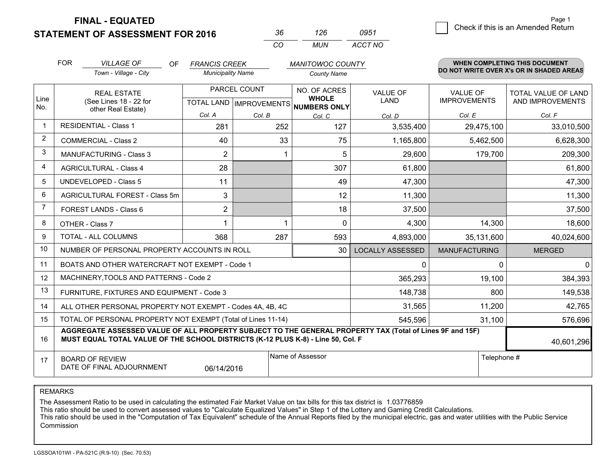**STATEMENT OF ASSESSMENT FOR 2016** 

**FINAL - EQUATED**

| 36  | 126  | 0951    |
|-----|------|---------|
| ΓO. | MUN. | ACCT NO |

|                | <b>FOR</b>                                                                                                                                                                                   | <b>VILLAGE OF</b><br><b>OF</b>                               | <b>FRANCIS CREEK</b>                      |         | <b>MANITOWOC COUNTY</b>      |                                |                                        | <b>WHEN COMPLETING THIS DOCUMENT</b>           |
|----------------|----------------------------------------------------------------------------------------------------------------------------------------------------------------------------------------------|--------------------------------------------------------------|-------------------------------------------|---------|------------------------------|--------------------------------|----------------------------------------|------------------------------------------------|
|                |                                                                                                                                                                                              | Town - Village - City                                        | <b>Municipality Name</b>                  |         | <b>County Name</b>           |                                |                                        | DO NOT WRITE OVER X's OR IN SHADED AREAS       |
| Line           |                                                                                                                                                                                              | <b>REAL ESTATE</b><br>(See Lines 18 - 22 for                 | PARCEL COUNT<br>TOTAL LAND   IMPROVEMENTS |         | NO. OF ACRES<br><b>WHOLE</b> | <b>VALUE OF</b><br><b>LAND</b> | <b>VALUE OF</b><br><b>IMPROVEMENTS</b> | <b>TOTAL VALUE OF LAND</b><br>AND IMPROVEMENTS |
| No.            |                                                                                                                                                                                              | other Real Estate)                                           | Col. A                                    | Col. B  | NUMBERS ONLY<br>Col. C       | Col. D                         | Col. E                                 | Col. F                                         |
| $\mathbf 1$    |                                                                                                                                                                                              | <b>RESIDENTIAL - Class 1</b>                                 | 281                                       | 252     | 127                          | 3,535,400                      | 29,475,100                             | 33,010,500                                     |
| $\overline{2}$ |                                                                                                                                                                                              | <b>COMMERCIAL - Class 2</b>                                  | 40                                        | 33      | 75                           | 1,165,800                      | 5,462,500                              | 6,628,300                                      |
| 3              |                                                                                                                                                                                              | MANUFACTURING - Class 3                                      | $\overline{2}$                            |         | 5                            | 29,600                         | 179,700                                | 209,300                                        |
| 4              |                                                                                                                                                                                              | <b>AGRICULTURAL - Class 4</b>                                | 28                                        |         | 307                          | 61,800                         |                                        | 61,800                                         |
| 5              |                                                                                                                                                                                              | <b>UNDEVELOPED - Class 5</b>                                 | 11                                        |         | 49                           | 47,300                         |                                        | 47,300                                         |
| 6              |                                                                                                                                                                                              | AGRICULTURAL FOREST - Class 5m                               | 3                                         |         | 12                           | 11,300                         |                                        | 11,300                                         |
| 7              |                                                                                                                                                                                              | FOREST LANDS - Class 6                                       | $\overline{2}$                            |         | 18                           | 37,500                         |                                        | 37,500                                         |
| 8              |                                                                                                                                                                                              | OTHER - Class 7                                              | 1                                         |         | $\Omega$                     | 4,300                          | 14,300                                 | 18,600                                         |
| 9              |                                                                                                                                                                                              | TOTAL - ALL COLUMNS                                          | 368                                       | 287     | 593                          | 4,893,000                      | 35,131,600                             | 40,024,600                                     |
| 10             |                                                                                                                                                                                              | NUMBER OF PERSONAL PROPERTY ACCOUNTS IN ROLL                 |                                           |         | 30                           | <b>LOCALLY ASSESSED</b>        | <b>MANUFACTURING</b>                   | <b>MERGED</b>                                  |
| 11             |                                                                                                                                                                                              | BOATS AND OTHER WATERCRAFT NOT EXEMPT - Code 1               |                                           |         |                              | $\mathbf{0}$                   | $\Omega$                               | $\mathbf 0$                                    |
| 12             |                                                                                                                                                                                              | MACHINERY, TOOLS AND PATTERNS - Code 2                       |                                           |         |                              | 365,293                        | 19,100                                 | 384,393                                        |
| 13             |                                                                                                                                                                                              | FURNITURE, FIXTURES AND EQUIPMENT - Code 3                   |                                           |         |                              | 148,738                        | 800                                    | 149,538                                        |
| 14             |                                                                                                                                                                                              | ALL OTHER PERSONAL PROPERTY NOT EXEMPT - Codes 4A, 4B, 4C    |                                           |         |                              | 31,565                         | 11,200                                 | 42,765                                         |
| 15             |                                                                                                                                                                                              | TOTAL OF PERSONAL PROPERTY NOT EXEMPT (Total of Lines 11-14) |                                           | 545,596 | 31,100                       | 576,696                        |                                        |                                                |
| 16             | AGGREGATE ASSESSED VALUE OF ALL PROPERTY SUBJECT TO THE GENERAL PROPERTY TAX (Total of Lines 9F and 15F)<br>MUST EQUAL TOTAL VALUE OF THE SCHOOL DISTRICTS (K-12 PLUS K-8) - Line 50, Col. F |                                                              |                                           |         |                              |                                | 40,601,296                             |                                                |
| 17             | Name of Assessor<br><b>BOARD OF REVIEW</b><br>DATE OF FINAL ADJOURNMENT<br>06/14/2016                                                                                                        |                                                              |                                           |         |                              | Telephone #                    |                                        |                                                |

REMARKS

The Assessment Ratio to be used in calculating the estimated Fair Market Value on tax bills for this tax district is 1.03776859

This ratio should be used to convert assessed values to "Calculate Equalized Values" in Step 1 of the Lottery and Gaming Credit Calculations.<br>This ratio should be used in the "Computation of Tax Equivalent" schedule of the Commission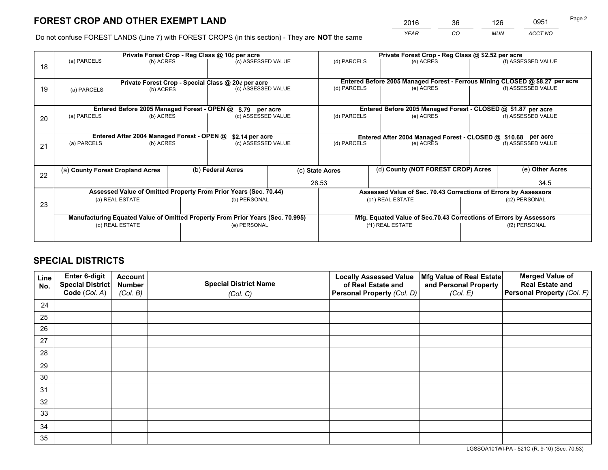*YEAR CO MUN ACCT NO* <sup>2016</sup> <sup>36</sup> <sup>126</sup> <sup>0951</sup>

Do not confuse FOREST LANDS (Line 7) with FOREST CROPS (in this section) - They are **NOT** the same

|    | Private Forest Crop - Reg Class @ 10¢ per acre                                 |                                             |                   |                                                                  |                 |                                                                              | Private Forest Crop - Reg Class @ \$2.52 per acre                  |                                                               |                    |  |
|----|--------------------------------------------------------------------------------|---------------------------------------------|-------------------|------------------------------------------------------------------|-----------------|------------------------------------------------------------------------------|--------------------------------------------------------------------|---------------------------------------------------------------|--------------------|--|
| 18 | (a) PARCELS                                                                    | (b) ACRES                                   |                   | (c) ASSESSED VALUE                                               |                 | (d) PARCELS                                                                  | (e) ACRES                                                          |                                                               | (f) ASSESSED VALUE |  |
|    | Private Forest Crop - Special Class @ 20¢ per acre                             |                                             |                   |                                                                  |                 | Entered Before 2005 Managed Forest - Ferrous Mining CLOSED @ \$8.27 per acre |                                                                    |                                                               |                    |  |
| 19 | (b) ACRES<br>(a) PARCELS                                                       |                                             |                   | (c) ASSESSED VALUE                                               |                 | (d) PARCELS                                                                  | (e) ACRES                                                          |                                                               | (f) ASSESSED VALUE |  |
|    |                                                                                | Entered Before 2005 Managed Forest - OPEN @ |                   |                                                                  |                 |                                                                              | Entered Before 2005 Managed Forest - CLOSED @ \$1.87 per acre      |                                                               |                    |  |
| 20 | (a) PARCELS<br>(b) ACRES                                                       |                                             |                   | \$.79 per acre<br>(c) ASSESSED VALUE                             |                 | (d) PARCELS<br>(e) ACRES                                                     |                                                                    |                                                               | (f) ASSESSED VALUE |  |
|    |                                                                                | Entered After 2004 Managed Forest - OPEN @  |                   |                                                                  | \$2.14 per acre |                                                                              |                                                                    | Entered After 2004 Managed Forest - CLOSED @ \$10.68 per acre |                    |  |
| 21 | (a) PARCELS                                                                    | (b) ACRES                                   |                   | (c) ASSESSED VALUE                                               |                 | (d) PARCELS                                                                  | (e) ACRES                                                          |                                                               | (f) ASSESSED VALUE |  |
| 22 | (a) County Forest Cropland Acres                                               |                                             | (b) Federal Acres |                                                                  | (c) State Acres | (d) County (NOT FOREST CROP) Acres                                           |                                                                    | (e) Other Acres                                               |                    |  |
|    |                                                                                |                                             |                   |                                                                  | 28.53           |                                                                              |                                                                    |                                                               | 34.5               |  |
|    |                                                                                |                                             |                   | Assessed Value of Omitted Property From Prior Years (Sec. 70.44) |                 |                                                                              | Assessed Value of Sec. 70.43 Corrections of Errors by Assessors    |                                                               |                    |  |
| 23 | (a) REAL ESTATE                                                                |                                             |                   | (b) PERSONAL                                                     |                 | (c1) REAL ESTATE                                                             |                                                                    |                                                               | (c2) PERSONAL      |  |
|    | Manufacturing Equated Value of Omitted Property From Prior Years (Sec. 70.995) |                                             |                   |                                                                  |                 |                                                                              | Mfg. Equated Value of Sec.70.43 Corrections of Errors by Assessors |                                                               |                    |  |
|    |                                                                                | (d) REAL ESTATE                             |                   | (e) PERSONAL                                                     |                 | (f1) REAL ESTATE                                                             |                                                                    |                                                               | (f2) PERSONAL      |  |
|    |                                                                                |                                             |                   |                                                                  |                 |                                                                              |                                                                    |                                                               |                    |  |

## **SPECIAL DISTRICTS**

| Line<br>No. | Enter 6-digit<br>Special District<br>Code (Col. A) | <b>Account</b><br><b>Number</b> | <b>Special District Name</b> | <b>Locally Assessed Value</b><br>of Real Estate and | Mfg Value of Real Estate<br>and Personal Property | <b>Merged Value of</b><br><b>Real Estate and</b><br>Personal Property (Col. F) |
|-------------|----------------------------------------------------|---------------------------------|------------------------------|-----------------------------------------------------|---------------------------------------------------|--------------------------------------------------------------------------------|
|             |                                                    | (Col. B)                        | (Col. C)                     | Personal Property (Col. D)                          | (Col. E)                                          |                                                                                |
| 24          |                                                    |                                 |                              |                                                     |                                                   |                                                                                |
| 25          |                                                    |                                 |                              |                                                     |                                                   |                                                                                |
| 26          |                                                    |                                 |                              |                                                     |                                                   |                                                                                |
| 27          |                                                    |                                 |                              |                                                     |                                                   |                                                                                |
| 28          |                                                    |                                 |                              |                                                     |                                                   |                                                                                |
| 29          |                                                    |                                 |                              |                                                     |                                                   |                                                                                |
| 30          |                                                    |                                 |                              |                                                     |                                                   |                                                                                |
| 31          |                                                    |                                 |                              |                                                     |                                                   |                                                                                |
| 32          |                                                    |                                 |                              |                                                     |                                                   |                                                                                |
| 33          |                                                    |                                 |                              |                                                     |                                                   |                                                                                |
| 34          |                                                    |                                 |                              |                                                     |                                                   |                                                                                |
| 35          |                                                    |                                 |                              |                                                     |                                                   |                                                                                |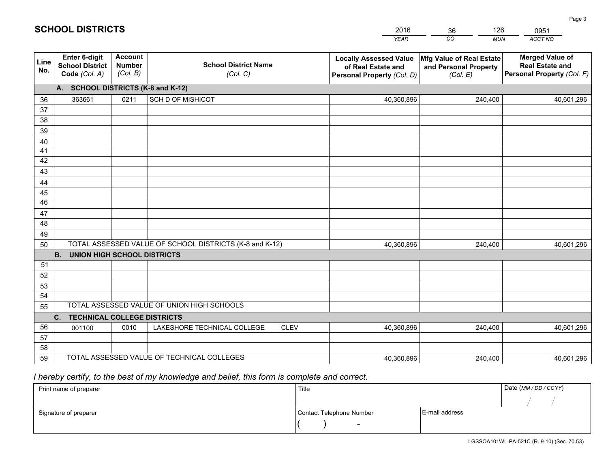|             |                                                                 |                                             |                                                         | <b>YEAR</b>                                                                       | CO<br><b>MUN</b>                                              | ACCT NO                                                                        |
|-------------|-----------------------------------------------------------------|---------------------------------------------|---------------------------------------------------------|-----------------------------------------------------------------------------------|---------------------------------------------------------------|--------------------------------------------------------------------------------|
| Line<br>No. | <b>Enter 6-digit</b><br><b>School District</b><br>Code (Col. A) | <b>Account</b><br><b>Number</b><br>(Col. B) | <b>School District Name</b><br>(Col. C)                 | <b>Locally Assessed Value</b><br>of Real Estate and<br>Personal Property (Col. D) | Mfg Value of Real Estate<br>and Personal Property<br>(Col. E) | <b>Merged Value of</b><br><b>Real Estate and</b><br>Personal Property (Col. F) |
|             | A. SCHOOL DISTRICTS (K-8 and K-12)                              |                                             |                                                         |                                                                                   |                                                               |                                                                                |
| 36          | 363661                                                          | 0211                                        | <b>SCH D OF MISHICOT</b>                                | 40,360,896                                                                        | 240,400                                                       | 40,601,296                                                                     |
| 37          |                                                                 |                                             |                                                         |                                                                                   |                                                               |                                                                                |
| 38          |                                                                 |                                             |                                                         |                                                                                   |                                                               |                                                                                |
| 39          |                                                                 |                                             |                                                         |                                                                                   |                                                               |                                                                                |
| 40          |                                                                 |                                             |                                                         |                                                                                   |                                                               |                                                                                |
| 41<br>42    |                                                                 |                                             |                                                         |                                                                                   |                                                               |                                                                                |
| 43          |                                                                 |                                             |                                                         |                                                                                   |                                                               |                                                                                |
|             |                                                                 |                                             |                                                         |                                                                                   |                                                               |                                                                                |
| 44<br>45    |                                                                 |                                             |                                                         |                                                                                   |                                                               |                                                                                |
| 46          |                                                                 |                                             |                                                         |                                                                                   |                                                               |                                                                                |
| 47          |                                                                 |                                             |                                                         |                                                                                   |                                                               |                                                                                |
| 48          |                                                                 |                                             |                                                         |                                                                                   |                                                               |                                                                                |
| 49          |                                                                 |                                             |                                                         |                                                                                   |                                                               |                                                                                |
| 50          |                                                                 |                                             | TOTAL ASSESSED VALUE OF SCHOOL DISTRICTS (K-8 and K-12) | 40,360,896                                                                        | 240,400                                                       | 40,601,296                                                                     |
|             | <b>B.</b><br><b>UNION HIGH SCHOOL DISTRICTS</b>                 |                                             |                                                         |                                                                                   |                                                               |                                                                                |
| 51          |                                                                 |                                             |                                                         |                                                                                   |                                                               |                                                                                |
| 52          |                                                                 |                                             |                                                         |                                                                                   |                                                               |                                                                                |
| 53          |                                                                 |                                             |                                                         |                                                                                   |                                                               |                                                                                |
| 54          |                                                                 |                                             |                                                         |                                                                                   |                                                               |                                                                                |
| 55          |                                                                 |                                             | TOTAL ASSESSED VALUE OF UNION HIGH SCHOOLS              |                                                                                   |                                                               |                                                                                |
|             | C.<br><b>TECHNICAL COLLEGE DISTRICTS</b>                        |                                             |                                                         |                                                                                   |                                                               |                                                                                |
| 56          | 001100                                                          | 0010                                        | LAKESHORE TECHNICAL COLLEGE<br><b>CLEV</b>              | 40,360,896                                                                        | 240,400                                                       | 40,601,296                                                                     |
| 57          |                                                                 |                                             |                                                         |                                                                                   |                                                               |                                                                                |
| 58          |                                                                 |                                             | TOTAL ASSESSED VALUE OF TECHNICAL COLLEGES              |                                                                                   |                                                               |                                                                                |
| 59          |                                                                 |                                             |                                                         | 40,360,896                                                                        | 240,400                                                       | 40,601,296                                                                     |

36

126

 *I hereby certify, to the best of my knowledge and belief, this form is complete and correct.*

**SCHOOL DISTRICTS**

| Print name of preparer | Title                    |                | Date (MM / DD / CCYY) |
|------------------------|--------------------------|----------------|-----------------------|
|                        |                          |                |                       |
| Signature of preparer  | Contact Telephone Number | E-mail address |                       |
|                        | $\sim$                   |                |                       |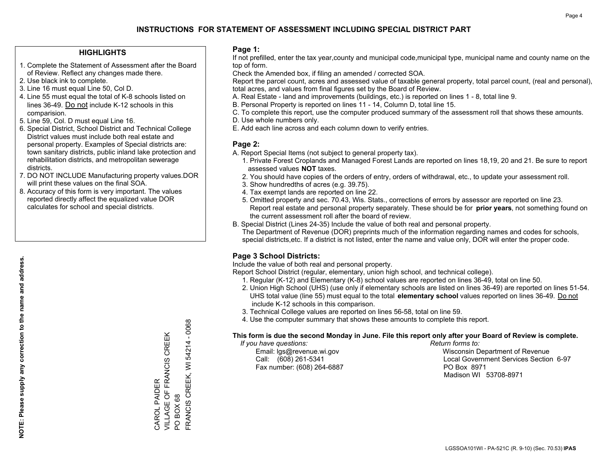### **HIGHLIGHTS**

- 1. Complete the Statement of Assessment after the Board of Review. Reflect any changes made there.
- 2. Use black ink to complete.
- 3. Line 16 must equal Line 50, Col D.
- 4. Line 55 must equal the total of K-8 schools listed on lines 36-49. Do not include K-12 schools in this comparision.
- 5. Line 59, Col. D must equal Line 16.
- 6. Special District, School District and Technical College District values must include both real estate and personal property. Examples of Special districts are: town sanitary districts, public inland lake protection and rehabilitation districts, and metropolitan sewerage districts.
- 7. DO NOT INCLUDE Manufacturing property values.DOR will print these values on the final SOA.
- 8. Accuracy of this form is very important. The values reported directly affect the equalized value DOR calculates for school and special districts.

### **Page 1:**

 If not prefilled, enter the tax year,county and municipal code,municipal type, municipal name and county name on the top of form.

Check the Amended box, if filing an amended / corrected SOA.

 Report the parcel count, acres and assessed value of taxable general property, total parcel count, (real and personal), total acres, and values from final figures set by the Board of Review.

- A. Real Estate land and improvements (buildings, etc.) is reported on lines 1 8, total line 9.
- B. Personal Property is reported on lines 11 14, Column D, total line 15.
- C. To complete this report, use the computer produced summary of the assessment roll that shows these amounts.
- D. Use whole numbers only.
- E. Add each line across and each column down to verify entries.

### **Page 2:**

- A. Report Special Items (not subject to general property tax).
- 1. Private Forest Croplands and Managed Forest Lands are reported on lines 18,19, 20 and 21. Be sure to report assessed values **NOT** taxes.
- 2. You should have copies of the orders of entry, orders of withdrawal, etc., to update your assessment roll.
	- 3. Show hundredths of acres (e.g. 39.75).
- 4. Tax exempt lands are reported on line 22.
- 5. Omitted property and sec. 70.43, Wis. Stats., corrections of errors by assessor are reported on line 23. Report real estate and personal property separately. These should be for **prior years**, not something found on the current assessment roll after the board of review.
- B. Special District (Lines 24-35) Include the value of both real and personal property.
- The Department of Revenue (DOR) preprints much of the information regarding names and codes for schools, special districts,etc. If a district is not listed, enter the name and value only, DOR will enter the proper code.

## **Page 3 School Districts:**

Include the value of both real and personal property.

Report School District (regular, elementary, union high school, and technical college).

- 1. Regular (K-12) and Elementary (K-8) school values are reported on lines 36-49, total on line 50.
- 2. Union High School (UHS) (use only if elementary schools are listed on lines 36-49) are reported on lines 51-54. UHS total value (line 55) must equal to the total **elementary school** values reported on lines 36-49. Do notinclude K-12 schools in this comparison.
- 3. Technical College values are reported on lines 56-58, total on line 59.
- 4. Use the computer summary that shows these amounts to complete this report.

#### **This form is due the second Monday in June. File this report only after your Board of Review is complete.**

 *If you have questions: Return forms to:*

Fax number: (608) 264-6887 PO Box 8971

 Email: lgs@revenue.wi.gov Wisconsin Department of Revenue Call: (608) 261-5341 Local Government Services Section 6-97Madison WI 53708-8971

54214 - 0068 FRANCIS CREEK, WI 54214 - 0068 VILLAGE OF FRANCIS CREEK CAROL PAIDER<br>VILLAGE OF FRANCIS CREEK FRANCIS CREEK, WI CAROL PAIDER PO BOX 68 PO BOX 68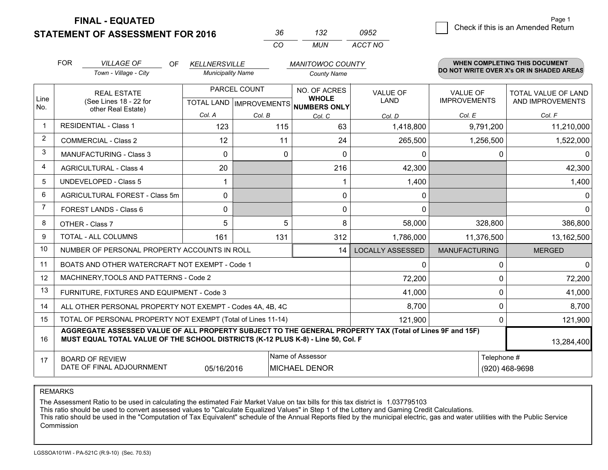**STATEMENT OF ASSESSMENT FOR 2016** 

**FINAL - EQUATED**

| Kh | 132   | 0952    |
|----|-------|---------|
| rη | MI IN | ACCT NO |

|                | <b>FOR</b><br><b>VILLAGE OF</b><br><b>OF</b><br><b>KELLNERSVILLE</b><br><b>MANITOWOC COUNTY</b>                                                                                              |                                                           |                          | WHEN COMPLETING THIS DOCUMENT |                                                                      |                                |                                        |                                                |
|----------------|----------------------------------------------------------------------------------------------------------------------------------------------------------------------------------------------|-----------------------------------------------------------|--------------------------|-------------------------------|----------------------------------------------------------------------|--------------------------------|----------------------------------------|------------------------------------------------|
|                |                                                                                                                                                                                              | Town - Village - City                                     | <b>Municipality Name</b> |                               | <b>County Name</b>                                                   |                                |                                        | DO NOT WRITE OVER X's OR IN SHADED AREAS       |
| Line           |                                                                                                                                                                                              | <b>REAL ESTATE</b><br>(See Lines 18 - 22 for              |                          | PARCEL COUNT                  | NO. OF ACRES<br><b>WHOLE</b><br>TOTAL LAND IMPROVEMENTS NUMBERS ONLY | <b>VALUE OF</b><br><b>LAND</b> | <b>VALUE OF</b><br><b>IMPROVEMENTS</b> | <b>TOTAL VALUE OF LAND</b><br>AND IMPROVEMENTS |
| No.            |                                                                                                                                                                                              | other Real Estate)                                        | Col. A                   | Col. B                        | Col. C                                                               | Col. D                         | Col. E                                 | Col. F                                         |
| -1             | <b>RESIDENTIAL - Class 1</b>                                                                                                                                                                 |                                                           | 123                      | 115                           | 63                                                                   | 1,418,800                      | 9,791,200                              | 11,210,000                                     |
| $\overline{2}$ |                                                                                                                                                                                              | <b>COMMERCIAL - Class 2</b>                               | 12                       | 11                            | 24                                                                   | 265,500                        | 1,256,500                              | 1,522,000                                      |
| 3              |                                                                                                                                                                                              | <b>MANUFACTURING - Class 3</b>                            | 0                        | 0                             | $\Omega$                                                             | 0                              | 0                                      | $\mathbf{0}$                                   |
| 4              |                                                                                                                                                                                              | <b>AGRICULTURAL - Class 4</b>                             | 20                       |                               | 216                                                                  | 42,300                         |                                        | 42,300                                         |
| 5              |                                                                                                                                                                                              | <b>UNDEVELOPED - Class 5</b>                              |                          |                               |                                                                      | 1,400                          |                                        | 1,400                                          |
| 6              |                                                                                                                                                                                              | AGRICULTURAL FOREST - Class 5m                            | 0                        |                               | $\mathbf{0}$                                                         | 0                              |                                        | $\mathbf 0$                                    |
| 7              |                                                                                                                                                                                              | FOREST LANDS - Class 6                                    | 0                        |                               | $\Omega$                                                             | $\Omega$                       |                                        | $\mathbf 0$                                    |
| 8              |                                                                                                                                                                                              | OTHER - Class 7                                           | 5                        | 5                             | 8                                                                    | 58,000                         | 328,800                                | 386,800                                        |
| 9              |                                                                                                                                                                                              | TOTAL - ALL COLUMNS                                       | 161                      | 131                           | 312                                                                  | 1,786,000                      | 11,376,500                             | 13,162,500                                     |
| 10             |                                                                                                                                                                                              | NUMBER OF PERSONAL PROPERTY ACCOUNTS IN ROLL              |                          |                               | 14                                                                   | <b>LOCALLY ASSESSED</b>        | <b>MANUFACTURING</b>                   | <b>MERGED</b>                                  |
| 11             |                                                                                                                                                                                              | BOATS AND OTHER WATERCRAFT NOT EXEMPT - Code 1            |                          |                               |                                                                      | 0                              | 0                                      | $\mathbf{0}$                                   |
| 12             |                                                                                                                                                                                              | MACHINERY, TOOLS AND PATTERNS - Code 2                    |                          |                               |                                                                      | 72,200                         | $\Omega$                               | 72,200                                         |
| 13             |                                                                                                                                                                                              | FURNITURE, FIXTURES AND EQUIPMENT - Code 3                |                          |                               |                                                                      | 41,000                         | $\Omega$                               | 41,000                                         |
| 14             |                                                                                                                                                                                              | ALL OTHER PERSONAL PROPERTY NOT EXEMPT - Codes 4A, 4B, 4C |                          |                               |                                                                      | 8,700                          | $\mathbf 0$                            | 8,700                                          |
| 15             | TOTAL OF PERSONAL PROPERTY NOT EXEMPT (Total of Lines 11-14)                                                                                                                                 |                                                           |                          |                               |                                                                      |                                | $\Omega$                               | 121,900                                        |
| 16             | AGGREGATE ASSESSED VALUE OF ALL PROPERTY SUBJECT TO THE GENERAL PROPERTY TAX (Total of Lines 9F and 15F)<br>MUST EQUAL TOTAL VALUE OF THE SCHOOL DISTRICTS (K-12 PLUS K-8) - Line 50, Col. F |                                                           |                          |                               |                                                                      |                                | 13,284,400                             |                                                |
| 17             |                                                                                                                                                                                              | <b>BOARD OF REVIEW</b>                                    |                          |                               | Name of Assessor                                                     |                                | Telephone #                            |                                                |
|                | DATE OF FINAL ADJOURNMENT<br>05/16/2016<br><b>MICHAEL DENOR</b>                                                                                                                              |                                                           |                          |                               |                                                                      | (920) 468-9698                 |                                        |                                                |

REMARKS

The Assessment Ratio to be used in calculating the estimated Fair Market Value on tax bills for this tax district is 1.037795103

This ratio should be used to convert assessed values to "Calculate Equalized Values" in Step 1 of the Lottery and Gaming Credit Calculations.<br>This ratio should be used in the "Computation of Tax Equivalent" schedule of the Commission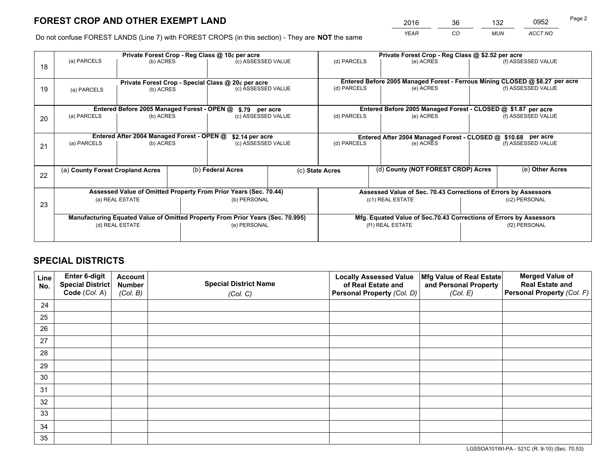*YEAR CO MUN ACCT NO* <sup>2016</sup> <sup>36</sup> <sup>132</sup> <sup>0952</sup> Page 2

Do not confuse FOREST LANDS (Line 7) with FOREST CROPS (in this section) - They are **NOT** the same

|    | Private Forest Crop - Reg Class @ 10¢ per acre                |                                             |  |                                                                                |  | Private Forest Crop - Reg Class @ \$2.52 per acre                            |                                                                    |               |                    |  |
|----|---------------------------------------------------------------|---------------------------------------------|--|--------------------------------------------------------------------------------|--|------------------------------------------------------------------------------|--------------------------------------------------------------------|---------------|--------------------|--|
| 18 | (a) PARCELS                                                   | (b) ACRES                                   |  | (c) ASSESSED VALUE                                                             |  | (d) PARCELS                                                                  | (e) ACRES                                                          |               | (f) ASSESSED VALUE |  |
|    |                                                               |                                             |  |                                                                                |  |                                                                              |                                                                    |               |                    |  |
|    |                                                               |                                             |  | Private Forest Crop - Special Class @ 20¢ per acre                             |  | Entered Before 2005 Managed Forest - Ferrous Mining CLOSED @ \$8.27 per acre |                                                                    |               |                    |  |
| 19 | (a) PARCELS                                                   | (b) ACRES                                   |  | (c) ASSESSED VALUE                                                             |  | (d) PARCELS                                                                  | (e) ACRES                                                          |               | (f) ASSESSED VALUE |  |
|    |                                                               |                                             |  |                                                                                |  |                                                                              |                                                                    |               |                    |  |
|    |                                                               | Entered Before 2005 Managed Forest - OPEN @ |  | \$.79 per acre                                                                 |  |                                                                              | Entered Before 2005 Managed Forest - CLOSED @ \$1.87 per acre      |               |                    |  |
| 20 | (a) PARCELS                                                   | (b) ACRES                                   |  | (c) ASSESSED VALUE                                                             |  | (d) PARCELS                                                                  | (e) ACRES                                                          |               | (f) ASSESSED VALUE |  |
|    |                                                               |                                             |  |                                                                                |  |                                                                              |                                                                    |               |                    |  |
|    | Entered After 2004 Managed Forest - OPEN @<br>\$2.14 per acre |                                             |  |                                                                                |  | Entered After 2004 Managed Forest - CLOSED @ \$10.68 per acre                |                                                                    |               |                    |  |
| 21 | (a) PARCELS                                                   | (b) ACRES                                   |  | (c) ASSESSED VALUE                                                             |  | (d) PARCELS<br>(e) ACRES                                                     |                                                                    |               | (f) ASSESSED VALUE |  |
|    |                                                               |                                             |  |                                                                                |  |                                                                              |                                                                    |               |                    |  |
|    | (a) County Forest Cropland Acres                              |                                             |  | (b) Federal Acres                                                              |  | (d) County (NOT FOREST CROP) Acres<br>(c) State Acres                        |                                                                    |               | (e) Other Acres    |  |
| 22 |                                                               |                                             |  |                                                                                |  |                                                                              |                                                                    |               |                    |  |
|    |                                                               |                                             |  |                                                                                |  |                                                                              |                                                                    |               |                    |  |
|    |                                                               |                                             |  | Assessed Value of Omitted Property From Prior Years (Sec. 70.44)               |  |                                                                              | Assessed Value of Sec. 70.43 Corrections of Errors by Assessors    |               |                    |  |
| 23 |                                                               | (a) REAL ESTATE                             |  | (b) PERSONAL                                                                   |  | (c1) REAL ESTATE                                                             |                                                                    | (c2) PERSONAL |                    |  |
|    |                                                               |                                             |  |                                                                                |  |                                                                              |                                                                    |               |                    |  |
|    |                                                               |                                             |  | Manufacturing Equated Value of Omitted Property From Prior Years (Sec. 70.995) |  |                                                                              | Mfg. Equated Value of Sec.70.43 Corrections of Errors by Assessors |               |                    |  |
|    |                                                               | (d) REAL ESTATE                             |  | (e) PERSONAL                                                                   |  |                                                                              | (f1) REAL ESTATE                                                   | (f2) PERSONAL |                    |  |
|    |                                                               |                                             |  |                                                                                |  |                                                                              |                                                                    |               |                    |  |

## **SPECIAL DISTRICTS**

| Line<br>No. | Enter 6-digit<br>Special District<br>Code (Col. A) | <b>Account</b><br><b>Number</b> | <b>Special District Name</b> | <b>Locally Assessed Value</b><br>of Real Estate and | Mfg Value of Real Estate<br>and Personal Property | <b>Merged Value of</b><br><b>Real Estate and</b><br>Personal Property (Col. F) |
|-------------|----------------------------------------------------|---------------------------------|------------------------------|-----------------------------------------------------|---------------------------------------------------|--------------------------------------------------------------------------------|
|             |                                                    | (Col. B)                        | (Col. C)                     | Personal Property (Col. D)                          | (Col. E)                                          |                                                                                |
| 24          |                                                    |                                 |                              |                                                     |                                                   |                                                                                |
| 25          |                                                    |                                 |                              |                                                     |                                                   |                                                                                |
| 26          |                                                    |                                 |                              |                                                     |                                                   |                                                                                |
| 27          |                                                    |                                 |                              |                                                     |                                                   |                                                                                |
| 28          |                                                    |                                 |                              |                                                     |                                                   |                                                                                |
| 29          |                                                    |                                 |                              |                                                     |                                                   |                                                                                |
| 30          |                                                    |                                 |                              |                                                     |                                                   |                                                                                |
| 31          |                                                    |                                 |                              |                                                     |                                                   |                                                                                |
| 32          |                                                    |                                 |                              |                                                     |                                                   |                                                                                |
| 33          |                                                    |                                 |                              |                                                     |                                                   |                                                                                |
| 34          |                                                    |                                 |                              |                                                     |                                                   |                                                                                |
| 35          |                                                    |                                 |                              |                                                     |                                                   |                                                                                |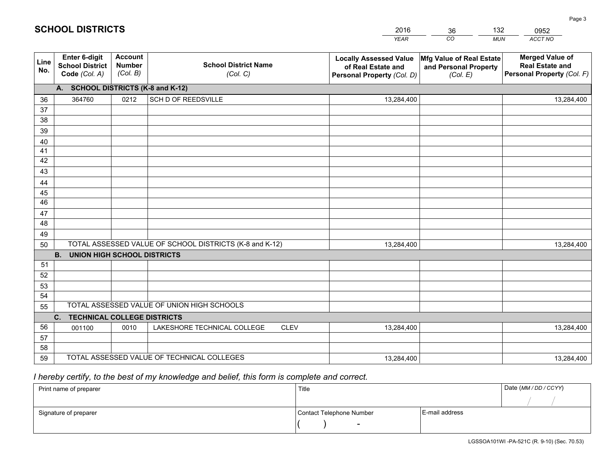|             |                                                          |                                             |                                                         | <b>YEAR</b>                                                                       | CO<br><b>MUN</b>                                              | ACCT NO                                                                        |
|-------------|----------------------------------------------------------|---------------------------------------------|---------------------------------------------------------|-----------------------------------------------------------------------------------|---------------------------------------------------------------|--------------------------------------------------------------------------------|
| Line<br>No. | Enter 6-digit<br><b>School District</b><br>Code (Col. A) | <b>Account</b><br><b>Number</b><br>(Col. B) | <b>School District Name</b><br>(Col. C)                 | <b>Locally Assessed Value</b><br>of Real Estate and<br>Personal Property (Col. D) | Mfg Value of Real Estate<br>and Personal Property<br>(Col. E) | <b>Merged Value of</b><br><b>Real Estate and</b><br>Personal Property (Col. F) |
|             | A. SCHOOL DISTRICTS (K-8 and K-12)                       |                                             |                                                         |                                                                                   |                                                               |                                                                                |
| 36          | 364760                                                   | 0212                                        | SCH D OF REEDSVILLE                                     | 13,284,400                                                                        |                                                               | 13,284,400                                                                     |
| 37          |                                                          |                                             |                                                         |                                                                                   |                                                               |                                                                                |
| 38          |                                                          |                                             |                                                         |                                                                                   |                                                               |                                                                                |
| 39          |                                                          |                                             |                                                         |                                                                                   |                                                               |                                                                                |
| 40          |                                                          |                                             |                                                         |                                                                                   |                                                               |                                                                                |
| 41          |                                                          |                                             |                                                         |                                                                                   |                                                               |                                                                                |
| 42          |                                                          |                                             |                                                         |                                                                                   |                                                               |                                                                                |
| 43          |                                                          |                                             |                                                         |                                                                                   |                                                               |                                                                                |
| 44          |                                                          |                                             |                                                         |                                                                                   |                                                               |                                                                                |
| 45<br>46    |                                                          |                                             |                                                         |                                                                                   |                                                               |                                                                                |
|             |                                                          |                                             |                                                         |                                                                                   |                                                               |                                                                                |
| 47<br>48    |                                                          |                                             |                                                         |                                                                                   |                                                               |                                                                                |
| 49          |                                                          |                                             |                                                         |                                                                                   |                                                               |                                                                                |
| 50          |                                                          |                                             | TOTAL ASSESSED VALUE OF SCHOOL DISTRICTS (K-8 and K-12) | 13,284,400                                                                        |                                                               | 13,284,400                                                                     |
|             | <b>B.</b><br><b>UNION HIGH SCHOOL DISTRICTS</b>          |                                             |                                                         |                                                                                   |                                                               |                                                                                |
| 51          |                                                          |                                             |                                                         |                                                                                   |                                                               |                                                                                |
| 52          |                                                          |                                             |                                                         |                                                                                   |                                                               |                                                                                |
| 53          |                                                          |                                             |                                                         |                                                                                   |                                                               |                                                                                |
| 54          |                                                          |                                             |                                                         |                                                                                   |                                                               |                                                                                |
| 55          |                                                          |                                             | TOTAL ASSESSED VALUE OF UNION HIGH SCHOOLS              |                                                                                   |                                                               |                                                                                |
|             | C.<br><b>TECHNICAL COLLEGE DISTRICTS</b>                 |                                             |                                                         |                                                                                   |                                                               |                                                                                |
| 56          | 001100                                                   | 0010                                        | LAKESHORE TECHNICAL COLLEGE<br><b>CLEV</b>              | 13,284,400                                                                        |                                                               | 13,284,400                                                                     |
| 57          |                                                          |                                             |                                                         |                                                                                   |                                                               |                                                                                |
| 58          |                                                          |                                             |                                                         |                                                                                   |                                                               |                                                                                |
| 59          |                                                          |                                             | TOTAL ASSESSED VALUE OF TECHNICAL COLLEGES              | 13,284,400                                                                        |                                                               | 13,284,400                                                                     |

36

132

 *I hereby certify, to the best of my knowledge and belief, this form is complete and correct.*

**SCHOOL DISTRICTS**

| Print name of preparer | Title                    |                | Date (MM / DD / CCYY) |
|------------------------|--------------------------|----------------|-----------------------|
|                        |                          |                |                       |
| Signature of preparer  | Contact Telephone Number | E-mail address |                       |
|                        | $\sim$                   |                |                       |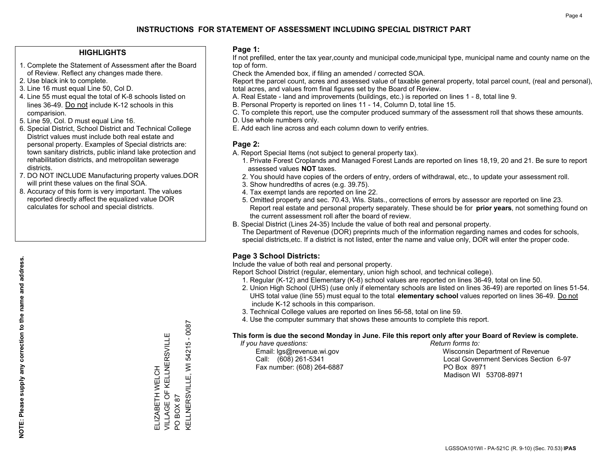### **HIGHLIGHTS**

- 1. Complete the Statement of Assessment after the Board of Review. Reflect any changes made there.
- 2. Use black ink to complete.
- 3. Line 16 must equal Line 50, Col D.
- 4. Line 55 must equal the total of K-8 schools listed on lines 36-49. Do not include K-12 schools in this comparision.
- 5. Line 59, Col. D must equal Line 16.
- 6. Special District, School District and Technical College District values must include both real estate and personal property. Examples of Special districts are: town sanitary districts, public inland lake protection and rehabilitation districts, and metropolitan sewerage districts.
- 7. DO NOT INCLUDE Manufacturing property values.DOR will print these values on the final SOA.

ELIZABETH WELCH

VILLAGE OF KELLNERSVILLE

ELIZABETH WELCH<br>VILLAGE OF KELLNERSVILLE

PO BOX 87

 $\overline{S}$ 

KELLNERSVILLE, WI 54215 - 0087

**KELLNERSVILLE, WI** BOX 87

54215 - 0087

 8. Accuracy of this form is very important. The values reported directly affect the equalized value DOR calculates for school and special districts.

### **Page 1:**

 If not prefilled, enter the tax year,county and municipal code,municipal type, municipal name and county name on the top of form.

Check the Amended box, if filing an amended / corrected SOA.

 Report the parcel count, acres and assessed value of taxable general property, total parcel count, (real and personal), total acres, and values from final figures set by the Board of Review.

- A. Real Estate land and improvements (buildings, etc.) is reported on lines 1 8, total line 9.
- B. Personal Property is reported on lines 11 14, Column D, total line 15.
- C. To complete this report, use the computer produced summary of the assessment roll that shows these amounts.
- D. Use whole numbers only.
- E. Add each line across and each column down to verify entries.

### **Page 2:**

- A. Report Special Items (not subject to general property tax).
- 1. Private Forest Croplands and Managed Forest Lands are reported on lines 18,19, 20 and 21. Be sure to report assessed values **NOT** taxes.
- 2. You should have copies of the orders of entry, orders of withdrawal, etc., to update your assessment roll.
	- 3. Show hundredths of acres (e.g. 39.75).
- 4. Tax exempt lands are reported on line 22.
- 5. Omitted property and sec. 70.43, Wis. Stats., corrections of errors by assessor are reported on line 23. Report real estate and personal property separately. These should be for **prior years**, not something found on the current assessment roll after the board of review.
- B. Special District (Lines 24-35) Include the value of both real and personal property.
- The Department of Revenue (DOR) preprints much of the information regarding names and codes for schools, special districts,etc. If a district is not listed, enter the name and value only, DOR will enter the proper code.

## **Page 3 School Districts:**

Include the value of both real and personal property.

Report School District (regular, elementary, union high school, and technical college).

- 1. Regular (K-12) and Elementary (K-8) school values are reported on lines 36-49, total on line 50.
- 2. Union High School (UHS) (use only if elementary schools are listed on lines 36-49) are reported on lines 51-54. UHS total value (line 55) must equal to the total **elementary school** values reported on lines 36-49. Do notinclude K-12 schools in this comparison.
- 3. Technical College values are reported on lines 56-58, total on line 59.
- 4. Use the computer summary that shows these amounts to complete this report.

#### **This form is due the second Monday in June. File this report only after your Board of Review is complete.**

 *If you have questions: Return forms to:*

Fax number: (608) 264-6887 PO Box 8971

 Email: lgs@revenue.wi.gov Wisconsin Department of Revenue Call: (608) 261-5341 Local Government Services Section 6-97Madison WI 53708-8971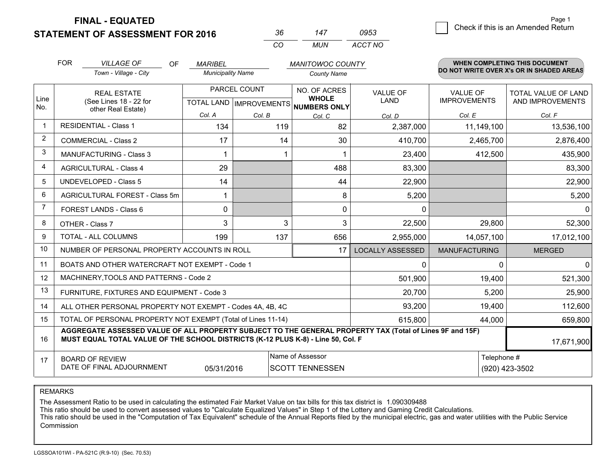**FINAL - EQUATED**

**STATEMENT OF ASSESSMENT FOR 2016** 

| ิ่งค     | 47  | 0953    |
|----------|-----|---------|
| $\cdots$ | MUN | ACCT NO |

|                | <b>FOR</b>                                                                                                                                                                                   | <b>VILLAGE OF</b><br><b>OF</b>                               | <b>MARIBEL</b>           |                                           | <b>MANITOWOC COUNTY</b>                      |                                |                                        | <b>WHEN COMPLETING THIS DOCUMENT</b>     |
|----------------|----------------------------------------------------------------------------------------------------------------------------------------------------------------------------------------------|--------------------------------------------------------------|--------------------------|-------------------------------------------|----------------------------------------------|--------------------------------|----------------------------------------|------------------------------------------|
|                |                                                                                                                                                                                              | Town - Village - City                                        | <b>Municipality Name</b> |                                           | <b>County Name</b>                           |                                |                                        | DO NOT WRITE OVER X's OR IN SHADED AREAS |
| Line<br>No.    | <b>REAL ESTATE</b><br>(See Lines 18 - 22 for                                                                                                                                                 |                                                              |                          | PARCEL COUNT<br>TOTAL LAND   IMPROVEMENTS | NO. OF ACRES<br><b>WHOLE</b><br>NUMBERS ONLY | <b>VALUE OF</b><br><b>LAND</b> | <b>VALUE OF</b><br><b>IMPROVEMENTS</b> | TOTAL VALUE OF LAND<br>AND IMPROVEMENTS  |
|                |                                                                                                                                                                                              | other Real Estate)                                           | Col. A                   | Col. B                                    | Col. C                                       | Col. D                         | Col. E                                 | Col. F                                   |
| $\mathbf 1$    |                                                                                                                                                                                              | <b>RESIDENTIAL - Class 1</b>                                 | 134                      | 119                                       | 82                                           | 2,387,000                      | 11,149,100                             | 13,536,100                               |
| $\overline{2}$ |                                                                                                                                                                                              | <b>COMMERCIAL - Class 2</b>                                  | 17                       | 14                                        | 30                                           | 410,700                        | 2,465,700                              | 2,876,400                                |
| 3              |                                                                                                                                                                                              | <b>MANUFACTURING - Class 3</b>                               | 1                        |                                           |                                              | 23,400                         | 412,500                                | 435,900                                  |
| $\overline{4}$ |                                                                                                                                                                                              | <b>AGRICULTURAL - Class 4</b>                                | 29                       |                                           | 488                                          | 83,300                         |                                        | 83,300                                   |
| 5              |                                                                                                                                                                                              | <b>UNDEVELOPED - Class 5</b>                                 | 14                       |                                           | 44                                           | 22,900                         |                                        | 22,900                                   |
| 6              |                                                                                                                                                                                              | AGRICULTURAL FOREST - Class 5m                               | 1                        |                                           | 8                                            | 5,200                          |                                        | 5,200                                    |
| 7              |                                                                                                                                                                                              | FOREST LANDS - Class 6                                       | 0                        |                                           | $\Omega$                                     | $\mathbf{0}$                   |                                        | $\Omega$                                 |
| 8              |                                                                                                                                                                                              | OTHER - Class 7                                              | 3                        | 3                                         | 3                                            | 22,500                         | 29,800                                 | 52,300                                   |
| 9              |                                                                                                                                                                                              | TOTAL - ALL COLUMNS                                          | 199                      | 137                                       | 656                                          | 2,955,000                      | 14,057,100                             | 17,012,100                               |
| 10             |                                                                                                                                                                                              | NUMBER OF PERSONAL PROPERTY ACCOUNTS IN ROLL                 |                          |                                           | 17                                           | <b>LOCALLY ASSESSED</b>        | <b>MANUFACTURING</b>                   | <b>MERGED</b>                            |
| 11             |                                                                                                                                                                                              | BOATS AND OTHER WATERCRAFT NOT EXEMPT - Code 1               |                          |                                           |                                              | 0                              | $\Omega$                               | $\mathbf 0$                              |
| 12             |                                                                                                                                                                                              | MACHINERY, TOOLS AND PATTERNS - Code 2                       |                          |                                           |                                              | 501,900                        | 19,400                                 | 521,300                                  |
| 13             |                                                                                                                                                                                              | FURNITURE, FIXTURES AND EQUIPMENT - Code 3                   |                          |                                           |                                              | 20,700                         | 5,200                                  | 25,900                                   |
| 14             |                                                                                                                                                                                              | ALL OTHER PERSONAL PROPERTY NOT EXEMPT - Codes 4A, 4B, 4C    |                          |                                           |                                              | 93,200                         | 19,400                                 | 112,600                                  |
| 15             |                                                                                                                                                                                              | TOTAL OF PERSONAL PROPERTY NOT EXEMPT (Total of Lines 11-14) |                          |                                           |                                              | 615,800                        | 44,000                                 | 659,800                                  |
| 16             | AGGREGATE ASSESSED VALUE OF ALL PROPERTY SUBJECT TO THE GENERAL PROPERTY TAX (Total of Lines 9F and 15F)<br>MUST EQUAL TOTAL VALUE OF THE SCHOOL DISTRICTS (K-12 PLUS K-8) - Line 50, Col. F |                                                              |                          |                                           |                                              |                                | 17,671,900                             |                                          |
| 17             | Name of Assessor<br>Telephone #<br><b>BOARD OF REVIEW</b><br>DATE OF FINAL ADJOURNMENT<br>05/31/2016<br><b>SCOTT TENNESSEN</b><br>(920) 423-3502                                             |                                                              |                          |                                           |                                              |                                |                                        |                                          |

REMARKS

The Assessment Ratio to be used in calculating the estimated Fair Market Value on tax bills for this tax district is 1.090309488

This ratio should be used to convert assessed values to "Calculate Equalized Values" in Step 1 of the Lottery and Gaming Credit Calculations.<br>This ratio should be used in the "Computation of Tax Equivalent" schedule of the Commission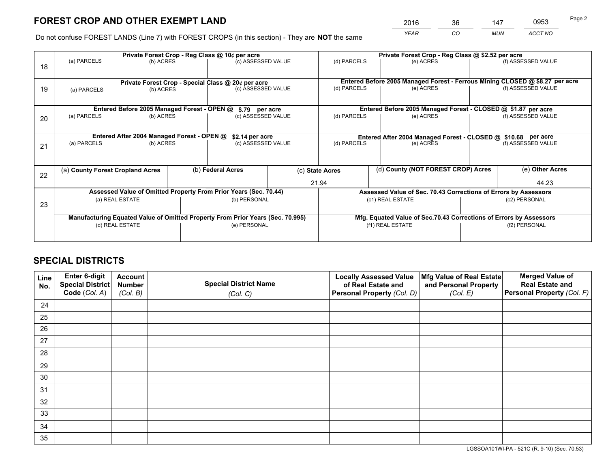*YEAR CO MUN ACCT NO* <sup>2016</sup> <sup>36</sup> <sup>147</sup> <sup>0953</sup>

Do not confuse FOREST LANDS (Line 7) with FOREST CROPS (in this section) - They are **NOT** the same

|    |                                                               |                                             |                   | Private Forest Crop - Reg Class @ 10¢ per acre                                 |                                                                              | Private Forest Crop - Reg Class @ \$2.52 per acre             |                                                                 |                                                                    |                    |  |
|----|---------------------------------------------------------------|---------------------------------------------|-------------------|--------------------------------------------------------------------------------|------------------------------------------------------------------------------|---------------------------------------------------------------|-----------------------------------------------------------------|--------------------------------------------------------------------|--------------------|--|
| 18 | (a) PARCELS                                                   | (b) ACRES                                   |                   | (c) ASSESSED VALUE                                                             |                                                                              | (d) PARCELS                                                   | (e) ACRES                                                       |                                                                    | (f) ASSESSED VALUE |  |
|    |                                                               |                                             |                   |                                                                                |                                                                              |                                                               |                                                                 |                                                                    |                    |  |
|    | Private Forest Crop - Special Class @ 20¢ per acre            |                                             |                   |                                                                                | Entered Before 2005 Managed Forest - Ferrous Mining CLOSED @ \$8.27 per acre |                                                               |                                                                 |                                                                    |                    |  |
| 19 | (a) PARCELS                                                   | (b) ACRES                                   |                   | (c) ASSESSED VALUE                                                             |                                                                              | (d) PARCELS                                                   | (e) ACRES                                                       |                                                                    | (f) ASSESSED VALUE |  |
|    |                                                               |                                             |                   |                                                                                |                                                                              |                                                               |                                                                 |                                                                    |                    |  |
|    |                                                               | Entered Before 2005 Managed Forest - OPEN @ |                   | \$.79 per acre                                                                 |                                                                              |                                                               | Entered Before 2005 Managed Forest - CLOSED @ \$1.87 per acre   |                                                                    |                    |  |
| 20 | (a) PARCELS                                                   | (b) ACRES                                   |                   | (c) ASSESSED VALUE                                                             |                                                                              | (d) PARCELS                                                   | (e) ACRES                                                       |                                                                    | (f) ASSESSED VALUE |  |
|    |                                                               |                                             |                   |                                                                                |                                                                              |                                                               |                                                                 |                                                                    |                    |  |
|    | Entered After 2004 Managed Forest - OPEN @<br>\$2.14 per acre |                                             |                   |                                                                                |                                                                              | Entered After 2004 Managed Forest - CLOSED @ \$10.68 per acre |                                                                 |                                                                    |                    |  |
| 21 | (a) PARCELS                                                   | (b) ACRES                                   |                   | (c) ASSESSED VALUE                                                             |                                                                              | (d) PARCELS<br>(e) ACRES                                      |                                                                 |                                                                    | (f) ASSESSED VALUE |  |
|    |                                                               |                                             |                   |                                                                                |                                                                              |                                                               |                                                                 |                                                                    |                    |  |
|    | (a) County Forest Cropland Acres                              |                                             | (b) Federal Acres |                                                                                |                                                                              | (c) State Acres                                               | (d) County (NOT FOREST CROP) Acres                              |                                                                    | (e) Other Acres    |  |
| 22 |                                                               |                                             |                   |                                                                                |                                                                              |                                                               |                                                                 |                                                                    |                    |  |
|    |                                                               |                                             |                   |                                                                                |                                                                              | 21.94                                                         |                                                                 |                                                                    | 44.23              |  |
|    |                                                               |                                             |                   | Assessed Value of Omitted Property From Prior Years (Sec. 70.44)               |                                                                              |                                                               | Assessed Value of Sec. 70.43 Corrections of Errors by Assessors |                                                                    |                    |  |
| 23 |                                                               | (a) REAL ESTATE                             |                   | (b) PERSONAL                                                                   |                                                                              |                                                               | (c1) REAL ESTATE                                                |                                                                    | (c2) PERSONAL      |  |
|    |                                                               |                                             |                   |                                                                                |                                                                              |                                                               |                                                                 |                                                                    |                    |  |
|    |                                                               |                                             |                   | Manufacturing Equated Value of Omitted Property From Prior Years (Sec. 70.995) |                                                                              |                                                               |                                                                 | Mfg. Equated Value of Sec.70.43 Corrections of Errors by Assessors |                    |  |
|    |                                                               | (d) REAL ESTATE                             |                   | (e) PERSONAL                                                                   |                                                                              |                                                               | (f1) REAL ESTATE                                                | (f2) PERSONAL                                                      |                    |  |
|    |                                                               |                                             |                   |                                                                                |                                                                              |                                                               |                                                                 |                                                                    |                    |  |

## **SPECIAL DISTRICTS**

| Line<br>No. | Enter 6-digit<br><b>Special District</b> | <b>Account</b><br><b>Number</b> | <b>Special District Name</b> | <b>Locally Assessed Value</b><br>of Real Estate and | Mfg Value of Real Estate<br>and Personal Property | <b>Merged Value of</b><br><b>Real Estate and</b> |
|-------------|------------------------------------------|---------------------------------|------------------------------|-----------------------------------------------------|---------------------------------------------------|--------------------------------------------------|
|             | Code (Col. A)                            | (Col. B)                        | (Col. C)                     | Personal Property (Col. D)                          | (Col. E)                                          | Personal Property (Col. F)                       |
| 24          |                                          |                                 |                              |                                                     |                                                   |                                                  |
| 25          |                                          |                                 |                              |                                                     |                                                   |                                                  |
| 26          |                                          |                                 |                              |                                                     |                                                   |                                                  |
| 27          |                                          |                                 |                              |                                                     |                                                   |                                                  |
| 28          |                                          |                                 |                              |                                                     |                                                   |                                                  |
| 29          |                                          |                                 |                              |                                                     |                                                   |                                                  |
| 30          |                                          |                                 |                              |                                                     |                                                   |                                                  |
| 31          |                                          |                                 |                              |                                                     |                                                   |                                                  |
| 32          |                                          |                                 |                              |                                                     |                                                   |                                                  |
| 33          |                                          |                                 |                              |                                                     |                                                   |                                                  |
| 34          |                                          |                                 |                              |                                                     |                                                   |                                                  |
| 35          |                                          |                                 |                              |                                                     |                                                   |                                                  |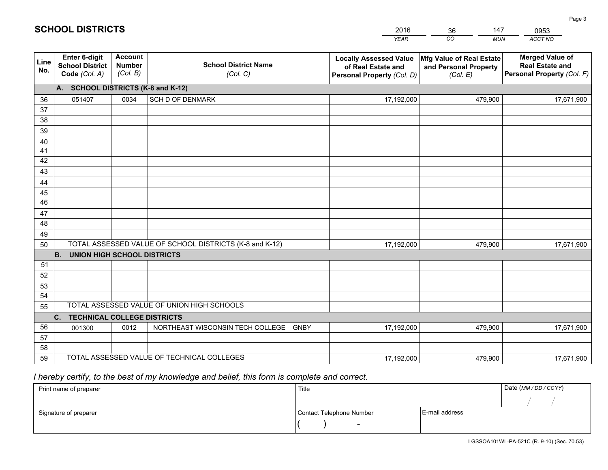|             |                                                          |                                             |                                                         | <b>YEAR</b>                                                                       | CO<br><b>MUN</b>                                              | ACCT NO                                                                        |
|-------------|----------------------------------------------------------|---------------------------------------------|---------------------------------------------------------|-----------------------------------------------------------------------------------|---------------------------------------------------------------|--------------------------------------------------------------------------------|
| Line<br>No. | Enter 6-digit<br><b>School District</b><br>Code (Col. A) | <b>Account</b><br><b>Number</b><br>(Col. B) | <b>School District Name</b><br>(Col. C)                 | <b>Locally Assessed Value</b><br>of Real Estate and<br>Personal Property (Col. D) | Mfg Value of Real Estate<br>and Personal Property<br>(Col. E) | <b>Merged Value of</b><br><b>Real Estate and</b><br>Personal Property (Col. F) |
|             | A. SCHOOL DISTRICTS (K-8 and K-12)                       |                                             |                                                         |                                                                                   |                                                               |                                                                                |
| 36          | 051407                                                   | 0034                                        | <b>SCH D OF DENMARK</b>                                 | 17,192,000                                                                        | 479,900                                                       | 17,671,900                                                                     |
| 37          |                                                          |                                             |                                                         |                                                                                   |                                                               |                                                                                |
| 38          |                                                          |                                             |                                                         |                                                                                   |                                                               |                                                                                |
| 39          |                                                          |                                             |                                                         |                                                                                   |                                                               |                                                                                |
| 40          |                                                          |                                             |                                                         |                                                                                   |                                                               |                                                                                |
| 41<br>42    |                                                          |                                             |                                                         |                                                                                   |                                                               |                                                                                |
| 43          |                                                          |                                             |                                                         |                                                                                   |                                                               |                                                                                |
| 44          |                                                          |                                             |                                                         |                                                                                   |                                                               |                                                                                |
| 45          |                                                          |                                             |                                                         |                                                                                   |                                                               |                                                                                |
| 46          |                                                          |                                             |                                                         |                                                                                   |                                                               |                                                                                |
| 47          |                                                          |                                             |                                                         |                                                                                   |                                                               |                                                                                |
| 48          |                                                          |                                             |                                                         |                                                                                   |                                                               |                                                                                |
| 49          |                                                          |                                             |                                                         |                                                                                   |                                                               |                                                                                |
| 50          |                                                          |                                             | TOTAL ASSESSED VALUE OF SCHOOL DISTRICTS (K-8 and K-12) | 17,192,000                                                                        | 479,900                                                       | 17,671,900                                                                     |
|             | <b>UNION HIGH SCHOOL DISTRICTS</b><br><b>B.</b>          |                                             |                                                         |                                                                                   |                                                               |                                                                                |
| 51          |                                                          |                                             |                                                         |                                                                                   |                                                               |                                                                                |
| 52          |                                                          |                                             |                                                         |                                                                                   |                                                               |                                                                                |
| 53<br>54    |                                                          |                                             |                                                         |                                                                                   |                                                               |                                                                                |
| 55          |                                                          |                                             | TOTAL ASSESSED VALUE OF UNION HIGH SCHOOLS              |                                                                                   |                                                               |                                                                                |
|             | C.<br><b>TECHNICAL COLLEGE DISTRICTS</b>                 |                                             |                                                         |                                                                                   |                                                               |                                                                                |
| 56          | 001300                                                   | 0012                                        | NORTHEAST WISCONSIN TECH COLLEGE GNBY                   | 17,192,000                                                                        | 479,900                                                       | 17,671,900                                                                     |
| 57          |                                                          |                                             |                                                         |                                                                                   |                                                               |                                                                                |
| 58          |                                                          |                                             |                                                         |                                                                                   |                                                               |                                                                                |
| 59          |                                                          |                                             | TOTAL ASSESSED VALUE OF TECHNICAL COLLEGES              | 17,192,000                                                                        | 479,900                                                       | 17,671,900                                                                     |

36

147

 *I hereby certify, to the best of my knowledge and belief, this form is complete and correct.*

**SCHOOL DISTRICTS**

| Print name of preparer | Title                    |                | Date (MM / DD / CCYY) |
|------------------------|--------------------------|----------------|-----------------------|
|                        |                          |                |                       |
| Signature of preparer  | Contact Telephone Number | E-mail address |                       |
|                        | $\overline{\phantom{0}}$ |                |                       |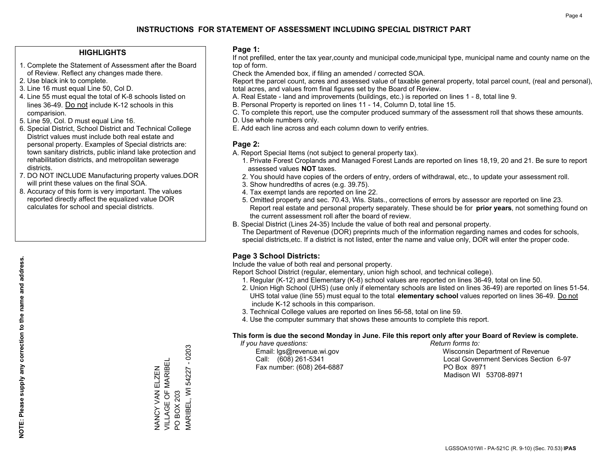### **HIGHLIGHTS**

- 1. Complete the Statement of Assessment after the Board of Review. Reflect any changes made there.
- 2. Use black ink to complete.
- 3. Line 16 must equal Line 50, Col D.
- 4. Line 55 must equal the total of K-8 schools listed on lines 36-49. Do not include K-12 schools in this comparision.
- 5. Line 59, Col. D must equal Line 16.
- 6. Special District, School District and Technical College District values must include both real estate and personal property. Examples of Special districts are: town sanitary districts, public inland lake protection and rehabilitation districts, and metropolitan sewerage districts.
- 7. DO NOT INCLUDE Manufacturing property values.DOR will print these values on the final SOA.

NANCY VAN ELZEN VILLAGE OF MARIBEL

NANCY VAN ELZEN<br>VILLAGE OF MARIBEI

PO BOX 203

 $\overline{S}$ 

MARIBEL, WI 54227 - 0203

MARIBEL, WI 54227 BOX 203

 $-0203$ 

 8. Accuracy of this form is very important. The values reported directly affect the equalized value DOR calculates for school and special districts.

### **Page 1:**

 If not prefilled, enter the tax year,county and municipal code,municipal type, municipal name and county name on the top of form.

Check the Amended box, if filing an amended / corrected SOA.

 Report the parcel count, acres and assessed value of taxable general property, total parcel count, (real and personal), total acres, and values from final figures set by the Board of Review.

- A. Real Estate land and improvements (buildings, etc.) is reported on lines 1 8, total line 9.
- B. Personal Property is reported on lines 11 14, Column D, total line 15.
- C. To complete this report, use the computer produced summary of the assessment roll that shows these amounts.
- D. Use whole numbers only.
- E. Add each line across and each column down to verify entries.

### **Page 2:**

- A. Report Special Items (not subject to general property tax).
- 1. Private Forest Croplands and Managed Forest Lands are reported on lines 18,19, 20 and 21. Be sure to report assessed values **NOT** taxes.
- 2. You should have copies of the orders of entry, orders of withdrawal, etc., to update your assessment roll.
	- 3. Show hundredths of acres (e.g. 39.75).
- 4. Tax exempt lands are reported on line 22.
- 5. Omitted property and sec. 70.43, Wis. Stats., corrections of errors by assessor are reported on line 23. Report real estate and personal property separately. These should be for **prior years**, not something found on the current assessment roll after the board of review.
- B. Special District (Lines 24-35) Include the value of both real and personal property.
- The Department of Revenue (DOR) preprints much of the information regarding names and codes for schools, special districts,etc. If a district is not listed, enter the name and value only, DOR will enter the proper code.

## **Page 3 School Districts:**

Include the value of both real and personal property.

Report School District (regular, elementary, union high school, and technical college).

- 1. Regular (K-12) and Elementary (K-8) school values are reported on lines 36-49, total on line 50.
- 2. Union High School (UHS) (use only if elementary schools are listed on lines 36-49) are reported on lines 51-54. UHS total value (line 55) must equal to the total **elementary school** values reported on lines 36-49. Do notinclude K-12 schools in this comparison.
- 3. Technical College values are reported on lines 56-58, total on line 59.
- 4. Use the computer summary that shows these amounts to complete this report.

#### **This form is due the second Monday in June. File this report only after your Board of Review is complete.**

 *If you have questions: Return forms to:*

Fax number: (608) 264-6887 PO Box 8971

 Email: lgs@revenue.wi.gov Wisconsin Department of Revenue Call: (608) 261-5341 Local Government Services Section 6-97Madison WI 53708-8971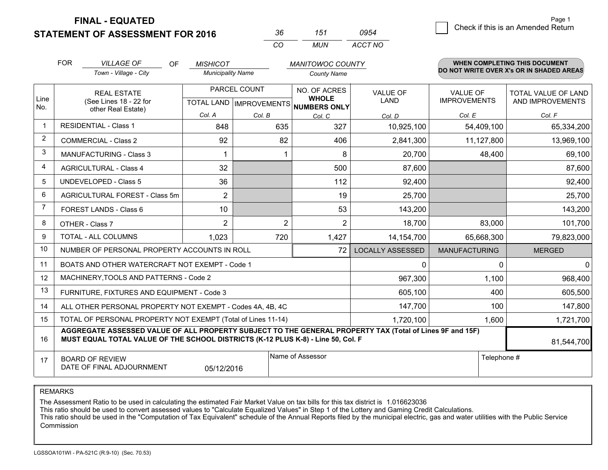**FINAL - EQUATED**

**STATEMENT OF ASSESSMENT FOR 2016** 

| -36 | 151   | 0954    |
|-----|-------|---------|
| (   | MI IN | ACCT NO |

|                | <b>FOR</b>                                                                                                                                                                                   | <b>VILLAGE OF</b><br>OF                                      | <b>MISHICOT</b>                                      |        | <b>MANITOWOC COUNTY</b>      |                         |                                        | <b>WHEN COMPLETING THIS DOCUMENT</b>     |
|----------------|----------------------------------------------------------------------------------------------------------------------------------------------------------------------------------------------|--------------------------------------------------------------|------------------------------------------------------|--------|------------------------------|-------------------------|----------------------------------------|------------------------------------------|
|                |                                                                                                                                                                                              | Town - Village - City                                        | <b>Municipality Name</b>                             |        | <b>County Name</b>           |                         |                                        | DO NOT WRITE OVER X's OR IN SHADED AREAS |
| Line<br>No.    | <b>REAL ESTATE</b><br>(See Lines 18 - 22 for<br>other Real Estate)                                                                                                                           |                                                              | PARCEL COUNT<br>TOTAL LAND IMPROVEMENTS NUMBERS ONLY |        | NO. OF ACRES<br><b>WHOLE</b> | <b>VALUE OF</b><br>LAND | <b>VALUE OF</b><br><b>IMPROVEMENTS</b> | TOTAL VALUE OF LAND<br>AND IMPROVEMENTS  |
|                |                                                                                                                                                                                              |                                                              | Col. A                                               | Col. B | Col. C                       | Col. D                  | Col. E                                 | Col. F                                   |
| -1             | <b>RESIDENTIAL - Class 1</b>                                                                                                                                                                 |                                                              | 848                                                  | 635    | 327                          | 10,925,100              | 54,409,100                             | 65,334,200                               |
| $\overline{2}$ |                                                                                                                                                                                              | <b>COMMERCIAL - Class 2</b>                                  | 92                                                   | 82     | 406                          | 2,841,300               | 11,127,800                             | 13,969,100                               |
| 3              |                                                                                                                                                                                              | <b>MANUFACTURING - Class 3</b>                               | 1                                                    |        | 8                            | 20,700                  | 48,400                                 | 69,100                                   |
| 4              |                                                                                                                                                                                              | <b>AGRICULTURAL - Class 4</b>                                | 32                                                   |        | 500                          | 87,600                  |                                        | 87,600                                   |
| 5              |                                                                                                                                                                                              | <b>UNDEVELOPED - Class 5</b>                                 | 36                                                   |        | 112                          | 92,400                  |                                        | 92,400                                   |
| 6              |                                                                                                                                                                                              | AGRICULTURAL FOREST - Class 5m                               | $\overline{2}$                                       |        | 19                           | 25,700                  |                                        | 25,700                                   |
| $\overline{7}$ |                                                                                                                                                                                              | FOREST LANDS - Class 6                                       | 10                                                   |        | 53                           | 143,200                 |                                        | 143,200                                  |
| 8              |                                                                                                                                                                                              | OTHER - Class 7                                              | $\overline{2}$                                       | 2      | $\overline{2}$               | 18,700                  | 83,000                                 | 101,700                                  |
| 9              |                                                                                                                                                                                              | TOTAL - ALL COLUMNS                                          | 1,023                                                | 720    | 1,427                        | 14,154,700              | 65,668,300                             | 79,823,000                               |
| 10             |                                                                                                                                                                                              | NUMBER OF PERSONAL PROPERTY ACCOUNTS IN ROLL                 |                                                      |        | 72                           | <b>LOCALLY ASSESSED</b> | <b>MANUFACTURING</b>                   | <b>MERGED</b>                            |
| 11             |                                                                                                                                                                                              | BOATS AND OTHER WATERCRAFT NOT EXEMPT - Code 1               |                                                      |        |                              | 0                       | 0                                      | $\overline{0}$                           |
| 12             |                                                                                                                                                                                              | MACHINERY, TOOLS AND PATTERNS - Code 2                       |                                                      |        |                              | 967,300                 | 1,100                                  | 968,400                                  |
| 13             |                                                                                                                                                                                              | FURNITURE, FIXTURES AND EQUIPMENT - Code 3                   |                                                      |        |                              | 605,100                 | 400                                    | 605,500                                  |
| 14             |                                                                                                                                                                                              | ALL OTHER PERSONAL PROPERTY NOT EXEMPT - Codes 4A, 4B, 4C    |                                                      |        |                              | 147,700                 | 100                                    | 147,800                                  |
| 15             |                                                                                                                                                                                              | TOTAL OF PERSONAL PROPERTY NOT EXEMPT (Total of Lines 11-14) |                                                      |        |                              | 1,720,100               | 1,600                                  | 1,721,700                                |
| 16             | AGGREGATE ASSESSED VALUE OF ALL PROPERTY SUBJECT TO THE GENERAL PROPERTY TAX (Total of Lines 9F and 15F)<br>MUST EQUAL TOTAL VALUE OF THE SCHOOL DISTRICTS (K-12 PLUS K-8) - Line 50, Col. F |                                                              |                                                      |        |                              |                         | 81,544,700                             |                                          |
| 17             | Name of Assessor<br>Telephone #<br><b>BOARD OF REVIEW</b><br>DATE OF FINAL ADJOURNMENT<br>05/12/2016                                                                                         |                                                              |                                                      |        |                              |                         |                                        |                                          |

REMARKS

The Assessment Ratio to be used in calculating the estimated Fair Market Value on tax bills for this tax district is 1.016623036

This ratio should be used to convert assessed values to "Calculate Equalized Values" in Step 1 of the Lottery and Gaming Credit Calculations.<br>This ratio should be used in the "Computation of Tax Equivalent" schedule of the Commission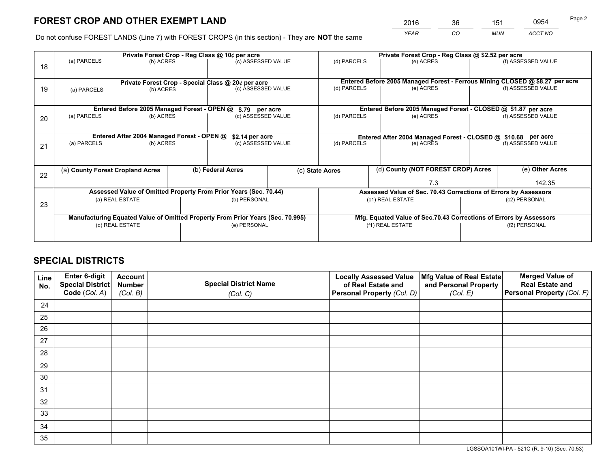*YEAR CO MUN ACCT NO* <sup>2016</sup> <sup>36</sup> <sup>151</sup> <sup>0954</sup>

Do not confuse FOREST LANDS (Line 7) with FOREST CROPS (in this section) - They are **NOT** the same

|    | Private Forest Crop - Reg Class @ 10¢ per acre                                 |                                             |                                   |                                                                  |                 |                                                               | Private Forest Crop - Reg Class @ \$2.52 per acre                            |                 |                    |  |
|----|--------------------------------------------------------------------------------|---------------------------------------------|-----------------------------------|------------------------------------------------------------------|-----------------|---------------------------------------------------------------|------------------------------------------------------------------------------|-----------------|--------------------|--|
| 18 | (a) PARCELS                                                                    | (b) ACRES                                   |                                   | (c) ASSESSED VALUE                                               |                 | (d) PARCELS                                                   | (e) ACRES                                                                    |                 | (f) ASSESSED VALUE |  |
|    | Private Forest Crop - Special Class @ 20¢ per acre                             |                                             |                                   |                                                                  |                 |                                                               | Entered Before 2005 Managed Forest - Ferrous Mining CLOSED @ \$8.27 per acre |                 |                    |  |
| 19 | (a) PARCELS<br>(b) ACRES                                                       |                                             |                                   | (c) ASSESSED VALUE                                               |                 | (d) PARCELS                                                   | (e) ACRES                                                                    |                 | (f) ASSESSED VALUE |  |
|    |                                                                                | Entered Before 2005 Managed Forest - OPEN @ |                                   |                                                                  |                 |                                                               | Entered Before 2005 Managed Forest - CLOSED @ \$1.87 per acre                |                 |                    |  |
| 20 | (a) PARCELS<br>(b) ACRES                                                       |                                             |                                   | \$.79 per acre<br>(c) ASSESSED VALUE                             |                 | (d) PARCELS                                                   | (e) ACRES                                                                    |                 | (f) ASSESSED VALUE |  |
|    |                                                                                | Entered After 2004 Managed Forest - OPEN @  |                                   | \$2.14 per acre                                                  |                 | Entered After 2004 Managed Forest - CLOSED @ \$10.68 per acre |                                                                              |                 |                    |  |
| 21 | (a) PARCELS                                                                    | (b) ACRES                                   |                                   | (c) ASSESSED VALUE                                               |                 | (d) PARCELS                                                   | (e) ACRES                                                                    |                 | (f) ASSESSED VALUE |  |
|    | (a) County Forest Cropland Acres                                               |                                             | (b) Federal Acres                 |                                                                  | (c) State Acres | (d) County (NOT FOREST CROP) Acres                            |                                                                              | (e) Other Acres |                    |  |
| 22 |                                                                                |                                             |                                   |                                                                  |                 | 7.3                                                           |                                                                              |                 | 142.35             |  |
|    |                                                                                |                                             |                                   | Assessed Value of Omitted Property From Prior Years (Sec. 70.44) |                 |                                                               | Assessed Value of Sec. 70.43 Corrections of Errors by Assessors              |                 |                    |  |
| 23 | (b) PERSONAL<br>(a) REAL ESTATE                                                |                                             | (c1) REAL ESTATE<br>(c2) PERSONAL |                                                                  |                 |                                                               |                                                                              |                 |                    |  |
|    | Manufacturing Equated Value of Omitted Property From Prior Years (Sec. 70.995) |                                             |                                   |                                                                  |                 |                                                               | Mfg. Equated Value of Sec.70.43 Corrections of Errors by Assessors           |                 |                    |  |
|    | (d) REAL ESTATE                                                                |                                             |                                   | (e) PERSONAL                                                     |                 | (f1) REAL ESTATE                                              |                                                                              | (f2) PERSONAL   |                    |  |
|    |                                                                                |                                             |                                   |                                                                  |                 |                                                               |                                                                              |                 |                    |  |

## **SPECIAL DISTRICTS**

| Line<br>No. | Enter 6-digit<br>Special District<br>Code (Col. A) | <b>Account</b><br><b>Number</b> | <b>Special District Name</b> | <b>Locally Assessed Value</b><br>of Real Estate and | Mfg Value of Real Estate<br>and Personal Property | <b>Merged Value of</b><br><b>Real Estate and</b><br>Personal Property (Col. F) |
|-------------|----------------------------------------------------|---------------------------------|------------------------------|-----------------------------------------------------|---------------------------------------------------|--------------------------------------------------------------------------------|
|             |                                                    | (Col. B)                        | (Col. C)                     | Personal Property (Col. D)                          | (Col. E)                                          |                                                                                |
| 24          |                                                    |                                 |                              |                                                     |                                                   |                                                                                |
| 25          |                                                    |                                 |                              |                                                     |                                                   |                                                                                |
| 26          |                                                    |                                 |                              |                                                     |                                                   |                                                                                |
| 27          |                                                    |                                 |                              |                                                     |                                                   |                                                                                |
| 28          |                                                    |                                 |                              |                                                     |                                                   |                                                                                |
| 29          |                                                    |                                 |                              |                                                     |                                                   |                                                                                |
| 30          |                                                    |                                 |                              |                                                     |                                                   |                                                                                |
| 31          |                                                    |                                 |                              |                                                     |                                                   |                                                                                |
| 32          |                                                    |                                 |                              |                                                     |                                                   |                                                                                |
| 33          |                                                    |                                 |                              |                                                     |                                                   |                                                                                |
| 34          |                                                    |                                 |                              |                                                     |                                                   |                                                                                |
| 35          |                                                    |                                 |                              |                                                     |                                                   |                                                                                |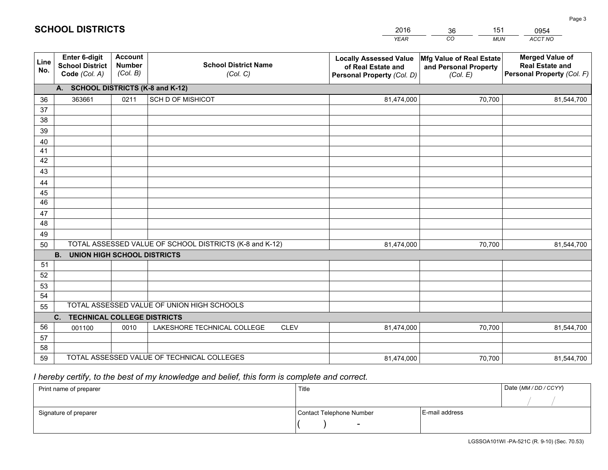|             |                                                                 |                                             |                                                         | <b>YEAR</b>                                                                       | CO<br><b>MUN</b>                                              | ACCT NO                                                                        |
|-------------|-----------------------------------------------------------------|---------------------------------------------|---------------------------------------------------------|-----------------------------------------------------------------------------------|---------------------------------------------------------------|--------------------------------------------------------------------------------|
| Line<br>No. | <b>Enter 6-digit</b><br><b>School District</b><br>Code (Col. A) | <b>Account</b><br><b>Number</b><br>(Col. B) | <b>School District Name</b><br>(Col. C)                 | <b>Locally Assessed Value</b><br>of Real Estate and<br>Personal Property (Col. D) | Mfg Value of Real Estate<br>and Personal Property<br>(Col. E) | <b>Merged Value of</b><br><b>Real Estate and</b><br>Personal Property (Col. F) |
|             | A. SCHOOL DISTRICTS (K-8 and K-12)                              |                                             |                                                         |                                                                                   |                                                               |                                                                                |
| 36          | 363661                                                          | 0211                                        | <b>SCH D OF MISHICOT</b>                                | 81,474,000                                                                        | 70,700                                                        | 81,544,700                                                                     |
| 37          |                                                                 |                                             |                                                         |                                                                                   |                                                               |                                                                                |
| 38          |                                                                 |                                             |                                                         |                                                                                   |                                                               |                                                                                |
| 39          |                                                                 |                                             |                                                         |                                                                                   |                                                               |                                                                                |
| 40          |                                                                 |                                             |                                                         |                                                                                   |                                                               |                                                                                |
| 41<br>42    |                                                                 |                                             |                                                         |                                                                                   |                                                               |                                                                                |
| 43          |                                                                 |                                             |                                                         |                                                                                   |                                                               |                                                                                |
| 44          |                                                                 |                                             |                                                         |                                                                                   |                                                               |                                                                                |
| 45          |                                                                 |                                             |                                                         |                                                                                   |                                                               |                                                                                |
| 46          |                                                                 |                                             |                                                         |                                                                                   |                                                               |                                                                                |
| 47          |                                                                 |                                             |                                                         |                                                                                   |                                                               |                                                                                |
| 48          |                                                                 |                                             |                                                         |                                                                                   |                                                               |                                                                                |
| 49          |                                                                 |                                             |                                                         |                                                                                   |                                                               |                                                                                |
| 50          |                                                                 |                                             | TOTAL ASSESSED VALUE OF SCHOOL DISTRICTS (K-8 and K-12) | 81,474,000                                                                        | 70,700                                                        | 81,544,700                                                                     |
|             | <b>B.</b><br><b>UNION HIGH SCHOOL DISTRICTS</b>                 |                                             |                                                         |                                                                                   |                                                               |                                                                                |
| 51          |                                                                 |                                             |                                                         |                                                                                   |                                                               |                                                                                |
| 52          |                                                                 |                                             |                                                         |                                                                                   |                                                               |                                                                                |
| 53          |                                                                 |                                             |                                                         |                                                                                   |                                                               |                                                                                |
| 54          |                                                                 |                                             |                                                         |                                                                                   |                                                               |                                                                                |
| 55          |                                                                 |                                             | TOTAL ASSESSED VALUE OF UNION HIGH SCHOOLS              |                                                                                   |                                                               |                                                                                |
|             | C.<br><b>TECHNICAL COLLEGE DISTRICTS</b>                        |                                             |                                                         |                                                                                   |                                                               |                                                                                |
| 56<br>57    | 001100                                                          | 0010                                        | LAKESHORE TECHNICAL COLLEGE<br><b>CLEV</b>              | 81,474,000                                                                        | 70,700                                                        | 81,544,700                                                                     |
| 58          |                                                                 |                                             |                                                         |                                                                                   |                                                               |                                                                                |
| 59          |                                                                 |                                             | TOTAL ASSESSED VALUE OF TECHNICAL COLLEGES              | 81,474,000                                                                        | 70,700                                                        | 81,544,700                                                                     |
|             |                                                                 |                                             |                                                         |                                                                                   |                                                               |                                                                                |

36

151

 *I hereby certify, to the best of my knowledge and belief, this form is complete and correct.*

**SCHOOL DISTRICTS**

| Print name of preparer | Title                    |                | Date (MM / DD / CCYY) |
|------------------------|--------------------------|----------------|-----------------------|
|                        |                          |                |                       |
| Signature of preparer  | Contact Telephone Number | E-mail address |                       |
|                        | $\sim$                   |                |                       |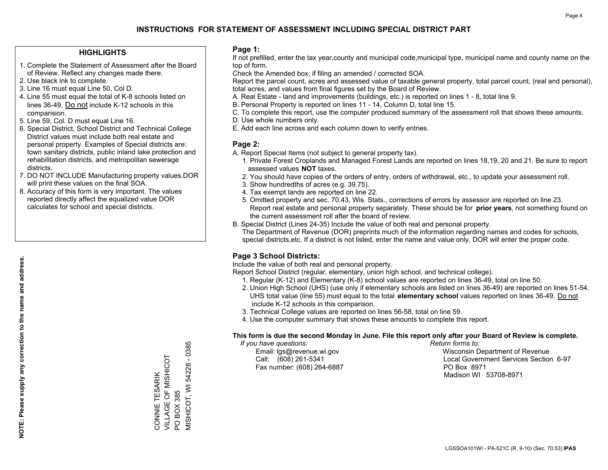### **HIGHLIGHTS**

- 1. Complete the Statement of Assessment after the Board of Review. Reflect any changes made there.
- 2. Use black ink to complete.
- 3. Line 16 must equal Line 50, Col D.
- 4. Line 55 must equal the total of K-8 schools listed on lines 36-49. Do not include K-12 schools in this comparision.
- 5. Line 59, Col. D must equal Line 16.
- 6. Special District, School District and Technical College District values must include both real estate and personal property. Examples of Special districts are: town sanitary districts, public inland lake protection and rehabilitation districts, and metropolitan sewerage districts.
- 7. DO NOT INCLUDE Manufacturing property values.DOR will print these values on the final SOA.

CONNIE TESARIK VILLAGE OF MISHICOT

CONNIE TESARIK<br>VILLAGE OF MISHICOT

PO BOX 385

 $\overline{S}$ 

MISHICOT, WI 54228 - 0385

VISHICOT, WI 54228 BOX 385

 $-0385$ 

 8. Accuracy of this form is very important. The values reported directly affect the equalized value DOR calculates for school and special districts.

### **Page 1:**

 If not prefilled, enter the tax year,county and municipal code,municipal type, municipal name and county name on the top of form.

Check the Amended box, if filing an amended / corrected SOA.

 Report the parcel count, acres and assessed value of taxable general property, total parcel count, (real and personal), total acres, and values from final figures set by the Board of Review.

- A. Real Estate land and improvements (buildings, etc.) is reported on lines 1 8, total line 9.
- B. Personal Property is reported on lines 11 14, Column D, total line 15.
- C. To complete this report, use the computer produced summary of the assessment roll that shows these amounts.
- D. Use whole numbers only.
- E. Add each line across and each column down to verify entries.

### **Page 2:**

- A. Report Special Items (not subject to general property tax).
- 1. Private Forest Croplands and Managed Forest Lands are reported on lines 18,19, 20 and 21. Be sure to report assessed values **NOT** taxes.
- 2. You should have copies of the orders of entry, orders of withdrawal, etc., to update your assessment roll.
	- 3. Show hundredths of acres (e.g. 39.75).
- 4. Tax exempt lands are reported on line 22.
- 5. Omitted property and sec. 70.43, Wis. Stats., corrections of errors by assessor are reported on line 23. Report real estate and personal property separately. These should be for **prior years**, not something found on the current assessment roll after the board of review.
- B. Special District (Lines 24-35) Include the value of both real and personal property.
- The Department of Revenue (DOR) preprints much of the information regarding names and codes for schools, special districts,etc. If a district is not listed, enter the name and value only, DOR will enter the proper code.

## **Page 3 School Districts:**

Include the value of both real and personal property.

Report School District (regular, elementary, union high school, and technical college).

- 1. Regular (K-12) and Elementary (K-8) school values are reported on lines 36-49, total on line 50.
- 2. Union High School (UHS) (use only if elementary schools are listed on lines 36-49) are reported on lines 51-54. UHS total value (line 55) must equal to the total **elementary school** values reported on lines 36-49. Do notinclude K-12 schools in this comparison.
- 3. Technical College values are reported on lines 56-58, total on line 59.
- 4. Use the computer summary that shows these amounts to complete this report.

#### **This form is due the second Monday in June. File this report only after your Board of Review is complete.**

 *If you have questions: Return forms to:*

Fax number: (608) 264-6887 PO Box 8971

 Email: lgs@revenue.wi.gov Wisconsin Department of Revenue Call: (608) 261-5341 Local Government Services Section 6-97Madison WI 53708-8971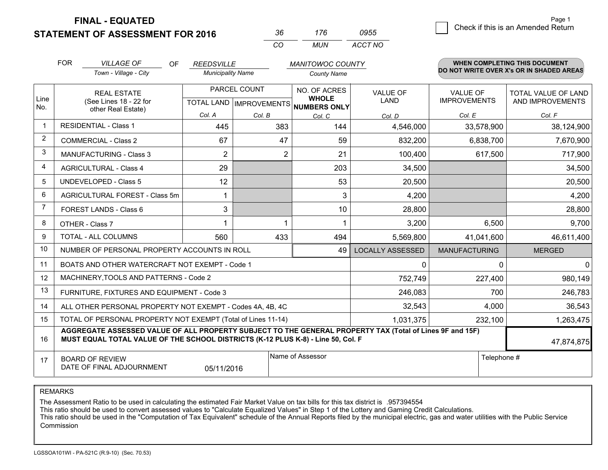**FINAL - EQUATED**

**STATEMENT OF ASSESSMENT FOR 2016** 

| $\mathbf{A}$ | 776   | 0955    |
|--------------|-------|---------|
| $\mathbf{r}$ | MI IN | ACCT NO |

|                | <b>FOR</b><br><b>VILLAGE OF</b><br><b>OF</b><br><b>REEDSVILLE</b><br><b>MANITOWOC COUNTY</b><br>DO NOT WRITE OVER X's OR IN SHADED AREAS                                                     |                                                              |                                           | WHEN COMPLETING THIS DOCUMENT |                                                     |                                |                                 |                                                |
|----------------|----------------------------------------------------------------------------------------------------------------------------------------------------------------------------------------------|--------------------------------------------------------------|-------------------------------------------|-------------------------------|-----------------------------------------------------|--------------------------------|---------------------------------|------------------------------------------------|
|                |                                                                                                                                                                                              | Town - Village - City                                        | <b>Municipality Name</b>                  |                               | County Name                                         |                                |                                 |                                                |
| Line<br>No.    |                                                                                                                                                                                              | <b>REAL ESTATE</b><br>(See Lines 18 - 22 for                 | PARCEL COUNT<br>TOTAL LAND   IMPROVEMENTS |                               | NO. OF ACRES<br><b>WHOLE</b><br><b>NUMBERS ONLY</b> | <b>VALUE OF</b><br><b>LAND</b> | VALUE OF<br><b>IMPROVEMENTS</b> | <b>TOTAL VALUE OF LAND</b><br>AND IMPROVEMENTS |
|                |                                                                                                                                                                                              | other Real Estate)                                           | Col. A                                    | Col. B                        | Col. C                                              | Col. D                         | Col. E                          | Col. F                                         |
| $\mathbf 1$    |                                                                                                                                                                                              | <b>RESIDENTIAL - Class 1</b>                                 | 445                                       | 383                           | 144                                                 | 4,546,000                      | 33,578,900                      | 38,124,900                                     |
| $\overline{2}$ |                                                                                                                                                                                              | <b>COMMERCIAL - Class 2</b>                                  | 67                                        | 47                            | 59                                                  | 832,200                        | 6,838,700                       | 7,670,900                                      |
| 3              |                                                                                                                                                                                              | <b>MANUFACTURING - Class 3</b>                               | $\overline{2}$                            | 2                             | 21                                                  | 100,400                        | 617,500                         | 717,900                                        |
| 4              |                                                                                                                                                                                              | <b>AGRICULTURAL - Class 4</b>                                | 29                                        |                               | 203                                                 | 34,500                         |                                 | 34,500                                         |
| 5              |                                                                                                                                                                                              | <b>UNDEVELOPED - Class 5</b>                                 | 12                                        |                               | 53                                                  | 20,500                         |                                 | 20,500                                         |
| 6              |                                                                                                                                                                                              | AGRICULTURAL FOREST - Class 5m                               | 1                                         |                               | 3                                                   | 4,200                          |                                 | 4,200                                          |
| $\overline{7}$ |                                                                                                                                                                                              | FOREST LANDS - Class 6                                       | 3                                         |                               | 10                                                  | 28,800                         |                                 | 28,800                                         |
| 8              |                                                                                                                                                                                              | OTHER - Class 7                                              |                                           |                               | -1                                                  | 3,200                          | 6,500                           | 9,700                                          |
| 9              |                                                                                                                                                                                              | TOTAL - ALL COLUMNS                                          | 560                                       | 433                           | 494                                                 | 5,569,800                      | 41,041,600                      | 46,611,400                                     |
| 10             |                                                                                                                                                                                              | NUMBER OF PERSONAL PROPERTY ACCOUNTS IN ROLL                 |                                           |                               | 49                                                  | <b>LOCALLY ASSESSED</b>        | <b>MANUFACTURING</b>            | <b>MERGED</b>                                  |
| 11             |                                                                                                                                                                                              | BOATS AND OTHER WATERCRAFT NOT EXEMPT - Code 1               |                                           |                               |                                                     | $\Omega$                       | 0                               | 0                                              |
| 12             |                                                                                                                                                                                              | MACHINERY, TOOLS AND PATTERNS - Code 2                       |                                           |                               |                                                     | 752,749                        | 227,400                         | 980,149                                        |
| 13             |                                                                                                                                                                                              | FURNITURE, FIXTURES AND EQUIPMENT - Code 3                   |                                           |                               |                                                     | 246,083                        | 700                             | 246,783                                        |
| 14             |                                                                                                                                                                                              | ALL OTHER PERSONAL PROPERTY NOT EXEMPT - Codes 4A, 4B, 4C    |                                           |                               |                                                     | 32,543                         | 4,000                           | 36,543                                         |
| 15             |                                                                                                                                                                                              | TOTAL OF PERSONAL PROPERTY NOT EXEMPT (Total of Lines 11-14) |                                           |                               |                                                     | 1,031,375                      | 232,100                         | 1,263,475                                      |
| 16             | AGGREGATE ASSESSED VALUE OF ALL PROPERTY SUBJECT TO THE GENERAL PROPERTY TAX (Total of Lines 9F and 15F)<br>MUST EQUAL TOTAL VALUE OF THE SCHOOL DISTRICTS (K-12 PLUS K-8) - Line 50, Col. F |                                                              |                                           |                               |                                                     |                                | 47,874,875                      |                                                |
| 17             | Name of Assessor<br><b>BOARD OF REVIEW</b><br>DATE OF FINAL ADJOURNMENT<br>05/11/2016                                                                                                        |                                                              |                                           |                               |                                                     | Telephone #                    |                                 |                                                |

REMARKS

The Assessment Ratio to be used in calculating the estimated Fair Market Value on tax bills for this tax district is .957394554

This ratio should be used to convert assessed values to "Calculate Equalized Values" in Step 1 of the Lottery and Gaming Credit Calculations.<br>This ratio should be used in the "Computation of Tax Equivalent" schedule of the Commission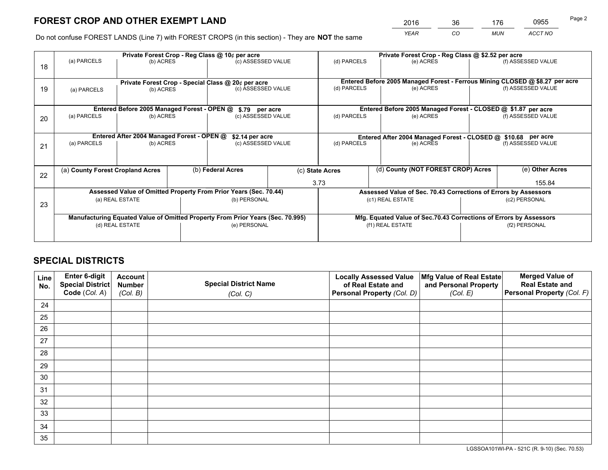*YEAR CO MUN ACCT NO* <sup>2016</sup> <sup>36</sup> <sup>176</sup> <sup>0955</sup>

Do not confuse FOREST LANDS (Line 7) with FOREST CROPS (in this section) - They are **NOT** the same

|    |                                                    |                                             |                   | Private Forest Crop - Reg Class @ 10¢ per acre                                 |                 | Private Forest Crop - Reg Class @ \$2.52 per acre                            |                                                                    |                 |                    |
|----|----------------------------------------------------|---------------------------------------------|-------------------|--------------------------------------------------------------------------------|-----------------|------------------------------------------------------------------------------|--------------------------------------------------------------------|-----------------|--------------------|
| 18 | (a) PARCELS                                        | (b) ACRES                                   |                   | (c) ASSESSED VALUE                                                             |                 | (d) PARCELS                                                                  | (e) ACRES                                                          |                 | (f) ASSESSED VALUE |
|    |                                                    |                                             |                   |                                                                                |                 |                                                                              |                                                                    |                 |                    |
|    | Private Forest Crop - Special Class @ 20¢ per acre |                                             |                   |                                                                                |                 | Entered Before 2005 Managed Forest - Ferrous Mining CLOSED @ \$8.27 per acre |                                                                    |                 |                    |
| 19 | (a) PARCELS                                        | (b) ACRES                                   |                   | (c) ASSESSED VALUE                                                             |                 | (d) PARCELS                                                                  | (e) ACRES                                                          |                 | (f) ASSESSED VALUE |
|    |                                                    |                                             |                   |                                                                                |                 |                                                                              |                                                                    |                 |                    |
|    |                                                    | Entered Before 2005 Managed Forest - OPEN @ |                   | \$.79 per acre                                                                 |                 |                                                                              | Entered Before 2005 Managed Forest - CLOSED @ \$1.87 per acre      |                 |                    |
| 20 | (a) PARCELS                                        | (b) ACRES                                   |                   | (c) ASSESSED VALUE                                                             |                 | (d) PARCELS                                                                  | (e) ACRES                                                          |                 | (f) ASSESSED VALUE |
|    |                                                    |                                             |                   |                                                                                |                 |                                                                              |                                                                    |                 |                    |
|    |                                                    | Entered After 2004 Managed Forest - OPEN @  |                   | \$2.14 per acre                                                                |                 | Entered After 2004 Managed Forest - CLOSED @ \$10.68 per acre                |                                                                    |                 |                    |
| 21 | (a) PARCELS                                        | (b) ACRES                                   |                   | (c) ASSESSED VALUE                                                             |                 | (d) PARCELS<br>(e) ACRES                                                     |                                                                    |                 | (f) ASSESSED VALUE |
|    |                                                    |                                             |                   |                                                                                |                 |                                                                              |                                                                    |                 |                    |
|    | (a) County Forest Cropland Acres                   |                                             | (b) Federal Acres |                                                                                | (c) State Acres | (d) County (NOT FOREST CROP) Acres                                           |                                                                    | (e) Other Acres |                    |
| 22 |                                                    |                                             |                   |                                                                                |                 |                                                                              |                                                                    |                 |                    |
|    |                                                    |                                             |                   |                                                                                |                 | 3.73<br>155.84                                                               |                                                                    |                 |                    |
|    |                                                    |                                             |                   | Assessed Value of Omitted Property From Prior Years (Sec. 70.44)               |                 |                                                                              | Assessed Value of Sec. 70.43 Corrections of Errors by Assessors    |                 |                    |
| 23 |                                                    | (a) REAL ESTATE                             |                   | (b) PERSONAL                                                                   |                 |                                                                              | (c1) REAL ESTATE                                                   | (c2) PERSONAL   |                    |
|    |                                                    |                                             |                   |                                                                                |                 |                                                                              |                                                                    |                 |                    |
|    |                                                    |                                             |                   | Manufacturing Equated Value of Omitted Property From Prior Years (Sec. 70.995) |                 |                                                                              | Mfg. Equated Value of Sec.70.43 Corrections of Errors by Assessors |                 |                    |
|    |                                                    | (d) REAL ESTATE                             |                   | (e) PERSONAL                                                                   |                 |                                                                              | (f1) REAL ESTATE                                                   | (f2) PERSONAL   |                    |
|    |                                                    |                                             |                   |                                                                                |                 |                                                                              |                                                                    |                 |                    |

## **SPECIAL DISTRICTS**

| Line<br>No. | Enter 6-digit<br><b>Special District</b> | <b>Account</b><br><b>Number</b> | <b>Special District Name</b> | <b>Locally Assessed Value</b><br>of Real Estate and | Mfg Value of Real Estate<br>and Personal Property | <b>Merged Value of</b><br><b>Real Estate and</b> |
|-------------|------------------------------------------|---------------------------------|------------------------------|-----------------------------------------------------|---------------------------------------------------|--------------------------------------------------|
|             | Code (Col. A)                            | (Col. B)                        | (Col. C)                     | Personal Property (Col. D)                          | (Col. E)                                          | Personal Property (Col. F)                       |
| 24          |                                          |                                 |                              |                                                     |                                                   |                                                  |
| 25          |                                          |                                 |                              |                                                     |                                                   |                                                  |
| 26          |                                          |                                 |                              |                                                     |                                                   |                                                  |
| 27          |                                          |                                 |                              |                                                     |                                                   |                                                  |
| 28          |                                          |                                 |                              |                                                     |                                                   |                                                  |
| 29          |                                          |                                 |                              |                                                     |                                                   |                                                  |
| 30          |                                          |                                 |                              |                                                     |                                                   |                                                  |
| 31          |                                          |                                 |                              |                                                     |                                                   |                                                  |
| 32          |                                          |                                 |                              |                                                     |                                                   |                                                  |
| 33          |                                          |                                 |                              |                                                     |                                                   |                                                  |
| 34          |                                          |                                 |                              |                                                     |                                                   |                                                  |
| 35          |                                          |                                 |                              |                                                     |                                                   |                                                  |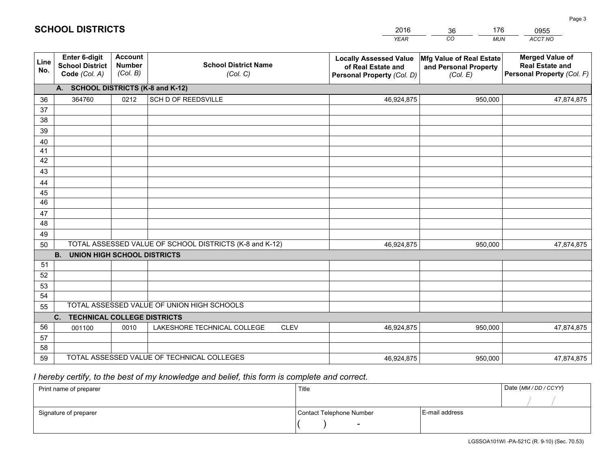|             |                                                                 |                                             |                                                         | <b>YEAR</b>                                                                       | CO<br><b>MUN</b>                                              | ACCT NO                                                                        |
|-------------|-----------------------------------------------------------------|---------------------------------------------|---------------------------------------------------------|-----------------------------------------------------------------------------------|---------------------------------------------------------------|--------------------------------------------------------------------------------|
| Line<br>No. | <b>Enter 6-digit</b><br><b>School District</b><br>Code (Col. A) | <b>Account</b><br><b>Number</b><br>(Col. B) | <b>School District Name</b><br>(Col. C)                 | <b>Locally Assessed Value</b><br>of Real Estate and<br>Personal Property (Col. D) | Mfg Value of Real Estate<br>and Personal Property<br>(Col. E) | <b>Merged Value of</b><br><b>Real Estate and</b><br>Personal Property (Col. F) |
|             | A. SCHOOL DISTRICTS (K-8 and K-12)                              |                                             |                                                         |                                                                                   |                                                               |                                                                                |
| 36          | 364760                                                          | 0212                                        | SCH D OF REEDSVILLE                                     | 46,924,875                                                                        | 950,000                                                       | 47,874,875                                                                     |
| 37          |                                                                 |                                             |                                                         |                                                                                   |                                                               |                                                                                |
| 38          |                                                                 |                                             |                                                         |                                                                                   |                                                               |                                                                                |
| 39          |                                                                 |                                             |                                                         |                                                                                   |                                                               |                                                                                |
| 40          |                                                                 |                                             |                                                         |                                                                                   |                                                               |                                                                                |
| 41          |                                                                 |                                             |                                                         |                                                                                   |                                                               |                                                                                |
| 42          |                                                                 |                                             |                                                         |                                                                                   |                                                               |                                                                                |
| 43          |                                                                 |                                             |                                                         |                                                                                   |                                                               |                                                                                |
| 44<br>45    |                                                                 |                                             |                                                         |                                                                                   |                                                               |                                                                                |
| 46          |                                                                 |                                             |                                                         |                                                                                   |                                                               |                                                                                |
| 47          |                                                                 |                                             |                                                         |                                                                                   |                                                               |                                                                                |
| 48          |                                                                 |                                             |                                                         |                                                                                   |                                                               |                                                                                |
| 49          |                                                                 |                                             |                                                         |                                                                                   |                                                               |                                                                                |
| 50          |                                                                 |                                             | TOTAL ASSESSED VALUE OF SCHOOL DISTRICTS (K-8 and K-12) | 46,924,875                                                                        | 950,000                                                       | 47,874,875                                                                     |
|             | <b>B.</b><br>UNION HIGH SCHOOL DISTRICTS                        |                                             |                                                         |                                                                                   |                                                               |                                                                                |
| 51          |                                                                 |                                             |                                                         |                                                                                   |                                                               |                                                                                |
| 52          |                                                                 |                                             |                                                         |                                                                                   |                                                               |                                                                                |
| 53          |                                                                 |                                             |                                                         |                                                                                   |                                                               |                                                                                |
| 54          |                                                                 |                                             |                                                         |                                                                                   |                                                               |                                                                                |
| 55          |                                                                 |                                             | TOTAL ASSESSED VALUE OF UNION HIGH SCHOOLS              |                                                                                   |                                                               |                                                                                |
|             | C.<br><b>TECHNICAL COLLEGE DISTRICTS</b>                        |                                             |                                                         |                                                                                   |                                                               |                                                                                |
| 56          | 001100                                                          | 0010                                        | LAKESHORE TECHNICAL COLLEGE<br><b>CLEV</b>              | 46,924,875                                                                        | 950,000                                                       | 47,874,875                                                                     |
| 57          |                                                                 |                                             |                                                         |                                                                                   |                                                               |                                                                                |
| 58          |                                                                 |                                             |                                                         |                                                                                   |                                                               |                                                                                |
| 59          |                                                                 |                                             | TOTAL ASSESSED VALUE OF TECHNICAL COLLEGES              | 46,924,875                                                                        | 950,000                                                       | 47,874,875                                                                     |

36

176

 *I hereby certify, to the best of my knowledge and belief, this form is complete and correct.*

**SCHOOL DISTRICTS**

| Print name of preparer | Title                    |                | Date (MM / DD / CCYY) |
|------------------------|--------------------------|----------------|-----------------------|
|                        |                          |                |                       |
| Signature of preparer  | Contact Telephone Number | E-mail address |                       |
|                        | $\sim$                   |                |                       |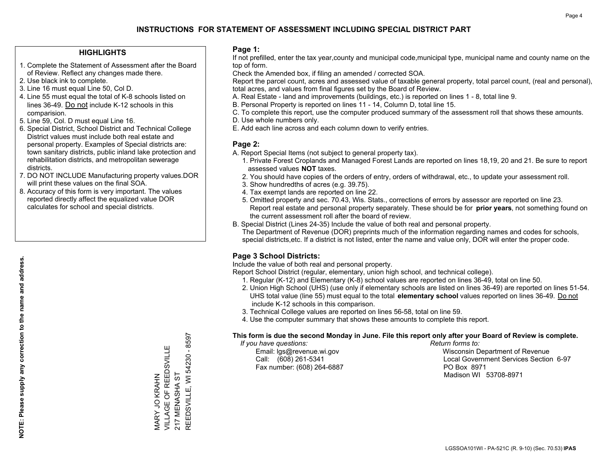### **HIGHLIGHTS**

- 1. Complete the Statement of Assessment after the Board of Review. Reflect any changes made there.
- 2. Use black ink to complete.
- 3. Line 16 must equal Line 50, Col D.
- 4. Line 55 must equal the total of K-8 schools listed on lines 36-49. Do not include K-12 schools in this comparision.
- 5. Line 59, Col. D must equal Line 16.
- 6. Special District, School District and Technical College District values must include both real estate and personal property. Examples of Special districts are: town sanitary districts, public inland lake protection and rehabilitation districts, and metropolitan sewerage districts.
- 7. DO NOT INCLUDE Manufacturing property values.DOR will print these values on the final SOA.

MARY JO KRAHN

VILLAGE OF REEDSVILLE

MARY JO KRAHN<br>VILLAGE OF REEDSVILLE

217 MENASHA ST

217 MENASHA ST

REEDSVILLE, WI 54230 - 8597

REEDSVILLE, WI 54230 - 8597

 8. Accuracy of this form is very important. The values reported directly affect the equalized value DOR calculates for school and special districts.

### **Page 1:**

 If not prefilled, enter the tax year,county and municipal code,municipal type, municipal name and county name on the top of form.

Check the Amended box, if filing an amended / corrected SOA.

 Report the parcel count, acres and assessed value of taxable general property, total parcel count, (real and personal), total acres, and values from final figures set by the Board of Review.

- A. Real Estate land and improvements (buildings, etc.) is reported on lines 1 8, total line 9.
- B. Personal Property is reported on lines 11 14, Column D, total line 15.
- C. To complete this report, use the computer produced summary of the assessment roll that shows these amounts.
- D. Use whole numbers only.
- E. Add each line across and each column down to verify entries.

### **Page 2:**

- A. Report Special Items (not subject to general property tax).
- 1. Private Forest Croplands and Managed Forest Lands are reported on lines 18,19, 20 and 21. Be sure to report assessed values **NOT** taxes.
- 2. You should have copies of the orders of entry, orders of withdrawal, etc., to update your assessment roll.
	- 3. Show hundredths of acres (e.g. 39.75).
- 4. Tax exempt lands are reported on line 22.
- 5. Omitted property and sec. 70.43, Wis. Stats., corrections of errors by assessor are reported on line 23. Report real estate and personal property separately. These should be for **prior years**, not something found on the current assessment roll after the board of review.
- B. Special District (Lines 24-35) Include the value of both real and personal property.

 The Department of Revenue (DOR) preprints much of the information regarding names and codes for schools, special districts,etc. If a district is not listed, enter the name and value only, DOR will enter the proper code.

## **Page 3 School Districts:**

Include the value of both real and personal property.

Report School District (regular, elementary, union high school, and technical college).

- 1. Regular (K-12) and Elementary (K-8) school values are reported on lines 36-49, total on line 50.
- 2. Union High School (UHS) (use only if elementary schools are listed on lines 36-49) are reported on lines 51-54. UHS total value (line 55) must equal to the total **elementary school** values reported on lines 36-49. Do notinclude K-12 schools in this comparison.
- 3. Technical College values are reported on lines 56-58, total on line 59.
- 4. Use the computer summary that shows these amounts to complete this report.

#### **This form is due the second Monday in June. File this report only after your Board of Review is complete.**

 *If you have questions: Return forms to:*

Fax number: (608) 264-6887 PO Box 8971

 Email: lgs@revenue.wi.gov Wisconsin Department of Revenue Call: (608) 261-5341 Local Government Services Section 6-97Madison WI 53708-8971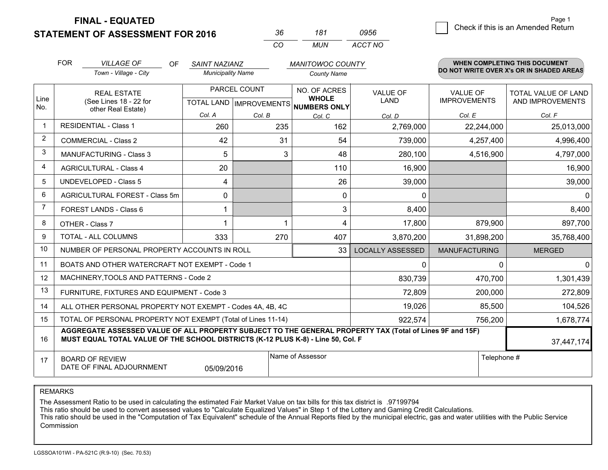**STATEMENT OF ASSESSMENT FOR 2016** 

**FINAL - EQUATED**

| -36 | 181 | 0956    |
|-----|-----|---------|
| CO. | MUN | ACCT NO |

|                | <b>FOR</b><br><b>VILLAGE OF</b><br>OF<br><b>SAINT NAZIANZ</b><br><b>Municipality Name</b>                                                                                                    |                                                              | <b>MANITOWOC COUNTY</b>                              | WHEN COMPLETING THIS DOCUMENT<br>DO NOT WRITE OVER X's OR IN SHADED AREAS |                              |                         |                                        |                                                |
|----------------|----------------------------------------------------------------------------------------------------------------------------------------------------------------------------------------------|--------------------------------------------------------------|------------------------------------------------------|---------------------------------------------------------------------------|------------------------------|-------------------------|----------------------------------------|------------------------------------------------|
|                |                                                                                                                                                                                              | Town - Village - City                                        |                                                      |                                                                           | <b>County Name</b>           |                         |                                        |                                                |
| Line           | <b>REAL ESTATE</b><br>(See Lines 18 - 22 for                                                                                                                                                 |                                                              | PARCEL COUNT<br>TOTAL LAND IMPROVEMENTS NUMBERS ONLY |                                                                           | NO. OF ACRES<br><b>WHOLE</b> | <b>VALUE OF</b><br>LAND | <b>VALUE OF</b><br><b>IMPROVEMENTS</b> | <b>TOTAL VALUE OF LAND</b><br>AND IMPROVEMENTS |
| No.            |                                                                                                                                                                                              | other Real Estate)                                           | Col. A                                               | Col. B                                                                    | Col. C                       | Col. D                  | Col. E                                 | Col. F                                         |
| $\mathbf 1$    |                                                                                                                                                                                              | <b>RESIDENTIAL - Class 1</b>                                 | 260                                                  | 235                                                                       | 162                          | 2,769,000               | 22,244,000                             | 25,013,000                                     |
| $\overline{2}$ |                                                                                                                                                                                              | <b>COMMERCIAL - Class 2</b>                                  | 42                                                   | 31                                                                        | 54                           | 739,000                 | 4,257,400                              | 4,996,400                                      |
| 3              |                                                                                                                                                                                              | MANUFACTURING - Class 3                                      | 5                                                    | 3                                                                         | 48                           | 280,100                 | 4,516,900                              | 4,797,000                                      |
| 4              |                                                                                                                                                                                              | <b>AGRICULTURAL - Class 4</b>                                | 20                                                   |                                                                           | 110                          | 16,900                  |                                        | 16,900                                         |
| 5              |                                                                                                                                                                                              | <b>UNDEVELOPED - Class 5</b>                                 | 4                                                    |                                                                           | 26                           | 39,000                  |                                        | 39,000                                         |
| 6              | AGRICULTURAL FOREST - Class 5m                                                                                                                                                               |                                                              | 0                                                    |                                                                           | 0                            | 0                       |                                        | 0                                              |
| 7              |                                                                                                                                                                                              | <b>FOREST LANDS - Class 6</b>                                | 1                                                    |                                                                           | 3                            | 8,400                   |                                        | 8,400                                          |
| 8              |                                                                                                                                                                                              | OTHER - Class 7                                              | 1                                                    |                                                                           | 4                            | 17,800                  | 879,900                                | 897,700                                        |
| 9              |                                                                                                                                                                                              | TOTAL - ALL COLUMNS                                          | 333                                                  | 270                                                                       | 407                          | 3,870,200               | 31,898,200                             | 35,768,400                                     |
| 10             |                                                                                                                                                                                              | NUMBER OF PERSONAL PROPERTY ACCOUNTS IN ROLL                 |                                                      |                                                                           | 33                           | <b>LOCALLY ASSESSED</b> | <b>MANUFACTURING</b>                   | <b>MERGED</b>                                  |
| 11             |                                                                                                                                                                                              | BOATS AND OTHER WATERCRAFT NOT EXEMPT - Code 1               |                                                      |                                                                           |                              | 0                       | $\mathbf{0}$                           | 0                                              |
| 12             |                                                                                                                                                                                              | MACHINERY, TOOLS AND PATTERNS - Code 2                       |                                                      |                                                                           |                              | 830,739                 | 470,700                                | 1,301,439                                      |
| 13             |                                                                                                                                                                                              | FURNITURE, FIXTURES AND EQUIPMENT - Code 3                   |                                                      |                                                                           |                              | 72,809                  | 200,000                                | 272,809                                        |
| 14             |                                                                                                                                                                                              | ALL OTHER PERSONAL PROPERTY NOT EXEMPT - Codes 4A, 4B, 4C    |                                                      |                                                                           |                              | 19,026                  | 85,500                                 | 104,526                                        |
| 15             |                                                                                                                                                                                              | TOTAL OF PERSONAL PROPERTY NOT EXEMPT (Total of Lines 11-14) |                                                      |                                                                           |                              | 922,574                 | 756,200                                | 1,678,774                                      |
| 16             | AGGREGATE ASSESSED VALUE OF ALL PROPERTY SUBJECT TO THE GENERAL PROPERTY TAX (Total of Lines 9F and 15F)<br>MUST EQUAL TOTAL VALUE OF THE SCHOOL DISTRICTS (K-12 PLUS K-8) - Line 50, Col. F |                                                              |                                                      |                                                                           |                              |                         |                                        | 37,447,174                                     |
| 17             | Name of Assessor<br><b>BOARD OF REVIEW</b><br>DATE OF FINAL ADJOURNMENT<br>05/09/2016                                                                                                        |                                                              |                                                      |                                                                           |                              |                         | Telephone #                            |                                                |

REMARKS

The Assessment Ratio to be used in calculating the estimated Fair Market Value on tax bills for this tax district is .97199794

This ratio should be used to convert assessed values to "Calculate Equalized Values" in Step 1 of the Lottery and Gaming Credit Calculations.<br>This ratio should be used in the "Computation of Tax Equivalent" schedule of the Commission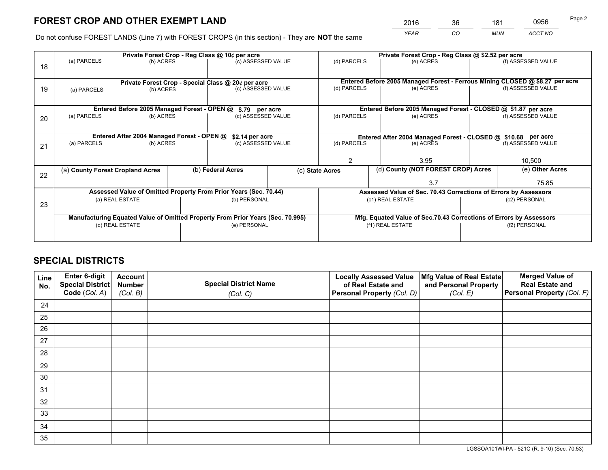*YEAR CO MUN ACCT NO* <sup>2016</sup> <sup>36</sup> <sup>181</sup> <sup>0956</sup>

Do not confuse FOREST LANDS (Line 7) with FOREST CROPS (in this section) - They are **NOT** the same

|    |                                                                                |                                                    |  | Private Forest Crop - Reg Class @ 10¢ per acre                   |             | Private Forest Crop - Reg Class @ \$2.52 per acre                  |                                                                              |               |                    |  |
|----|--------------------------------------------------------------------------------|----------------------------------------------------|--|------------------------------------------------------------------|-------------|--------------------------------------------------------------------|------------------------------------------------------------------------------|---------------|--------------------|--|
| 18 | (a) PARCELS                                                                    | (b) ACRES                                          |  | (c) ASSESSED VALUE                                               |             | (d) PARCELS                                                        | (e) ACRES                                                                    |               | (f) ASSESSED VALUE |  |
|    |                                                                                | Private Forest Crop - Special Class @ 20¢ per acre |  |                                                                  |             |                                                                    | Entered Before 2005 Managed Forest - Ferrous Mining CLOSED @ \$8.27 per acre |               |                    |  |
| 19 | (a) PARCELS                                                                    | (b) ACRES                                          |  | (c) ASSESSED VALUE                                               |             | (d) PARCELS                                                        | (e) ACRES                                                                    |               | (f) ASSESSED VALUE |  |
|    |                                                                                | Entered Before 2005 Managed Forest - OPEN @        |  | \$.79 per acre                                                   |             |                                                                    | Entered Before 2005 Managed Forest - CLOSED @ \$1.87 per acre                |               |                    |  |
| 20 | (a) PARCELS<br>(b) ACRES                                                       |                                                    |  | (c) ASSESSED VALUE                                               | (d) PARCELS |                                                                    | (e) ACRES                                                                    |               | (f) ASSESSED VALUE |  |
|    | Entered After 2004 Managed Forest - OPEN @<br>\$2.14 per acre                  |                                                    |  |                                                                  |             | Entered After 2004 Managed Forest - CLOSED @ \$10.68 per acre      |                                                                              |               |                    |  |
| 21 | (a) PARCELS                                                                    | (b) ACRES                                          |  | (c) ASSESSED VALUE                                               |             | (d) PARCELS                                                        | (e) ACRES                                                                    |               | (f) ASSESSED VALUE |  |
|    |                                                                                |                                                    |  |                                                                  |             |                                                                    |                                                                              |               |                    |  |
|    |                                                                                |                                                    |  |                                                                  |             | 2<br>3.95                                                          |                                                                              | 10,500        |                    |  |
| 22 | (a) County Forest Cropland Acres                                               |                                                    |  | (b) Federal Acres                                                |             | (c) State Acres                                                    | (d) County (NOT FOREST CROP) Acres                                           |               | (e) Other Acres    |  |
|    |                                                                                |                                                    |  |                                                                  |             |                                                                    | 3.7                                                                          |               | 75.85              |  |
|    |                                                                                |                                                    |  | Assessed Value of Omitted Property From Prior Years (Sec. 70.44) |             |                                                                    | Assessed Value of Sec. 70.43 Corrections of Errors by Assessors              |               |                    |  |
| 23 |                                                                                | (a) REAL ESTATE                                    |  | (b) PERSONAL                                                     |             | (c1) REAL ESTATE                                                   |                                                                              | (c2) PERSONAL |                    |  |
|    |                                                                                |                                                    |  |                                                                  |             |                                                                    |                                                                              |               |                    |  |
|    | Manufacturing Equated Value of Omitted Property From Prior Years (Sec. 70.995) |                                                    |  |                                                                  |             | Mfg. Equated Value of Sec.70.43 Corrections of Errors by Assessors |                                                                              |               |                    |  |
|    | (d) REAL ESTATE                                                                |                                                    |  | (e) PERSONAL                                                     |             | (f1) REAL ESTATE                                                   |                                                                              | (f2) PERSONAL |                    |  |
|    |                                                                                |                                                    |  |                                                                  |             |                                                                    |                                                                              |               |                    |  |

## **SPECIAL DISTRICTS**

| Line<br>No. | Enter 6-digit<br>Special District<br>Code (Col. A) | <b>Account</b><br><b>Number</b> | <b>Special District Name</b> | <b>Locally Assessed Value</b><br>of Real Estate and | Mfg Value of Real Estate<br>and Personal Property | <b>Merged Value of</b><br><b>Real Estate and</b><br>Personal Property (Col. F) |
|-------------|----------------------------------------------------|---------------------------------|------------------------------|-----------------------------------------------------|---------------------------------------------------|--------------------------------------------------------------------------------|
|             |                                                    | (Col. B)                        | (Col. C)                     | Personal Property (Col. D)                          | (Col. E)                                          |                                                                                |
| 24          |                                                    |                                 |                              |                                                     |                                                   |                                                                                |
| 25          |                                                    |                                 |                              |                                                     |                                                   |                                                                                |
| 26          |                                                    |                                 |                              |                                                     |                                                   |                                                                                |
| 27          |                                                    |                                 |                              |                                                     |                                                   |                                                                                |
| 28          |                                                    |                                 |                              |                                                     |                                                   |                                                                                |
| 29          |                                                    |                                 |                              |                                                     |                                                   |                                                                                |
| 30          |                                                    |                                 |                              |                                                     |                                                   |                                                                                |
| 31          |                                                    |                                 |                              |                                                     |                                                   |                                                                                |
| 32          |                                                    |                                 |                              |                                                     |                                                   |                                                                                |
| 33          |                                                    |                                 |                              |                                                     |                                                   |                                                                                |
| 34          |                                                    |                                 |                              |                                                     |                                                   |                                                                                |
| 35          |                                                    |                                 |                              |                                                     |                                                   |                                                                                |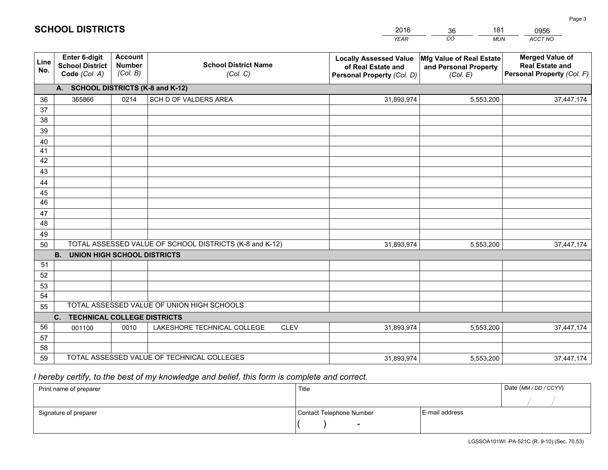|             |                                                                 |                                             |                                                         | <b>YEAR</b>                                                                       | CO<br><b>MUN</b>                                              | ACCT NO                                                                        |
|-------------|-----------------------------------------------------------------|---------------------------------------------|---------------------------------------------------------|-----------------------------------------------------------------------------------|---------------------------------------------------------------|--------------------------------------------------------------------------------|
| Line<br>No. | <b>Enter 6-digit</b><br><b>School District</b><br>Code (Col. A) | <b>Account</b><br><b>Number</b><br>(Col. B) | <b>School District Name</b><br>(Col. C)                 | <b>Locally Assessed Value</b><br>of Real Estate and<br>Personal Property (Col. D) | Mfg Value of Real Estate<br>and Personal Property<br>(Col. E) | <b>Merged Value of</b><br><b>Real Estate and</b><br>Personal Property (Col. F) |
|             | A. SCHOOL DISTRICTS (K-8 and K-12)                              |                                             |                                                         |                                                                                   |                                                               |                                                                                |
| 36          | 365866                                                          | 0214                                        | SCH D OF VALDERS AREA                                   | 31,893,974                                                                        | 5,553,200                                                     | 37,447,174                                                                     |
| 37          |                                                                 |                                             |                                                         |                                                                                   |                                                               |                                                                                |
| 38          |                                                                 |                                             |                                                         |                                                                                   |                                                               |                                                                                |
| 39          |                                                                 |                                             |                                                         |                                                                                   |                                                               |                                                                                |
| 40          |                                                                 |                                             |                                                         |                                                                                   |                                                               |                                                                                |
| 41<br>42    |                                                                 |                                             |                                                         |                                                                                   |                                                               |                                                                                |
| 43          |                                                                 |                                             |                                                         |                                                                                   |                                                               |                                                                                |
|             |                                                                 |                                             |                                                         |                                                                                   |                                                               |                                                                                |
| 44<br>45    |                                                                 |                                             |                                                         |                                                                                   |                                                               |                                                                                |
| 46          |                                                                 |                                             |                                                         |                                                                                   |                                                               |                                                                                |
| 47          |                                                                 |                                             |                                                         |                                                                                   |                                                               |                                                                                |
| 48          |                                                                 |                                             |                                                         |                                                                                   |                                                               |                                                                                |
| 49          |                                                                 |                                             |                                                         |                                                                                   |                                                               |                                                                                |
| 50          |                                                                 |                                             | TOTAL ASSESSED VALUE OF SCHOOL DISTRICTS (K-8 and K-12) | 31,893,974                                                                        | 5,553,200                                                     | 37,447,174                                                                     |
|             | <b>B. UNION HIGH SCHOOL DISTRICTS</b>                           |                                             |                                                         |                                                                                   |                                                               |                                                                                |
| 51          |                                                                 |                                             |                                                         |                                                                                   |                                                               |                                                                                |
| 52          |                                                                 |                                             |                                                         |                                                                                   |                                                               |                                                                                |
| 53          |                                                                 |                                             |                                                         |                                                                                   |                                                               |                                                                                |
| 54          |                                                                 |                                             |                                                         |                                                                                   |                                                               |                                                                                |
| 55          |                                                                 |                                             | TOTAL ASSESSED VALUE OF UNION HIGH SCHOOLS              |                                                                                   |                                                               |                                                                                |
|             | C.<br><b>TECHNICAL COLLEGE DISTRICTS</b>                        |                                             |                                                         |                                                                                   |                                                               |                                                                                |
| 56          | 001100                                                          | 0010                                        | LAKESHORE TECHNICAL COLLEGE<br><b>CLEV</b>              | 31,893,974                                                                        | 5,553,200                                                     | 37,447,174                                                                     |
| 57          |                                                                 |                                             |                                                         |                                                                                   |                                                               |                                                                                |
| 58<br>59    |                                                                 |                                             | TOTAL ASSESSED VALUE OF TECHNICAL COLLEGES              |                                                                                   |                                                               |                                                                                |
|             |                                                                 |                                             |                                                         | 31,893,974                                                                        | 5,553,200                                                     | 37,447,174                                                                     |

36

181

 *I hereby certify, to the best of my knowledge and belief, this form is complete and correct.*

**SCHOOL DISTRICTS**

| Print name of preparer | Title                    |                | Date (MM / DD / CCYY) |
|------------------------|--------------------------|----------------|-----------------------|
|                        |                          |                |                       |
| Signature of preparer  | Contact Telephone Number | E-mail address |                       |
|                        | $\sim$                   |                |                       |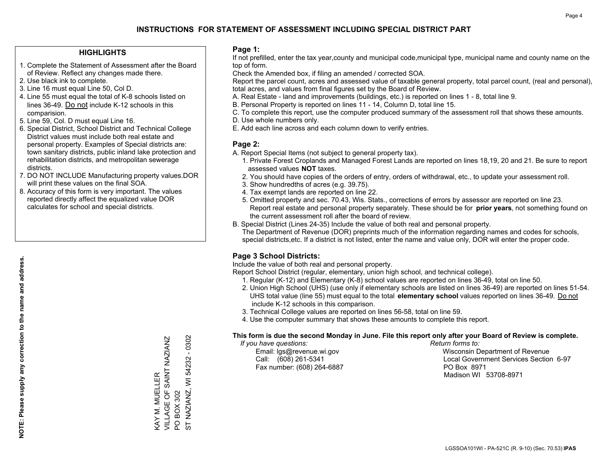### **HIGHLIGHTS**

- 1. Complete the Statement of Assessment after the Board of Review. Reflect any changes made there.
- 2. Use black ink to complete.
- 3. Line 16 must equal Line 50, Col D.
- 4. Line 55 must equal the total of K-8 schools listed on lines 36-49. Do not include K-12 schools in this comparision.
- 5. Line 59, Col. D must equal Line 16.
- 6. Special District, School District and Technical College District values must include both real estate and personal property. Examples of Special districts are: town sanitary districts, public inland lake protection and rehabilitation districts, and metropolitan sewerage districts.
- 7. DO NOT INCLUDE Manufacturing property values.DOR will print these values on the final SOA.

KAY M. MUELLER

VILLAGE OF SAINT NAZIANZ

KAY M. MUELLER<br>VILLAGE OF SAINT NAZIANZ

PO BOX 302

 $\overline{Q}$  $\overline{5}$ 

ST NAZIANZ, WI 54232 - 0302

NAZIANZ, WI BOX 302

54232 - 0302

 8. Accuracy of this form is very important. The values reported directly affect the equalized value DOR calculates for school and special districts.

### **Page 1:**

 If not prefilled, enter the tax year,county and municipal code,municipal type, municipal name and county name on the top of form.

Check the Amended box, if filing an amended / corrected SOA.

 Report the parcel count, acres and assessed value of taxable general property, total parcel count, (real and personal), total acres, and values from final figures set by the Board of Review.

- A. Real Estate land and improvements (buildings, etc.) is reported on lines 1 8, total line 9.
- B. Personal Property is reported on lines 11 14, Column D, total line 15.
- C. To complete this report, use the computer produced summary of the assessment roll that shows these amounts.
- D. Use whole numbers only.
- E. Add each line across and each column down to verify entries.

### **Page 2:**

- A. Report Special Items (not subject to general property tax).
- 1. Private Forest Croplands and Managed Forest Lands are reported on lines 18,19, 20 and 21. Be sure to report assessed values **NOT** taxes.
- 2. You should have copies of the orders of entry, orders of withdrawal, etc., to update your assessment roll.
	- 3. Show hundredths of acres (e.g. 39.75).
- 4. Tax exempt lands are reported on line 22.
- 5. Omitted property and sec. 70.43, Wis. Stats., corrections of errors by assessor are reported on line 23. Report real estate and personal property separately. These should be for **prior years**, not something found on the current assessment roll after the board of review.
- B. Special District (Lines 24-35) Include the value of both real and personal property.

 The Department of Revenue (DOR) preprints much of the information regarding names and codes for schools, special districts,etc. If a district is not listed, enter the name and value only, DOR will enter the proper code.

## **Page 3 School Districts:**

Include the value of both real and personal property.

Report School District (regular, elementary, union high school, and technical college).

- 1. Regular (K-12) and Elementary (K-8) school values are reported on lines 36-49, total on line 50.
- 2. Union High School (UHS) (use only if elementary schools are listed on lines 36-49) are reported on lines 51-54. UHS total value (line 55) must equal to the total **elementary school** values reported on lines 36-49. Do notinclude K-12 schools in this comparison.
- 3. Technical College values are reported on lines 56-58, total on line 59.
- 4. Use the computer summary that shows these amounts to complete this report.

#### **This form is due the second Monday in June. File this report only after your Board of Review is complete.**

 *If you have questions: Return forms to:*

Fax number: (608) 264-6887 PO Box 8971

 Email: lgs@revenue.wi.gov Wisconsin Department of Revenue Call: (608) 261-5341 Local Government Services Section 6-97Madison WI 53708-8971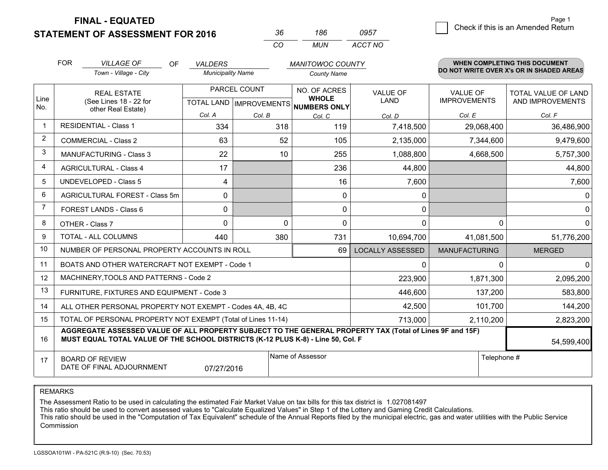**FINAL - EQUATED**

**STATEMENT OF ASSESSMENT FOR 2016** 

| .36. | 186  | 0957    |
|------|------|---------|
| CO.  | MUN. | ACCT NO |

|                | <b>FOR</b>                                                                                                                                                                                   | <b>VILLAGE OF</b><br><b>OF</b>                                                                           | <b>VALDERS</b>           |          | <b>MANITOWOC COUNTY</b>      |                         |                                        | <b>WHEN COMPLETING THIS DOCUMENT</b>     |
|----------------|----------------------------------------------------------------------------------------------------------------------------------------------------------------------------------------------|----------------------------------------------------------------------------------------------------------|--------------------------|----------|------------------------------|-------------------------|----------------------------------------|------------------------------------------|
|                |                                                                                                                                                                                              | Town - Village - City                                                                                    | <b>Municipality Name</b> |          | <b>County Name</b>           |                         |                                        | DO NOT WRITE OVER X's OR IN SHADED AREAS |
| Line<br>No.    |                                                                                                                                                                                              | PARCEL COUNT<br><b>REAL ESTATE</b><br>(See Lines 18 - 22 for<br>TOTAL LAND   IMPROVEMENTS   NUMBERS ONLY |                          |          | NO. OF ACRES<br><b>WHOLE</b> | <b>VALUE OF</b><br>LAND | <b>VALUE OF</b><br><b>IMPROVEMENTS</b> | TOTAL VALUE OF LAND<br>AND IMPROVEMENTS  |
|                |                                                                                                                                                                                              | other Real Estate)                                                                                       | Col. A                   | Col. B   | Col. C                       | Col. D                  | Col. E                                 | Col. F                                   |
| -1             |                                                                                                                                                                                              | <b>RESIDENTIAL - Class 1</b>                                                                             | 334                      | 318      | 119                          | 7,418,500               | 29,068,400                             | 36,486,900                               |
| 2              |                                                                                                                                                                                              | <b>COMMERCIAL - Class 2</b>                                                                              | 63                       | 52       | 105                          | 2,135,000               | 7,344,600                              | 9,479,600                                |
| 3              |                                                                                                                                                                                              | <b>MANUFACTURING - Class 3</b>                                                                           | 22                       | 10       | 255                          | 1,088,800               | 4,668,500                              | 5,757,300                                |
| 4              |                                                                                                                                                                                              | <b>AGRICULTURAL - Class 4</b>                                                                            | 17                       |          | 236                          | 44,800                  |                                        | 44,800                                   |
| 5              |                                                                                                                                                                                              | <b>UNDEVELOPED - Class 5</b>                                                                             | 4                        |          | 16                           | 7,600                   |                                        | 7,600                                    |
| 6              |                                                                                                                                                                                              | AGRICULTURAL FOREST - Class 5m                                                                           | $\mathbf{0}$             |          | $\mathbf{0}$                 | 0                       |                                        | 0                                        |
| $\overline{7}$ |                                                                                                                                                                                              | FOREST LANDS - Class 6                                                                                   | 0                        |          | 0                            | 0                       |                                        | 0                                        |
| 8              |                                                                                                                                                                                              | OTHER - Class 7                                                                                          | $\Omega$                 | $\Omega$ | $\Omega$                     | $\mathbf{0}$            | $\Omega$                               | $\Omega$                                 |
| 9              |                                                                                                                                                                                              | TOTAL - ALL COLUMNS                                                                                      | 440                      | 380      | 731                          | 10,694,700              | 41,081,500                             | 51,776,200                               |
| 10             |                                                                                                                                                                                              | NUMBER OF PERSONAL PROPERTY ACCOUNTS IN ROLL                                                             |                          |          | 69                           | <b>LOCALLY ASSESSED</b> | <b>MANUFACTURING</b>                   | <b>MERGED</b>                            |
| 11             |                                                                                                                                                                                              | BOATS AND OTHER WATERCRAFT NOT EXEMPT - Code 1                                                           |                          |          |                              | 0                       | 0                                      | 0                                        |
| 12             |                                                                                                                                                                                              | MACHINERY, TOOLS AND PATTERNS - Code 2                                                                   |                          |          |                              | 223,900                 | 1,871,300                              | 2,095,200                                |
| 13             |                                                                                                                                                                                              | FURNITURE, FIXTURES AND EQUIPMENT - Code 3                                                               |                          |          |                              | 446,600                 | 137,200                                | 583,800                                  |
| 14             |                                                                                                                                                                                              | ALL OTHER PERSONAL PROPERTY NOT EXEMPT - Codes 4A, 4B, 4C                                                |                          |          |                              | 42,500                  | 101,700                                | 144,200                                  |
| 15             |                                                                                                                                                                                              | TOTAL OF PERSONAL PROPERTY NOT EXEMPT (Total of Lines 11-14)                                             |                          |          | 713,000                      | 2,110,200               | 2,823,200                              |                                          |
| 16             | AGGREGATE ASSESSED VALUE OF ALL PROPERTY SUBJECT TO THE GENERAL PROPERTY TAX (Total of Lines 9F and 15F)<br>MUST EQUAL TOTAL VALUE OF THE SCHOOL DISTRICTS (K-12 PLUS K-8) - Line 50, Col. F |                                                                                                          |                          |          |                              |                         | 54,599,400                             |                                          |
| 17             |                                                                                                                                                                                              | <b>BOARD OF REVIEW</b><br>DATE OF FINAL ADJOURNMENT                                                      | 07/27/2016               |          | Name of Assessor             |                         | Telephone #                            |                                          |

REMARKS

The Assessment Ratio to be used in calculating the estimated Fair Market Value on tax bills for this tax district is 1.027081497<br>This ratio should be used to convert assessed values to "Calculate Equalized Values" in Step Commission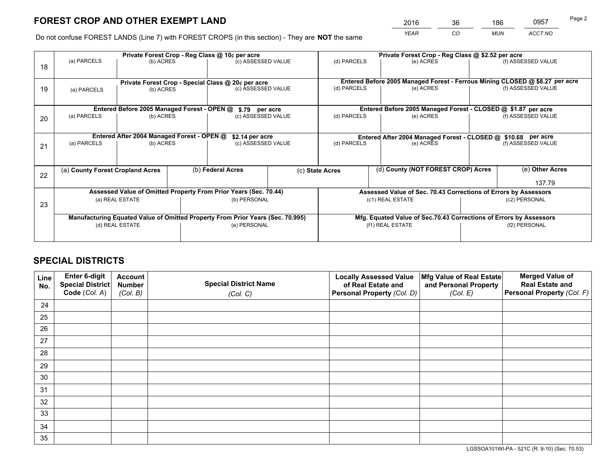*YEAR CO MUN ACCT NO* <sup>2016</sup> <sup>36</sup> <sup>186</sup> <sup>0957</sup>

Do not confuse FOREST LANDS (Line 7) with FOREST CROPS (in this section) - They are **NOT** the same

|    | Private Forest Crop - Reg Class @ 10¢ per acre                                 |                                             |  |                                                                  |                                                               | Private Forest Crop - Reg Class @ \$2.52 per acre                  |                                                                              |               |                    |  |
|----|--------------------------------------------------------------------------------|---------------------------------------------|--|------------------------------------------------------------------|---------------------------------------------------------------|--------------------------------------------------------------------|------------------------------------------------------------------------------|---------------|--------------------|--|
| 18 | (a) PARCELS                                                                    | (b) ACRES                                   |  | (c) ASSESSED VALUE                                               |                                                               | (d) PARCELS                                                        | (e) ACRES                                                                    |               | (f) ASSESSED VALUE |  |
|    |                                                                                |                                             |  | Private Forest Crop - Special Class @ 20¢ per acre               |                                                               |                                                                    | Entered Before 2005 Managed Forest - Ferrous Mining CLOSED @ \$8.27 per acre |               |                    |  |
| 19 | (a) PARCELS                                                                    | (b) ACRES                                   |  | (c) ASSESSED VALUE                                               |                                                               | (d) PARCELS                                                        | (e) ACRES                                                                    |               | (f) ASSESSED VALUE |  |
|    |                                                                                | Entered Before 2005 Managed Forest - OPEN @ |  | \$.79 per acre                                                   |                                                               |                                                                    | Entered Before 2005 Managed Forest - CLOSED @ \$1.87 per acre                |               |                    |  |
|    | (a) PARCELS                                                                    | (b) ACRES                                   |  | (c) ASSESSED VALUE                                               |                                                               | (d) PARCELS                                                        | (e) ACRES                                                                    |               | (f) ASSESSED VALUE |  |
| 20 |                                                                                |                                             |  |                                                                  |                                                               |                                                                    |                                                                              |               |                    |  |
|    | Entered After 2004 Managed Forest - OPEN @<br>\$2.14 per acre                  |                                             |  |                                                                  | Entered After 2004 Managed Forest - CLOSED @ \$10.68 per acre |                                                                    |                                                                              |               |                    |  |
| 21 | (a) PARCELS                                                                    | (b) ACRES                                   |  | (c) ASSESSED VALUE                                               |                                                               | (d) PARCELS<br>(e) ACRES                                           |                                                                              |               | (f) ASSESSED VALUE |  |
|    |                                                                                |                                             |  |                                                                  |                                                               |                                                                    |                                                                              |               |                    |  |
|    | (a) County Forest Cropland Acres                                               |                                             |  | (b) Federal Acres                                                |                                                               | (d) County (NOT FOREST CROP) Acres<br>(c) State Acres              |                                                                              |               | (e) Other Acres    |  |
| 22 |                                                                                |                                             |  |                                                                  |                                                               |                                                                    |                                                                              |               | 137.79             |  |
|    |                                                                                |                                             |  | Assessed Value of Omitted Property From Prior Years (Sec. 70.44) |                                                               |                                                                    | Assessed Value of Sec. 70.43 Corrections of Errors by Assessors              |               |                    |  |
|    |                                                                                | (a) REAL ESTATE                             |  | (b) PERSONAL                                                     |                                                               |                                                                    | (c1) REAL ESTATE                                                             |               | (c2) PERSONAL      |  |
| 23 |                                                                                |                                             |  |                                                                  |                                                               |                                                                    |                                                                              |               |                    |  |
|    | Manufacturing Equated Value of Omitted Property From Prior Years (Sec. 70.995) |                                             |  |                                                                  |                                                               | Mfg. Equated Value of Sec.70.43 Corrections of Errors by Assessors |                                                                              |               |                    |  |
|    | (d) REAL ESTATE                                                                |                                             |  | (e) PERSONAL                                                     |                                                               | (f1) REAL ESTATE                                                   |                                                                              | (f2) PERSONAL |                    |  |
|    |                                                                                |                                             |  |                                                                  |                                                               |                                                                    |                                                                              |               |                    |  |

## **SPECIAL DISTRICTS**

| Line<br>No. | Enter 6-digit<br><b>Special District</b> | <b>Account</b><br><b>Number</b> | <b>Special District Name</b> | <b>Locally Assessed Value</b><br>of Real Estate and | Mfg Value of Real Estate<br>and Personal Property | <b>Merged Value of</b><br><b>Real Estate and</b> |
|-------------|------------------------------------------|---------------------------------|------------------------------|-----------------------------------------------------|---------------------------------------------------|--------------------------------------------------|
|             | Code (Col. A)                            | (Col. B)                        | (Col. C)                     | Personal Property (Col. D)                          | (Col. E)                                          | Personal Property (Col. F)                       |
| 24          |                                          |                                 |                              |                                                     |                                                   |                                                  |
| 25          |                                          |                                 |                              |                                                     |                                                   |                                                  |
| 26          |                                          |                                 |                              |                                                     |                                                   |                                                  |
| 27          |                                          |                                 |                              |                                                     |                                                   |                                                  |
| 28          |                                          |                                 |                              |                                                     |                                                   |                                                  |
| 29          |                                          |                                 |                              |                                                     |                                                   |                                                  |
| 30          |                                          |                                 |                              |                                                     |                                                   |                                                  |
| 31          |                                          |                                 |                              |                                                     |                                                   |                                                  |
| 32          |                                          |                                 |                              |                                                     |                                                   |                                                  |
| 33          |                                          |                                 |                              |                                                     |                                                   |                                                  |
| 34          |                                          |                                 |                              |                                                     |                                                   |                                                  |
| 35          |                                          |                                 |                              |                                                     |                                                   |                                                  |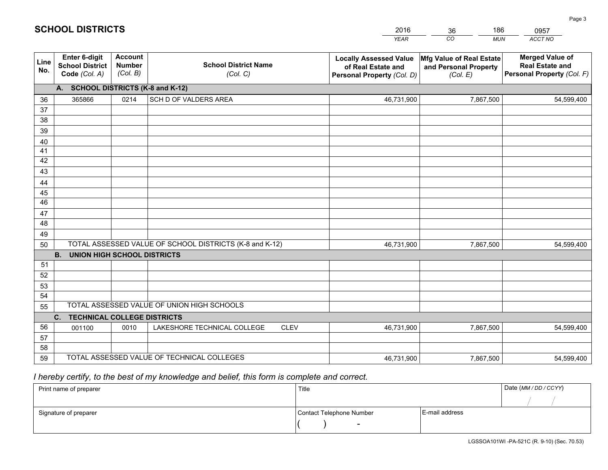|             |                                                                 |                                             |                                                         | <b>YEAR</b>                                                                       | CO<br><b>MUN</b>                                              | ACCT NO                                                                        |
|-------------|-----------------------------------------------------------------|---------------------------------------------|---------------------------------------------------------|-----------------------------------------------------------------------------------|---------------------------------------------------------------|--------------------------------------------------------------------------------|
| Line<br>No. | <b>Enter 6-digit</b><br><b>School District</b><br>Code (Col. A) | <b>Account</b><br><b>Number</b><br>(Col. B) | <b>School District Name</b><br>(Col. C)                 | <b>Locally Assessed Value</b><br>of Real Estate and<br>Personal Property (Col. D) | Mfg Value of Real Estate<br>and Personal Property<br>(Col. E) | <b>Merged Value of</b><br><b>Real Estate and</b><br>Personal Property (Col. F) |
|             | A. SCHOOL DISTRICTS (K-8 and K-12)                              |                                             |                                                         |                                                                                   |                                                               |                                                                                |
| 36          | 365866                                                          | 0214                                        | SCH D OF VALDERS AREA                                   | 46,731,900                                                                        | 7,867,500                                                     | 54,599,400                                                                     |
| 37          |                                                                 |                                             |                                                         |                                                                                   |                                                               |                                                                                |
| 38          |                                                                 |                                             |                                                         |                                                                                   |                                                               |                                                                                |
| 39          |                                                                 |                                             |                                                         |                                                                                   |                                                               |                                                                                |
| 40          |                                                                 |                                             |                                                         |                                                                                   |                                                               |                                                                                |
| 41<br>42    |                                                                 |                                             |                                                         |                                                                                   |                                                               |                                                                                |
| 43          |                                                                 |                                             |                                                         |                                                                                   |                                                               |                                                                                |
| 44          |                                                                 |                                             |                                                         |                                                                                   |                                                               |                                                                                |
| 45          |                                                                 |                                             |                                                         |                                                                                   |                                                               |                                                                                |
| 46          |                                                                 |                                             |                                                         |                                                                                   |                                                               |                                                                                |
| 47          |                                                                 |                                             |                                                         |                                                                                   |                                                               |                                                                                |
| 48          |                                                                 |                                             |                                                         |                                                                                   |                                                               |                                                                                |
| 49          |                                                                 |                                             |                                                         |                                                                                   |                                                               |                                                                                |
| 50          |                                                                 |                                             | TOTAL ASSESSED VALUE OF SCHOOL DISTRICTS (K-8 and K-12) | 46,731,900                                                                        | 7,867,500                                                     | 54,599,400                                                                     |
|             | <b>B.</b><br><b>UNION HIGH SCHOOL DISTRICTS</b>                 |                                             |                                                         |                                                                                   |                                                               |                                                                                |
| 51          |                                                                 |                                             |                                                         |                                                                                   |                                                               |                                                                                |
| 52          |                                                                 |                                             |                                                         |                                                                                   |                                                               |                                                                                |
| 53          |                                                                 |                                             |                                                         |                                                                                   |                                                               |                                                                                |
| 54          |                                                                 |                                             | TOTAL ASSESSED VALUE OF UNION HIGH SCHOOLS              |                                                                                   |                                                               |                                                                                |
| 55          |                                                                 |                                             |                                                         |                                                                                   |                                                               |                                                                                |
| 56          | C.<br><b>TECHNICAL COLLEGE DISTRICTS</b>                        |                                             |                                                         |                                                                                   |                                                               |                                                                                |
| 57          | 001100                                                          | 0010                                        | LAKESHORE TECHNICAL COLLEGE<br><b>CLEV</b>              | 46,731,900                                                                        | 7,867,500                                                     | 54,599,400                                                                     |
| 58          |                                                                 |                                             |                                                         |                                                                                   |                                                               |                                                                                |
| 59          |                                                                 |                                             | TOTAL ASSESSED VALUE OF TECHNICAL COLLEGES              | 46,731,900                                                                        | 7,867,500                                                     | 54,599,400                                                                     |
|             |                                                                 |                                             |                                                         |                                                                                   |                                                               |                                                                                |

36

186

 *I hereby certify, to the best of my knowledge and belief, this form is complete and correct.*

**SCHOOL DISTRICTS**

| Print name of preparer | Title                    |                | Date (MM / DD / CCYY) |
|------------------------|--------------------------|----------------|-----------------------|
|                        |                          |                |                       |
| Signature of preparer  | Contact Telephone Number | E-mail address |                       |
|                        | $\sim$                   |                |                       |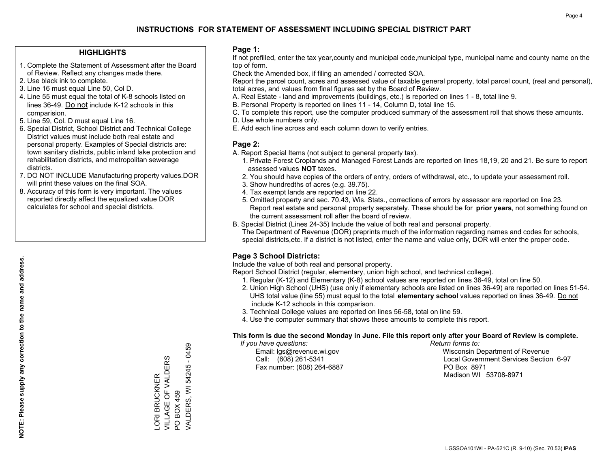### **HIGHLIGHTS**

- 1. Complete the Statement of Assessment after the Board of Review. Reflect any changes made there.
- 2. Use black ink to complete.
- 3. Line 16 must equal Line 50, Col D.
- 4. Line 55 must equal the total of K-8 schools listed on lines 36-49. Do not include K-12 schools in this comparision.
- 5. Line 59, Col. D must equal Line 16.
- 6. Special District, School District and Technical College District values must include both real estate and personal property. Examples of Special districts are: town sanitary districts, public inland lake protection and rehabilitation districts, and metropolitan sewerage districts.
- 7. DO NOT INCLUDE Manufacturing property values.DOR will print these values on the final SOA.
- 8. Accuracy of this form is very important. The values reported directly affect the equalized value DOR calculates for school and special districts.

### **Page 1:**

 If not prefilled, enter the tax year,county and municipal code,municipal type, municipal name and county name on the top of form.

Check the Amended box, if filing an amended / corrected SOA.

 Report the parcel count, acres and assessed value of taxable general property, total parcel count, (real and personal), total acres, and values from final figures set by the Board of Review.

- A. Real Estate land and improvements (buildings, etc.) is reported on lines 1 8, total line 9.
- B. Personal Property is reported on lines 11 14, Column D, total line 15.
- C. To complete this report, use the computer produced summary of the assessment roll that shows these amounts.
- D. Use whole numbers only.
- E. Add each line across and each column down to verify entries.

### **Page 2:**

- A. Report Special Items (not subject to general property tax).
- 1. Private Forest Croplands and Managed Forest Lands are reported on lines 18,19, 20 and 21. Be sure to report assessed values **NOT** taxes.
- 2. You should have copies of the orders of entry, orders of withdrawal, etc., to update your assessment roll.
	- 3. Show hundredths of acres (e.g. 39.75).
- 4. Tax exempt lands are reported on line 22.
- 5. Omitted property and sec. 70.43, Wis. Stats., corrections of errors by assessor are reported on line 23. Report real estate and personal property separately. These should be for **prior years**, not something found on the current assessment roll after the board of review.
- B. Special District (Lines 24-35) Include the value of both real and personal property.
- The Department of Revenue (DOR) preprints much of the information regarding names and codes for schools, special districts,etc. If a district is not listed, enter the name and value only, DOR will enter the proper code.

## **Page 3 School Districts:**

Include the value of both real and personal property.

Report School District (regular, elementary, union high school, and technical college).

- 1. Regular (K-12) and Elementary (K-8) school values are reported on lines 36-49, total on line 50.
- 2. Union High School (UHS) (use only if elementary schools are listed on lines 36-49) are reported on lines 51-54. UHS total value (line 55) must equal to the total **elementary school** values reported on lines 36-49. Do notinclude K-12 schools in this comparison.
- 3. Technical College values are reported on lines 56-58, total on line 59.
- 4. Use the computer summary that shows these amounts to complete this report.

#### **This form is due the second Monday in June. File this report only after your Board of Review is complete.**

 *If you have questions: Return forms to:*

Fax number: (608) 264-6887 PO Box 8971

 Email: lgs@revenue.wi.gov Wisconsin Department of Revenue Call: (608) 261-5341 Local Government Services Section 6-97Madison WI 53708-8971

VALDERS, WI 54245 - 0459 VALDERS, WI 54245 - 0459 VILLAGE OF VALDERS VILLAGE OF VALDERS ORI BRUCKNER LORI BRUCKNER PO BOX 459 PO BOX 459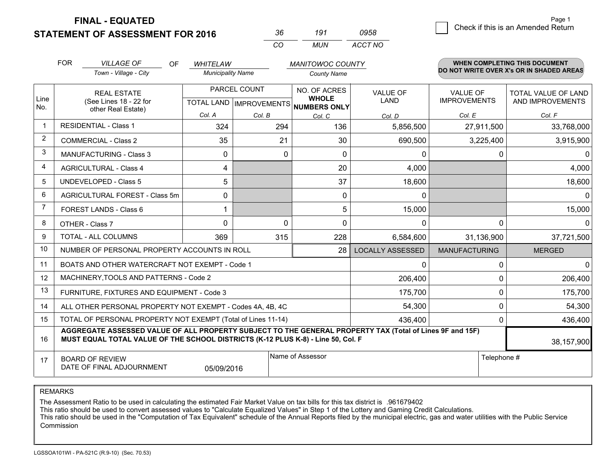**FINAL - EQUATED**

**STATEMENT OF ASSESSMENT FOR 2016** 

*CO MUN <sup>36</sup> <sup>191</sup> ACCT NO0958*

 $\overline{\mathcal{B}}$  Check if this is an Amended Return Page 1

|                | <b>FOR</b>                                                                                                                                                                                                 | <b>VILLAGE OF</b><br>OF.                                  | <b>WHITELAW</b>                                          |          | <b>MANITOWOC COUNTY</b>      |                                |                                 | <b>WHEN COMPLETING THIS DOCUMENT</b>     |
|----------------|------------------------------------------------------------------------------------------------------------------------------------------------------------------------------------------------------------|-----------------------------------------------------------|----------------------------------------------------------|----------|------------------------------|--------------------------------|---------------------------------|------------------------------------------|
|                |                                                                                                                                                                                                            | Town - Village - City                                     | <b>Municipality Name</b>                                 |          | <b>County Name</b>           |                                |                                 | DO NOT WRITE OVER X's OR IN SHADED AREAS |
| Line<br>No.    | <b>REAL ESTATE</b><br>(See Lines 18 - 22 for<br>other Real Estate)                                                                                                                                         |                                                           | PARCEL COUNT<br>TOTAL LAND   IMPROVEMENTS   NUMBERS ONLY |          | NO. OF ACRES<br><b>WHOLE</b> | <b>VALUE OF</b><br><b>LAND</b> | VALUE OF<br><b>IMPROVEMENTS</b> | TOTAL VALUE OF LAND<br>AND IMPROVEMENTS  |
|                |                                                                                                                                                                                                            |                                                           | Col. A                                                   | Col. B   | Col. C                       | Col. D                         | Col. E                          | Col. F                                   |
| -1             |                                                                                                                                                                                                            | <b>RESIDENTIAL - Class 1</b>                              | 324                                                      | 294      | 136                          | 5,856,500                      | 27,911,500                      | 33,768,000                               |
| $\overline{2}$ |                                                                                                                                                                                                            | <b>COMMERCIAL - Class 2</b>                               | 35                                                       | 21       | 30                           | 690,500                        | 3,225,400                       | 3,915,900                                |
| 3              |                                                                                                                                                                                                            | MANUFACTURING - Class 3                                   | $\mathbf{0}$                                             | $\Omega$ | 0                            | 0                              | 0                               | $\Omega$                                 |
| 4              |                                                                                                                                                                                                            | <b>AGRICULTURAL - Class 4</b>                             | 4                                                        |          | 20                           | 4,000                          |                                 | 4,000                                    |
| 5              |                                                                                                                                                                                                            | <b>UNDEVELOPED - Class 5</b>                              | 5                                                        |          | 37                           | 18,600                         |                                 | 18,600                                   |
| 6              |                                                                                                                                                                                                            | AGRICULTURAL FOREST - Class 5m                            | 0                                                        |          | 0                            | 0                              |                                 | $\overline{0}$                           |
| $\overline{7}$ |                                                                                                                                                                                                            | FOREST LANDS - Class 6                                    |                                                          |          | 5                            | 15,000                         |                                 | 15,000                                   |
| 8              |                                                                                                                                                                                                            | OTHER - Class 7                                           | $\Omega$                                                 | $\Omega$ | $\Omega$                     | 0                              | $\Omega$                        | $\overline{0}$                           |
| 9              |                                                                                                                                                                                                            | TOTAL - ALL COLUMNS                                       | 369                                                      | 315      | 228                          | 6,584,600                      | 31,136,900                      | 37,721,500                               |
| 10             | NUMBER OF PERSONAL PROPERTY ACCOUNTS IN ROLL<br>28                                                                                                                                                         |                                                           |                                                          |          |                              | <b>LOCALLY ASSESSED</b>        | <b>MANUFACTURING</b>            | <b>MERGED</b>                            |
| 11             |                                                                                                                                                                                                            | BOATS AND OTHER WATERCRAFT NOT EXEMPT - Code 1            |                                                          |          | 0                            | 0                              | $\overline{0}$                  |                                          |
| 12             |                                                                                                                                                                                                            | MACHINERY, TOOLS AND PATTERNS - Code 2                    |                                                          |          | 206,400                      | $\Omega$                       | 206,400                         |                                          |
| 13             |                                                                                                                                                                                                            | FURNITURE, FIXTURES AND EQUIPMENT - Code 3                |                                                          |          | 175,700                      | 0                              | 175,700                         |                                          |
| 14             |                                                                                                                                                                                                            | ALL OTHER PERSONAL PROPERTY NOT EXEMPT - Codes 4A, 4B, 4C |                                                          |          | 54,300                       | $\Omega$                       | 54,300                          |                                          |
| 15             | TOTAL OF PERSONAL PROPERTY NOT EXEMPT (Total of Lines 11-14)<br>436.400                                                                                                                                    |                                                           |                                                          |          |                              |                                |                                 | 436,400                                  |
| 16             | AGGREGATE ASSESSED VALUE OF ALL PROPERTY SUBJECT TO THE GENERAL PROPERTY TAX (Total of Lines 9F and 15F)<br>MUST EQUAL TOTAL VALUE OF THE SCHOOL DISTRICTS (K-12 PLUS K-8) - Line 50, Col. F<br>38,157,900 |                                                           |                                                          |          |                              |                                |                                 |                                          |
| 17             |                                                                                                                                                                                                            | <b>BOARD OF REVIEW</b><br>DATE OF FINAL ADJOURNMENT       | 05/09/2016                                               |          | Name of Assessor             |                                | Telephone #                     |                                          |

REMARKS

The Assessment Ratio to be used in calculating the estimated Fair Market Value on tax bills for this tax district is .961679402<br>This ratio should be used to convert assessed values to "Calculate Equalized Values" in Step 1 Commission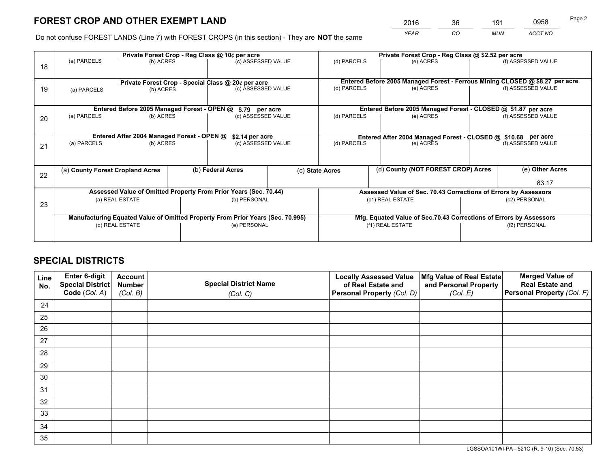*YEAR CO MUN ACCT NO* <sup>2016</sup> <sup>36</sup> <sup>191</sup> <sup>0958</sup>

Do not confuse FOREST LANDS (Line 7) with FOREST CROPS (in this section) - They are **NOT** the same

|    | Private Forest Crop - Reg Class @ 10¢ per acre                                 |                                                                  |  |                                                    |                  | Private Forest Crop - Reg Class @ \$2.52 per acre                  |               |  |                                                                              |  |
|----|--------------------------------------------------------------------------------|------------------------------------------------------------------|--|----------------------------------------------------|------------------|--------------------------------------------------------------------|---------------|--|------------------------------------------------------------------------------|--|
| 18 | (a) PARCELS                                                                    | (b) ACRES                                                        |  | (c) ASSESSED VALUE                                 |                  | (d) PARCELS                                                        | (e) ACRES     |  | (f) ASSESSED VALUE                                                           |  |
|    |                                                                                |                                                                  |  | Private Forest Crop - Special Class @ 20¢ per acre |                  |                                                                    |               |  | Entered Before 2005 Managed Forest - Ferrous Mining CLOSED @ \$8.27 per acre |  |
| 19 | (a) PARCELS                                                                    | (b) ACRES                                                        |  | (c) ASSESSED VALUE                                 |                  | (d) PARCELS                                                        | (e) ACRES     |  | (f) ASSESSED VALUE                                                           |  |
|    |                                                                                | Entered Before 2005 Managed Forest - OPEN @                      |  | \$.79 per acre                                     |                  | Entered Before 2005 Managed Forest - CLOSED @ \$1.87 per acre      |               |  |                                                                              |  |
| 20 | (a) PARCELS                                                                    | (b) ACRES                                                        |  | (c) ASSESSED VALUE                                 |                  | (d) PARCELS<br>(e) ACRES                                           |               |  | (f) ASSESSED VALUE                                                           |  |
|    | Entered After 2004 Managed Forest - OPEN @<br>\$2.14 per acre                  |                                                                  |  |                                                    |                  | Entered After 2004 Managed Forest - CLOSED @ \$10.68 per acre      |               |  |                                                                              |  |
| 21 | (a) PARCELS<br>(b) ACRES                                                       |                                                                  |  | (c) ASSESSED VALUE                                 |                  | (d) PARCELS<br>(e) ACRES                                           |               |  | (f) ASSESSED VALUE                                                           |  |
| 22 | (a) County Forest Cropland Acres                                               |                                                                  |  | (b) Federal Acres                                  |                  | (d) County (NOT FOREST CROP) Acres<br>(c) State Acres              |               |  | (e) Other Acres                                                              |  |
|    |                                                                                |                                                                  |  |                                                    |                  |                                                                    |               |  | 83.17                                                                        |  |
|    |                                                                                | Assessed Value of Omitted Property From Prior Years (Sec. 70.44) |  |                                                    |                  | Assessed Value of Sec. 70.43 Corrections of Errors by Assessors    |               |  |                                                                              |  |
| 23 |                                                                                | (b) PERSONAL<br>(a) REAL ESTATE                                  |  |                                                    | (c1) REAL ESTATE |                                                                    | (c2) PERSONAL |  |                                                                              |  |
|    | Manufacturing Equated Value of Omitted Property From Prior Years (Sec. 70.995) |                                                                  |  |                                                    |                  | Mfg. Equated Value of Sec.70.43 Corrections of Errors by Assessors |               |  |                                                                              |  |
|    | (d) REAL ESTATE                                                                |                                                                  |  | (e) PERSONAL                                       |                  | (f1) REAL ESTATE                                                   |               |  | (f2) PERSONAL                                                                |  |
|    |                                                                                |                                                                  |  |                                                    |                  |                                                                    |               |  |                                                                              |  |

## **SPECIAL DISTRICTS**

| Line<br>No. | Enter 6-digit<br>Special District<br>Code (Col. A) | <b>Account</b><br><b>Number</b> | <b>Special District Name</b> | <b>Locally Assessed Value</b><br>of Real Estate and | Mfg Value of Real Estate<br>and Personal Property | <b>Merged Value of</b><br><b>Real Estate and</b><br>Personal Property (Col. F) |
|-------------|----------------------------------------------------|---------------------------------|------------------------------|-----------------------------------------------------|---------------------------------------------------|--------------------------------------------------------------------------------|
|             |                                                    | (Col. B)                        | (Col. C)                     | Personal Property (Col. D)                          | (Col. E)                                          |                                                                                |
| 24          |                                                    |                                 |                              |                                                     |                                                   |                                                                                |
| 25          |                                                    |                                 |                              |                                                     |                                                   |                                                                                |
| 26          |                                                    |                                 |                              |                                                     |                                                   |                                                                                |
| 27          |                                                    |                                 |                              |                                                     |                                                   |                                                                                |
| 28          |                                                    |                                 |                              |                                                     |                                                   |                                                                                |
| 29          |                                                    |                                 |                              |                                                     |                                                   |                                                                                |
| 30          |                                                    |                                 |                              |                                                     |                                                   |                                                                                |
| 31          |                                                    |                                 |                              |                                                     |                                                   |                                                                                |
| 32          |                                                    |                                 |                              |                                                     |                                                   |                                                                                |
| 33          |                                                    |                                 |                              |                                                     |                                                   |                                                                                |
| 34          |                                                    |                                 |                              |                                                     |                                                   |                                                                                |
| 35          |                                                    |                                 |                              |                                                     |                                                   |                                                                                |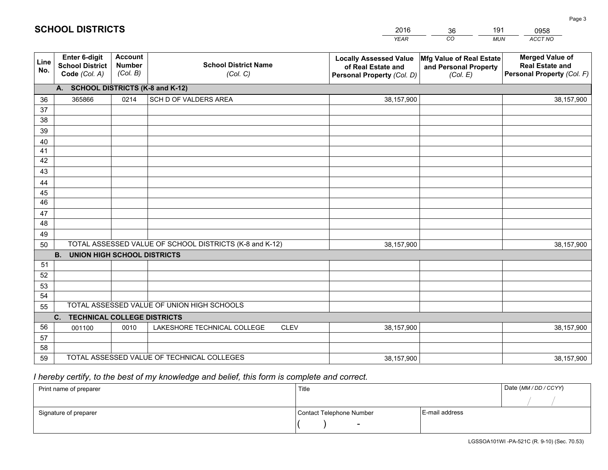|             |                                                          |                                             |                                                         | <b>YEAR</b>                                                                       | CO<br><b>MUN</b>                                              | ACCT NO                                                                        |
|-------------|----------------------------------------------------------|---------------------------------------------|---------------------------------------------------------|-----------------------------------------------------------------------------------|---------------------------------------------------------------|--------------------------------------------------------------------------------|
| Line<br>No. | Enter 6-digit<br><b>School District</b><br>Code (Col. A) | <b>Account</b><br><b>Number</b><br>(Col. B) | <b>School District Name</b><br>(Col. C)                 | <b>Locally Assessed Value</b><br>of Real Estate and<br>Personal Property (Col. D) | Mfg Value of Real Estate<br>and Personal Property<br>(Col. E) | <b>Merged Value of</b><br><b>Real Estate and</b><br>Personal Property (Col. F) |
|             | A. SCHOOL DISTRICTS (K-8 and K-12)                       |                                             |                                                         |                                                                                   |                                                               |                                                                                |
| 36          | 365866                                                   | 0214                                        | SCH D OF VALDERS AREA                                   | 38,157,900                                                                        |                                                               | 38,157,900                                                                     |
| 37          |                                                          |                                             |                                                         |                                                                                   |                                                               |                                                                                |
| 38          |                                                          |                                             |                                                         |                                                                                   |                                                               |                                                                                |
| 39          |                                                          |                                             |                                                         |                                                                                   |                                                               |                                                                                |
| 40          |                                                          |                                             |                                                         |                                                                                   |                                                               |                                                                                |
| 41          |                                                          |                                             |                                                         |                                                                                   |                                                               |                                                                                |
| 42          |                                                          |                                             |                                                         |                                                                                   |                                                               |                                                                                |
| 43          |                                                          |                                             |                                                         |                                                                                   |                                                               |                                                                                |
| 44          |                                                          |                                             |                                                         |                                                                                   |                                                               |                                                                                |
| 45<br>46    |                                                          |                                             |                                                         |                                                                                   |                                                               |                                                                                |
|             |                                                          |                                             |                                                         |                                                                                   |                                                               |                                                                                |
| 47<br>48    |                                                          |                                             |                                                         |                                                                                   |                                                               |                                                                                |
| 49          |                                                          |                                             |                                                         |                                                                                   |                                                               |                                                                                |
| 50          |                                                          |                                             | TOTAL ASSESSED VALUE OF SCHOOL DISTRICTS (K-8 and K-12) | 38,157,900                                                                        |                                                               | 38,157,900                                                                     |
|             | <b>B.</b><br><b>UNION HIGH SCHOOL DISTRICTS</b>          |                                             |                                                         |                                                                                   |                                                               |                                                                                |
| 51          |                                                          |                                             |                                                         |                                                                                   |                                                               |                                                                                |
| 52          |                                                          |                                             |                                                         |                                                                                   |                                                               |                                                                                |
| 53          |                                                          |                                             |                                                         |                                                                                   |                                                               |                                                                                |
| 54          |                                                          |                                             |                                                         |                                                                                   |                                                               |                                                                                |
| 55          |                                                          |                                             | TOTAL ASSESSED VALUE OF UNION HIGH SCHOOLS              |                                                                                   |                                                               |                                                                                |
|             | C.<br><b>TECHNICAL COLLEGE DISTRICTS</b>                 |                                             |                                                         |                                                                                   |                                                               |                                                                                |
| 56          | 001100                                                   | 0010                                        | LAKESHORE TECHNICAL COLLEGE<br><b>CLEV</b>              | 38,157,900                                                                        |                                                               | 38,157,900                                                                     |
| 57          |                                                          |                                             |                                                         |                                                                                   |                                                               |                                                                                |
| 58          |                                                          |                                             |                                                         |                                                                                   |                                                               |                                                                                |
| 59          |                                                          |                                             | TOTAL ASSESSED VALUE OF TECHNICAL COLLEGES              | 38,157,900                                                                        |                                                               | 38,157,900                                                                     |

36

191

# *I hereby certify, to the best of my knowledge and belief, this form is complete and correct.*

**SCHOOL DISTRICTS**

| Print name of preparer | Title                    | Date (MM / DD / CCYY) |  |
|------------------------|--------------------------|-----------------------|--|
|                        |                          |                       |  |
| Signature of preparer  | Contact Telephone Number | E-mail address        |  |
|                        | $\sim$                   |                       |  |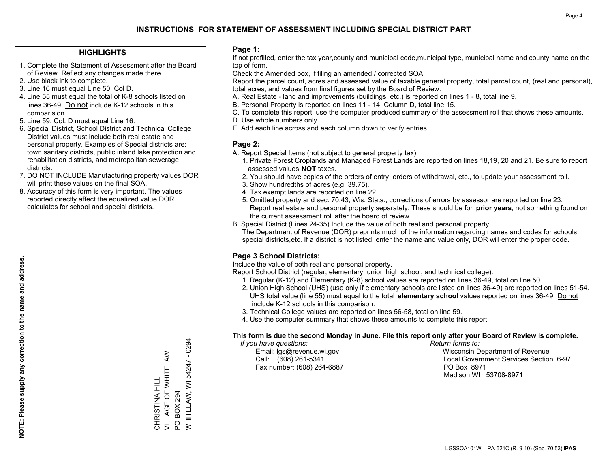### **HIGHLIGHTS**

- 1. Complete the Statement of Assessment after the Board of Review. Reflect any changes made there.
- 2. Use black ink to complete.
- 3. Line 16 must equal Line 50, Col D.
- 4. Line 55 must equal the total of K-8 schools listed on lines 36-49. Do not include K-12 schools in this comparision.
- 5. Line 59, Col. D must equal Line 16.
- 6. Special District, School District and Technical College District values must include both real estate and personal property. Examples of Special districts are: town sanitary districts, public inland lake protection and rehabilitation districts, and metropolitan sewerage districts.
- 7. DO NOT INCLUDE Manufacturing property values.DOR will print these values on the final SOA.
- 8. Accuracy of this form is very important. The values reported directly affect the equalized value DOR calculates for school and special districts.

### **Page 1:**

 If not prefilled, enter the tax year,county and municipal code,municipal type, municipal name and county name on the top of form.

Check the Amended box, if filing an amended / corrected SOA.

 Report the parcel count, acres and assessed value of taxable general property, total parcel count, (real and personal), total acres, and values from final figures set by the Board of Review.

- A. Real Estate land and improvements (buildings, etc.) is reported on lines 1 8, total line 9.
- B. Personal Property is reported on lines 11 14, Column D, total line 15.
- C. To complete this report, use the computer produced summary of the assessment roll that shows these amounts.
- D. Use whole numbers only.
- E. Add each line across and each column down to verify entries.

### **Page 2:**

- A. Report Special Items (not subject to general property tax).
- 1. Private Forest Croplands and Managed Forest Lands are reported on lines 18,19, 20 and 21. Be sure to report assessed values **NOT** taxes.
- 2. You should have copies of the orders of entry, orders of withdrawal, etc., to update your assessment roll.
	- 3. Show hundredths of acres (e.g. 39.75).
- 4. Tax exempt lands are reported on line 22.
- 5. Omitted property and sec. 70.43, Wis. Stats., corrections of errors by assessor are reported on line 23. Report real estate and personal property separately. These should be for **prior years**, not something found on the current assessment roll after the board of review.
- B. Special District (Lines 24-35) Include the value of both real and personal property.
- The Department of Revenue (DOR) preprints much of the information regarding names and codes for schools, special districts,etc. If a district is not listed, enter the name and value only, DOR will enter the proper code.

## **Page 3 School Districts:**

Include the value of both real and personal property.

Report School District (regular, elementary, union high school, and technical college).

- 1. Regular (K-12) and Elementary (K-8) school values are reported on lines 36-49, total on line 50.
- 2. Union High School (UHS) (use only if elementary schools are listed on lines 36-49) are reported on lines 51-54. UHS total value (line 55) must equal to the total **elementary school** values reported on lines 36-49. Do notinclude K-12 schools in this comparison.
- 3. Technical College values are reported on lines 56-58, total on line 59.
- 4. Use the computer summary that shows these amounts to complete this report.

#### **This form is due the second Monday in June. File this report only after your Board of Review is complete.**

 *If you have questions: Return forms to:*

Fax number: (608) 264-6887 PO Box 8971

 Email: lgs@revenue.wi.gov Wisconsin Department of Revenue Call: (608) 261-5341 Local Government Services Section 6-97Madison WI 53708-8971

 $-0294$ WHITELAW, WI 54247 - 0294 VILLAGE OF WHITELAW CHRISTINA HILL<br>VILLAGE OF WHITELAW WHITELAW, WI 54247 CHRISTINA HILL BOX 294 PO BOX 294  $\overline{S}$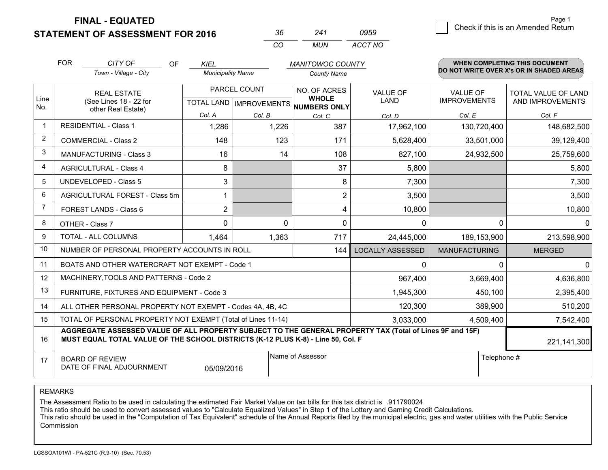**FINAL - EQUATED**

**STATEMENT OF ASSESSMENT FOR 2016** 

|          |       | 0959    |
|----------|-------|---------|
| $\cdots$ | MI IN | ACCT NO |

|             | <b>FOR</b><br>CITY OF<br>OF<br><b>KIEL</b><br><b>MANITOWOC COUNTY</b>                                                                                                                        |                                                              |                          | WHEN COMPLETING THIS DOCUMENT |                                                                          |                                |                                        |                                          |
|-------------|----------------------------------------------------------------------------------------------------------------------------------------------------------------------------------------------|--------------------------------------------------------------|--------------------------|-------------------------------|--------------------------------------------------------------------------|--------------------------------|----------------------------------------|------------------------------------------|
|             |                                                                                                                                                                                              | Town - Village - City                                        | <b>Municipality Name</b> |                               | <b>County Name</b>                                                       |                                |                                        | DO NOT WRITE OVER X's OR IN SHADED AREAS |
| Line        |                                                                                                                                                                                              | <b>REAL ESTATE</b><br>(See Lines 18 - 22 for                 |                          | PARCEL COUNT                  | NO. OF ACRES<br><b>WHOLE</b><br>TOTAL LAND   IMPROVEMENTS   NUMBERS ONLY | <b>VALUE OF</b><br><b>LAND</b> | <b>VALUE OF</b><br><b>IMPROVEMENTS</b> | TOTAL VALUE OF LAND<br>AND IMPROVEMENTS  |
| No.         |                                                                                                                                                                                              | other Real Estate)                                           | Col. A                   | Col. B                        | Col. C                                                                   | Col. D                         | Col. E                                 | Col. F                                   |
| $\mathbf 1$ |                                                                                                                                                                                              | <b>RESIDENTIAL - Class 1</b>                                 | 1,286                    | 1,226                         | 387                                                                      | 17,962,100                     | 130,720,400                            | 148,682,500                              |
| 2           |                                                                                                                                                                                              | <b>COMMERCIAL - Class 2</b>                                  | 148                      | 123                           | 171                                                                      | 5,628,400                      | 33,501,000                             | 39,129,400                               |
| 3           |                                                                                                                                                                                              | <b>MANUFACTURING - Class 3</b>                               | 16                       | 14                            | 108                                                                      | 827,100                        | 24,932,500                             | 25,759,600                               |
| 4           |                                                                                                                                                                                              | <b>AGRICULTURAL - Class 4</b>                                | 8                        |                               | 37                                                                       | 5,800                          |                                        | 5,800                                    |
| 5           |                                                                                                                                                                                              | <b>UNDEVELOPED - Class 5</b>                                 | 3                        |                               | 8                                                                        | 7,300                          |                                        | 7,300                                    |
| 6           |                                                                                                                                                                                              | AGRICULTURAL FOREST - Class 5m                               | 1                        |                               | $\overline{2}$                                                           | 3,500                          |                                        | 3,500                                    |
| 7           |                                                                                                                                                                                              | FOREST LANDS - Class 6                                       | $\overline{2}$           |                               | 4                                                                        | 10,800                         |                                        | 10,800                                   |
| 8           |                                                                                                                                                                                              | OTHER - Class 7                                              | $\mathbf 0$              | $\Omega$                      | $\mathbf{0}$                                                             | $\mathbf{0}$                   | $\Omega$                               | $\mathbf{0}$                             |
| 9           |                                                                                                                                                                                              | TOTAL - ALL COLUMNS                                          | 1,464                    | 1,363                         | 717                                                                      | 24,445,000                     | 189, 153, 900                          | 213,598,900                              |
| 10          |                                                                                                                                                                                              | NUMBER OF PERSONAL PROPERTY ACCOUNTS IN ROLL                 |                          |                               | 144                                                                      | <b>LOCALLY ASSESSED</b>        | <b>MANUFACTURING</b>                   | <b>MERGED</b>                            |
| 11          |                                                                                                                                                                                              | BOATS AND OTHER WATERCRAFT NOT EXEMPT - Code 1               |                          |                               |                                                                          | $\mathbf{0}$                   | 0                                      | $\mathbf{0}$                             |
| 12          |                                                                                                                                                                                              | MACHINERY, TOOLS AND PATTERNS - Code 2                       |                          |                               |                                                                          | 967,400                        | 3,669,400                              | 4,636,800                                |
| 13          |                                                                                                                                                                                              | FURNITURE, FIXTURES AND EQUIPMENT - Code 3                   |                          |                               |                                                                          | 1,945,300                      | 450,100                                | 2,395,400                                |
| 14          |                                                                                                                                                                                              | ALL OTHER PERSONAL PROPERTY NOT EXEMPT - Codes 4A, 4B, 4C    |                          |                               |                                                                          | 120,300                        | 389,900                                | 510,200                                  |
| 15          |                                                                                                                                                                                              | TOTAL OF PERSONAL PROPERTY NOT EXEMPT (Total of Lines 11-14) |                          |                               |                                                                          | 3,033,000                      | 4,509,400                              | 7,542,400                                |
| 16          | AGGREGATE ASSESSED VALUE OF ALL PROPERTY SUBJECT TO THE GENERAL PROPERTY TAX (Total of Lines 9F and 15F)<br>MUST EQUAL TOTAL VALUE OF THE SCHOOL DISTRICTS (K-12 PLUS K-8) - Line 50, Col. F |                                                              |                          |                               |                                                                          |                                |                                        | 221,141,300                              |
| 17          | Name of Assessor<br><b>BOARD OF REVIEW</b><br>DATE OF FINAL ADJOURNMENT<br>05/09/2016                                                                                                        |                                                              |                          |                               | Telephone #                                                              |                                |                                        |                                          |

REMARKS

The Assessment Ratio to be used in calculating the estimated Fair Market Value on tax bills for this tax district is .911790024

This ratio should be used to convert assessed values to "Calculate Equalized Values" in Step 1 of the Lottery and Gaming Credit Calculations.<br>This ratio should be used in the "Computation of Tax Equivalent" schedule of the Commission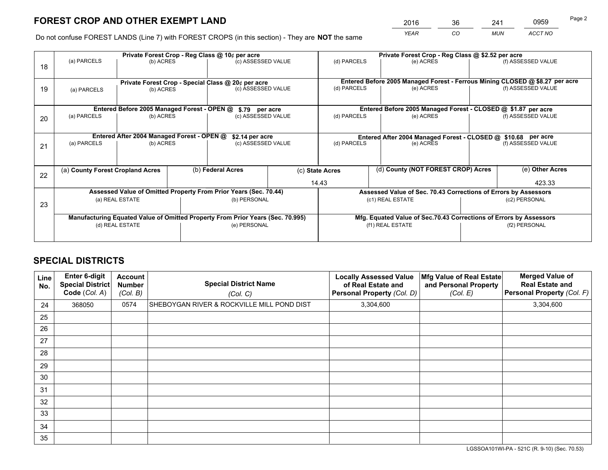# **FOREST CROP AND OTHER EXEMPT LAND**

 *YEAR CO MUN ACCT NO* <sup>2016</sup> <sup>36</sup> <sup>241</sup> <sup>0959</sup>

Do not confuse FOREST LANDS (Line 7) with FOREST CROPS (in this section) - They are **NOT** the same

|    |                                                                                |                                             |  | Private Forest Crop - Reg Class @ 10¢ per acre                   |  | Private Forest Crop - Reg Class @ \$2.52 per acre             |                                                                              |                    |                    |  |
|----|--------------------------------------------------------------------------------|---------------------------------------------|--|------------------------------------------------------------------|--|---------------------------------------------------------------|------------------------------------------------------------------------------|--------------------|--------------------|--|
| 18 | (a) PARCELS                                                                    | (b) ACRES                                   |  | (c) ASSESSED VALUE                                               |  | (d) PARCELS                                                   | (e) ACRES                                                                    |                    | (f) ASSESSED VALUE |  |
|    |                                                                                |                                             |  | Private Forest Crop - Special Class @ 20¢ per acre               |  |                                                               | Entered Before 2005 Managed Forest - Ferrous Mining CLOSED @ \$8.27 per acre |                    |                    |  |
| 19 | (a) PARCELS                                                                    | (b) ACRES                                   |  | (c) ASSESSED VALUE                                               |  | (d) PARCELS                                                   | (e) ACRES                                                                    |                    | (f) ASSESSED VALUE |  |
|    |                                                                                | Entered Before 2005 Managed Forest - OPEN @ |  |                                                                  |  |                                                               | Entered Before 2005 Managed Forest - CLOSED @ \$1.87 per acre                |                    |                    |  |
| 20 | (a) PARCELS<br>(b) ACRES                                                       |                                             |  | \$.79 per acre<br>(c) ASSESSED VALUE                             |  | (d) PARCELS<br>(e) ACRES                                      |                                                                              |                    | (f) ASSESSED VALUE |  |
|    |                                                                                | Entered After 2004 Managed Forest - OPEN @  |  | \$2.14 per acre                                                  |  | Entered After 2004 Managed Forest - CLOSED @ \$10.68 per acre |                                                                              |                    |                    |  |
| 21 | (a) PARCELS                                                                    | (b) ACRES                                   |  | (c) ASSESSED VALUE                                               |  | (d) PARCELS<br>(e) ACRES                                      |                                                                              | (f) ASSESSED VALUE |                    |  |
|    | (a) County Forest Cropland Acres                                               |                                             |  | (b) Federal Acres                                                |  | (c) State Acres                                               | (d) County (NOT FOREST CROP) Acres                                           |                    | (e) Other Acres    |  |
| 22 |                                                                                |                                             |  |                                                                  |  | 14.43                                                         |                                                                              |                    | 423.33             |  |
|    |                                                                                |                                             |  | Assessed Value of Omitted Property From Prior Years (Sec. 70.44) |  |                                                               | Assessed Value of Sec. 70.43 Corrections of Errors by Assessors              |                    |                    |  |
| 23 | (a) REAL ESTATE                                                                |                                             |  | (b) PERSONAL                                                     |  | (c1) REAL ESTATE                                              |                                                                              | (c2) PERSONAL      |                    |  |
|    | Manufacturing Equated Value of Omitted Property From Prior Years (Sec. 70.995) |                                             |  |                                                                  |  |                                                               | Mfg. Equated Value of Sec.70.43 Corrections of Errors by Assessors           |                    |                    |  |
|    | (d) REAL ESTATE                                                                |                                             |  | (e) PERSONAL                                                     |  | (f1) REAL ESTATE                                              |                                                                              |                    | (f2) PERSONAL      |  |
|    |                                                                                |                                             |  |                                                                  |  |                                                               |                                                                              |                    |                    |  |

# **SPECIAL DISTRICTS**

| Line<br>No. | Enter 6-digit<br><b>Special District</b><br>Code (Col. A) | <b>Account</b><br><b>Number</b><br>(Col. B) | <b>Special District Name</b><br>(Col. C)   | <b>Locally Assessed Value</b><br>of Real Estate and<br>Personal Property (Col. D) | Mfg Value of Real Estate<br>and Personal Property<br>(Col. E) | <b>Merged Value of</b><br><b>Real Estate and</b><br>Personal Property (Col. F) |
|-------------|-----------------------------------------------------------|---------------------------------------------|--------------------------------------------|-----------------------------------------------------------------------------------|---------------------------------------------------------------|--------------------------------------------------------------------------------|
| 24          | 368050                                                    | 0574                                        | SHEBOYGAN RIVER & ROCKVILLE MILL POND DIST | 3,304,600                                                                         |                                                               | 3,304,600                                                                      |
| 25          |                                                           |                                             |                                            |                                                                                   |                                                               |                                                                                |
| 26          |                                                           |                                             |                                            |                                                                                   |                                                               |                                                                                |
| 27          |                                                           |                                             |                                            |                                                                                   |                                                               |                                                                                |
| 28          |                                                           |                                             |                                            |                                                                                   |                                                               |                                                                                |
| 29          |                                                           |                                             |                                            |                                                                                   |                                                               |                                                                                |
| 30          |                                                           |                                             |                                            |                                                                                   |                                                               |                                                                                |
| 31          |                                                           |                                             |                                            |                                                                                   |                                                               |                                                                                |
| 32          |                                                           |                                             |                                            |                                                                                   |                                                               |                                                                                |
| 33          |                                                           |                                             |                                            |                                                                                   |                                                               |                                                                                |
| 34          |                                                           |                                             |                                            |                                                                                   |                                                               |                                                                                |
| 35          |                                                           |                                             |                                            |                                                                                   |                                                               |                                                                                |

LGSSOA101WI-PA - 521C (R. 9-10) (Sec. 70.53)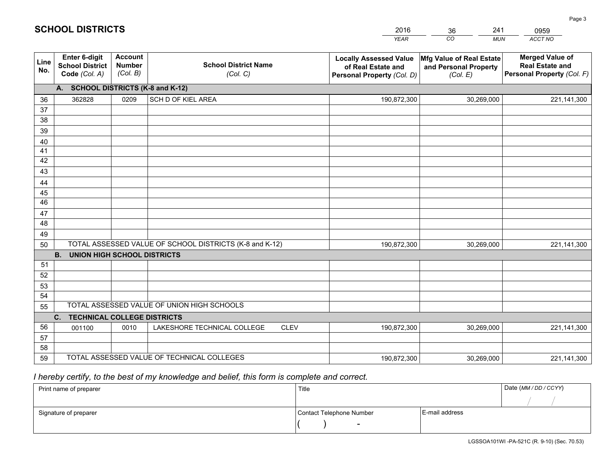|             |                                                                 |                                             |                                                         | <b>YEAR</b>                                                                       | CO<br><b>MUN</b>                                              | <b>ACCT NO</b>                                                                 |
|-------------|-----------------------------------------------------------------|---------------------------------------------|---------------------------------------------------------|-----------------------------------------------------------------------------------|---------------------------------------------------------------|--------------------------------------------------------------------------------|
| Line<br>No. | <b>Enter 6-digit</b><br><b>School District</b><br>Code (Col. A) | <b>Account</b><br><b>Number</b><br>(Col. B) | <b>School District Name</b><br>(Col. C)                 | <b>Locally Assessed Value</b><br>of Real Estate and<br>Personal Property (Col. D) | Mfg Value of Real Estate<br>and Personal Property<br>(Col. E) | <b>Merged Value of</b><br><b>Real Estate and</b><br>Personal Property (Col. F) |
|             | A. SCHOOL DISTRICTS (K-8 and K-12)                              |                                             |                                                         |                                                                                   |                                                               |                                                                                |
| 36          | 362828                                                          | 0209                                        | SCH D OF KIEL AREA                                      | 190,872,300                                                                       | 30,269,000                                                    | 221,141,300                                                                    |
| 37          |                                                                 |                                             |                                                         |                                                                                   |                                                               |                                                                                |
| 38          |                                                                 |                                             |                                                         |                                                                                   |                                                               |                                                                                |
| 39          |                                                                 |                                             |                                                         |                                                                                   |                                                               |                                                                                |
| 40          |                                                                 |                                             |                                                         |                                                                                   |                                                               |                                                                                |
| 41          |                                                                 |                                             |                                                         |                                                                                   |                                                               |                                                                                |
| 42          |                                                                 |                                             |                                                         |                                                                                   |                                                               |                                                                                |
| 43          |                                                                 |                                             |                                                         |                                                                                   |                                                               |                                                                                |
| 44<br>45    |                                                                 |                                             |                                                         |                                                                                   |                                                               |                                                                                |
| 46          |                                                                 |                                             |                                                         |                                                                                   |                                                               |                                                                                |
| 47          |                                                                 |                                             |                                                         |                                                                                   |                                                               |                                                                                |
| 48          |                                                                 |                                             |                                                         |                                                                                   |                                                               |                                                                                |
| 49          |                                                                 |                                             |                                                         |                                                                                   |                                                               |                                                                                |
| 50          |                                                                 |                                             | TOTAL ASSESSED VALUE OF SCHOOL DISTRICTS (K-8 and K-12) | 190,872,300                                                                       | 30,269,000                                                    | 221,141,300                                                                    |
|             | <b>B.</b><br><b>UNION HIGH SCHOOL DISTRICTS</b>                 |                                             |                                                         |                                                                                   |                                                               |                                                                                |
| 51          |                                                                 |                                             |                                                         |                                                                                   |                                                               |                                                                                |
| 52          |                                                                 |                                             |                                                         |                                                                                   |                                                               |                                                                                |
| 53          |                                                                 |                                             |                                                         |                                                                                   |                                                               |                                                                                |
| 54          |                                                                 |                                             |                                                         |                                                                                   |                                                               |                                                                                |
| 55          |                                                                 |                                             | TOTAL ASSESSED VALUE OF UNION HIGH SCHOOLS              |                                                                                   |                                                               |                                                                                |
|             | C.<br><b>TECHNICAL COLLEGE DISTRICTS</b>                        |                                             |                                                         |                                                                                   |                                                               |                                                                                |
| 56          | 001100                                                          | 0010                                        | LAKESHORE TECHNICAL COLLEGE<br><b>CLEV</b>              | 190,872,300                                                                       | 30,269,000                                                    | 221,141,300                                                                    |
| 57          |                                                                 |                                             |                                                         |                                                                                   |                                                               |                                                                                |
| 58<br>59    |                                                                 |                                             | TOTAL ASSESSED VALUE OF TECHNICAL COLLEGES              |                                                                                   |                                                               |                                                                                |
|             |                                                                 |                                             |                                                         | 190,872,300                                                                       | 30,269,000                                                    | 221,141,300                                                                    |

2016

36

241

 *I hereby certify, to the best of my knowledge and belief, this form is complete and correct.*

**SCHOOL DISTRICTS**

| Print name of preparer | Title                    |                | Date (MM / DD / CCYY) |
|------------------------|--------------------------|----------------|-----------------------|
|                        |                          |                |                       |
| Signature of preparer  | Contact Telephone Number | E-mail address |                       |
|                        | $\sim$                   |                |                       |

0959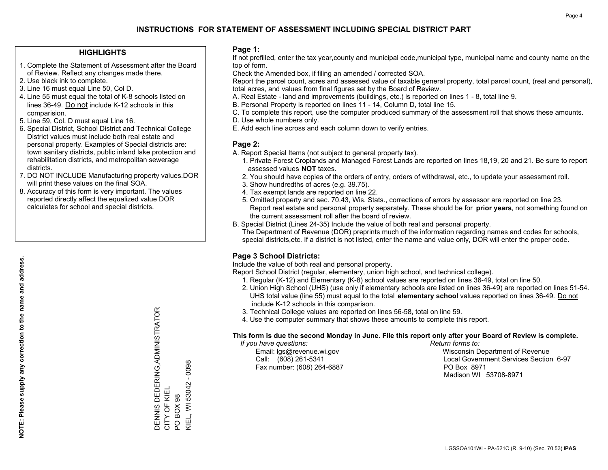# **INSTRUCTIONS FOR STATEMENT OF ASSESSMENT INCLUDING SPECIAL DISTRICT PART**

### **HIGHLIGHTS**

- 1. Complete the Statement of Assessment after the Board of Review. Reflect any changes made there.
- 2. Use black ink to complete.
- 3. Line 16 must equal Line 50, Col D.
- 4. Line 55 must equal the total of K-8 schools listed on lines 36-49. Do not include K-12 schools in this comparision.
- 5. Line 59, Col. D must equal Line 16.
- 6. Special District, School District and Technical College District values must include both real estate and personal property. Examples of Special districts are: town sanitary districts, public inland lake protection and rehabilitation districts, and metropolitan sewerage districts.
- 7. DO NOT INCLUDE Manufacturing property values.DOR will print these values on the final SOA.
- 8. Accuracy of this form is very important. The values reported directly affect the equalized value DOR calculates for school and special districts.

#### **Page 1:**

 If not prefilled, enter the tax year,county and municipal code,municipal type, municipal name and county name on the top of form.

Check the Amended box, if filing an amended / corrected SOA.

 Report the parcel count, acres and assessed value of taxable general property, total parcel count, (real and personal), total acres, and values from final figures set by the Board of Review.

- A. Real Estate land and improvements (buildings, etc.) is reported on lines 1 8, total line 9.
- B. Personal Property is reported on lines 11 14, Column D, total line 15.
- C. To complete this report, use the computer produced summary of the assessment roll that shows these amounts.
- D. Use whole numbers only.
- E. Add each line across and each column down to verify entries.

#### **Page 2:**

- A. Report Special Items (not subject to general property tax).
- 1. Private Forest Croplands and Managed Forest Lands are reported on lines 18,19, 20 and 21. Be sure to report assessed values **NOT** taxes.
- 2. You should have copies of the orders of entry, orders of withdrawal, etc., to update your assessment roll.
	- 3. Show hundredths of acres (e.g. 39.75).
- 4. Tax exempt lands are reported on line 22.
- 5. Omitted property and sec. 70.43, Wis. Stats., corrections of errors by assessor are reported on line 23. Report real estate and personal property separately. These should be for **prior years**, not something found on the current assessment roll after the board of review.
- B. Special District (Lines 24-35) Include the value of both real and personal property.
- The Department of Revenue (DOR) preprints much of the information regarding names and codes for schools, special districts,etc. If a district is not listed, enter the name and value only, DOR will enter the proper code.

# **Page 3 School Districts:**

Include the value of both real and personal property.

Report School District (regular, elementary, union high school, and technical college).

- 1. Regular (K-12) and Elementary (K-8) school values are reported on lines 36-49, total on line 50.
- 2. Union High School (UHS) (use only if elementary schools are listed on lines 36-49) are reported on lines 51-54. UHS total value (line 55) must equal to the total **elementary school** values reported on lines 36-49. Do notinclude K-12 schools in this comparison.
- 3. Technical College values are reported on lines 56-58, total on line 59.
- 4. Use the computer summary that shows these amounts to complete this report.

#### **This form is due the second Monday in June. File this report only after your Board of Review is complete.**

 *If you have questions: Return forms to:*

Fax number: (608) 264-6887 PO Box 8971

 Email: lgs@revenue.wi.gov Wisconsin Department of Revenue Call: (608) 261-5341 Local Government Services Section 6-97Madison WI 53708-8971

DENNIS DEDERING,ADMINISTRATOR<br>CITY OF KIEL<br>PO BOX 98 DENNIS DEDERING,ADMINISTRATOR <IEL, WI 53042 - 0098 CITY OF KIEL PO BOX 98

KIEL, WI 53042 - 0098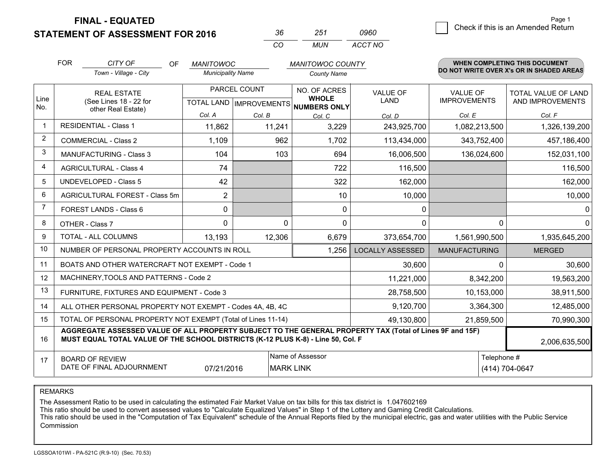**FINAL - EQUATED**

**STATEMENT OF ASSESSMENT FOR 2016** 

|          | 251   | ngrn    |
|----------|-------|---------|
| $\cdots$ | MI IN | ACCT NO |

|                | <b>FOR</b><br>CITY OF<br><b>OF</b><br><b>MANITOWOC</b><br><b>MANITOWOC COUNTY</b>                                                                                                            |                                                              |                          |          |                    | <b>WHEN COMPLETING THIS DOCUMENT</b>                                 |                                |                                          |                                         |
|----------------|----------------------------------------------------------------------------------------------------------------------------------------------------------------------------------------------|--------------------------------------------------------------|--------------------------|----------|--------------------|----------------------------------------------------------------------|--------------------------------|------------------------------------------|-----------------------------------------|
|                |                                                                                                                                                                                              | Town - Village - City                                        | <b>Municipality Name</b> |          | <b>County Name</b> |                                                                      |                                | DO NOT WRITE OVER X's OR IN SHADED AREAS |                                         |
| Line           | <b>REAL ESTATE</b><br>(See Lines 18 - 22 for                                                                                                                                                 |                                                              | PARCEL COUNT             |          |                    | NO. OF ACRES<br><b>WHOLE</b><br>TOTAL LAND IMPROVEMENTS NUMBERS ONLY | <b>VALUE OF</b><br><b>LAND</b> | <b>VALUE OF</b><br><b>IMPROVEMENTS</b>   | TOTAL VALUE OF LAND<br>AND IMPROVEMENTS |
| No.            |                                                                                                                                                                                              | other Real Estate)                                           | Col. A                   | Col. B   | Col. C             | Col. D                                                               | Col. E                         | Col. F                                   |                                         |
| $\mathbf 1$    | <b>RESIDENTIAL - Class 1</b>                                                                                                                                                                 |                                                              | 11,862                   | 11,241   | 3,229              | 243,925,700                                                          | 1,082,213,500                  | 1,326,139,200                            |                                         |
| 2              |                                                                                                                                                                                              | <b>COMMERCIAL - Class 2</b>                                  | 1,109                    | 962      | 1,702              | 113,434,000                                                          | 343,752,400                    | 457,186,400                              |                                         |
| 3              |                                                                                                                                                                                              | <b>MANUFACTURING - Class 3</b>                               | 104                      | 103      | 694                | 16,006,500                                                           | 136,024,600                    | 152,031,100                              |                                         |
| $\overline{4}$ |                                                                                                                                                                                              | <b>AGRICULTURAL - Class 4</b>                                | 74                       |          | 722                | 116,500                                                              |                                | 116,500                                  |                                         |
| 5              |                                                                                                                                                                                              | <b>UNDEVELOPED - Class 5</b>                                 | 42                       |          | 322                | 162,000                                                              |                                | 162,000                                  |                                         |
| 6              |                                                                                                                                                                                              | AGRICULTURAL FOREST - Class 5m                               | $\overline{2}$           |          | 10                 | 10,000                                                               |                                | 10,000                                   |                                         |
| $\overline{7}$ |                                                                                                                                                                                              | FOREST LANDS - Class 6                                       | 0                        |          | $\Omega$           | 0                                                                    |                                | $\overline{0}$                           |                                         |
| 8              |                                                                                                                                                                                              | OTHER - Class 7                                              | $\Omega$                 | $\Omega$ | $\Omega$           | 0                                                                    | $\Omega$                       | $\overline{0}$                           |                                         |
| 9              |                                                                                                                                                                                              | TOTAL - ALL COLUMNS                                          | 13,193                   | 12,306   | 6,679              | 373,654,700                                                          | 1,561,990,500                  | 1,935,645,200                            |                                         |
| 10             |                                                                                                                                                                                              | NUMBER OF PERSONAL PROPERTY ACCOUNTS IN ROLL                 |                          |          | 1,256              | <b>LOCALLY ASSESSED</b>                                              | <b>MANUFACTURING</b>           | <b>MERGED</b>                            |                                         |
| 11             |                                                                                                                                                                                              | BOATS AND OTHER WATERCRAFT NOT EXEMPT - Code 1               |                          |          |                    | 30,600                                                               | 0                              | 30,600                                   |                                         |
| 12             |                                                                                                                                                                                              | MACHINERY, TOOLS AND PATTERNS - Code 2                       |                          |          |                    | 11,221,000                                                           | 8,342,200                      | 19,563,200                               |                                         |
| 13             |                                                                                                                                                                                              | FURNITURE, FIXTURES AND EQUIPMENT - Code 3                   |                          |          |                    | 28,758,500                                                           | 10,153,000                     | 38,911,500                               |                                         |
| 14             |                                                                                                                                                                                              | ALL OTHER PERSONAL PROPERTY NOT EXEMPT - Codes 4A, 4B, 4C    |                          |          |                    | 9,120,700                                                            | 3,364,300                      | 12,485,000                               |                                         |
| 15             |                                                                                                                                                                                              | TOTAL OF PERSONAL PROPERTY NOT EXEMPT (Total of Lines 11-14) |                          |          |                    | 49,130,800                                                           | 21,859,500                     | 70,990,300                               |                                         |
| 16             | AGGREGATE ASSESSED VALUE OF ALL PROPERTY SUBJECT TO THE GENERAL PROPERTY TAX (Total of Lines 9F and 15F)<br>MUST EQUAL TOTAL VALUE OF THE SCHOOL DISTRICTS (K-12 PLUS K-8) - Line 50, Col. F |                                                              |                          |          |                    |                                                                      |                                | 2,006,635,500                            |                                         |
| 17             | Name of Assessor<br><b>BOARD OF REVIEW</b><br>DATE OF FINAL ADJOURNMENT<br><b>MARK LINK</b><br>07/21/2016                                                                                    |                                                              |                          |          |                    |                                                                      | Telephone #                    | (414) 704-0647                           |                                         |

REMARKS

The Assessment Ratio to be used in calculating the estimated Fair Market Value on tax bills for this tax district is 1.047602169

This ratio should be used to convert assessed values to "Calculate Equalized Values" in Step 1 of the Lottery and Gaming Credit Calculations.<br>This ratio should be used in the "Computation of Tax Equivalent" schedule of the Commission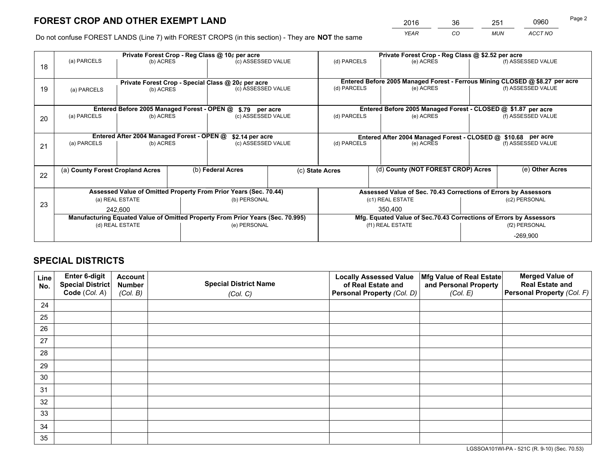# **FOREST CROP AND OTHER EXEMPT LAND**

|   | 2016 | 36 | 251        | 0960    | Page 2 |
|---|------|----|------------|---------|--------|
| е | YEAR | CO | <b>MUN</b> | ACCT NO |        |

Do not confuse FOREST LANDS (Line 7) with FOREST CROPS (in this section) - They are **NOT** the same

|    |                                                                                |                                             |                   | Private Forest Crop - Reg Class @ 10¢ per acre                   |                                                       | Private Forest Crop - Reg Class @ \$2.52 per acre             |                                                                              |                                                                 |                    |
|----|--------------------------------------------------------------------------------|---------------------------------------------|-------------------|------------------------------------------------------------------|-------------------------------------------------------|---------------------------------------------------------------|------------------------------------------------------------------------------|-----------------------------------------------------------------|--------------------|
| 18 | (a) PARCELS                                                                    | (b) ACRES                                   |                   | (c) ASSESSED VALUE                                               |                                                       | (d) PARCELS                                                   | (e) ACRES                                                                    |                                                                 | (f) ASSESSED VALUE |
|    |                                                                                |                                             |                   | Private Forest Crop - Special Class @ 20¢ per acre               |                                                       |                                                               | Entered Before 2005 Managed Forest - Ferrous Mining CLOSED @ \$8.27 per acre |                                                                 |                    |
| 19 | (b) ACRES<br>(a) PARCELS                                                       |                                             |                   | (c) ASSESSED VALUE                                               |                                                       | (d) PARCELS                                                   | (e) ACRES                                                                    |                                                                 | (f) ASSESSED VALUE |
|    |                                                                                |                                             |                   |                                                                  |                                                       |                                                               |                                                                              |                                                                 |                    |
|    |                                                                                | Entered Before 2005 Managed Forest - OPEN @ |                   | \$.79 per acre                                                   |                                                       |                                                               | Entered Before 2005 Managed Forest - CLOSED @ \$1.87 per acre                |                                                                 |                    |
| 20 | (a) PARCELS                                                                    | (b) ACRES                                   |                   | (c) ASSESSED VALUE                                               |                                                       | (d) PARCELS                                                   | (e) ACRES                                                                    |                                                                 | (f) ASSESSED VALUE |
|    |                                                                                | Entered After 2004 Managed Forest - OPEN @  |                   | \$2.14 per acre                                                  |                                                       | Entered After 2004 Managed Forest - CLOSED @ \$10.68 per acre |                                                                              |                                                                 |                    |
| 21 | (a) PARCELS<br>(b) ACRES                                                       |                                             |                   | (c) ASSESSED VALUE                                               |                                                       | (d) PARCELS<br>(e) ACRES                                      |                                                                              |                                                                 | (f) ASSESSED VALUE |
|    |                                                                                |                                             |                   |                                                                  |                                                       |                                                               |                                                                              |                                                                 |                    |
|    | (a) County Forest Cropland Acres                                               |                                             | (b) Federal Acres |                                                                  | (d) County (NOT FOREST CROP) Acres<br>(c) State Acres |                                                               |                                                                              | (e) Other Acres                                                 |                    |
| 22 |                                                                                |                                             |                   |                                                                  |                                                       |                                                               |                                                                              |                                                                 |                    |
|    |                                                                                |                                             |                   | Assessed Value of Omitted Property From Prior Years (Sec. 70.44) |                                                       |                                                               |                                                                              | Assessed Value of Sec. 70.43 Corrections of Errors by Assessors |                    |
| 23 |                                                                                | (a) REAL ESTATE                             |                   | (b) PERSONAL                                                     |                                                       |                                                               | (c1) REAL ESTATE                                                             |                                                                 | (c2) PERSONAL      |
|    |                                                                                | 242.600                                     |                   |                                                                  |                                                       |                                                               | 350.400                                                                      |                                                                 |                    |
|    | Manufacturing Equated Value of Omitted Property From Prior Years (Sec. 70.995) |                                             |                   |                                                                  |                                                       |                                                               | Mfg. Equated Value of Sec.70.43 Corrections of Errors by Assessors           |                                                                 |                    |
|    | (d) REAL ESTATE                                                                |                                             |                   | (e) PERSONAL                                                     |                                                       | (f1) REAL ESTATE                                              |                                                                              | (f2) PERSONAL                                                   |                    |
|    |                                                                                |                                             |                   |                                                                  |                                                       |                                                               |                                                                              |                                                                 | $-269,900$         |

# **SPECIAL DISTRICTS**

| Line<br>No. | Enter 6-digit<br>Special District<br>Code (Col. A) | <b>Account</b><br><b>Number</b> | <b>Special District Name</b> | <b>Locally Assessed Value</b><br>of Real Estate and | Mfg Value of Real Estate<br>and Personal Property | <b>Merged Value of</b><br><b>Real Estate and</b><br>Personal Property (Col. F) |
|-------------|----------------------------------------------------|---------------------------------|------------------------------|-----------------------------------------------------|---------------------------------------------------|--------------------------------------------------------------------------------|
|             |                                                    | (Col. B)                        | (Col. C)                     | Personal Property (Col. D)                          | (Col. E)                                          |                                                                                |
| 24          |                                                    |                                 |                              |                                                     |                                                   |                                                                                |
| 25          |                                                    |                                 |                              |                                                     |                                                   |                                                                                |
| 26          |                                                    |                                 |                              |                                                     |                                                   |                                                                                |
| 27          |                                                    |                                 |                              |                                                     |                                                   |                                                                                |
| 28          |                                                    |                                 |                              |                                                     |                                                   |                                                                                |
| 29          |                                                    |                                 |                              |                                                     |                                                   |                                                                                |
| 30          |                                                    |                                 |                              |                                                     |                                                   |                                                                                |
| 31          |                                                    |                                 |                              |                                                     |                                                   |                                                                                |
| 32          |                                                    |                                 |                              |                                                     |                                                   |                                                                                |
| 33          |                                                    |                                 |                              |                                                     |                                                   |                                                                                |
| 34          |                                                    |                                 |                              |                                                     |                                                   |                                                                                |
| 35          |                                                    |                                 |                              |                                                     |                                                   |                                                                                |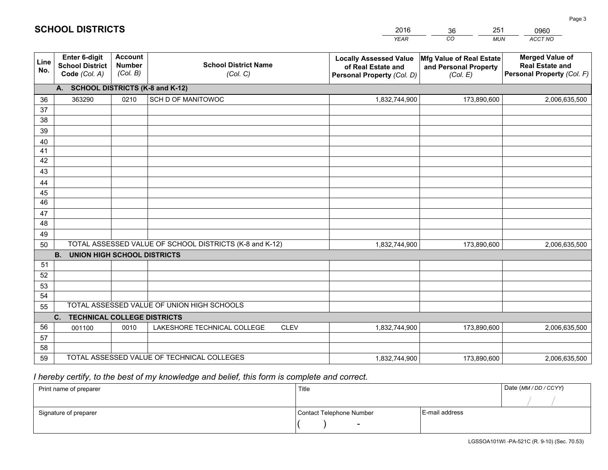|             |                                                          |                                             |                                                         | <b>YEAR</b>                                                                       | CO<br><b>MUN</b>                                              | ACCT NO                                                                        |
|-------------|----------------------------------------------------------|---------------------------------------------|---------------------------------------------------------|-----------------------------------------------------------------------------------|---------------------------------------------------------------|--------------------------------------------------------------------------------|
| Line<br>No. | Enter 6-digit<br><b>School District</b><br>Code (Col. A) | <b>Account</b><br><b>Number</b><br>(Col. B) | <b>School District Name</b><br>(Col. C)                 | <b>Locally Assessed Value</b><br>of Real Estate and<br>Personal Property (Col. D) | Mfg Value of Real Estate<br>and Personal Property<br>(Col. E) | <b>Merged Value of</b><br><b>Real Estate and</b><br>Personal Property (Col. F) |
|             | A. SCHOOL DISTRICTS (K-8 and K-12)                       |                                             |                                                         |                                                                                   |                                                               |                                                                                |
| 36          | 363290                                                   | 0210                                        | SCH D OF MANITOWOC                                      | 1,832,744,900                                                                     | 173,890,600                                                   | 2,006,635,500                                                                  |
| 37          |                                                          |                                             |                                                         |                                                                                   |                                                               |                                                                                |
| 38          |                                                          |                                             |                                                         |                                                                                   |                                                               |                                                                                |
| 39          |                                                          |                                             |                                                         |                                                                                   |                                                               |                                                                                |
| 40          |                                                          |                                             |                                                         |                                                                                   |                                                               |                                                                                |
| 41<br>42    |                                                          |                                             |                                                         |                                                                                   |                                                               |                                                                                |
| 43          |                                                          |                                             |                                                         |                                                                                   |                                                               |                                                                                |
| 44          |                                                          |                                             |                                                         |                                                                                   |                                                               |                                                                                |
| 45          |                                                          |                                             |                                                         |                                                                                   |                                                               |                                                                                |
| 46          |                                                          |                                             |                                                         |                                                                                   |                                                               |                                                                                |
| 47          |                                                          |                                             |                                                         |                                                                                   |                                                               |                                                                                |
| 48          |                                                          |                                             |                                                         |                                                                                   |                                                               |                                                                                |
| 49          |                                                          |                                             |                                                         |                                                                                   |                                                               |                                                                                |
| 50          |                                                          |                                             | TOTAL ASSESSED VALUE OF SCHOOL DISTRICTS (K-8 and K-12) | 1,832,744,900                                                                     | 173,890,600                                                   | 2,006,635,500                                                                  |
|             | <b>B.</b><br>UNION HIGH SCHOOL DISTRICTS                 |                                             |                                                         |                                                                                   |                                                               |                                                                                |
| 51          |                                                          |                                             |                                                         |                                                                                   |                                                               |                                                                                |
| 52          |                                                          |                                             |                                                         |                                                                                   |                                                               |                                                                                |
| 53          |                                                          |                                             |                                                         |                                                                                   |                                                               |                                                                                |
| 54          |                                                          |                                             |                                                         |                                                                                   |                                                               |                                                                                |
| 55          |                                                          |                                             | TOTAL ASSESSED VALUE OF UNION HIGH SCHOOLS              |                                                                                   |                                                               |                                                                                |
|             | C.<br><b>TECHNICAL COLLEGE DISTRICTS</b>                 |                                             |                                                         |                                                                                   |                                                               |                                                                                |
| 56          | 001100                                                   | 0010                                        | LAKESHORE TECHNICAL COLLEGE<br><b>CLEV</b>              | 1,832,744,900                                                                     | 173,890,600                                                   | 2,006,635,500                                                                  |
| 57<br>58    |                                                          |                                             |                                                         |                                                                                   |                                                               |                                                                                |
| 59          |                                                          |                                             | TOTAL ASSESSED VALUE OF TECHNICAL COLLEGES              | 1,832,744,900                                                                     | 173,890,600                                                   | 2,006,635,500                                                                  |
|             |                                                          |                                             |                                                         |                                                                                   |                                                               |                                                                                |

2016

36

251

 *I hereby certify, to the best of my knowledge and belief, this form is complete and correct.*

**SCHOOL DISTRICTS**

| Print name of preparer | Title                    | Date (MM / DD / CCYY) |  |
|------------------------|--------------------------|-----------------------|--|
|                        |                          |                       |  |
| Signature of preparer  | Contact Telephone Number | E-mail address        |  |
|                        | $\sim$                   |                       |  |

0960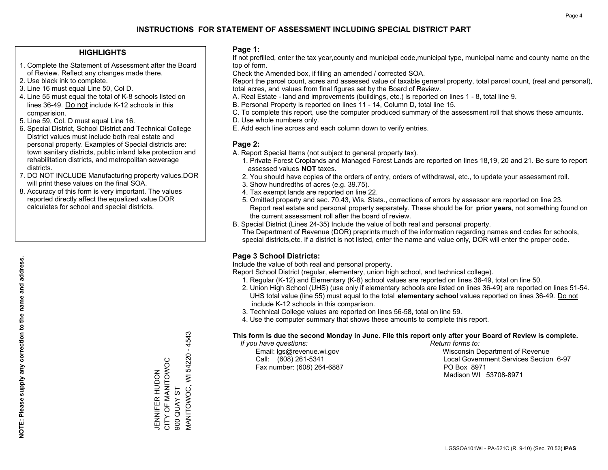# **INSTRUCTIONS FOR STATEMENT OF ASSESSMENT INCLUDING SPECIAL DISTRICT PART**

## **HIGHLIGHTS**

- 1. Complete the Statement of Assessment after the Board of Review. Reflect any changes made there.
- 2. Use black ink to complete.
- 3. Line 16 must equal Line 50, Col D.
- 4. Line 55 must equal the total of K-8 schools listed on lines 36-49. Do not include K-12 schools in this comparision.
- 5. Line 59, Col. D must equal Line 16.
- 6. Special District, School District and Technical College District values must include both real estate and personal property. Examples of Special districts are: town sanitary districts, public inland lake protection and rehabilitation districts, and metropolitan sewerage districts.
- 7. DO NOT INCLUDE Manufacturing property values.DOR will print these values on the final SOA.
- 8. Accuracy of this form is very important. The values reported directly affect the equalized value DOR calculates for school and special districts.

#### **Page 1:**

 If not prefilled, enter the tax year,county and municipal code,municipal type, municipal name and county name on the top of form.

Check the Amended box, if filing an amended / corrected SOA.

 Report the parcel count, acres and assessed value of taxable general property, total parcel count, (real and personal), total acres, and values from final figures set by the Board of Review.

- A. Real Estate land and improvements (buildings, etc.) is reported on lines 1 8, total line 9.
- B. Personal Property is reported on lines 11 14, Column D, total line 15.
- C. To complete this report, use the computer produced summary of the assessment roll that shows these amounts.
- D. Use whole numbers only.
- E. Add each line across and each column down to verify entries.

## **Page 2:**

- A. Report Special Items (not subject to general property tax).
- 1. Private Forest Croplands and Managed Forest Lands are reported on lines 18,19, 20 and 21. Be sure to report assessed values **NOT** taxes.
- 2. You should have copies of the orders of entry, orders of withdrawal, etc., to update your assessment roll.
	- 3. Show hundredths of acres (e.g. 39.75).
- 4. Tax exempt lands are reported on line 22.
- 5. Omitted property and sec. 70.43, Wis. Stats., corrections of errors by assessor are reported on line 23. Report real estate and personal property separately. These should be for **prior years**, not something found on the current assessment roll after the board of review.
- B. Special District (Lines 24-35) Include the value of both real and personal property.
- The Department of Revenue (DOR) preprints much of the information regarding names and codes for schools, special districts,etc. If a district is not listed, enter the name and value only, DOR will enter the proper code.

# **Page 3 School Districts:**

Include the value of both real and personal property.

Report School District (regular, elementary, union high school, and technical college).

- 1. Regular (K-12) and Elementary (K-8) school values are reported on lines 36-49, total on line 50.
- 2. Union High School (UHS) (use only if elementary schools are listed on lines 36-49) are reported on lines 51-54. UHS total value (line 55) must equal to the total **elementary school** values reported on lines 36-49. Do notinclude K-12 schools in this comparison.
- 3. Technical College values are reported on lines 56-58, total on line 59.
- 4. Use the computer summary that shows these amounts to complete this report.

#### **This form is due the second Monday in June. File this report only after your Board of Review is complete.**

 *If you have questions: Return forms to:*

Fax number: (608) 264-6887 PO Box 8971

 Email: lgs@revenue.wi.gov Wisconsin Department of Revenue Call: (608) 261-5341 Local Government Services Section 6-97Madison WI 53708-8971

**MANITOWOC, WI 54220 - 4543** MANITOWOC, WI 54220 - 4543 CITY OF MANITOWOC JENNIFER HUDON<br>CITY OF MANITOWOC **900 QUAY ST** 900 QUAY ST

JENNIFER HUDON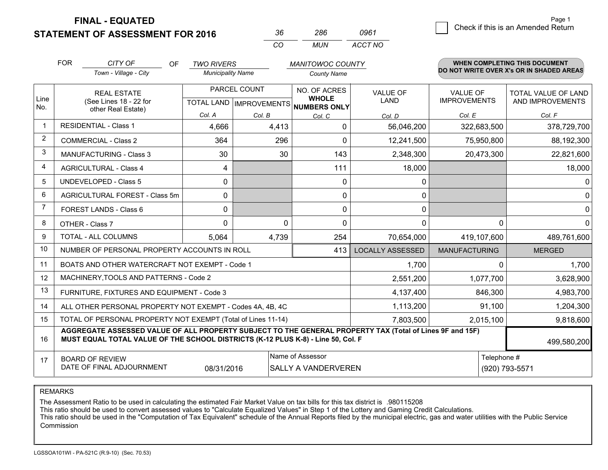**FINAL - EQUATED**

**STATEMENT OF ASSESSMENT FOR 2016** 

| 36       | 286 | 0961    |
|----------|-----|---------|
| $\cdots$ | MUN | ACCT NO |

|                | <b>FOR</b>                                                                                                                                                                                   | CITY OF<br><b>OF</b>                       | <b>TWO RIVERS</b>                                   |          | <b>MANITOWOC COUNTY</b>      |                                |                                 | <b>WHEN COMPLETING THIS DOCUMENT</b>     |
|----------------|----------------------------------------------------------------------------------------------------------------------------------------------------------------------------------------------|--------------------------------------------|-----------------------------------------------------|----------|------------------------------|--------------------------------|---------------------------------|------------------------------------------|
|                |                                                                                                                                                                                              | Town - Village - City                      | <b>Municipality Name</b>                            |          | <b>County Name</b>           |                                |                                 | DO NOT WRITE OVER X's OR IN SHADED AREAS |
| Line           | <b>REAL ESTATE</b><br>(See Lines 18 - 22 for                                                                                                                                                 |                                            | PARCEL COUNT<br>TOTAL LAND MPROVEMENTS NUMBERS ONLY |          | NO. OF ACRES<br><b>WHOLE</b> | <b>VALUE OF</b><br><b>LAND</b> | VALUE OF<br><b>IMPROVEMENTS</b> | TOTAL VALUE OF LAND<br>AND IMPROVEMENTS  |
| No.            |                                                                                                                                                                                              | other Real Estate)                         | Col. A                                              | Col. B   | Col. C                       | Col. D                         | Col. E                          | Col. F                                   |
|                |                                                                                                                                                                                              | <b>RESIDENTIAL - Class 1</b>               | 4,666                                               | 4,413    | $\mathbf 0$                  | 56,046,200                     | 322,683,500                     | 378,729,700                              |
| $\overline{2}$ |                                                                                                                                                                                              | <b>COMMERCIAL - Class 2</b>                | 364                                                 | 296      | $\Omega$                     | 12,241,500                     | 75,950,800                      | 88,192,300                               |
| 3              |                                                                                                                                                                                              | <b>MANUFACTURING - Class 3</b>             | 30                                                  | 30       | 143                          | 2,348,300                      | 20,473,300                      | 22,821,600                               |
| 4              |                                                                                                                                                                                              | <b>AGRICULTURAL - Class 4</b>              | 4                                                   |          | 111                          | 18,000                         |                                 | 18,000                                   |
| 5              |                                                                                                                                                                                              | <b>UNDEVELOPED - Class 5</b>               | 0                                                   |          | $\mathbf{0}$                 | 0                              |                                 | $\overline{0}$                           |
| 6              |                                                                                                                                                                                              | AGRICULTURAL FOREST - Class 5m             | $\Omega$                                            |          | $\mathbf{0}$                 | 0                              |                                 | $\overline{0}$                           |
| 7              |                                                                                                                                                                                              | FOREST LANDS - Class 6                     | 0                                                   |          | $\mathbf{0}$                 | 0                              |                                 | $\overline{0}$                           |
| 8              | OTHER - Class 7                                                                                                                                                                              |                                            | $\mathbf 0$                                         | $\Omega$ | $\Omega$                     | 0                              | $\Omega$                        | $\overline{0}$                           |
| 9              | TOTAL - ALL COLUMNS                                                                                                                                                                          |                                            | 5,064                                               | 4,739    | 254                          | 70,654,000                     | 419,107,600                     | 489,761,600                              |
| 10             | NUMBER OF PERSONAL PROPERTY ACCOUNTS IN ROLL                                                                                                                                                 |                                            |                                                     |          | 413                          | <b>LOCALLY ASSESSED</b>        | <b>MANUFACTURING</b>            | <b>MERGED</b>                            |
| 11             | BOATS AND OTHER WATERCRAFT NOT EXEMPT - Code 1                                                                                                                                               |                                            |                                                     |          |                              | 1,700                          | 0                               | 1,700                                    |
| 12             |                                                                                                                                                                                              | MACHINERY, TOOLS AND PATTERNS - Code 2     |                                                     |          |                              | 2,551,200                      | 1,077,700                       | 3,628,900                                |
| 13             |                                                                                                                                                                                              | FURNITURE, FIXTURES AND EQUIPMENT - Code 3 |                                                     |          |                              | 4,137,400                      | 846,300                         | 4,983,700                                |
| 14             | 1,113,200<br>ALL OTHER PERSONAL PROPERTY NOT EXEMPT - Codes 4A, 4B, 4C                                                                                                                       |                                            |                                                     |          |                              |                                | 91,100                          | 1,204,300                                |
| 15             | TOTAL OF PERSONAL PROPERTY NOT EXEMPT (Total of Lines 11-14)<br>7,803,500                                                                                                                    |                                            |                                                     |          |                              |                                | 2,015,100                       | 9,818,600                                |
| 16             | AGGREGATE ASSESSED VALUE OF ALL PROPERTY SUBJECT TO THE GENERAL PROPERTY TAX (Total of Lines 9F and 15F)<br>MUST EQUAL TOTAL VALUE OF THE SCHOOL DISTRICTS (K-12 PLUS K-8) - Line 50, Col. F |                                            |                                                     |          |                              |                                | 499,580,200                     |                                          |
| 17             | Name of Assessor<br>Telephone #<br><b>BOARD OF REVIEW</b><br>DATE OF FINAL ADJOURNMENT<br>08/31/2016<br>SALLY A VANDERVEREN                                                                  |                                            |                                                     |          | (920) 793-5571               |                                |                                 |                                          |

REMARKS

The Assessment Ratio to be used in calculating the estimated Fair Market Value on tax bills for this tax district is .980115208

This ratio should be used to convert assessed values to "Calculate Equalized Values" in Step 1 of the Lottery and Gaming Credit Calculations.<br>This ratio should be used in the "Computation of Tax Equivalent" schedule of the Commission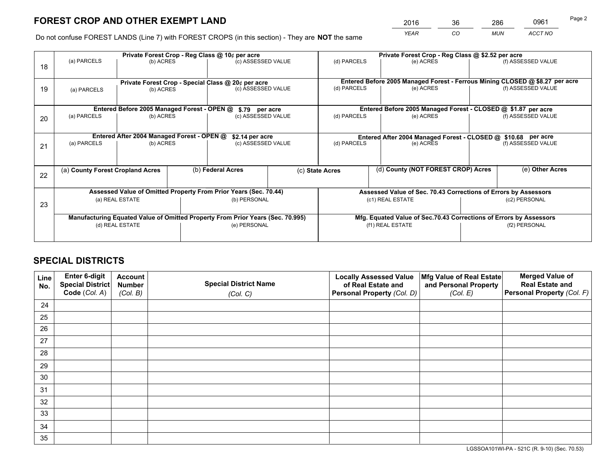# **FOREST CROP AND OTHER EXEMPT LAND**

 *YEAR CO MUN ACCT NO* <sup>2016</sup> <sup>36</sup> <sup>286</sup> <sup>0961</sup>

Do not confuse FOREST LANDS (Line 7) with FOREST CROPS (in this section) - They are **NOT** the same

|    | Private Forest Crop - Reg Class @ 10¢ per acre                                 |                                                                  |                                                    |                                      | Private Forest Crop - Reg Class @ \$2.52 per acre                            |                                                                    |               |                    |  |
|----|--------------------------------------------------------------------------------|------------------------------------------------------------------|----------------------------------------------------|--------------------------------------|------------------------------------------------------------------------------|--------------------------------------------------------------------|---------------|--------------------|--|
| 18 | (a) PARCELS                                                                    | (b) ACRES                                                        |                                                    | (c) ASSESSED VALUE                   | (d) PARCELS                                                                  | (e) ACRES                                                          |               | (f) ASSESSED VALUE |  |
|    |                                                                                |                                                                  | Private Forest Crop - Special Class @ 20¢ per acre |                                      | Entered Before 2005 Managed Forest - Ferrous Mining CLOSED @ \$8.27 per acre |                                                                    |               |                    |  |
| 19 | (a) PARCELS<br>(b) ACRES                                                       |                                                                  |                                                    | (c) ASSESSED VALUE                   |                                                                              | (e) ACRES                                                          |               | (f) ASSESSED VALUE |  |
|    |                                                                                | Entered Before 2005 Managed Forest - OPEN @                      |                                                    |                                      |                                                                              | Entered Before 2005 Managed Forest - CLOSED @ \$1.87 per acre      |               |                    |  |
| 20 | (a) PARCELS<br>(b) ACRES                                                       |                                                                  |                                                    | \$.79 per acre<br>(c) ASSESSED VALUE |                                                                              | (d) PARCELS<br>(e) ACRES                                           |               | (f) ASSESSED VALUE |  |
|    |                                                                                | Entered After 2004 Managed Forest - OPEN @                       | \$2.14 per acre                                    |                                      | Entered After 2004 Managed Forest - CLOSED @ \$10.68 per acre                |                                                                    |               |                    |  |
| 21 | (a) PARCELS<br>(b) ACRES                                                       |                                                                  | (c) ASSESSED VALUE                                 |                                      | (d) PARCELS                                                                  | (e) ACRES                                                          |               | (f) ASSESSED VALUE |  |
|    |                                                                                |                                                                  |                                                    |                                      |                                                                              |                                                                    |               |                    |  |
| 22 | (a) County Forest Cropland Acres                                               |                                                                  | (b) Federal Acres                                  | (c) State Acres                      |                                                                              | (d) County (NOT FOREST CROP) Acres                                 |               | (e) Other Acres    |  |
|    |                                                                                | Assessed Value of Omitted Property From Prior Years (Sec. 70.44) |                                                    |                                      | Assessed Value of Sec. 70.43 Corrections of Errors by Assessors              |                                                                    |               |                    |  |
| 23 | (a) REAL ESTATE                                                                |                                                                  |                                                    | (b) PERSONAL                         |                                                                              | (c1) REAL ESTATE                                                   | (c2) PERSONAL |                    |  |
|    | Manufacturing Equated Value of Omitted Property From Prior Years (Sec. 70.995) |                                                                  |                                                    |                                      |                                                                              | Mfg. Equated Value of Sec.70.43 Corrections of Errors by Assessors |               |                    |  |
|    | (d) REAL ESTATE                                                                |                                                                  | (e) PERSONAL                                       |                                      | (f1) REAL ESTATE                                                             |                                                                    | (f2) PERSONAL |                    |  |
|    |                                                                                |                                                                  |                                                    |                                      |                                                                              |                                                                    |               |                    |  |

# **SPECIAL DISTRICTS**

| Line<br>No. | Enter 6-digit<br>Special District<br>Code (Col. A) | <b>Account</b><br><b>Number</b> | <b>Special District Name</b> | <b>Locally Assessed Value</b><br>of Real Estate and | Mfg Value of Real Estate<br>and Personal Property | <b>Merged Value of</b><br><b>Real Estate and</b><br>Personal Property (Col. F) |
|-------------|----------------------------------------------------|---------------------------------|------------------------------|-----------------------------------------------------|---------------------------------------------------|--------------------------------------------------------------------------------|
|             |                                                    | (Col. B)                        | (Col. C)                     | Personal Property (Col. D)                          | (Col. E)                                          |                                                                                |
| 24          |                                                    |                                 |                              |                                                     |                                                   |                                                                                |
| 25          |                                                    |                                 |                              |                                                     |                                                   |                                                                                |
| 26          |                                                    |                                 |                              |                                                     |                                                   |                                                                                |
| 27          |                                                    |                                 |                              |                                                     |                                                   |                                                                                |
| 28          |                                                    |                                 |                              |                                                     |                                                   |                                                                                |
| 29          |                                                    |                                 |                              |                                                     |                                                   |                                                                                |
| 30          |                                                    |                                 |                              |                                                     |                                                   |                                                                                |
| 31          |                                                    |                                 |                              |                                                     |                                                   |                                                                                |
| 32          |                                                    |                                 |                              |                                                     |                                                   |                                                                                |
| 33          |                                                    |                                 |                              |                                                     |                                                   |                                                                                |
| 34          |                                                    |                                 |                              |                                                     |                                                   |                                                                                |
| 35          |                                                    |                                 |                              |                                                     |                                                   |                                                                                |

LGSSOA101WI-PA - 521C (R. 9-10) (Sec. 70.53)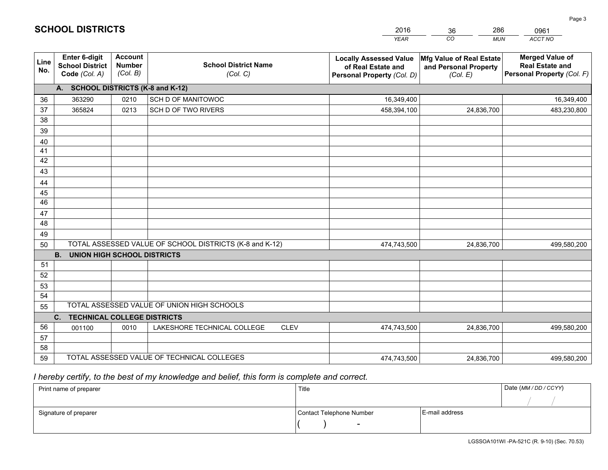|             |                                                                 |                                             |                                                         | <b>YEAR</b>                                                                       | CO<br><b>MUN</b>                                              | ACCT NO                                                                        |
|-------------|-----------------------------------------------------------------|---------------------------------------------|---------------------------------------------------------|-----------------------------------------------------------------------------------|---------------------------------------------------------------|--------------------------------------------------------------------------------|
| Line<br>No. | <b>Enter 6-digit</b><br><b>School District</b><br>Code (Col. A) | <b>Account</b><br><b>Number</b><br>(Col. B) | <b>School District Name</b><br>(Col. C)                 | <b>Locally Assessed Value</b><br>of Real Estate and<br>Personal Property (Col. D) | Mfg Value of Real Estate<br>and Personal Property<br>(Col. E) | <b>Merged Value of</b><br><b>Real Estate and</b><br>Personal Property (Col. F) |
|             | A. SCHOOL DISTRICTS (K-8 and K-12)                              |                                             |                                                         |                                                                                   |                                                               |                                                                                |
| 36          | 363290                                                          | 0210                                        | SCH D OF MANITOWOC                                      | 16,349,400                                                                        |                                                               | 16,349,400                                                                     |
| 37          | 365824                                                          | 0213                                        | SCH D OF TWO RIVERS                                     | 458,394,100                                                                       | 24,836,700                                                    | 483,230,800                                                                    |
| 38          |                                                                 |                                             |                                                         |                                                                                   |                                                               |                                                                                |
| 39          |                                                                 |                                             |                                                         |                                                                                   |                                                               |                                                                                |
| 40          |                                                                 |                                             |                                                         |                                                                                   |                                                               |                                                                                |
| 41          |                                                                 |                                             |                                                         |                                                                                   |                                                               |                                                                                |
| 42          |                                                                 |                                             |                                                         |                                                                                   |                                                               |                                                                                |
| 43          |                                                                 |                                             |                                                         |                                                                                   |                                                               |                                                                                |
| 44<br>45    |                                                                 |                                             |                                                         |                                                                                   |                                                               |                                                                                |
| 46          |                                                                 |                                             |                                                         |                                                                                   |                                                               |                                                                                |
| 47          |                                                                 |                                             |                                                         |                                                                                   |                                                               |                                                                                |
| 48          |                                                                 |                                             |                                                         |                                                                                   |                                                               |                                                                                |
| 49          |                                                                 |                                             |                                                         |                                                                                   |                                                               |                                                                                |
| 50          |                                                                 |                                             | TOTAL ASSESSED VALUE OF SCHOOL DISTRICTS (K-8 and K-12) | 474,743,500                                                                       | 24,836,700                                                    | 499,580,200                                                                    |
|             | <b>B.</b><br><b>UNION HIGH SCHOOL DISTRICTS</b>                 |                                             |                                                         |                                                                                   |                                                               |                                                                                |
| 51          |                                                                 |                                             |                                                         |                                                                                   |                                                               |                                                                                |
| 52          |                                                                 |                                             |                                                         |                                                                                   |                                                               |                                                                                |
| 53          |                                                                 |                                             |                                                         |                                                                                   |                                                               |                                                                                |
| 54          |                                                                 |                                             |                                                         |                                                                                   |                                                               |                                                                                |
| 55          |                                                                 |                                             | TOTAL ASSESSED VALUE OF UNION HIGH SCHOOLS              |                                                                                   |                                                               |                                                                                |
|             | C.<br><b>TECHNICAL COLLEGE DISTRICTS</b>                        |                                             |                                                         |                                                                                   |                                                               |                                                                                |
| 56          | 001100                                                          | 0010                                        | LAKESHORE TECHNICAL COLLEGE<br><b>CLEV</b>              | 474,743,500                                                                       | 24,836,700                                                    | 499,580,200                                                                    |
| 57          |                                                                 |                                             |                                                         |                                                                                   |                                                               |                                                                                |
| 58<br>59    |                                                                 |                                             | TOTAL ASSESSED VALUE OF TECHNICAL COLLEGES              |                                                                                   |                                                               |                                                                                |
|             |                                                                 |                                             |                                                         | 474,743,500                                                                       | 24,836,700                                                    | 499,580,200                                                                    |

2016

36

286

 *I hereby certify, to the best of my knowledge and belief, this form is complete and correct.*

**SCHOOL DISTRICTS**

| Print name of preparer | Title                    |                | Date (MM/DD/CCYY) |
|------------------------|--------------------------|----------------|-------------------|
|                        |                          |                |                   |
| Signature of preparer  | Contact Telephone Number | E-mail address |                   |
|                        | $\overline{\phantom{a}}$ |                |                   |

0961